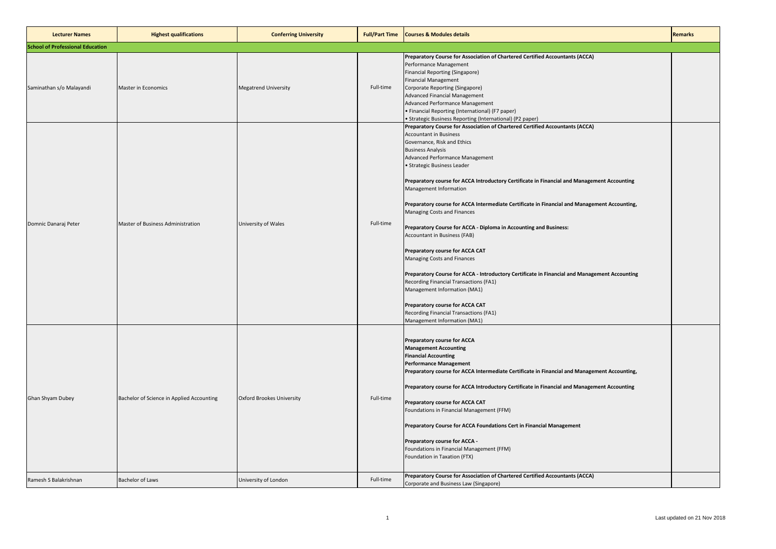| <b>Lecturer Names</b>                   | <b>Highest qualifications</b>             | <b>Conferring University</b>     | <b>Full/Part Time</b> | <b>Courses &amp; Modules details</b>                                                                                                                                                                                                                                                                                                                                                                                                                                                                                                                                                                                                                                                                                                                                                                                                                                                                                                                              | <b>Remarks</b> |
|-----------------------------------------|-------------------------------------------|----------------------------------|-----------------------|-------------------------------------------------------------------------------------------------------------------------------------------------------------------------------------------------------------------------------------------------------------------------------------------------------------------------------------------------------------------------------------------------------------------------------------------------------------------------------------------------------------------------------------------------------------------------------------------------------------------------------------------------------------------------------------------------------------------------------------------------------------------------------------------------------------------------------------------------------------------------------------------------------------------------------------------------------------------|----------------|
| <b>School of Professional Education</b> |                                           |                                  |                       |                                                                                                                                                                                                                                                                                                                                                                                                                                                                                                                                                                                                                                                                                                                                                                                                                                                                                                                                                                   |                |
| Saminathan s/o Malayandi                | <b>Master in Economics</b>                | <b>Megatrend University</b>      | Full-time             | Preparatory Course for Association of Chartered Certified Accountants (ACCA)<br>Performance Management<br>Financial Reporting (Singapore)<br><b>Financial Management</b><br>Corporate Reporting (Singapore)<br><b>Advanced Financial Management</b><br>Advanced Performance Management<br>• Financial Reporting (International) (F7 paper)<br>· Strategic Business Reporting (International) (P2 paper)                                                                                                                                                                                                                                                                                                                                                                                                                                                                                                                                                           |                |
| Domnic Danaraj Peter                    | Master of Business Administration         | University of Wales              | Full-time             | Preparatory Course for Association of Chartered Certified Accountants (ACCA)<br><b>Accountant in Business</b><br>Governance, Risk and Ethics<br><b>Business Analysis</b><br>Advanced Performance Management<br>· Strategic Business Leader<br>Preparatory course for ACCA Introductory Certificate in Financial and Management Accounting<br>Management Information<br>Preparatory course for ACCA Intermediate Certificate in Financial and Management Accounting,<br>Managing Costs and Finances<br>Preparatory Course for ACCA - Diploma in Accounting and Business:<br>Accountant in Business (FAB)<br>Preparatory course for ACCA CAT<br>Managing Costs and Finances<br>Preparatory Course for ACCA - Introductory Certificate in Financial and Management Accounting<br>Recording Financial Transactions (FA1)<br>Management Information (MA1)<br>Preparatory course for ACCA CAT<br>Recording Financial Transactions (FA1)<br>Management Information (MA1) |                |
| Ghan Shyam Dubey                        | Bachelor of Science in Applied Accounting | <b>Oxford Brookes University</b> | Full-time             | Preparatory course for ACCA<br><b>Management Accounting</b><br><b>Financial Accounting</b><br><b>Performance Management</b><br>Preparatory course for ACCA Intermediate Certificate in Financial and Management Accounting,<br>Preparatory course for ACCA Introductory Certificate in Financial and Management Accounting<br>Preparatory course for ACCA CAT<br>Foundations in Financial Management (FFM)<br>Preparatory Course for ACCA Foundations Cert in Financial Management<br>Preparatory course for ACCA -<br>Foundations in Financial Management (FFM)<br>Foundation in Taxation (FTX)                                                                                                                                                                                                                                                                                                                                                                  |                |
| Ramesh S Balakrishnan                   | <b>Bachelor of Laws</b>                   | University of London             | Full-time             | Preparatory Course for Association of Chartered Certified Accountants (ACCA)<br>Corporate and Business Law (Singapore)                                                                                                                                                                                                                                                                                                                                                                                                                                                                                                                                                                                                                                                                                                                                                                                                                                            |                |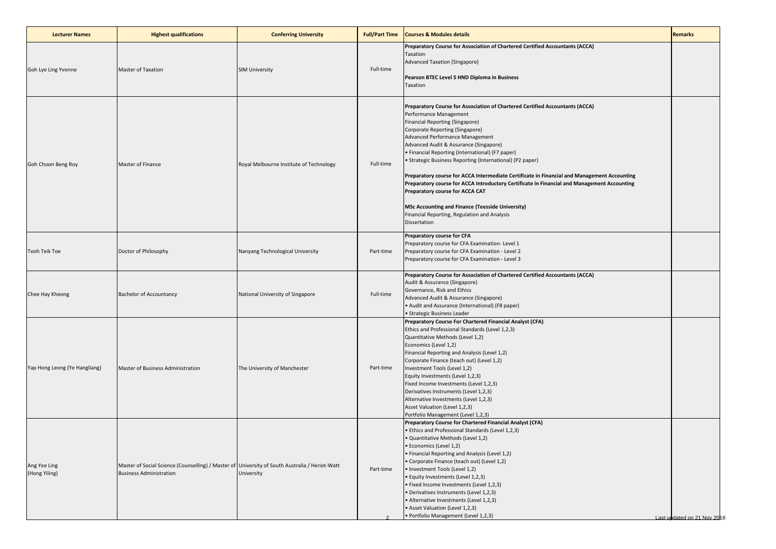| <b>Lecturer Names</b>         | <b>Highest qualifications</b>                                                                                                    | <b>Conferring University</b>            | <b>Full/Part Time</b> | <b>Courses &amp; Modules details</b>                                                                                                                                                                                                                                                                                                                                                                                                                                                                                                                                                                                                                                                                                                   | <b>Remarks</b>              |
|-------------------------------|----------------------------------------------------------------------------------------------------------------------------------|-----------------------------------------|-----------------------|----------------------------------------------------------------------------------------------------------------------------------------------------------------------------------------------------------------------------------------------------------------------------------------------------------------------------------------------------------------------------------------------------------------------------------------------------------------------------------------------------------------------------------------------------------------------------------------------------------------------------------------------------------------------------------------------------------------------------------------|-----------------------------|
| Goh Lye Ling Yvonne           | Master of Taxation                                                                                                               | <b>SIM University</b>                   | Full-time             | Preparatory Course for Association of Chartered Certified Accountants (ACCA)<br>Taxation<br>Advanced Taxation (Singapore)<br>Pearson BTEC Level 5 HND Diploma in Business<br>Taxation                                                                                                                                                                                                                                                                                                                                                                                                                                                                                                                                                  |                             |
| Goh Choon Beng Roy            | Master of Finance                                                                                                                | Royal Melbourne Institute of Technology | Full-time             | Preparatory Course for Association of Chartered Certified Accountants (ACCA)<br>Performance Management<br>Financial Reporting (Singapore)<br>Corporate Reporting (Singapore)<br>Advanced Performance Management<br>Advanced Audit & Assurance (Singapore)<br>• Financial Reporting (International) (F7 paper)<br>• Strategic Business Reporting (International) (P2 paper)<br>Preparatory course for ACCA Intermediate Certificate in Financial and Management Accounting<br>Preparatory course for ACCA Introductory Certificate in Financial and Management Accounting<br>Preparatory course for ACCA CAT<br><b>MSc Accounting and Finance (Teesside University)</b><br>Financial Reporting, Regulation and Analysis<br>Dissertation |                             |
| <b>Teoh Teik Toe</b>          | Doctor of Philosophy                                                                                                             | Nanyang Technological University        | Part-time             | Preparatory course for CFA<br>Preparatory course for CFA Examination- Level 1<br>Preparatory course for CFA Examination - Level 2<br>Preparatory course for CFA Examination - Level 3                                                                                                                                                                                                                                                                                                                                                                                                                                                                                                                                                  |                             |
| Chee Hay Kheong               | <b>Bachelor of Accountancy</b>                                                                                                   | National University of Singapore        | Full-time             | Preparatory Course for Association of Chartered Certified Accountants (ACCA)<br>Audit & Assurance (Singapore)<br>Governance, Risk and Ethics<br>Advanced Audit & Assurance (Singapore)<br>• Audit and Assurance (International) (F8 paper)<br>· Strategic Business Leader                                                                                                                                                                                                                                                                                                                                                                                                                                                              |                             |
| Yap Hong Leong (Ye Hangliang) | Master of Business Administration                                                                                                | The University of Manchester            | Part-time             | Preparatory Course For Chartered Financial Analyst (CFA)<br>Ethics and Professional Standards (Level 1,2,3)<br>Quantitative Methods (Level 1,2)<br>Economics (Level 1,2)<br>Financial Reporting and Analysis (Level 1,2)<br>Corporate Finance (teach out) (Level 1,2)<br>Investment Tools (Level 1,2)<br>Equity Investments (Level 1,2,3)<br>Fixed Income Investments (Level 1,2,3)<br>Derivatives Instruments (Level 1,2,3)<br>Alternative Investments (Level 1,2,3)<br>Asset Valuation (Level 1,2,3)<br>Portfolio Management (Level 1,2,3)                                                                                                                                                                                           |                             |
| Ang Yee Ling<br>(Hong Yiling) | Master of Social Science (Counselling) / Master of University of South Australia / Heriot-Watt<br><b>Business Administration</b> | University                              | Part-time             | Preparatory Course for Chartered Financial Analyst (CFA)<br>• Ethics and Professional Standards (Level 1,2,3)<br>· Quantitative Methods (Level 1,2)<br>· Economics (Level 1,2)<br>• Financial Reporting and Analysis (Level 1,2)<br>• Corporate Finance (teach out) (Level 1,2)<br>· Investment Tools (Level 1,2)<br>· Equity Investments (Level 1,2,3)<br>· Fixed Income Investments (Level 1,2,3)<br>· Derivatives Instruments (Level 1,2,3)<br>• Alternative Investments (Level 1,2,3)<br>• Asset Valuation (Level 1,2,3)<br>· Portfolio Management (Level 1,2,3)                                                                                                                                                                   | Last undated on 21 Nov 2018 |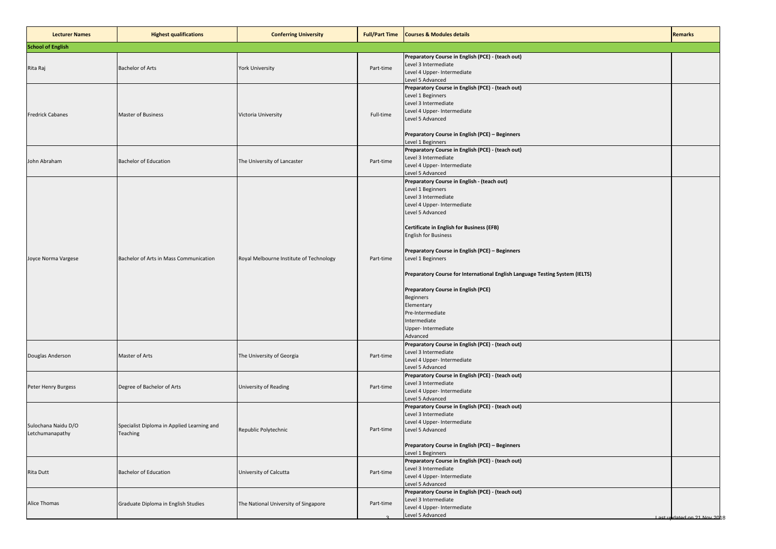| <b>Lecturer Names</b>                  | <b>Highest qualifications</b>                          | <b>Conferring University</b>            | <b>Full/Part Time</b> | <b>Courses &amp; Modules details</b>                                                                                                                                                                                                                                                                                                                                                                                                                                                                                                   | <b>Remarks</b>              |
|----------------------------------------|--------------------------------------------------------|-----------------------------------------|-----------------------|----------------------------------------------------------------------------------------------------------------------------------------------------------------------------------------------------------------------------------------------------------------------------------------------------------------------------------------------------------------------------------------------------------------------------------------------------------------------------------------------------------------------------------------|-----------------------------|
| <b>School of English</b>               |                                                        |                                         |                       |                                                                                                                                                                                                                                                                                                                                                                                                                                                                                                                                        |                             |
| Rita Raj                               | <b>Bachelor of Arts</b>                                | <b>York University</b>                  | Part-time             | Preparatory Course in English (PCE) - (teach out)<br>Level 3 Intermediate<br>Level 4 Upper- Intermediate<br>Level 5 Advanced                                                                                                                                                                                                                                                                                                                                                                                                           |                             |
| <b>Fredrick Cabanes</b>                | Master of Business                                     | Victoria University                     | Full-time             | Preparatory Course in English (PCE) - (teach out)<br>Level 1 Beginners<br>Level 3 Intermediate<br>Level 4 Upper- Intermediate<br>Level 5 Advanced<br>Preparatory Course in English (PCE) - Beginners<br>Level 1 Beginners                                                                                                                                                                                                                                                                                                              |                             |
| John Abraham                           | <b>Bachelor of Education</b>                           | The University of Lancaster             | Part-time             | Preparatory Course in English (PCE) - (teach out)<br>Level 3 Intermediate<br>Level 4 Upper- Intermediate<br>Level 5 Advanced                                                                                                                                                                                                                                                                                                                                                                                                           |                             |
| Joyce Norma Vargese                    | Bachelor of Arts in Mass Communication                 | Royal Melbourne Institute of Technology | Part-time             | Preparatory Course in English - (teach out)<br>Level 1 Beginners<br>Level 3 Intermediate<br>Level 4 Upper- Intermediate<br>Level 5 Advanced<br><b>Certificate in English for Business (EFB)</b><br><b>English for Business</b><br>Preparatory Course in English (PCE) - Beginners<br>Level 1 Beginners<br>Preparatory Course for International English Language Testing System (IELTS)<br><b>Preparatory Course in English (PCE)</b><br>Beginners<br>Elementary<br>Pre-Intermediate<br>Intermediate<br>Upper- Intermediate<br>Advanced |                             |
| Douglas Anderson                       | Master of Arts                                         | The University of Georgia               | Part-time             | Preparatory Course in English (PCE) - (teach out)<br>Level 3 Intermediate<br>Level 4 Upper- Intermediate<br>Level 5 Advanced                                                                                                                                                                                                                                                                                                                                                                                                           |                             |
| Peter Henry Burgess                    | Degree of Bachelor of Arts                             | <b>University of Reading</b>            | Part-time             | Preparatory Course in English (PCE) - (teach out)<br>Level 3 Intermediate<br>Level 4 Upper- Intermediate<br>Level 5 Advanced                                                                                                                                                                                                                                                                                                                                                                                                           |                             |
| Sulochana Naidu D/O<br>Letchumanapathy | Specialist Diploma in Applied Learning and<br>Teaching | Republic Polytechnic                    | Part-time             | Preparatory Course in English (PCE) - (teach out)<br>Level 3 Intermediate<br>Level 4 Upper- Intermediate<br>Level 5 Advanced<br>Preparatory Course in English (PCE) - Beginners<br>Level 1 Beginners                                                                                                                                                                                                                                                                                                                                   |                             |
| <b>Rita Dutt</b>                       | <b>Bachelor of Education</b>                           | University of Calcutta                  | Part-time             | Preparatory Course in English (PCE) - (teach out)<br>Level 3 Intermediate<br>Level 4 Upper- Intermediate<br>Level 5 Advanced                                                                                                                                                                                                                                                                                                                                                                                                           |                             |
| Alice Thomas                           | Graduate Diploma in English Studies                    | The National University of Singapore    | Part-time             | Preparatory Course in English (PCE) - (teach out)<br>Level 3 Intermediate<br>Level 4 Upper- Intermediate<br>Level 5 Advanced                                                                                                                                                                                                                                                                                                                                                                                                           | Last undated on 21 Nov 2018 |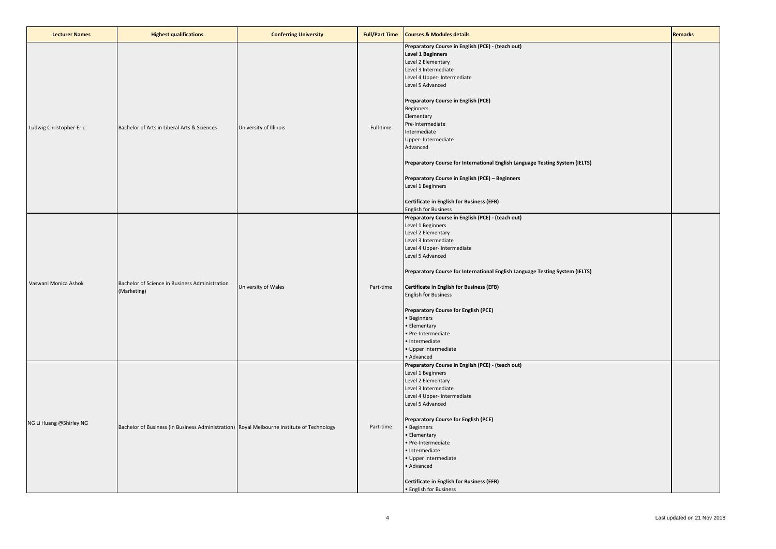| <b>Lecturer Names</b>   | <b>Highest qualifications</b>                                                             | <b>Conferring University</b> | <b>Full/Part Time</b> | <b>Courses &amp; Modules details</b>                                                                                                                                                                                                                                                                                                                                                                                                                                                                                                                        | <b>Remarks</b> |
|-------------------------|-------------------------------------------------------------------------------------------|------------------------------|-----------------------|-------------------------------------------------------------------------------------------------------------------------------------------------------------------------------------------------------------------------------------------------------------------------------------------------------------------------------------------------------------------------------------------------------------------------------------------------------------------------------------------------------------------------------------------------------------|----------------|
| Ludwig Christopher Eric | Bachelor of Arts in Liberal Arts & Sciences                                               | University of Illinois       | Full-time             | Preparatory Course in English (PCE) - (teach out)<br><b>Level 1 Beginners</b><br>Level 2 Elementary<br>Level 3 Intermediate<br>Level 4 Upper- Intermediate<br>Level 5 Advanced<br>Preparatory Course in English (PCE)<br>Beginners<br>Elementary<br>Pre-Intermediate<br>Intermediate<br>Upper- Intermediate<br>Advanced<br>Preparatory Course for International English Language Testing System (IELTS)<br>Preparatory Course in English (PCE) - Beginners<br>Level 1 Beginners<br>Certificate in English for Business (EFB)<br><b>English for Business</b> |                |
| Vaswani Monica Ashok    | Bachelor of Science in Business Administration<br>(Marketing)                             | University of Wales          | Part-time             | Preparatory Course in English (PCE) - (teach out)<br>Level 1 Beginners<br>Level 2 Elementary<br>Level 3 Intermediate<br>Level 4 Upper- Intermediate<br>Level 5 Advanced<br>Preparatory Course for International English Language Testing System (IELTS)<br>Certificate in English for Business (EFB)<br><b>English for Business</b><br>Preparatory Course for English (PCE)<br>· Beginners<br>· Elementary<br>· Pre-Intermediate<br>· Intermediate<br>· Upper Intermediate<br>· Advanced                                                                    |                |
| NG Li Huang @Shirley NG | Bachelor of Business (in Business Administration) Royal Melbourne Institute of Technology |                              | Part-time             | Preparatory Course in English (PCE) - (teach out)<br>Level 1 Beginners<br>Level 2 Elementary<br>Level 3 Intermediate<br>Level 4 Upper- Intermediate<br>Level 5 Advanced<br><b>Preparatory Course for English (PCE)</b><br>• Beginners<br>• Elementary<br>· Pre-Intermediate<br>· Intermediate<br>· Upper Intermediate<br>· Advanced<br>Certificate in English for Business (EFB)<br>• English for Business                                                                                                                                                  |                |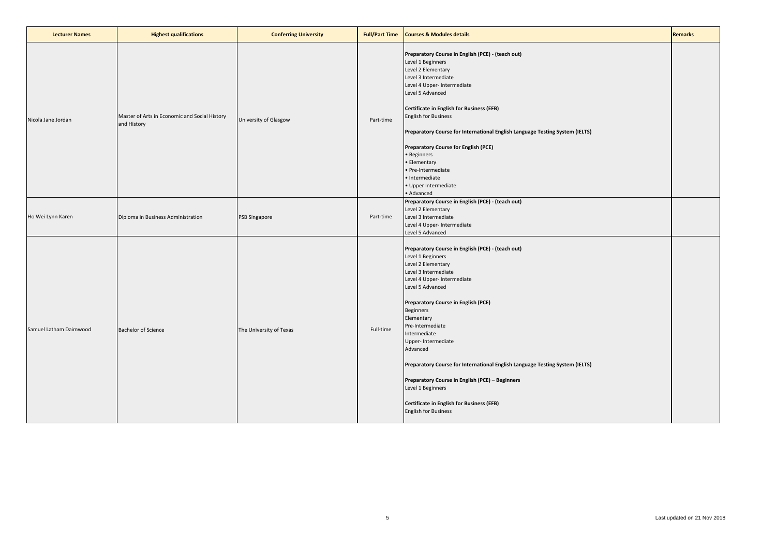| <b>Lecturer Names</b>  | <b>Highest qualifications</b>                                | <b>Conferring University</b> | <b>Full/Part Time</b> | <b>Courses &amp; Modules details</b>                                                                                                                                                                                                                                                                                                                                                                                                                                                                                                                                      | <b>Remarks</b> |
|------------------------|--------------------------------------------------------------|------------------------------|-----------------------|---------------------------------------------------------------------------------------------------------------------------------------------------------------------------------------------------------------------------------------------------------------------------------------------------------------------------------------------------------------------------------------------------------------------------------------------------------------------------------------------------------------------------------------------------------------------------|----------------|
| Nicola Jane Jordan     | Master of Arts in Economic and Social History<br>and History | University of Glasgow        | Part-time             | Preparatory Course in English (PCE) - (teach out)<br>Level 1 Beginners<br>Level 2 Elementary<br>Level 3 Intermediate<br>Level 4 Upper- Intermediate<br>Level 5 Advanced<br>Certificate in English for Business (EFB)<br><b>English for Business</b><br>Preparatory Course for International English Language Testing System (IELTS)<br><b>Preparatory Course for English (PCE)</b><br>• Beginners<br>• Elementary<br>· Pre-Intermediate<br>· Intermediate<br>· Upper Intermediate<br>· Advanced                                                                           |                |
| Ho Wei Lynn Karen      | Diploma in Business Administration                           | <b>PSB Singapore</b>         | Part-time             | Preparatory Course in English (PCE) - (teach out)<br>Level 2 Elementary<br>Level 3 Intermediate<br>Level 4 Upper- Intermediate<br>Level 5 Advanced                                                                                                                                                                                                                                                                                                                                                                                                                        |                |
| Samuel Latham Daimwood | <b>Bachelor of Science</b>                                   | The University of Texas      | Full-time             | Preparatory Course in English (PCE) - (teach out)<br>Level 1 Beginners<br>Level 2 Elementary<br>Level 3 Intermediate<br>Level 4 Upper- Intermediate<br>Level 5 Advanced<br><b>Preparatory Course in English (PCE)</b><br><b>Beginners</b><br>Elementary<br>Pre-Intermediate<br>Intermediate<br>Upper- Intermediate<br>Advanced<br>Preparatory Course for International English Language Testing System (IELTS)<br>Preparatory Course in English (PCE) - Beginners<br>Level 1 Beginners<br><b>Certificate in English for Business (EFB)</b><br><b>English for Business</b> |                |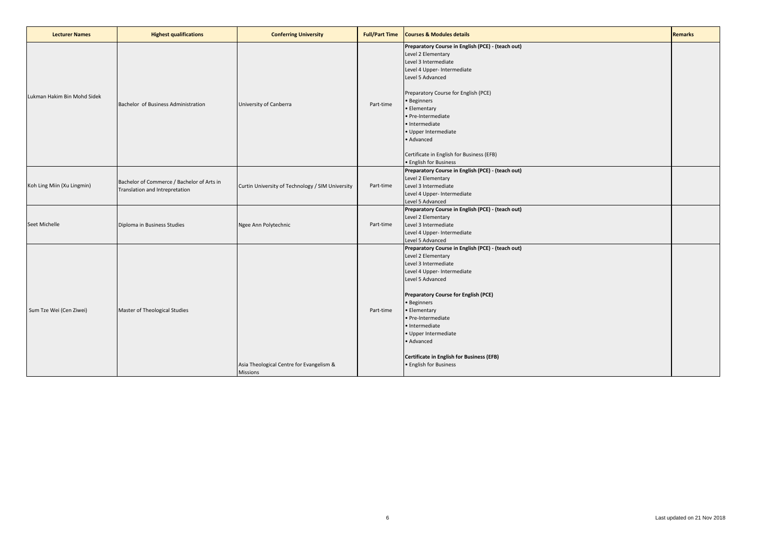| <b>Lecturer Names</b>       | <b>Highest qualifications</b>                                                | <b>Conferring University</b>                                | <b>Full/Part Time</b> | <b>Courses &amp; Modules details</b>                                                                                                                                                                                                                                                                                                                                                  | <b>Remarks</b> |
|-----------------------------|------------------------------------------------------------------------------|-------------------------------------------------------------|-----------------------|---------------------------------------------------------------------------------------------------------------------------------------------------------------------------------------------------------------------------------------------------------------------------------------------------------------------------------------------------------------------------------------|----------------|
| Lukman Hakim Bin Mohd Sidek | Bachelor of Business Administration                                          | University of Canberra                                      | Part-time             | Preparatory Course in English (PCE) - (teach out)<br>Level 2 Elementary<br>Level 3 Intermediate<br>Level 4 Upper- Intermediate<br>Level 5 Advanced<br>Preparatory Course for English (PCE)<br>• Beginners<br>• Elementary<br>· Pre-Intermediate<br>· Intermediate<br>· Upper Intermediate<br>• Advanced<br>Certificate in English for Business (EFB)<br>• English for Business        |                |
| Koh Ling Miin (Xu Lingmin)  | Bachelor of Commerce / Bachelor of Arts in<br>Translation and Intrepretation | Curtin University of Technology / SIM University            | Part-time             | Preparatory Course in English (PCE) - (teach out)<br>Level 2 Elementary<br>Level 3 Intermediate<br>Level 4 Upper- Intermediate<br>Level 5 Advanced                                                                                                                                                                                                                                    |                |
| Seet Michelle               | Diploma in Business Studies                                                  | Ngee Ann Polytechnic                                        | Part-time             | Preparatory Course in English (PCE) - (teach out)<br>Level 2 Elementary<br>Level 3 Intermediate<br>Level 4 Upper- Intermediate<br>Level 5 Advanced                                                                                                                                                                                                                                    |                |
| Sum Tze Wei (Cen Ziwei)     | Master of Theological Studies                                                | Asia Theological Centre for Evangelism &<br><b>Missions</b> | Part-time             | Preparatory Course in English (PCE) - (teach out)<br>Level 2 Elementary<br>Level 3 Intermediate<br>Level 4 Upper- Intermediate<br>Level 5 Advanced<br><b>Preparatory Course for English (PCE)</b><br>· Beginners<br>• Elementary<br>• Pre-Intermediate<br>· Intermediate<br>· Upper Intermediate<br>• Advanced<br>Certificate in English for Business (EFB)<br>• English for Business |                |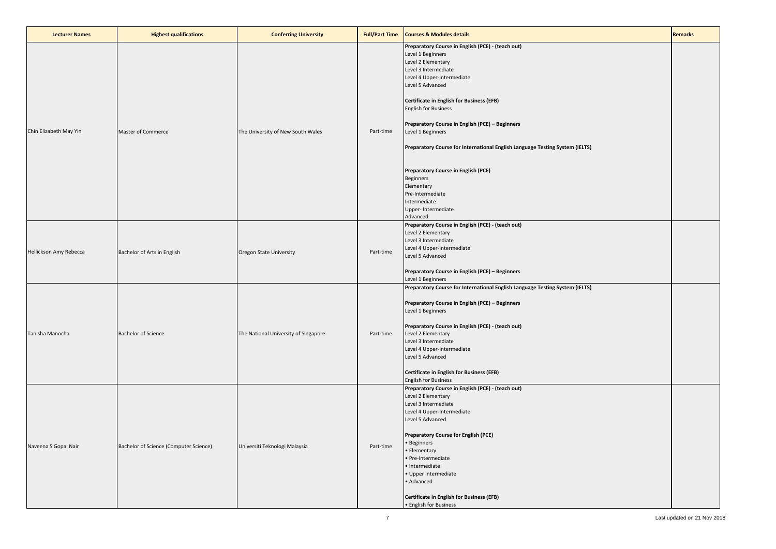| <b>Lecturer Names</b>  | <b>Highest qualifications</b>          | <b>Conferring University</b>         | <b>Full/Part Time</b> | <b>Courses &amp; Modules details</b>                                                                                                                                                                                                                                                                                                                                                                                                                                                                                                           | <b>Remarks</b> |
|------------------------|----------------------------------------|--------------------------------------|-----------------------|------------------------------------------------------------------------------------------------------------------------------------------------------------------------------------------------------------------------------------------------------------------------------------------------------------------------------------------------------------------------------------------------------------------------------------------------------------------------------------------------------------------------------------------------|----------------|
| Chin Elizabeth May Yin | Master of Commerce                     | The University of New South Wales    | Part-time             | Preparatory Course in English (PCE) - (teach out)<br>Level 1 Beginners<br>Level 2 Elementary<br>Level 3 Intermediate<br>Level 4 Upper-Intermediate<br>Level 5 Advanced<br><b>Certificate in English for Business (EFB)</b><br><b>English for Business</b><br>Preparatory Course in English (PCE) - Beginners<br>Level 1 Beginners<br>Preparatory Course for International English Language Testing System (IELTS)<br>Preparatory Course in English (PCE)<br>Beginners<br>Elementary<br>Pre-Intermediate<br>Intermediate<br>Upper- Intermediate |                |
| Hellickson Amy Rebecca | Bachelor of Arts in English            | Oregon State University              | Part-time             | Advanced<br>Preparatory Course in English (PCE) - (teach out)<br>Level 2 Elementary<br>Level 3 Intermediate<br>Level 4 Upper-Intermediate<br>Level 5 Advanced<br>Preparatory Course in English (PCE) - Beginners<br>Level 1 Beginners                                                                                                                                                                                                                                                                                                          |                |
| Tanisha Manocha        | <b>Bachelor of Science</b>             | The National University of Singapore | Part-time             | Preparatory Course for International English Language Testing System (IELTS)<br>Preparatory Course in English (PCE) - Beginners<br>Level 1 Beginners<br>Preparatory Course in English (PCE) - (teach out)<br>Level 2 Elementary<br>Level 3 Intermediate<br>Level 4 Upper-Intermediate<br>Level 5 Advanced<br><b>Certificate in English for Business (EFB)</b><br><b>English for Business</b>                                                                                                                                                   |                |
| Naveena S Gopal Nair   | Bachelor of Science (Computer Science) | Universiti Teknologi Malaysia        | Part-time             | Preparatory Course in English (PCE) - (teach out)<br>Level 2 Elementary<br>Level 3 Intermediate<br>Level 4 Upper-Intermediate<br>Level 5 Advanced<br><b>Preparatory Course for English (PCE)</b><br>· Beginners<br><b>Elementary</b><br>· Pre-Intermediate<br>· Intermediate<br>· Upper Intermediate<br>· Advanced<br><b>Certificate in English for Business (EFB)</b><br>• English for Business                                                                                                                                               |                |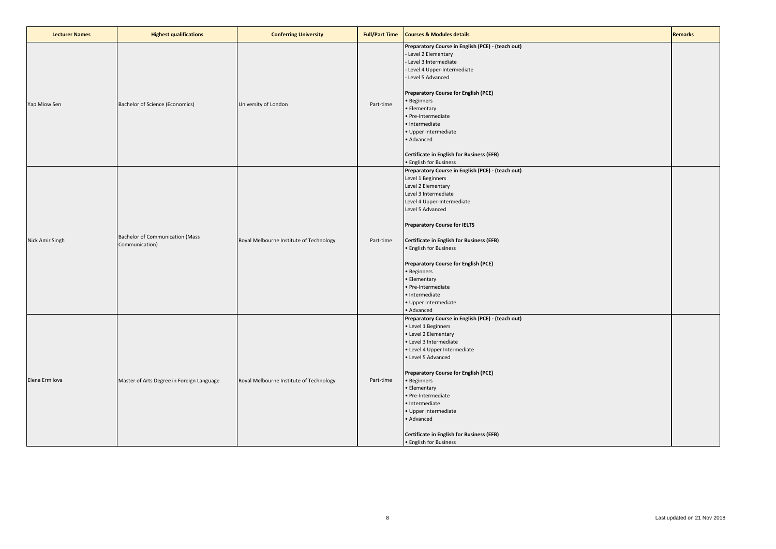| <b>Lecturer Names</b> | <b>Highest qualifications</b>                            | <b>Conferring University</b>            | <b>Full/Part Time</b> | <b>Courses &amp; Modules details</b>                                                                                                                                                                                                                                                                                                                                                                                                      | <b>Remarks</b> |
|-----------------------|----------------------------------------------------------|-----------------------------------------|-----------------------|-------------------------------------------------------------------------------------------------------------------------------------------------------------------------------------------------------------------------------------------------------------------------------------------------------------------------------------------------------------------------------------------------------------------------------------------|----------------|
| Yap Miow Sen          | Bachelor of Science (Economics)                          | University of London                    | Part-time             | Preparatory Course in English (PCE) - (teach out)<br>- Level 2 Elementary<br>- Level 3 Intermediate<br>- Level 4 Upper-Intermediate<br>- Level 5 Advanced<br>Preparatory Course for English (PCE)<br>• Beginners<br>• Elementary<br>· Pre-Intermediate<br>· Intermediate<br>· Upper Intermediate<br>· Advanced<br>Certificate in English for Business (EFB)<br>· English for Business                                                     |                |
| Nick Amir Singh       | <b>Bachelor of Communication (Mass</b><br>Communication) | Royal Melbourne Institute of Technology | Part-time             | Preparatory Course in English (PCE) - (teach out)<br>Level 1 Beginners<br>Level 2 Elementary<br>Level 3 Intermediate<br>Level 4 Upper-Intermediate<br>Level 5 Advanced<br><b>Preparatory Course for IELTS</b><br>Certificate in English for Business (EFB)<br>• English for Business<br>Preparatory Course for English (PCE)<br>• Beginners<br>• Elementary<br>· Pre-Intermediate<br>· Intermediate<br>· Upper Intermediate<br>• Advanced |                |
| Elena Ermilova        | Master of Arts Degree in Foreign Language                | Royal Melbourne Institute of Technology | Part-time             | Preparatory Course in English (PCE) - (teach out)<br>• Level 1 Beginners<br>• Level 2 Elementary<br>• Level 3 Intermediate<br>• Level 4 Upper Intermediate<br>• Level 5 Advanced<br>Preparatory Course for English (PCE)<br>• Beginners<br>• Elementary<br>• Pre-Intermediate<br>· Intermediate<br>· Upper Intermediate<br>• Advanced<br>Certificate in English for Business (EFB)<br>• English for Business                              |                |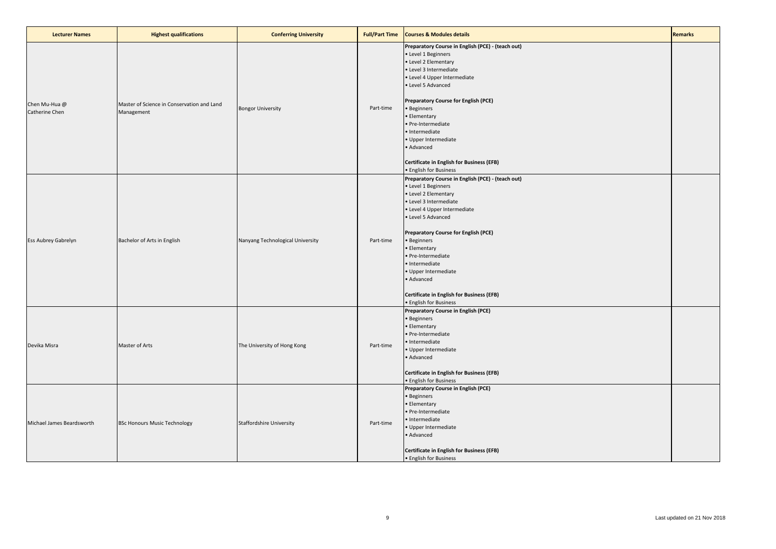| <b>Lecturer Names</b>           | <b>Highest qualifications</b>                            | <b>Conferring University</b>     | <b>Full/Part Time</b> | <b>Courses &amp; Modules details</b>                                                                                                                                                                                                                                                                                                                                                                                                          | <b>Remarks</b> |
|---------------------------------|----------------------------------------------------------|----------------------------------|-----------------------|-----------------------------------------------------------------------------------------------------------------------------------------------------------------------------------------------------------------------------------------------------------------------------------------------------------------------------------------------------------------------------------------------------------------------------------------------|----------------|
| Chen Mu-Hua @<br>Catherine Chen | Master of Science in Conservation and Land<br>Management | <b>Bongor University</b>         | Part-time             | Preparatory Course in English (PCE) - (teach out)<br>Level 1 Beginners<br>• Level 2 Elementary<br>· Level 3 Intermediate<br>· Level 4 Upper Intermediate<br>• Level 5 Advanced<br>Preparatory Course for English (PCE)<br>• Beginners<br>· Elementary<br>· Pre-Intermediate<br>· Intermediate<br>· Upper Intermediate<br>· Advanced<br><b>Certificate in English for Business (EFB)</b>                                                       |                |
| Ess Aubrey Gabrelyn             | Bachelor of Arts in English                              | Nanyang Technological University | Part-time             | • English for Business<br>Preparatory Course in English (PCE) - (teach out)<br>• Level 1 Beginners<br>• Level 2 Elementary<br>· Level 3 Intermediate<br>· Level 4 Upper Intermediate<br>· Level 5 Advanced<br>Preparatory Course for English (PCE)<br>· Beginners<br>· Elementary<br>· Pre-Intermediate<br>· Intermediate<br>· Upper Intermediate<br>· Advanced<br><b>Certificate in English for Business (EFB)</b><br>• English for Business |                |
| Devika Misra                    | Master of Arts                                           | The University of Hong Kong      | Part-time             | Preparatory Course in English (PCE)<br>· Beginners<br>· Elementary<br>· Pre-Intermediate<br>· Intermediate<br>· Upper Intermediate<br>· Advanced<br><b>Certificate in English for Business (EFB)</b><br>· English for Business                                                                                                                                                                                                                |                |
| Michael James Beardsworth       | <b>BSc Honours Music Technology</b>                      | <b>Staffordshire University</b>  | Part-time             | Preparatory Course in English (PCE)<br><b>Beginners</b><br>Elementary<br>· Pre-Intermediate<br>· Intermediate<br>Upper Intermediate<br>Advanced<br><b>Certificate in English for Business (EFB)</b><br>• English for Business                                                                                                                                                                                                                 |                |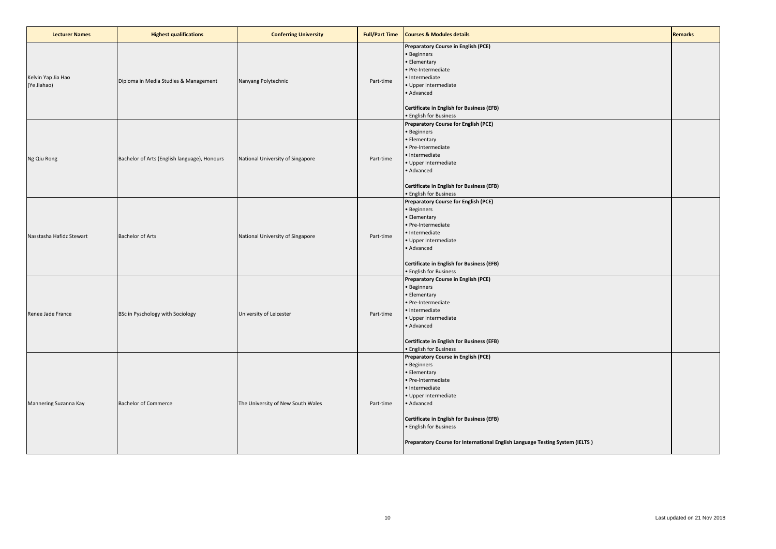| <b>Lecturer Names</b>             | <b>Highest qualifications</b>                | <b>Conferring University</b>      | <b>Full/Part Time</b> | <b>Courses &amp; Modules details</b>                                                                                                                                                                                                                                                                    | <b>Remarks</b> |
|-----------------------------------|----------------------------------------------|-----------------------------------|-----------------------|---------------------------------------------------------------------------------------------------------------------------------------------------------------------------------------------------------------------------------------------------------------------------------------------------------|----------------|
| Kelvin Yap Jia Hao<br>(Ye Jiahao) | Diploma in Media Studies & Management        | Nanyang Polytechnic               | Part-time             | Preparatory Course in English (PCE)<br>· Beginners<br>• Elementary<br>· Pre-Intermediate<br>· Intermediate<br>· Upper Intermediate<br>· Advanced<br><b>Certificate in English for Business (EFB)</b><br>· English for Business                                                                          |                |
| Ng Qiu Rong                       | Bachelor of Arts (English language), Honours | National University of Singapore  | Part-time             | <b>Preparatory Course for English (PCE)</b><br>· Beginners<br>· Elementary<br>· Pre-Intermediate<br>· Intermediate<br>· Upper Intermediate<br>· Advanced<br>Certificate in English for Business (EFB)<br>• English for Business                                                                         |                |
| Nasstasha Hafidz Stewart          | <b>Bachelor of Arts</b>                      | National University of Singapore  | Part-time             | Preparatory Course for English (PCE)<br>· Beginners<br>• Elementary<br>· Pre-Intermediate<br>· Intermediate<br>· Upper Intermediate<br>· Advanced<br>Certificate in English for Business (EFB)<br>· English for Business                                                                                |                |
| Renee Jade France                 | BSc in Pyschology with Sociology             | University of Leicester           | Part-time             | Preparatory Course in English (PCE)<br>· Beginners<br>• Elementary<br>• Pre-Intermediate<br>· Intermediate<br>· Upper Intermediate<br>· Advanced<br><b>Certificate in English for Business (EFB)</b><br>· English for Business                                                                          |                |
| Mannering Suzanna Kay             | <b>Bachelor of Commerce</b>                  | The University of New South Wales | Part-time             | Preparatory Course in English (PCE)<br>· Beginners<br>• Elementary<br>· Pre-Intermediate<br>· Intermediate<br>· Upper Intermediate<br>• Advanced<br>Certificate in English for Business (EFB)<br>· English for Business<br>Preparatory Course for International English Language Testing System (IELTS) |                |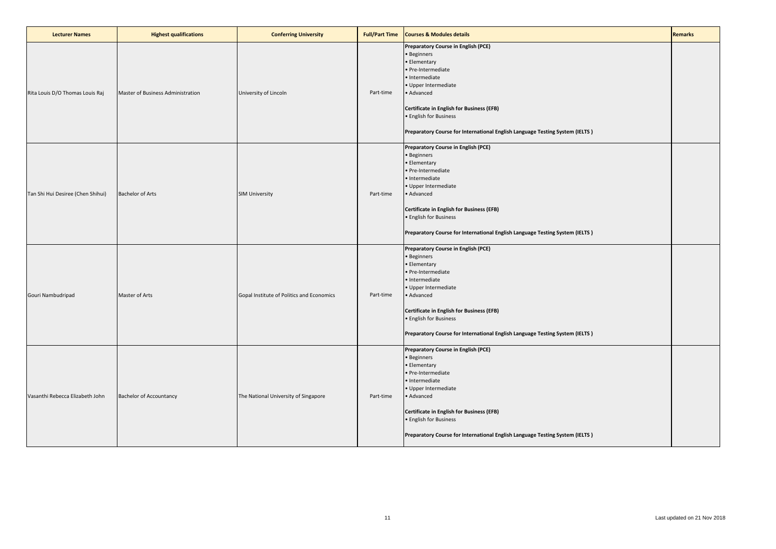| <b>Lecturer Names</b>             | <b>Highest qualifications</b>     | <b>Conferring University</b>              | <b>Full/Part Time</b> | <b>Courses &amp; Modules details</b>                                                                                                                                                                                                                                                                           | <b>Remarks</b> |
|-----------------------------------|-----------------------------------|-------------------------------------------|-----------------------|----------------------------------------------------------------------------------------------------------------------------------------------------------------------------------------------------------------------------------------------------------------------------------------------------------------|----------------|
| Rita Louis D/O Thomas Louis Raj   | Master of Business Administration | University of Lincoln                     | Part-time             | Preparatory Course in English (PCE)<br>· Beginners<br>· Elementary<br>· Pre-Intermediate<br>· Intermediate<br>· Upper Intermediate<br>· Advanced<br><b>Certificate in English for Business (EFB)</b><br>· English for Business<br>Preparatory Course for International English Language Testing System (IELTS) |                |
| Tan Shi Hui Desiree (Chen Shihui) | <b>Bachelor of Arts</b>           | <b>SIM University</b>                     | Part-time             | Preparatory Course in English (PCE)<br>· Beginners<br>· Elementary<br>· Pre-Intermediate<br>· Intermediate<br>· Upper Intermediate<br>· Advanced<br><b>Certificate in English for Business (EFB)</b><br>· English for Business<br>Preparatory Course for International English Language Testing System (IELTS) |                |
| Gouri Nambudripad                 | Master of Arts                    | Gopal Institute of Politics and Economics | Part-time             | Preparatory Course in English (PCE)<br>· Beginners<br>· Elementary<br>· Pre-Intermediate<br>· Intermediate<br>· Upper Intermediate<br>· Advanced<br><b>Certificate in English for Business (EFB)</b><br>· English for Business<br>Preparatory Course for International English Language Testing System (IELTS) |                |
| Vasanthi Rebecca Elizabeth John   | <b>Bachelor of Accountancy</b>    | The National University of Singapore      | Part-time             | Preparatory Course in English (PCE)<br>· Beginners<br>· Elementary<br>· Pre-Intermediate<br>· Intermediate<br>· Upper Intermediate<br>· Advanced<br><b>Certificate in English for Business (EFB)</b><br>· English for Business<br>Preparatory Course for International English Language Testing System (IELTS) |                |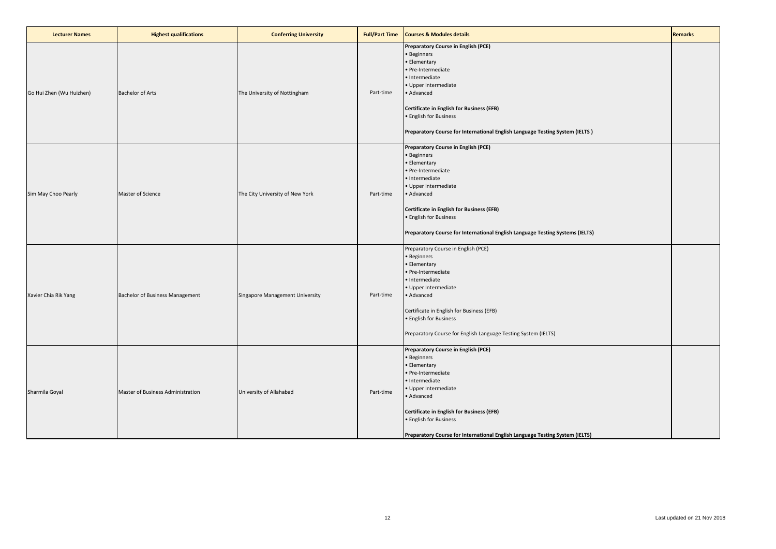| <b>Lecturer Names</b>    | <b>Highest qualifications</b>     | <b>Conferring University</b>    | <b>Full/Part Time</b> | <b>Courses &amp; Modules details</b>                                                                                                                                                                                                                                                                            | <b>Remarks</b> |
|--------------------------|-----------------------------------|---------------------------------|-----------------------|-----------------------------------------------------------------------------------------------------------------------------------------------------------------------------------------------------------------------------------------------------------------------------------------------------------------|----------------|
| Go Hui Zhen (Wu Huizhen) | <b>Bachelor of Arts</b>           | The University of Nottingham    | Part-time             | Preparatory Course in English (PCE)<br>· Beginners<br>· Elementary<br>· Pre-Intermediate<br>· Intermediate<br>· Upper Intermediate<br>· Advanced<br><b>Certificate in English for Business (EFB)</b><br>· English for Business<br>Preparatory Course for International English Language Testing System (IELTS)  |                |
| Sim May Choo Pearly      | Master of Science                 | The City University of New York | Part-time             | Preparatory Course in English (PCE)<br>· Beginners<br>· Elementary<br>· Pre-Intermediate<br>· Intermediate<br>· Upper Intermediate<br>· Advanced<br><b>Certificate in English for Business (EFB)</b><br>· English for Business<br>Preparatory Course for International English Language Testing Systems (IELTS) |                |
| Xavier Chia Rik Yang     | Bachelor of Business Management   | Singapore Management University | Part-time             | Preparatory Course in English (PCE)<br>· Beginners<br>· Elementary<br>· Pre-Intermediate<br>· Intermediate<br>· Upper Intermediate<br>• Advanced<br>Certificate in English for Business (EFB)<br>· English for Business<br>Preparatory Course for English Language Testing System (IELTS)                       |                |
| Sharmila Goyal           | Master of Business Administration | University of Allahabad         | Part-time             | Preparatory Course in English (PCE)<br>· Beginners<br>· Elementary<br>· Pre-Intermediate<br>· Intermediate<br>· Upper Intermediate<br>· Advanced<br><b>Certificate in English for Business (EFB)</b><br>· English for Business<br>Preparatory Course for International English Language Testing System (IELTS)  |                |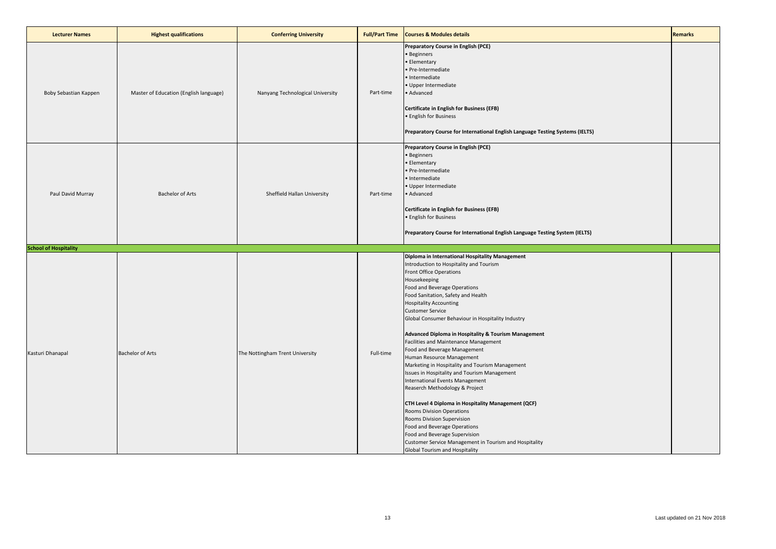| <b>Lecturer Names</b>        | <b>Highest qualifications</b>          | <b>Conferring University</b>     | <b>Full/Part Time</b> | <b>Courses &amp; Modules details</b>                                                                                                                                                                                                                                                                                                                                                                                                                                                                                                                                                                                                                                                                                                                                                                                                                                                                                | <b>Remarks</b> |
|------------------------------|----------------------------------------|----------------------------------|-----------------------|---------------------------------------------------------------------------------------------------------------------------------------------------------------------------------------------------------------------------------------------------------------------------------------------------------------------------------------------------------------------------------------------------------------------------------------------------------------------------------------------------------------------------------------------------------------------------------------------------------------------------------------------------------------------------------------------------------------------------------------------------------------------------------------------------------------------------------------------------------------------------------------------------------------------|----------------|
| Boby Sebastian Kappen        | Master of Education (English language) | Nanyang Technological University | Part-time             | Preparatory Course in English (PCE)<br>· Beginners<br>· Elementary<br>· Pre-Intermediate<br>· Intermediate<br>· Upper Intermediate<br>• Advanced<br>Certificate in English for Business (EFB)<br>• English for Business<br>Preparatory Course for International English Language Testing Systems (IELTS)                                                                                                                                                                                                                                                                                                                                                                                                                                                                                                                                                                                                            |                |
| Paul David Murray            | <b>Bachelor of Arts</b>                | Sheffield Hallan University      | Part-time             | Preparatory Course in English (PCE)<br>• Beginners<br>· Elementary<br>· Pre-Intermediate<br>· Intermediate<br>· Upper Intermediate<br>• Advanced<br>Certificate in English for Business (EFB)<br>• English for Business<br>Preparatory Course for International English Language Testing System (IELTS)                                                                                                                                                                                                                                                                                                                                                                                                                                                                                                                                                                                                             |                |
| <b>School of Hospitality</b> |                                        |                                  |                       | Diploma in International Hospitality Management                                                                                                                                                                                                                                                                                                                                                                                                                                                                                                                                                                                                                                                                                                                                                                                                                                                                     |                |
| Kasturi Dhanapal             | <b>Bachelor of Arts</b>                | The Nottingham Trent University  | Full-time             | Introduction to Hospitality and Tourism<br><b>Front Office Operations</b><br>Housekeeping<br>Food and Beverage Operations<br>Food Sanitation, Safety and Health<br><b>Hospitality Accounting</b><br><b>Customer Service</b><br>Global Consumer Behaviour in Hospitality Industry<br>Advanced Diploma in Hospitality & Tourism Management<br><b>Facilities and Maintenance Management</b><br>Food and Beverage Management<br>Human Resource Management<br>Marketing in Hospitality and Tourism Management<br>Issues in Hospitality and Tourism Management<br>International Events Management<br>Reaserch Methodology & Project<br>CTH Level 4 Diploma in Hospitality Management (QCF)<br>Rooms Division Operations<br>Rooms Division Supervision<br>Food and Beverage Operations<br>Food and Beverage Supervision<br>Customer Service Management in Tourism and Hospitality<br><b>Global Tourism and Hospitality</b> |                |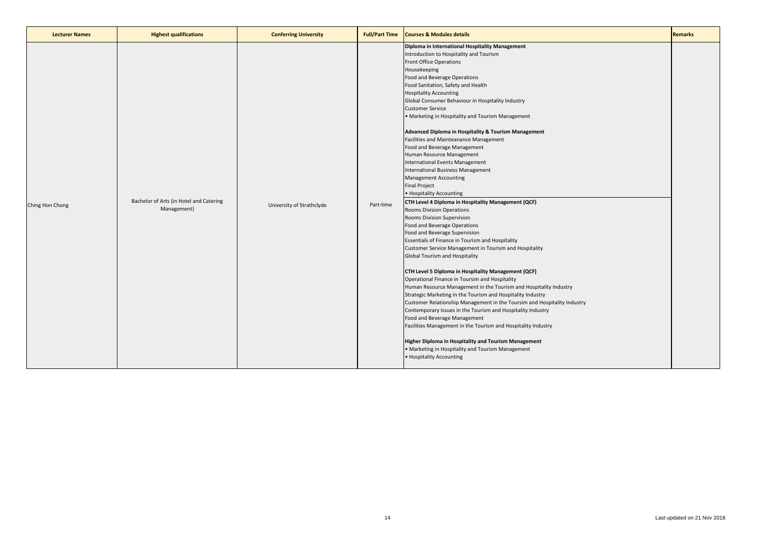| <b>Lecturer Names</b> | <b>Highest qualifications</b>                          | <b>Conferring University</b> | <b>Full/Part Time</b> | <b>Courses &amp; Modules details</b>                                                                                                                                                                                                                                                                                                                                                                                                                                                                                                                                                                                                                                                                                                                                                                                                                                                                                                                                                                                                                                                                                                                                                                                                                                                                                                                                                                                                                                                                                                                                                                                                                                                     | <b>Remarks</b> |
|-----------------------|--------------------------------------------------------|------------------------------|-----------------------|------------------------------------------------------------------------------------------------------------------------------------------------------------------------------------------------------------------------------------------------------------------------------------------------------------------------------------------------------------------------------------------------------------------------------------------------------------------------------------------------------------------------------------------------------------------------------------------------------------------------------------------------------------------------------------------------------------------------------------------------------------------------------------------------------------------------------------------------------------------------------------------------------------------------------------------------------------------------------------------------------------------------------------------------------------------------------------------------------------------------------------------------------------------------------------------------------------------------------------------------------------------------------------------------------------------------------------------------------------------------------------------------------------------------------------------------------------------------------------------------------------------------------------------------------------------------------------------------------------------------------------------------------------------------------------------|----------------|
| Ching Hon Chong       | Bachelor of Arts (in Hotel and Catering<br>Management) | University of Strathclyde    | Part-time             | Diploma in International Hospitality Management<br>Introduction to Hospitality and Tourism<br><b>Front Office Operations</b><br>Housekeeping<br>Food and Beverage Operations<br>Food Sanitation, Safety and Health<br><b>Hospitality Accounting</b><br>Global Consumer Behaviour in Hospitality Industry<br><b>Customer Service</b><br>• Marketing in Hospitality and Tourism Management<br>Advanced Diploma in Hospitality & Tourism Management<br>Facilities and Mainteanance Management<br>Food and Beverage Management<br>Human Resource Management<br>International Events Management<br>International Business Management<br>Management Accounting<br><b>Final Project</b><br>• Hospitality Accounting<br>CTH Level 4 Diploma in Hospitality Management (QCF)<br>Rooms Division Operations<br>Rooms Division Supervision<br>Food and Beverage Operations<br>Food and Beverage Supervision<br>Essentials of Finance in Tourism and Hospitality<br>Customer Service Management in Tourism and Hospitality<br>Global Tourism and Hospitality<br>CTH Level 5 Diploma in Hospitality Management (QCF)<br>Operational Finance in Toursim and Hospitality<br>Human Resource Management in the Tourism and Hospitality Industry<br>Strategic Marketing in the Tourism and Hospitality Industry<br>Customer Relationship Management in the Toursim and Hospitality Industry<br>Contemporary Issues in the Tourism and Hospitality Industry<br>Food and Beverage Management<br>Facilities Management in the Tourism and Hospitality Industry<br><b>Higher Diploma in Hospitality and Tourism Management</b><br>• Marketing in Hospitality and Tourism Management<br>• Hospitality Accounting |                |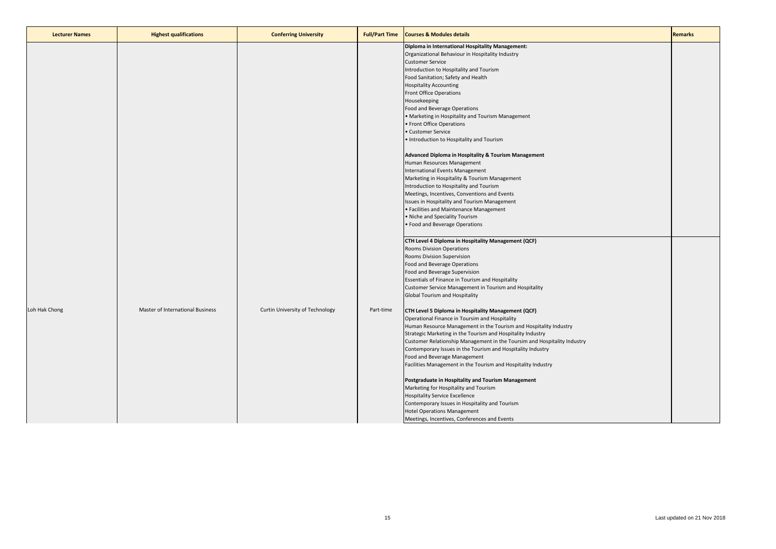| <b>Lecturer Names</b> | <b>Highest qualifications</b>    | <b>Conferring University</b>    | <b>Full/Part Time</b> | <b>Courses &amp; Modules details</b>                                                                                                                                                                                                                                                                                                                                                                                                                                                                                                                                                                                                                                                                                                                                  | <b>Remarks</b> |
|-----------------------|----------------------------------|---------------------------------|-----------------------|-----------------------------------------------------------------------------------------------------------------------------------------------------------------------------------------------------------------------------------------------------------------------------------------------------------------------------------------------------------------------------------------------------------------------------------------------------------------------------------------------------------------------------------------------------------------------------------------------------------------------------------------------------------------------------------------------------------------------------------------------------------------------|----------------|
|                       |                                  |                                 |                       | Diploma in International Hospitality Management:<br>Organizational Behaviour in Hospitality Industry<br><b>Customer Service</b><br>Introduction to Hospitality and Tourism<br>Food Sanitation; Safety and Health<br><b>Hospitality Accounting</b><br><b>Front Office Operations</b><br>Housekeeping<br>Food and Beverage Operations<br>• Marketing in Hospitality and Tourism Management<br>• Front Office Operations<br>· Customer Service<br>. Introduction to Hospitality and Tourism                                                                                                                                                                                                                                                                              |                |
|                       |                                  |                                 |                       | Advanced Diploma in Hospitality & Tourism Management<br>Human Resources Management<br>International Events Management<br>Marketing in Hospitality & Tourism Management<br>Introduction to Hospitality and Tourism<br>Meetings, Incentives, Conventions and Events<br>Issues in Hospitality and Tourism Management<br>• Facilities and Maintenance Management<br>• Niche and Speciality Tourism<br>· Food and Beverage Operations                                                                                                                                                                                                                                                                                                                                      |                |
|                       |                                  |                                 |                       | CTH Level 4 Diploma in Hospitality Management (QCF)<br>Rooms Division Operations<br>Rooms Division Supervision<br>Food and Beverage Operations<br>Food and Beverage Supervision<br>Essentials of Finance in Tourism and Hospitality<br>Customer Service Management in Tourism and Hospitality<br>Global Tourism and Hospitality                                                                                                                                                                                                                                                                                                                                                                                                                                       |                |
| Loh Hak Chong         | Master of International Business | Curtin University of Technology | Part-time             | CTH Level 5 Diploma in Hospitality Management (QCF)<br>Operational Finance in Toursim and Hospitality<br>Human Resource Management in the Tourism and Hospitality Industry<br>Strategic Marketing in the Tourism and Hospitality Industry<br>Customer Relationship Management in the Toursim and Hospitality Industry<br>Contemporary Issues in the Tourism and Hospitality Industry<br>Food and Beverage Management<br>Facilities Management in the Tourism and Hospitality Industry<br>Postgraduate in Hospitality and Tourism Management<br>Marketing for Hospitality and Tourism<br><b>Hospitality Service Excellence</b><br>Contemporary Issues in Hospitality and Tourism<br><b>Hotel Operations Management</b><br>Meetings, Incentives, Conferences and Events |                |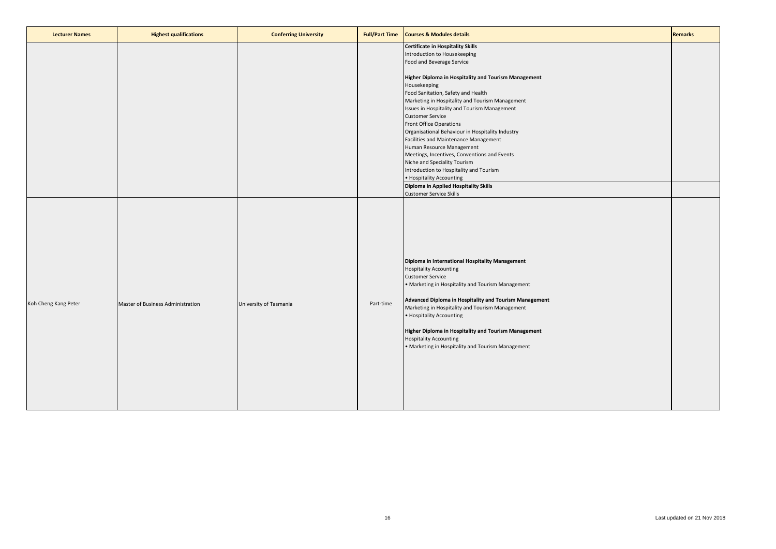| <b>Lecturer Names</b> | <b>Highest qualifications</b>     | <b>Conferring University</b> | <b>Full/Part Time</b> | <b>Courses &amp; Modules details</b>                                                                                                                                                                                                                                                                                                                                                                                                                                                                                                                                                                                                                                                                                                     | <b>Remarks</b> |
|-----------------------|-----------------------------------|------------------------------|-----------------------|------------------------------------------------------------------------------------------------------------------------------------------------------------------------------------------------------------------------------------------------------------------------------------------------------------------------------------------------------------------------------------------------------------------------------------------------------------------------------------------------------------------------------------------------------------------------------------------------------------------------------------------------------------------------------------------------------------------------------------------|----------------|
|                       |                                   |                              |                       | <b>Certificate in Hospitality Skills</b><br>Introduction to Housekeeping<br>Food and Beverage Service<br>Higher Diploma in Hospitality and Tourism Management<br>Housekeeping<br>Food Sanitation, Safety and Health<br>Marketing in Hospitality and Tourism Management<br>Issues in Hospitality and Tourism Management<br><b>Customer Service</b><br>Front Office Operations<br>Organisational Behaviour in Hospitality Industry<br>Facilities and Maintenance Management<br>Human Resource Management<br>Meetings, Incentives, Conventions and Events<br>Niche and Speciality Tourism<br>Introduction to Hospitality and Tourism<br>• Hospitality Accounting<br>Diploma in Applied Hospitality Skills<br><b>Customer Service Skills</b> |                |
| Koh Cheng Kang Peter  | Master of Business Administration | University of Tasmania       | Part-time             | Diploma in International Hospitality Management<br><b>Hospitality Accounting</b><br><b>Customer Service</b><br>• Marketing in Hospitality and Tourism Management<br>Advanced Diploma in Hospitality and Tourism Management<br>Marketing in Hospitality and Tourism Management<br>• Hospitality Accounting<br>Higher Diploma in Hospitality and Tourism Management<br><b>Hospitality Accounting</b><br>. Marketing in Hospitality and Tourism Management                                                                                                                                                                                                                                                                                  |                |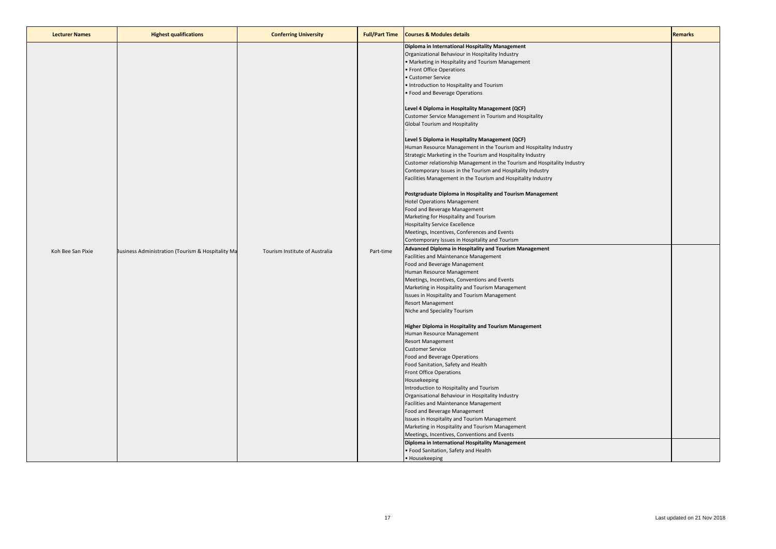| <b>Lecturer Names</b> | <b>Highest qualifications</b>                     | <b>Conferring University</b>   | <b>Full/Part Time</b> | <b>Courses &amp; Modules details</b>                                                                                                                                                                                                                                                                                                                                                                                                                                                                                                                                                                                                                                                                                                                                                                                                                                                                                                                                                                                                                                                                                                                                                                                                                                                                                                                                                                                                                                                                                                                                                                                                                                                                                                                                                                                                                                                                                                                                                                                                                                                                                                                                                                                                                     | <b>Remarks</b> |
|-----------------------|---------------------------------------------------|--------------------------------|-----------------------|----------------------------------------------------------------------------------------------------------------------------------------------------------------------------------------------------------------------------------------------------------------------------------------------------------------------------------------------------------------------------------------------------------------------------------------------------------------------------------------------------------------------------------------------------------------------------------------------------------------------------------------------------------------------------------------------------------------------------------------------------------------------------------------------------------------------------------------------------------------------------------------------------------------------------------------------------------------------------------------------------------------------------------------------------------------------------------------------------------------------------------------------------------------------------------------------------------------------------------------------------------------------------------------------------------------------------------------------------------------------------------------------------------------------------------------------------------------------------------------------------------------------------------------------------------------------------------------------------------------------------------------------------------------------------------------------------------------------------------------------------------------------------------------------------------------------------------------------------------------------------------------------------------------------------------------------------------------------------------------------------------------------------------------------------------------------------------------------------------------------------------------------------------------------------------------------------------------------------------------------------------|----------------|
| Koh Bee San Pixie     | Business Administration (Tourism & Hospitality Ma | Tourism Institute of Australia | Part-time             | Diploma in International Hospitality Management<br>Organizational Behaviour in Hospitality Industry<br>• Marketing in Hospitality and Tourism Management<br>• Front Office Operations<br>• Customer Service<br>. Introduction to Hospitality and Tourism<br>• Food and Beverage Operations<br>Level 4 Diploma in Hospitality Management (QCF)<br>Customer Service Management in Tourism and Hospitality<br>Global Tourism and Hospitality<br>Level 5 Diploma in Hospitality Management (QCF)<br>Human Resource Management in the Tourism and Hospitality Industry<br>Strategic Marketing in the Tourism and Hospitality Industry<br>Customer relationship Management in the Tourism and Hospitality Industry<br>Contemporary Issues in the Tourism and Hospitality Industry<br>Facilities Management in the Tourism and Hospitality Industry<br>Postgraduate Diploma in Hospitality and Tourism Management<br><b>Hotel Operations Management</b><br>Food and Beverage Management<br>Marketing for Hospitality and Tourism<br><b>Hospitality Service Excellence</b><br>Meetings, Incentives, Conferences and Events<br>Contemporary Issues in Hospitality and Tourism<br>Advanced Diploma in Hospitality and Tourism Management<br>Facilities and Maintenance Management<br>Food and Beverage Management<br>Human Resource Management<br>Meetings, Incentives, Conventions and Events<br>Marketing in Hospitality and Tourism Management<br>Issues in Hospitality and Tourism Management<br><b>Resort Management</b><br>Niche and Speciality Tourism<br>Higher Diploma in Hospitality and Tourism Management<br>Human Resource Management<br><b>Resort Management</b><br><b>Customer Service</b><br>Food and Beverage Operations<br>Food Sanitation, Safety and Health<br>Front Office Operations<br>Housekeeping<br>Introduction to Hospitality and Tourism<br>Organisational Behaviour in Hospitality Industry<br>Facilities and Maintenance Management<br>Food and Beverage Management<br>Issues in Hospitality and Tourism Management<br>Marketing in Hospitality and Tourism Management<br>Meetings, Incentives, Conventions and Events<br>Diploma in International Hospitality Management<br>· Food Sanitation, Safety and Health<br>• Housekeeping |                |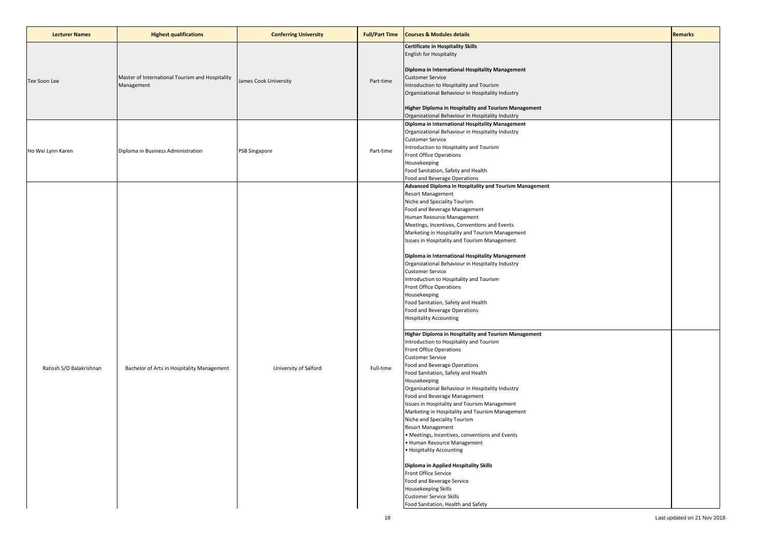| <b>Lecturer Names</b>    | <b>Highest qualifications</b>                                 | <b>Conferring University</b> | <b>Full/Part Time</b> | <b>Courses &amp; Modules details</b>                                                                                                                                                                                                                                                                                                                                                                                                                                                                                                                                                                                                                                                                                                                                                                                                                                                                                                                                                                                                                                                                                                                                                                                                                                                                                                                                                                                                                            | <b>Remarks</b> |
|--------------------------|---------------------------------------------------------------|------------------------------|-----------------------|-----------------------------------------------------------------------------------------------------------------------------------------------------------------------------------------------------------------------------------------------------------------------------------------------------------------------------------------------------------------------------------------------------------------------------------------------------------------------------------------------------------------------------------------------------------------------------------------------------------------------------------------------------------------------------------------------------------------------------------------------------------------------------------------------------------------------------------------------------------------------------------------------------------------------------------------------------------------------------------------------------------------------------------------------------------------------------------------------------------------------------------------------------------------------------------------------------------------------------------------------------------------------------------------------------------------------------------------------------------------------------------------------------------------------------------------------------------------|----------------|
| Tee Soon Lee             | Master of International Tourism and Hospitality<br>Management | James Cook University        | Part-time             | <b>Certificate in Hospitality Skills</b><br><b>English for Hospitality</b><br>Diploma in International Hospitality Management<br><b>Customer Service</b><br>Introduction to Hospitality and Tourism<br>Organizational Behaviour in Hospitality Industry<br>Higher Diploma in Hospitality and Tourism Management<br>Organizational Behaviour in Hospitality Industry                                                                                                                                                                                                                                                                                                                                                                                                                                                                                                                                                                                                                                                                                                                                                                                                                                                                                                                                                                                                                                                                                             |                |
| Ho Wei Lynn Karen        | Diploma in Business Administration                            | PSB Singapore                | Part-time             | Diploma in International Hospitality Management<br>Organizational Behaviour in Hospitality Industry<br><b>Customer Service</b><br>Introduction to Hospitality and Tourism<br><b>Front Office Operations</b><br>Housekeeping<br>Food Sanitation, Safety and Health<br>Food and Beverage Operations                                                                                                                                                                                                                                                                                                                                                                                                                                                                                                                                                                                                                                                                                                                                                                                                                                                                                                                                                                                                                                                                                                                                                               |                |
| Ratissh S/O Balakrishnan | Bachelor of Arts in Hospitality Management                    | University of Salford        | Full-time             | Advanced Diploma in Hospitality and Tourism Management<br>Resort Management<br>Niche and Speciality Tourism<br>Food and Beverage Management<br>Human Resource Management<br>Meetings, Incentives, Conventions and Events<br>Marketing in Hospitality and Tourism Management<br>Issues in Hospitality and Tourism Management<br>Diploma in International Hospitality Management<br>Organizational Behaviour in Hospitality Industry<br><b>Customer Service</b><br>Introduction to Hospitality and Tourism<br>Front Office Operations<br>Housekeeping<br>Food Sanitation, Safety and Health<br>Food and Beverage Operations<br><b>Hospitality Accounting</b><br>Higher Diploma in Hospitality and Tourism Management<br>Introduction to Hospitality and Tourism<br>Front Office Operations<br><b>Customer Service</b><br>Food and Beverage Operations<br>Food Sanitation, Safety and Health<br>Housekeeping<br>Organisational Behaviour in Hospitality Industry<br>Food and Beverage Management<br>Issues in Hospitality and Tourism Management<br>Marketing in Hospitality and Tourism Management<br>Niche and Speciality Tourism<br>Resort Management<br>• Meetings, Incentives, conventions and Events<br>• Human Resource Management<br>• Hospitality Accounting<br>Diploma in Applied Hospitality Skills<br>Front Office Service<br>Food and Beverage Service<br>Housekeeping Skills<br><b>Customer Service Skills</b><br>Food Sanitation, Health and Safety |                |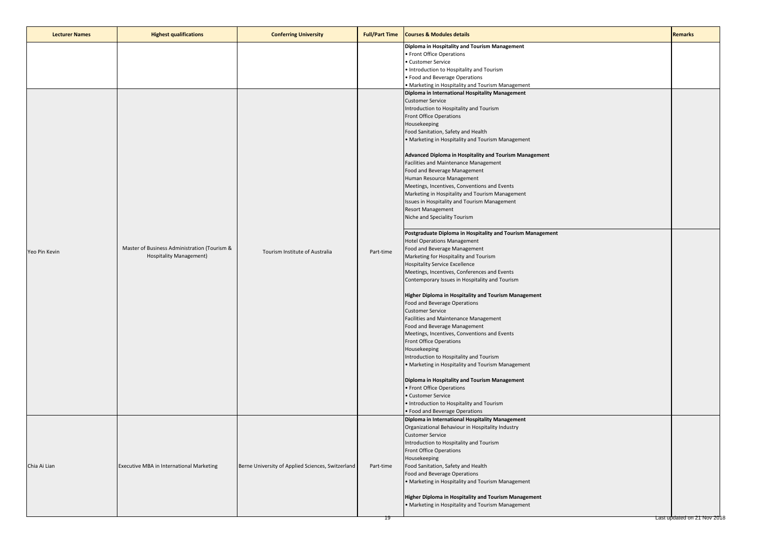| <b>Lecturer Names</b> | <b>Highest qualifications</b>                                           | <b>Conferring University</b>                      | <b>Full/Part Time</b> | <b>Courses &amp; Modules details</b>                                                                                                                                                                                                                                                                                                                                                                                                                                                                                                                                                                                                                                                                                                                                                                                                                                                                                                                                                                                                                                                                                                                                                                                                                                                                                                                                                                                                                                                                                                                | <b>Remarks</b>              |
|-----------------------|-------------------------------------------------------------------------|---------------------------------------------------|-----------------------|-----------------------------------------------------------------------------------------------------------------------------------------------------------------------------------------------------------------------------------------------------------------------------------------------------------------------------------------------------------------------------------------------------------------------------------------------------------------------------------------------------------------------------------------------------------------------------------------------------------------------------------------------------------------------------------------------------------------------------------------------------------------------------------------------------------------------------------------------------------------------------------------------------------------------------------------------------------------------------------------------------------------------------------------------------------------------------------------------------------------------------------------------------------------------------------------------------------------------------------------------------------------------------------------------------------------------------------------------------------------------------------------------------------------------------------------------------------------------------------------------------------------------------------------------------|-----------------------------|
|                       |                                                                         |                                                   |                       | Diploma in Hospitality and Tourism Management<br>• Front Office Operations<br>· Customer Service<br>. Introduction to Hospitality and Tourism<br>· Food and Beverage Operations<br>• Marketing in Hospitality and Tourism Management                                                                                                                                                                                                                                                                                                                                                                                                                                                                                                                                                                                                                                                                                                                                                                                                                                                                                                                                                                                                                                                                                                                                                                                                                                                                                                                |                             |
| Yeo Pin Kevin         | Master of Business Administration (Tourism &<br>Hospitality Management) | Tourism Institute of Australia                    | Part-time             | Diploma in International Hospitality Management<br><b>Customer Service</b><br>Introduction to Hospitality and Tourism<br>Front Office Operations<br>Housekeeping<br>Food Sanitation, Safety and Health<br>• Marketing in Hospitality and Tourism Management<br>Advanced Diploma in Hospitality and Tourism Management<br>Facilities and Maintenance Management<br>Food and Beverage Management<br>Human Resource Management<br>Meetings, Incentives, Conventions and Events<br>Marketing in Hospitality and Tourism Management<br>Issues in Hospitality and Tourism Management<br><b>Resort Management</b><br>Niche and Speciality Tourism<br>Postgraduate Diploma in Hospitality and Tourism Management<br><b>Hotel Operations Management</b><br>Food and Beverage Management<br>Marketing for Hospitality and Tourism<br><b>Hospitality Service Excellence</b><br>Meetings, Incentives, Conferences and Events<br>Contemporary Issues in Hospitality and Tourism<br><b>Higher Diploma in Hospitality and Tourism Management</b><br>Food and Beverage Operations<br><b>Customer Service</b><br>Facilities and Maintenance Management<br>Food and Beverage Management<br>Meetings, Incentives, Conventions and Events<br>Front Office Operations<br>Housekeeping<br>Introduction to Hospitality and Tourism<br>• Marketing in Hospitality and Tourism Management<br>Diploma in Hospitality and Tourism Management<br>• Front Office Operations<br>• Customer Service<br>• Introduction to Hospitality and Tourism<br>• Food and Beverage Operations |                             |
| Chia Ai Lian          | Executive MBA in International Marketing                                | Berne University of Applied Sciences, Switzerland | Part-time             | Diploma in International Hospitality Management<br>Organizational Behaviour in Hospitality Industry<br><b>Customer Service</b><br>Introduction to Hospitality and Tourism<br><b>Front Office Operations</b><br>Housekeeping<br>Food Sanitation, Safety and Health<br>Food and Beverage Operations<br>• Marketing in Hospitality and Tourism Management<br><b>Higher Diploma in Hospitality and Tourism Management</b><br>• Marketing in Hospitality and Tourism Management                                                                                                                                                                                                                                                                                                                                                                                                                                                                                                                                                                                                                                                                                                                                                                                                                                                                                                                                                                                                                                                                          |                             |
|                       |                                                                         |                                                   |                       |                                                                                                                                                                                                                                                                                                                                                                                                                                                                                                                                                                                                                                                                                                                                                                                                                                                                                                                                                                                                                                                                                                                                                                                                                                                                                                                                                                                                                                                                                                                                                     | Last updated on 21 Nov 2018 |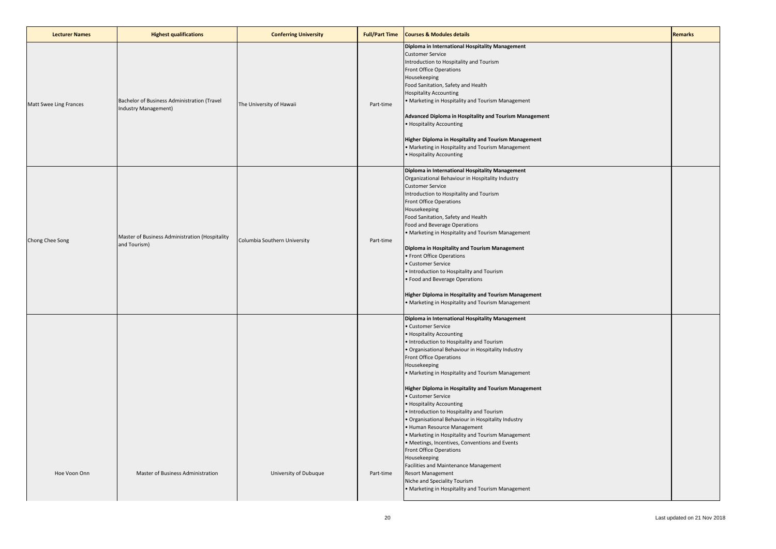| <b>Lecturer Names</b>  | <b>Highest qualifications</b>                                       | <b>Conferring University</b> | <b>Full/Part Time</b> | <b>Courses &amp; Modules details</b>                                                                                                                                                                                                                                                                                                                                                                                                                                                                                                                                                                                                                                                                                                                                                                                                                              | <b>Remarks</b> |
|------------------------|---------------------------------------------------------------------|------------------------------|-----------------------|-------------------------------------------------------------------------------------------------------------------------------------------------------------------------------------------------------------------------------------------------------------------------------------------------------------------------------------------------------------------------------------------------------------------------------------------------------------------------------------------------------------------------------------------------------------------------------------------------------------------------------------------------------------------------------------------------------------------------------------------------------------------------------------------------------------------------------------------------------------------|----------------|
| Matt Swee Ling Frances | Bachelor of Business Administration (Travel<br>Industry Management) | The University of Hawaii     | Part-time             | Diploma in International Hospitality Management<br><b>Customer Service</b><br>Introduction to Hospitality and Tourism<br>Front Office Operations<br>Housekeeping<br>Food Sanitation, Safety and Health<br><b>Hospitality Accounting</b><br>• Marketing in Hospitality and Tourism Management<br>Advanced Diploma in Hospitality and Tourism Management<br>• Hospitality Accounting<br>Higher Diploma in Hospitality and Tourism Management<br>• Marketing in Hospitality and Tourism Management<br>• Hospitality Accounting                                                                                                                                                                                                                                                                                                                                       |                |
| Chong Chee Song        | Master of Business Administration (Hospitality<br>and Tourism)      | Columbia Southern University | Part-time             | Diploma in International Hospitality Management<br>Organizational Behaviour in Hospitality Industry<br><b>Customer Service</b><br>Introduction to Hospitality and Tourism<br><b>Front Office Operations</b><br>Housekeeping<br>Food Sanitation, Safety and Health<br>Food and Beverage Operations<br>· Marketing in Hospitality and Tourism Management<br>Diploma in Hospitality and Tourism Management<br>· Front Office Operations<br>· Customer Service<br>. Introduction to Hospitality and Tourism<br>· Food and Beverage Operations<br>Higher Diploma in Hospitality and Tourism Management<br>• Marketing in Hospitality and Tourism Management                                                                                                                                                                                                            |                |
| Hoe Voon Onn           | Master of Business Administration                                   | University of Dubuque        | Part-time             | Diploma in International Hospitality Management<br><b>Customer Service</b><br>· Hospitality Accounting<br>. Introduction to Hospitality and Tourism<br>· Organisational Behaviour in Hospitality Industry<br>Front Office Operations<br>Housekeeping<br>• Marketing in Hospitality and Tourism Management<br>Higher Diploma in Hospitality and Tourism Management<br>· Customer Service<br>• Hospitality Accounting<br>. Introduction to Hospitality and Tourism<br>· Organisational Behaviour in Hospitality Industry<br>· Human Resource Management<br>• Marketing in Hospitality and Tourism Management<br>· Meetings, Incentives, Conventions and Events<br>Front Office Operations<br>Housekeeping<br>Facilities and Maintenance Management<br><b>Resort Management</b><br>Niche and Speciality Tourism<br>· Marketing in Hospitality and Tourism Management |                |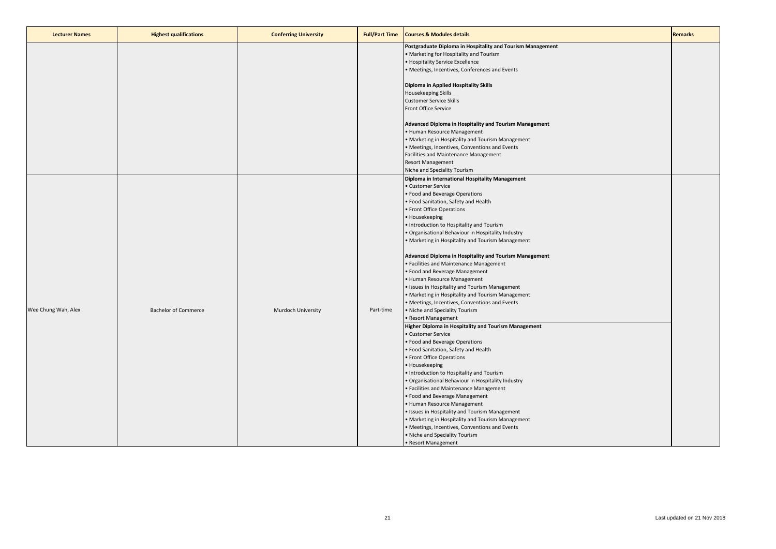| <b>Lecturer Names</b> | <b>Highest qualifications</b> | <b>Conferring University</b> | <b>Full/Part Time</b> | <b>Courses &amp; Modules details</b>                                                                                                                                                                                                                                                                                                                                                                                                                                                                                                                                                                                                                                                                                                                                                                                                                                                                                                                                                                                                                                                                                                                                                                                                                                                                                                                                                                                                               | Remarks |
|-----------------------|-------------------------------|------------------------------|-----------------------|----------------------------------------------------------------------------------------------------------------------------------------------------------------------------------------------------------------------------------------------------------------------------------------------------------------------------------------------------------------------------------------------------------------------------------------------------------------------------------------------------------------------------------------------------------------------------------------------------------------------------------------------------------------------------------------------------------------------------------------------------------------------------------------------------------------------------------------------------------------------------------------------------------------------------------------------------------------------------------------------------------------------------------------------------------------------------------------------------------------------------------------------------------------------------------------------------------------------------------------------------------------------------------------------------------------------------------------------------------------------------------------------------------------------------------------------------|---------|
|                       |                               |                              |                       | Postgraduate Diploma in Hospitality and Tourism Management<br>• Marketing for Hospitality and Tourism<br>· Hospitality Service Excellence<br>· Meetings, Incentives, Conferences and Events<br>Diploma in Applied Hospitality Skills<br>Housekeeping Skills<br><b>Customer Service Skills</b><br>Front Office Service<br>Advanced Diploma in Hospitality and Tourism Management<br>· Human Resource Management<br>· Marketing in Hospitality and Tourism Management<br>· Meetings, Incentives, Conventions and Events<br>Facilities and Maintenance Management                                                                                                                                                                                                                                                                                                                                                                                                                                                                                                                                                                                                                                                                                                                                                                                                                                                                                     |         |
| Wee Chung Wah, Alex   | <b>Bachelor of Commerce</b>   | Murdoch University           | Part-time             | <b>Resort Management</b><br>Niche and Speciality Tourism<br>Diploma in International Hospitality Management<br>· Customer Service<br>· Food and Beverage Operations<br>• Food Sanitation, Safety and Health<br>• Front Office Operations<br>• Housekeeping<br>. Introduction to Hospitality and Tourism<br>· Organisational Behaviour in Hospitality Industry<br>· Marketing in Hospitality and Tourism Management<br>Advanced Diploma in Hospitality and Tourism Management<br>· Facilities and Maintenance Management<br>· Food and Beverage Management<br>• Human Resource Management<br>· Issues in Hospitality and Tourism Management<br>• Marketing in Hospitality and Tourism Management<br>· Meetings, Incentives, Conventions and Events<br>· Niche and Speciality Tourism<br>· Resort Management<br>Higher Diploma in Hospitality and Tourism Management<br>· Customer Service<br>· Food and Beverage Operations<br>• Food Sanitation, Safety and Health<br>• Front Office Operations<br>· Housekeeping<br>. Introduction to Hospitality and Tourism<br>· Organisational Behaviour in Hospitality Industry<br>· Facilities and Maintenance Management<br>· Food and Beverage Management<br>· Human Resource Management<br>· Issues in Hospitality and Tourism Management<br>• Marketing in Hospitality and Tourism Management<br>• Meetings, Incentives, Conventions and Events<br>. Niche and Speciality Tourism<br>• Resort Management |         |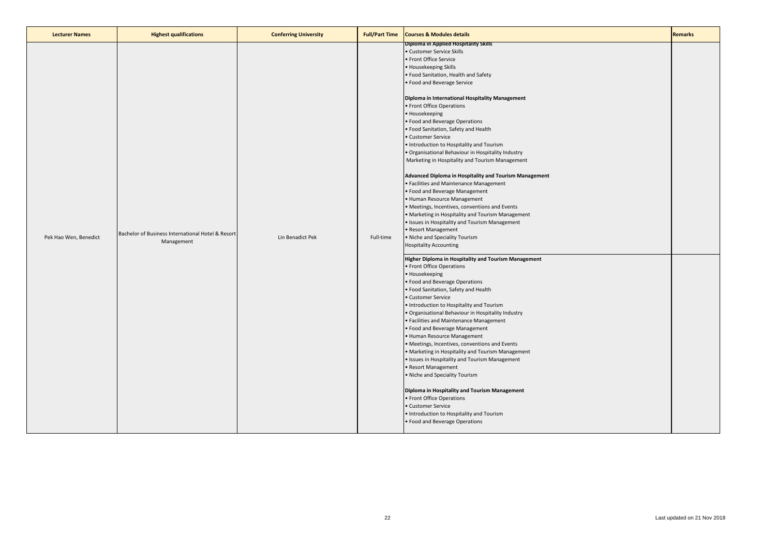| <b>Lecturer Names</b> | <b>Highest qualifications</b>                                   | <b>Conferring University</b> | <b>Full/Part Time</b> | <b>Courses &amp; Modules details</b>                                                                                                                                                                                                                                                                                                                                                                                                                                                                                                                                                                                                                                                                                                                                                                                                                                                                                                                                               | <b>Remarks</b> |
|-----------------------|-----------------------------------------------------------------|------------------------------|-----------------------|------------------------------------------------------------------------------------------------------------------------------------------------------------------------------------------------------------------------------------------------------------------------------------------------------------------------------------------------------------------------------------------------------------------------------------------------------------------------------------------------------------------------------------------------------------------------------------------------------------------------------------------------------------------------------------------------------------------------------------------------------------------------------------------------------------------------------------------------------------------------------------------------------------------------------------------------------------------------------------|----------------|
| Pek Hao Wen, Benedict | Bachelor of Business International Hotel & Resort<br>Management | Lin Benadict Pek             | Full-time             | <b>Diploma in Applied Hospitality Skills</b><br>· Customer Service Skills<br>• Front Office Service<br>· Housekeeping Skills<br>· Food Sanitation, Health and Safety<br>· Food and Beverage Service<br>Diploma in International Hospitality Management<br>• Front Office Operations<br>• Housekeeping<br>• Food and Beverage Operations<br>• Food Sanitation, Safety and Health<br>· Customer Service<br>. Introduction to Hospitality and Tourism<br>· Organisational Behaviour in Hospitality Industry<br>Marketing in Hospitality and Tourism Management<br>Advanced Diploma in Hospitality and Tourism Management<br>· Facilities and Maintenance Management<br>· Food and Beverage Management<br>• Human Resource Management<br>· Meetings, Incentives, conventions and Events<br>Marketing in Hospitality and Tourism Management<br>· Issues in Hospitality and Tourism Management<br>• Resort Management<br>. Niche and Speciality Tourism<br><b>Hospitality Accounting</b> |                |
|                       |                                                                 |                              |                       | Higher Diploma in Hospitality and Tourism Management<br>• Front Office Operations<br>• Housekeeping<br>• Food and Beverage Operations<br>· Food Sanitation, Safety and Health<br><b>Customer Service</b><br>• Introduction to Hospitality and Tourism<br>· Organisational Behaviour in Hospitality Industry<br>· Facilities and Maintenance Management<br>· Food and Beverage Management<br>• Human Resource Management<br>• Meetings, Incentives, conventions and Events<br>• Marketing in Hospitality and Tourism Management<br>· Issues in Hospitality and Tourism Management<br>Resort Management<br>. Niche and Speciality Tourism<br>Diploma in Hospitality and Tourism Management<br>• Front Office Operations<br>• Customer Service<br>• Introduction to Hospitality and Tourism<br>· Food and Beverage Operations                                                                                                                                                         |                |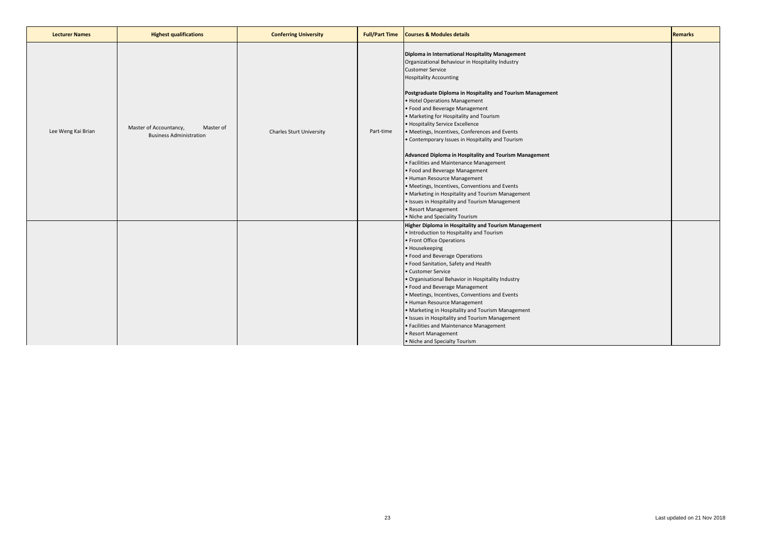| <b>Lecturer Names</b> | <b>Highest qualifications</b>                                         | <b>Conferring University</b>    | <b>Full/Part Time</b> | <b>Courses &amp; Modules details</b>                                                                                                                                                                                                                                                                                                                                                                                                                                                                                                                                                                                                                                                                                                                                                                                                                                          | <b>Remarks</b> |
|-----------------------|-----------------------------------------------------------------------|---------------------------------|-----------------------|-------------------------------------------------------------------------------------------------------------------------------------------------------------------------------------------------------------------------------------------------------------------------------------------------------------------------------------------------------------------------------------------------------------------------------------------------------------------------------------------------------------------------------------------------------------------------------------------------------------------------------------------------------------------------------------------------------------------------------------------------------------------------------------------------------------------------------------------------------------------------------|----------------|
| Lee Weng Kai Brian    | Master of Accountancy,<br>Master of<br><b>Business Administration</b> | <b>Charles Sturt University</b> | Part-time             | Diploma in International Hospitality Management<br>Organizational Behaviour in Hospitality Industry<br><b>Customer Service</b><br><b>Hospitality Accounting</b><br>Postgraduate Diploma in Hospitality and Tourism Management<br>· Hotel Operations Management<br>· Food and Beverage Management<br>• Marketing for Hospitality and Tourism<br>• Hospitality Service Excellence<br>• Meetings, Incentives, Conferences and Events<br>• Contemporary Issues in Hospitality and Tourism<br>Advanced Diploma in Hospitality and Tourism Management<br>· Facilities and Maintenance Management<br>· Food and Beverage Management<br>· Human Resource Management<br>· Meetings, Incentives, Conventions and Events<br>. Marketing in Hospitality and Tourism Management<br>· Issues in Hospitality and Tourism Management<br>• Resort Management<br>. Niche and Speciality Tourism |                |
|                       |                                                                       |                                 |                       | Higher Diploma in Hospitality and Tourism Management<br>• Introduction to Hospitality and Tourism<br>· Front Office Operations<br>• Housekeeping<br>• Food and Beverage Operations<br>· Food Sanitation, Safety and Health<br>Customer Service<br>· Organisational Behavior in Hospitality Industry<br>· Food and Beverage Management<br>· Meetings, Incentives, Conventions and Events<br>· Human Resource Management<br>• Marketing in Hospitality and Tourism Management<br>· Issues in Hospitality and Tourism Management<br>· Facilities and Maintenance Management<br>• Resort Management<br>. Niche and Specialty Tourism                                                                                                                                                                                                                                              |                |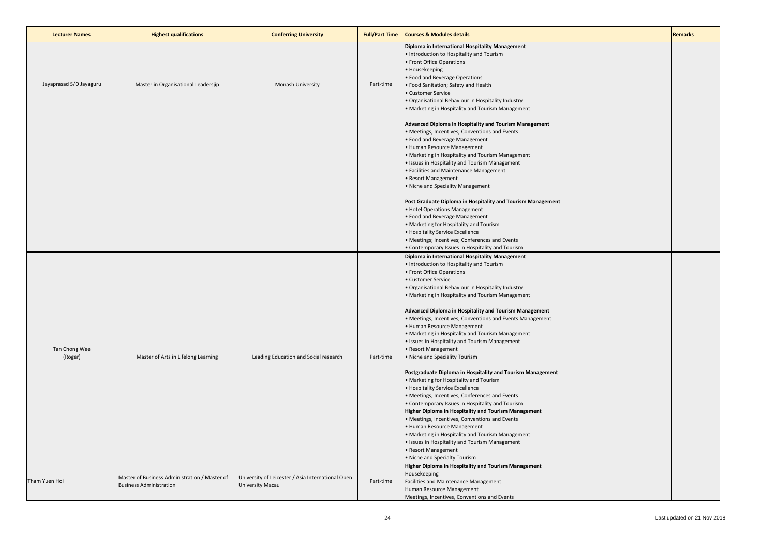| <b>Lecturer Names</b>    | <b>Highest qualifications</b>                                                   | <b>Conferring University</b>                                          | <b>Full/Part Time</b> | <b>Courses &amp; Modules details</b>                                                                                                                                                                                                                                                                                                                                                                                                                                                                                                                                                                                                                                                                                                                                                                                                                                                                                                                                                                                                                                                                                                | <b>Remarks</b> |
|--------------------------|---------------------------------------------------------------------------------|-----------------------------------------------------------------------|-----------------------|-------------------------------------------------------------------------------------------------------------------------------------------------------------------------------------------------------------------------------------------------------------------------------------------------------------------------------------------------------------------------------------------------------------------------------------------------------------------------------------------------------------------------------------------------------------------------------------------------------------------------------------------------------------------------------------------------------------------------------------------------------------------------------------------------------------------------------------------------------------------------------------------------------------------------------------------------------------------------------------------------------------------------------------------------------------------------------------------------------------------------------------|----------------|
| Jayaprasad S/O Jayaguru  | Master in Organisational Leadersjip                                             | Monash University                                                     | Part-time             | Diploma in International Hospitality Management<br>· Introduction to Hospitality and Tourism<br>· Front Office Operations<br>Housekeeping<br>Food and Beverage Operations<br>• Food Sanitation; Safety and Health<br>· Customer Service<br>· Organisational Behaviour in Hospitality Industry<br>Marketing in Hospitality and Tourism Management                                                                                                                                                                                                                                                                                                                                                                                                                                                                                                                                                                                                                                                                                                                                                                                    |                |
|                          |                                                                                 |                                                                       |                       | Advanced Diploma in Hospitality and Tourism Management<br>· Meetings; Incentives; Conventions and Events<br>Food and Beverage Management<br>• Human Resource Management<br>• Marketing in Hospitality and Tourism Management<br>· Issues in Hospitality and Tourism Management<br>· Facilities and Maintenance Management<br>· Resort Management<br>· Niche and Speciality Management                                                                                                                                                                                                                                                                                                                                                                                                                                                                                                                                                                                                                                                                                                                                               |                |
|                          |                                                                                 |                                                                       |                       | Post Graduate Diploma in Hospitality and Tourism Management<br>· Hotel Operations Management<br>· Food and Beverage Management<br>• Marketing for Hospitality and Tourism<br>• Hospitality Service Excellence<br>• Meetings; Incentives; Conferences and Events<br>• Contemporary Issues in Hospitality and Tourism                                                                                                                                                                                                                                                                                                                                                                                                                                                                                                                                                                                                                                                                                                                                                                                                                 |                |
| Tan Chong Wee<br>(Roger) | Master of Arts in Lifelong Learning                                             | Leading Education and Social research                                 | Part-time             | Diploma in International Hospitality Management<br>. Introduction to Hospitality and Tourism<br>· Front Office Operations<br>· Customer Service<br>· Organisational Behaviour in Hospitality Industry<br>• Marketing in Hospitality and Tourism Management<br>Advanced Diploma in Hospitality and Tourism Management<br>· Meetings; Incentives; Conventions and Events Management<br>· Human Resource Management<br>• Marketing in Hospitality and Tourism Management<br>· Issues in Hospitality and Tourism Management<br>Resort Management<br>· Niche and Speciality Tourism<br>Postgraduate Diploma in Hospitality and Tourism Management<br>Marketing for Hospitality and Tourism<br>· Hospitality Service Excellence<br>Meetings; Incentives; Conferences and Events<br>• Contemporary Issues in Hospitality and Tourism<br>Higher Diploma in Hospitality and Tourism Management<br>• Meetings, Incentives, Conventions and Events<br>• Human Resource Management<br>• Marketing in Hospitality and Tourism Management<br>· Issues in Hospitality and Tourism Management<br>Resort Management<br>. Niche and Specialty Tourism |                |
| Tham Yuen Hoi            | Master of Business Administration / Master of<br><b>Business Administration</b> | University of Leicester / Asia International Open<br>University Macau | Part-time             | Higher Diploma in Hospitality and Tourism Management<br>Housekeeping<br>Facilities and Maintenance Management<br>Human Resource Management<br>Meetings, Incentives, Conventions and Events                                                                                                                                                                                                                                                                                                                                                                                                                                                                                                                                                                                                                                                                                                                                                                                                                                                                                                                                          |                |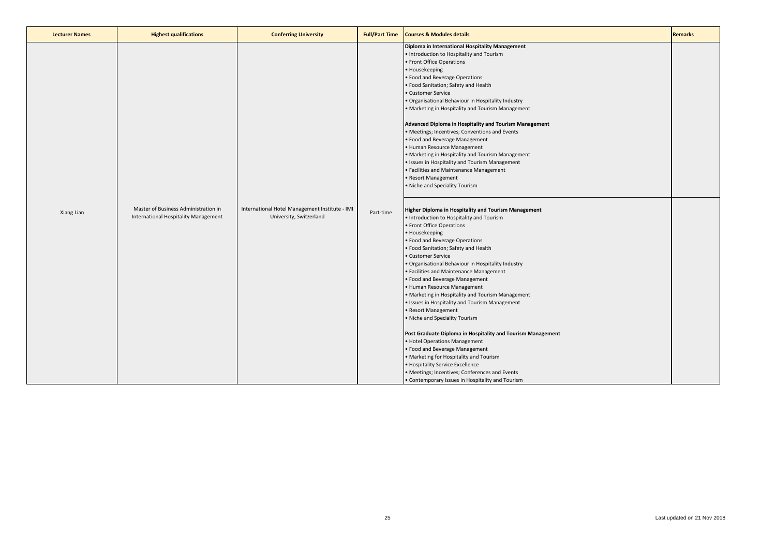| <b>Lecturer Names</b> | <b>Highest qualifications</b>                                                | <b>Conferring University</b>                                              | <b>Full/Part Time</b> | <b>Courses &amp; Modules details</b>                                                                                                                                                                                                                                                                                                                                                                                                                                                                                                                                                                                                                                                                                                                                                                                                                                                                    | <b>Remarks</b> |
|-----------------------|------------------------------------------------------------------------------|---------------------------------------------------------------------------|-----------------------|---------------------------------------------------------------------------------------------------------------------------------------------------------------------------------------------------------------------------------------------------------------------------------------------------------------------------------------------------------------------------------------------------------------------------------------------------------------------------------------------------------------------------------------------------------------------------------------------------------------------------------------------------------------------------------------------------------------------------------------------------------------------------------------------------------------------------------------------------------------------------------------------------------|----------------|
|                       |                                                                              |                                                                           |                       | Diploma in International Hospitality Management<br>• Introduction to Hospitality and Tourism<br>· Front Office Operations<br>• Housekeeping<br>· Food and Beverage Operations<br>· Food Sanitation; Safety and Health<br>Customer Service<br>· Organisational Behaviour in Hospitality Industry<br>• Marketing in Hospitality and Tourism Management<br>Advanced Diploma in Hospitality and Tourism Management<br>· Meetings; Incentives; Conventions and Events<br>· Food and Beverage Management<br>· Human Resource Management<br>• Marketing in Hospitality and Tourism Management<br>· Issues in Hospitality and Tourism Management<br>· Facilities and Maintenance Management<br>Resort Management<br>. Niche and Speciality Tourism                                                                                                                                                              |                |
| Xiang Lian            | Master of Business Administration in<br>International Hospitality Management | International Hotel Management Institute - IMI<br>University, Switzerland | Part-time             | Higher Diploma in Hospitality and Tourism Management<br>. Introduction to Hospitality and Tourism<br>• Front Office Operations<br>Housekeeping<br>· Food and Beverage Operations<br>· Food Sanitation; Safety and Health<br>· Customer Service<br>· Organisational Behaviour in Hospitality Industry<br>· Facilities and Maintenance Management<br>. Food and Beverage Management<br>· Human Resource Management<br>• Marketing in Hospitality and Tourism Management<br>· Issues in Hospitality and Tourism Management<br>· Resort Management<br>. Niche and Speciality Tourism<br>Post Graduate Diploma in Hospitality and Tourism Management<br>· Hotel Operations Management<br>· Food and Beverage Management<br>• Marketing for Hospitality and Tourism<br>· Hospitality Service Excellence<br>• Meetings; Incentives; Conferences and Events<br>• Contemporary Issues in Hospitality and Tourism |                |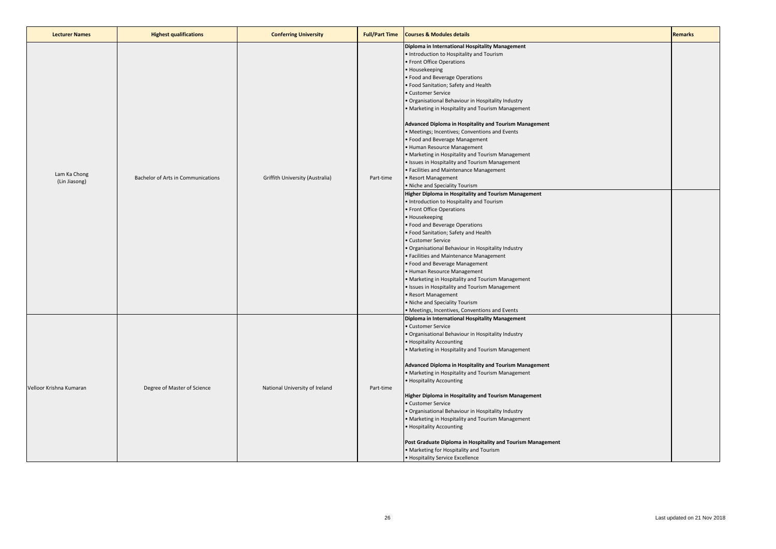| <b>Lecturer Names</b>         | <b>Highest qualifications</b>      | <b>Conferring University</b>    | <b>Full/Part Time</b> | <b>Courses &amp; Modules details</b>                                                                                                                                                                                                                                                                                                                                                                                                                                                                                                                                                                                                                                                                                                                                                                                                                                                                                                                                                                                                                                                                                                                                                                                                                                                                                                                    | <b>Remarks</b> |
|-------------------------------|------------------------------------|---------------------------------|-----------------------|---------------------------------------------------------------------------------------------------------------------------------------------------------------------------------------------------------------------------------------------------------------------------------------------------------------------------------------------------------------------------------------------------------------------------------------------------------------------------------------------------------------------------------------------------------------------------------------------------------------------------------------------------------------------------------------------------------------------------------------------------------------------------------------------------------------------------------------------------------------------------------------------------------------------------------------------------------------------------------------------------------------------------------------------------------------------------------------------------------------------------------------------------------------------------------------------------------------------------------------------------------------------------------------------------------------------------------------------------------|----------------|
| Lam Ka Chong<br>(Lin Jiasong) | Bachelor of Arts in Communications | Griffith University (Australia) | Part-time             | Diploma in International Hospitality Management<br>. Introduction to Hospitality and Tourism<br>Front Office Operations<br>Housekeeping<br>· Food and Beverage Operations<br>· Food Sanitation; Safety and Health<br>Customer Service<br>Organisational Behaviour in Hospitality Industry<br>Marketing in Hospitality and Tourism Management<br>Advanced Diploma in Hospitality and Tourism Management<br>Meetings; Incentives; Conventions and Events<br>• Food and Beverage Management<br>Human Resource Management<br>Marketing in Hospitality and Tourism Management<br>Issues in Hospitality and Tourism Management<br>· Facilities and Maintenance Management<br>· Resort Management<br>• Niche and Speciality Tourism<br><b>Higher Diploma in Hospitality and Tourism Management</b><br>Introduction to Hospitality and Tourism<br>Front Office Operations<br>Housekeeping<br>• Food and Beverage Operations<br>· Food Sanitation; Safety and Health<br>· Customer Service<br>Organisational Behaviour in Hospitality Industry<br>Facilities and Maintenance Management<br>• Food and Beverage Management<br>Human Resource Management<br>Marketing in Hospitality and Tourism Management<br>Issues in Hospitality and Tourism Management<br>Resort Management<br>• Niche and Speciality Tourism<br>Meetings, Incentives, Conventions and Events |                |
| Velloor Krishna Kumaran       | Degree of Master of Science        | National University of Ireland  | Part-time             | Diploma in International Hospitality Management<br>Customer Service<br>Organisational Behaviour in Hospitality Industry<br>• Hospitality Accounting<br>Marketing in Hospitality and Tourism Management<br>Advanced Diploma in Hospitality and Tourism Management<br>• Marketing in Hospitality and Tourism Management<br>• Hospitality Accounting<br>Higher Diploma in Hospitality and Tourism Management<br>· Customer Service<br>Organisational Behaviour in Hospitality Industry<br>Marketing in Hospitality and Tourism Management<br><b>Hospitality Accounting</b><br>Post Graduate Diploma in Hospitality and Tourism Management<br>• Marketing for Hospitality and Tourism<br>• Hospitality Service Excellence                                                                                                                                                                                                                                                                                                                                                                                                                                                                                                                                                                                                                                   |                |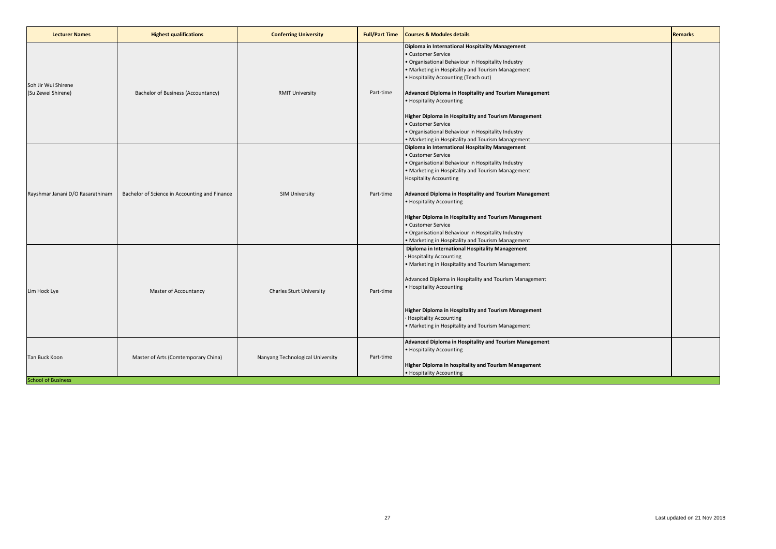| <b>Lecturer Names</b>                      | <b>Highest qualifications</b>                 | <b>Conferring University</b>     | <b>Full/Part Time</b> | <b>Courses &amp; Modules details</b>                                                                                                                                                                                                                                                                                                                                                                                                                                                                           | <b>Remarks</b> |
|--------------------------------------------|-----------------------------------------------|----------------------------------|-----------------------|----------------------------------------------------------------------------------------------------------------------------------------------------------------------------------------------------------------------------------------------------------------------------------------------------------------------------------------------------------------------------------------------------------------------------------------------------------------------------------------------------------------|----------------|
| Soh Jir Wui Shirene<br>(Su Zewei Shirene)  | Bachelor of Business (Accountancy)            | <b>RMIT University</b>           | Part-time             | Diploma in International Hospitality Management<br>• Customer Service<br>· Organisational Behaviour in Hospitality Industry<br>• Marketing in Hospitality and Tourism Management<br>• Hospitality Accounting (Teach out)<br>Advanced Diploma in Hospitality and Tourism Management<br>• Hospitality Accounting<br><b>Higher Diploma in Hospitality and Tourism Management</b><br>• Customer Service<br>· Organisational Behaviour in Hospitality Industry<br>• Marketing in Hospitality and Tourism Management |                |
| Rayshmar Janani D/O Rasarathinam           | Bachelor of Science in Accounting and Finance | <b>SIM University</b>            | Part-time             | Diploma in International Hospitality Management<br>• Customer Service<br>. Organisational Behaviour in Hospitality Industry<br>• Marketing in Hospitality and Tourism Management<br><b>Hospitality Accounting</b><br>Advanced Diploma in Hospitality and Tourism Management<br>• Hospitality Accounting<br><b>Higher Diploma in Hospitality and Tourism Management</b><br>• Customer Service<br>· Organisational Behaviour in Hospitality Industry<br>• Marketing in Hospitality and Tourism Management        |                |
| Lim Hock Lye                               | Master of Accountancy                         | <b>Charles Sturt University</b>  | Part-time             | Diploma in International Hospitality Management<br>· Hospitality Accounting<br>• Marketing in Hospitality and Tourism Management<br>Advanced Diploma in Hospitality and Tourism Management<br>• Hospitality Accounting<br>Higher Diploma in Hospitality and Tourism Management<br><b>Hospitality Accounting</b><br>• Marketing in Hospitality and Tourism Management                                                                                                                                           |                |
| Tan Buck Koon<br><b>School of Business</b> | Master of Arts (Comtemporary China)           | Nanyang Technological University | Part-time             | Advanced Diploma in Hospitality and Tourism Management<br>• Hospitality Accounting<br>Higher Diploma in hospitality and Tourism Management<br>• Hospitality Accounting                                                                                                                                                                                                                                                                                                                                         |                |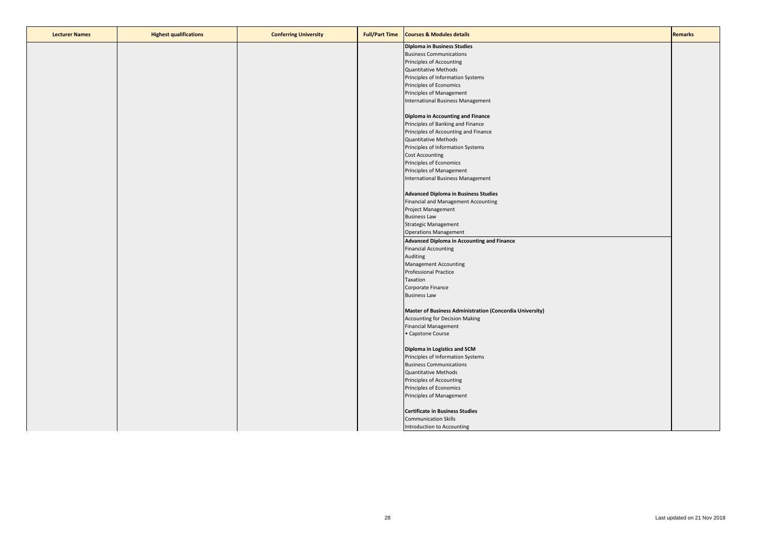| <b>Lecturer Names</b> | <b>Highest qualifications</b> | <b>Conferring University</b> | <b>Full/Part Time</b> | <b>Courses &amp; Modules details</b>                     | <b>Remarks</b> |
|-----------------------|-------------------------------|------------------------------|-----------------------|----------------------------------------------------------|----------------|
|                       |                               |                              |                       | <b>Diploma in Business Studies</b>                       |                |
|                       |                               |                              |                       | <b>Business Communications</b>                           |                |
|                       |                               |                              |                       | Principles of Accounting                                 |                |
|                       |                               |                              |                       | <b>Quantitative Methods</b>                              |                |
|                       |                               |                              |                       | Principles of Information Systems                        |                |
|                       |                               |                              |                       | Principles of Economics                                  |                |
|                       |                               |                              |                       | Principles of Management                                 |                |
|                       |                               |                              |                       | International Business Management                        |                |
|                       |                               |                              |                       | Diploma in Accounting and Finance                        |                |
|                       |                               |                              |                       | Principles of Banking and Finance                        |                |
|                       |                               |                              |                       | Principles of Accounting and Finance                     |                |
|                       |                               |                              |                       | <b>Quantitative Methods</b>                              |                |
|                       |                               |                              |                       | Principles of Information Systems                        |                |
|                       |                               |                              |                       | <b>Cost Accounting</b>                                   |                |
|                       |                               |                              |                       | Principles of Economics                                  |                |
|                       |                               |                              |                       | Principles of Management                                 |                |
|                       |                               |                              |                       | International Business Management                        |                |
|                       |                               |                              |                       | <b>Advanced Diploma in Business Studies</b>              |                |
|                       |                               |                              |                       | Financial and Management Accounting                      |                |
|                       |                               |                              |                       | <b>Project Management</b>                                |                |
|                       |                               |                              |                       | <b>Business Law</b>                                      |                |
|                       |                               |                              |                       | <b>Strategic Management</b>                              |                |
|                       |                               |                              |                       | <b>Operations Management</b>                             |                |
|                       |                               |                              |                       | Advanced Diploma in Accounting and Finance               |                |
|                       |                               |                              |                       | <b>Financial Accounting</b>                              |                |
|                       |                               |                              |                       | Auditing                                                 |                |
|                       |                               |                              |                       | <b>Management Accounting</b>                             |                |
|                       |                               |                              |                       | <b>Professional Practice</b>                             |                |
|                       |                               |                              |                       | Taxation                                                 |                |
|                       |                               |                              |                       | Corporate Finance                                        |                |
|                       |                               |                              |                       | <b>Business Law</b>                                      |                |
|                       |                               |                              |                       |                                                          |                |
|                       |                               |                              |                       | Master of Business Administration (Concordia University) |                |
|                       |                               |                              |                       | <b>Accounting for Decision Making</b>                    |                |
|                       |                               |                              |                       | <b>Financial Management</b>                              |                |
|                       |                               |                              |                       | • Capstone Course                                        |                |
|                       |                               |                              |                       | Diploma in Logistics and SCM                             |                |
|                       |                               |                              |                       | Principles of Information Systems                        |                |
|                       |                               |                              |                       | <b>Business Communications</b>                           |                |
|                       |                               |                              |                       | <b>Quantitative Methods</b>                              |                |
|                       |                               |                              |                       | Principles of Accounting                                 |                |
|                       |                               |                              |                       | Principles of Economics                                  |                |
|                       |                               |                              |                       | Principles of Management                                 |                |
|                       |                               |                              |                       |                                                          |                |
|                       |                               |                              |                       | <b>Certificate in Business Studies</b>                   |                |
|                       |                               |                              |                       | <b>Communication Skills</b>                              |                |
|                       |                               |                              |                       | Introduction to Accounting                               |                |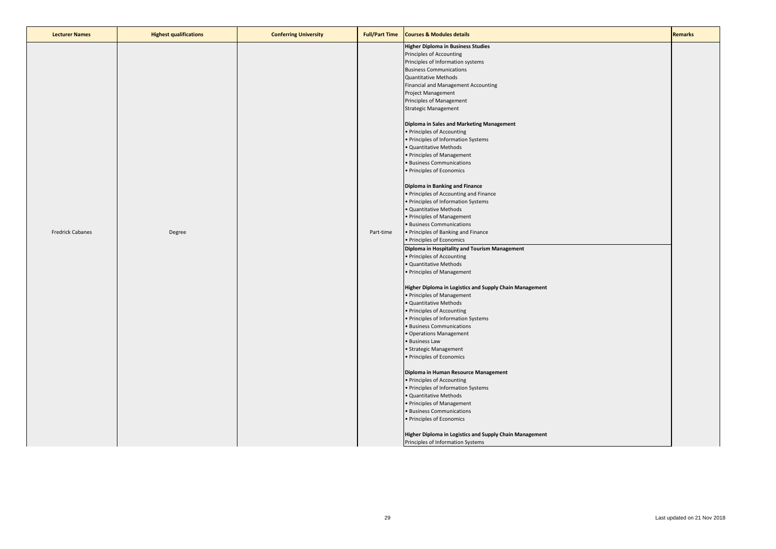| <b>Lecturer Names</b>   | <b>Highest qualifications</b> | <b>Conferring University</b> | <b>Full/Part Time</b> | <b>Courses &amp; Modules details</b>                    | <b>Remarks</b> |
|-------------------------|-------------------------------|------------------------------|-----------------------|---------------------------------------------------------|----------------|
|                         |                               |                              |                       | <b>Higher Diploma in Business Studies</b>               |                |
|                         |                               |                              |                       | Principles of Accounting                                |                |
|                         |                               |                              |                       | Principles of Information systems                       |                |
|                         |                               |                              |                       | <b>Business Communications</b>                          |                |
|                         |                               |                              |                       | <b>Quantitative Methods</b>                             |                |
|                         |                               |                              |                       | Financial and Management Accounting                     |                |
|                         |                               |                              |                       | Project Management                                      |                |
|                         |                               |                              |                       |                                                         |                |
|                         |                               |                              |                       | Principles of Management                                |                |
|                         |                               |                              |                       | <b>Strategic Management</b>                             |                |
|                         |                               |                              |                       | Diploma in Sales and Marketing Management               |                |
|                         |                               |                              |                       | • Principles of Accounting                              |                |
|                         |                               |                              |                       | • Principles of Information Systems                     |                |
|                         |                               |                              |                       | · Quantitative Methods                                  |                |
|                         |                               |                              |                       | • Principles of Management                              |                |
|                         |                               |                              |                       | · Business Communications                               |                |
|                         |                               |                              |                       | · Principles of Economics                               |                |
|                         |                               |                              |                       | Diploma in Banking and Finance                          |                |
|                         |                               |                              |                       | • Principles of Accounting and Finance                  |                |
|                         |                               |                              |                       | · Principles of Information Systems                     |                |
|                         |                               |                              |                       | · Quantitative Methods                                  |                |
|                         |                               |                              |                       | • Principles of Management                              |                |
|                         |                               |                              |                       | · Business Communications                               |                |
| <b>Fredrick Cabanes</b> | Degree                        |                              | Part-time             | • Principles of Banking and Finance                     |                |
|                         |                               |                              |                       |                                                         |                |
|                         |                               |                              |                       | • Principles of Economics                               |                |
|                         |                               |                              |                       | Diploma in Hospitality and Tourism Management           |                |
|                         |                               |                              |                       | · Principles of Accounting                              |                |
|                         |                               |                              |                       | · Quantitative Methods                                  |                |
|                         |                               |                              |                       | · Principles of Management                              |                |
|                         |                               |                              |                       | Higher Diploma in Logistics and Supply Chain Management |                |
|                         |                               |                              |                       | • Principles of Management                              |                |
|                         |                               |                              |                       | · Quantitative Methods                                  |                |
|                         |                               |                              |                       | · Principles of Accounting                              |                |
|                         |                               |                              |                       | · Principles of Information Systems                     |                |
|                         |                               |                              |                       | · Business Communications                               |                |
|                         |                               |                              |                       | · Operations Management                                 |                |
|                         |                               |                              |                       | · Business Law                                          |                |
|                         |                               |                              |                       | · Strategic Management                                  |                |
|                         |                               |                              |                       | · Principles of Economics                               |                |
|                         |                               |                              |                       | Diploma in Human Resource Management                    |                |
|                         |                               |                              |                       | · Principles of Accounting                              |                |
|                         |                               |                              |                       |                                                         |                |
|                         |                               |                              |                       | · Principles of Information Systems                     |                |
|                         |                               |                              |                       | · Quantitative Methods                                  |                |
|                         |                               |                              |                       | • Principles of Management                              |                |
|                         |                               |                              |                       | · Business Communications                               |                |
|                         |                               |                              |                       | · Principles of Economics                               |                |
|                         |                               |                              |                       | Higher Diploma in Logistics and Supply Chain Management |                |
|                         |                               |                              |                       | Principles of Information Systems                       |                |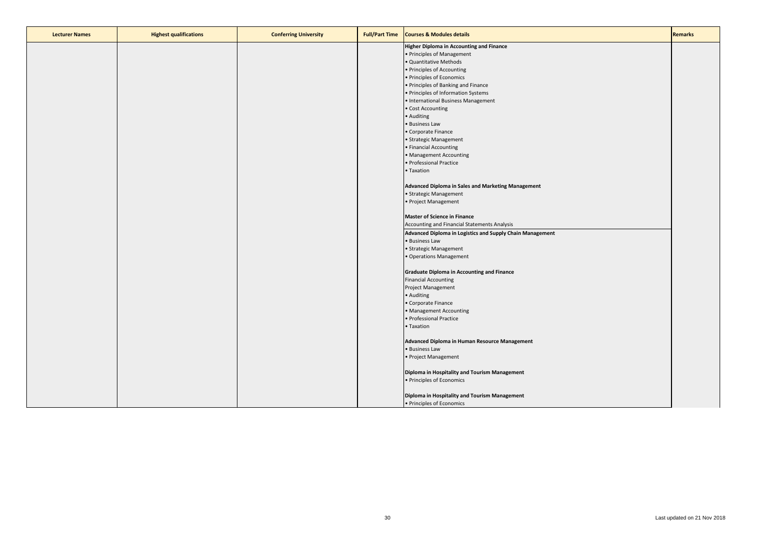| <b>Lecturer Names</b> | <b>Highest qualifications</b> | <b>Conferring University</b> | <b>Full/Part Time</b> | <b>Courses &amp; Modules details</b>                      | <b>Remarks</b> |
|-----------------------|-------------------------------|------------------------------|-----------------------|-----------------------------------------------------------|----------------|
|                       |                               |                              |                       | Higher Diploma in Accounting and Finance                  |                |
|                       |                               |                              |                       | · Principles of Management                                |                |
|                       |                               |                              |                       | Quantitative Methods                                      |                |
|                       |                               |                              |                       | · Principles of Accounting                                |                |
|                       |                               |                              |                       | · Principles of Economics                                 |                |
|                       |                               |                              |                       | • Principles of Banking and Finance                       |                |
|                       |                               |                              |                       | · Principles of Information Systems                       |                |
|                       |                               |                              |                       | · International Business Management                       |                |
|                       |                               |                              |                       | · Cost Accounting                                         |                |
|                       |                               |                              |                       | · Auditing                                                |                |
|                       |                               |                              |                       | · Business Law                                            |                |
|                       |                               |                              |                       | Corporate Finance                                         |                |
|                       |                               |                              |                       | · Strategic Management                                    |                |
|                       |                               |                              |                       | · Financial Accounting                                    |                |
|                       |                               |                              |                       | · Management Accounting                                   |                |
|                       |                               |                              |                       | · Professional Practice                                   |                |
|                       |                               |                              |                       | Taxation                                                  |                |
|                       |                               |                              |                       |                                                           |                |
|                       |                               |                              |                       | Advanced Diploma in Sales and Marketing Management        |                |
|                       |                               |                              |                       | • Strategic Management                                    |                |
|                       |                               |                              |                       | · Project Management                                      |                |
|                       |                               |                              |                       |                                                           |                |
|                       |                               |                              |                       | <b>Master of Science in Finance</b>                       |                |
|                       |                               |                              |                       | Accounting and Financial Statements Analysis              |                |
|                       |                               |                              |                       | Advanced Diploma in Logistics and Supply Chain Management |                |
|                       |                               |                              |                       | · Business Law                                            |                |
|                       |                               |                              |                       | • Strategic Management                                    |                |
|                       |                               |                              |                       | · Operations Management                                   |                |
|                       |                               |                              |                       |                                                           |                |
|                       |                               |                              |                       | <b>Graduate Diploma in Accounting and Finance</b>         |                |
|                       |                               |                              |                       | <b>Financial Accounting</b>                               |                |
|                       |                               |                              |                       | Project Management                                        |                |
|                       |                               |                              |                       | · Auditing                                                |                |
|                       |                               |                              |                       | Corporate Finance                                         |                |
|                       |                               |                              |                       | · Management Accounting                                   |                |
|                       |                               |                              |                       | · Professional Practice                                   |                |
|                       |                               |                              |                       | Taxation                                                  |                |
|                       |                               |                              |                       |                                                           |                |
|                       |                               |                              |                       | Advanced Diploma in Human Resource Management             |                |
|                       |                               |                              |                       | · Business Law                                            |                |
|                       |                               |                              |                       | · Project Management                                      |                |
|                       |                               |                              |                       |                                                           |                |
|                       |                               |                              |                       | Diploma in Hospitality and Tourism Management             |                |
|                       |                               |                              |                       | • Principles of Economics                                 |                |
|                       |                               |                              |                       |                                                           |                |
|                       |                               |                              |                       | Diploma in Hospitality and Tourism Management             |                |
|                       |                               |                              |                       | · Principles of Economics                                 |                |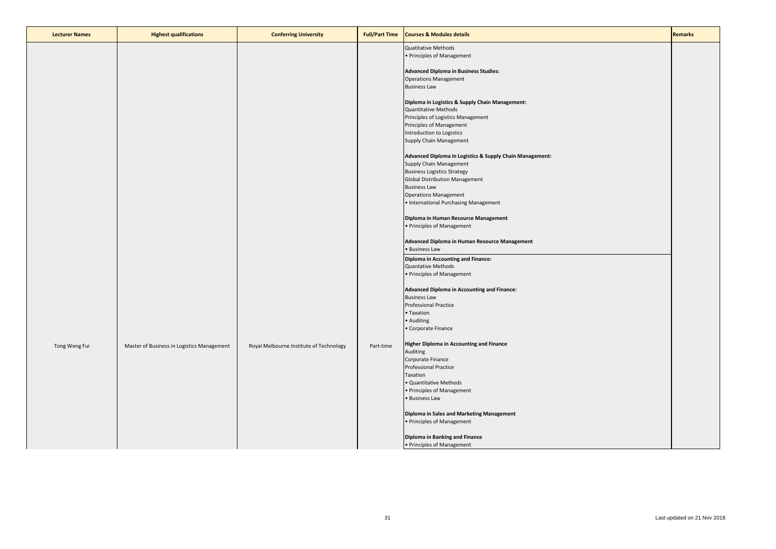| <b>Lecturer Names</b> | <b>Highest qualifications</b>              | <b>Conferring University</b>            | <b>Full/Part Time</b> | <b>Courses &amp; Modules details</b>                                                | <b>Remarks</b> |
|-----------------------|--------------------------------------------|-----------------------------------------|-----------------------|-------------------------------------------------------------------------------------|----------------|
|                       |                                            |                                         |                       | <b>Quatitative Methods</b>                                                          |                |
|                       |                                            |                                         |                       | • Principles of Management                                                          |                |
|                       |                                            |                                         |                       | <b>Advanced Diploma in Business Studies:</b>                                        |                |
|                       |                                            |                                         |                       | <b>Operations Management</b>                                                        |                |
|                       |                                            |                                         |                       | <b>Business Law</b>                                                                 |                |
|                       |                                            |                                         |                       | Diploma in Logistics & Supply Chain Management:                                     |                |
|                       |                                            |                                         |                       | <b>Quantitative Methods</b>                                                         |                |
|                       |                                            |                                         |                       | Principles of Logistics Management                                                  |                |
|                       |                                            |                                         |                       | Principles of Management<br>Introduction to Logistics                               |                |
|                       |                                            |                                         |                       | Supply Chain Management                                                             |                |
|                       |                                            |                                         |                       |                                                                                     |                |
|                       |                                            |                                         |                       | Advanced Diploma in Logistics & Supply Chain Management:<br>Supply Chain Management |                |
|                       |                                            |                                         |                       | <b>Business Logistics Strategy</b>                                                  |                |
|                       |                                            |                                         |                       | <b>Global Distribution Management</b>                                               |                |
|                       |                                            |                                         |                       | <b>Business Law</b>                                                                 |                |
|                       |                                            |                                         |                       | <b>Operations Management</b><br>• International Purchasing Management               |                |
|                       |                                            |                                         |                       |                                                                                     |                |
|                       |                                            |                                         |                       | Diploma in Human Resource Management                                                |                |
|                       |                                            |                                         |                       | • Principles of Management                                                          |                |
|                       |                                            |                                         |                       | Advanced Diploma in Human Resource Management                                       |                |
|                       |                                            |                                         |                       | · Business Law                                                                      |                |
|                       |                                            |                                         |                       | <b>Diploma in Accounting and Finance:</b>                                           |                |
|                       |                                            |                                         |                       | Quantative Methods<br>• Principles of Management                                    |                |
|                       |                                            |                                         |                       |                                                                                     |                |
|                       |                                            |                                         |                       | <b>Advanced Diploma in Accounting and Finance:</b>                                  |                |
|                       |                                            |                                         |                       | <b>Business Law</b>                                                                 |                |
|                       |                                            |                                         |                       | <b>Professional Practice</b><br>· Taxation                                          |                |
|                       |                                            |                                         |                       | • Auditing                                                                          |                |
|                       |                                            |                                         |                       | • Corporate Finance                                                                 |                |
|                       |                                            |                                         |                       | <b>Higher Diploma in Accounting and Finance</b>                                     |                |
| Tong Weng Fui         | Master of Business in Logistics Management | Royal Melbourne Institute of Technology | Part-time             | Auditing                                                                            |                |
|                       |                                            |                                         |                       | Corporate Finance                                                                   |                |
|                       |                                            |                                         |                       | <b>Professional Practice</b><br>Taxation                                            |                |
|                       |                                            |                                         |                       | · Quantitative Methods                                                              |                |
|                       |                                            |                                         |                       | • Principles of Management                                                          |                |
|                       |                                            |                                         |                       | • Business Law                                                                      |                |
|                       |                                            |                                         |                       | Diploma in Sales and Marketing Management                                           |                |
|                       |                                            |                                         |                       | • Principles of Management                                                          |                |
|                       |                                            |                                         |                       |                                                                                     |                |
|                       |                                            |                                         |                       | Diploma in Banking and Finance<br>• Principles of Management                        |                |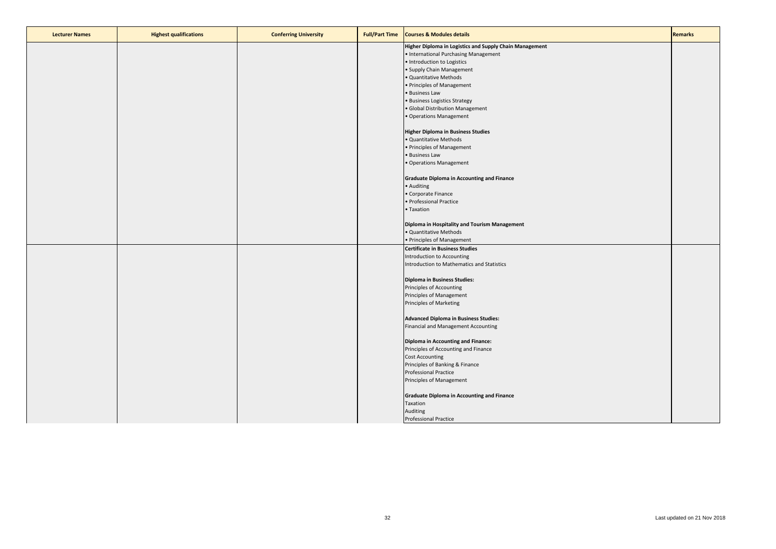| <b>Lecturer Names</b> | <b>Highest qualifications</b> | <b>Conferring University</b> | <b>Full/Part Time</b> | <b>Courses &amp; Modules details</b>                    | <b>Remarks</b> |
|-----------------------|-------------------------------|------------------------------|-----------------------|---------------------------------------------------------|----------------|
|                       |                               |                              |                       | Higher Diploma in Logistics and Supply Chain Management |                |
|                       |                               |                              |                       | • International Purchasing Management                   |                |
|                       |                               |                              |                       | · Introduction to Logistics                             |                |
|                       |                               |                              |                       | · Supply Chain Management                               |                |
|                       |                               |                              |                       | · Quantitative Methods                                  |                |
|                       |                               |                              |                       | • Principles of Management                              |                |
|                       |                               |                              |                       | • Business Law                                          |                |
|                       |                               |                              |                       | • Business Logistics Strategy                           |                |
|                       |                               |                              |                       | · Global Distribution Management                        |                |
|                       |                               |                              |                       | • Operations Management                                 |                |
|                       |                               |                              |                       |                                                         |                |
|                       |                               |                              |                       | <b>Higher Diploma in Business Studies</b>               |                |
|                       |                               |                              |                       | · Quantitative Methods                                  |                |
|                       |                               |                              |                       | • Principles of Management                              |                |
|                       |                               |                              |                       | · Business Law                                          |                |
|                       |                               |                              |                       | • Operations Management                                 |                |
|                       |                               |                              |                       |                                                         |                |
|                       |                               |                              |                       | <b>Graduate Diploma in Accounting and Finance</b>       |                |
|                       |                               |                              |                       | • Auditing                                              |                |
|                       |                               |                              |                       | • Corporate Finance                                     |                |
|                       |                               |                              |                       | · Professional Practice                                 |                |
|                       |                               |                              |                       | • Taxation                                              |                |
|                       |                               |                              |                       |                                                         |                |
|                       |                               |                              |                       | Diploma in Hospitality and Tourism Management           |                |
|                       |                               |                              |                       | · Quantitative Methods                                  |                |
|                       |                               |                              |                       | • Principles of Management                              |                |
|                       |                               |                              |                       | <b>Certificate in Business Studies</b>                  |                |
|                       |                               |                              |                       | Introduction to Accounting                              |                |
|                       |                               |                              |                       | Introduction to Mathematics and Statistics              |                |
|                       |                               |                              |                       |                                                         |                |
|                       |                               |                              |                       | Diploma in Business Studies:                            |                |
|                       |                               |                              |                       | Principles of Accounting                                |                |
|                       |                               |                              |                       | Principles of Management                                |                |
|                       |                               |                              |                       | Principles of Marketing                                 |                |
|                       |                               |                              |                       |                                                         |                |
|                       |                               |                              |                       | <b>Advanced Diploma in Business Studies:</b>            |                |
|                       |                               |                              |                       | Financial and Management Accounting                     |                |
|                       |                               |                              |                       |                                                         |                |
|                       |                               |                              |                       | Diploma in Accounting and Finance:                      |                |
|                       |                               |                              |                       | Principles of Accounting and Finance                    |                |
|                       |                               |                              |                       | <b>Cost Accounting</b>                                  |                |
|                       |                               |                              |                       | Principles of Banking & Finance                         |                |
|                       |                               |                              |                       | <b>Professional Practice</b>                            |                |
|                       |                               |                              |                       | Principles of Management                                |                |
|                       |                               |                              |                       |                                                         |                |
|                       |                               |                              |                       | <b>Graduate Diploma in Accounting and Finance</b>       |                |
|                       |                               |                              |                       | Taxation                                                |                |
|                       |                               |                              |                       | Auditing                                                |                |
|                       |                               |                              |                       | <b>Professional Practice</b>                            |                |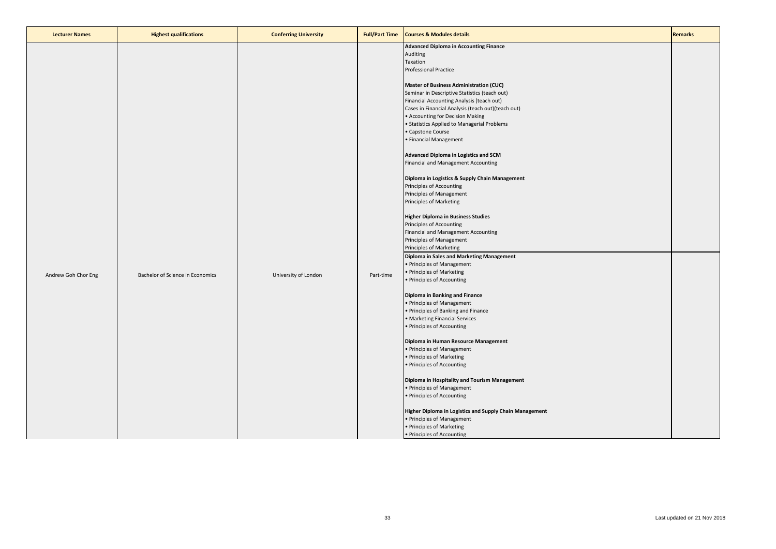| <b>Lecturer Names</b> | <b>Highest qualifications</b>    | <b>Conferring University</b> | <b>Full/Part Time</b> | <b>Courses &amp; Modules details</b>                                                                                                                                                                                                                                                                                                                                                                                                                                                                                                                                                                                                                                                                                                                                                                                                                                                                          | <b>Remarks</b> |
|-----------------------|----------------------------------|------------------------------|-----------------------|---------------------------------------------------------------------------------------------------------------------------------------------------------------------------------------------------------------------------------------------------------------------------------------------------------------------------------------------------------------------------------------------------------------------------------------------------------------------------------------------------------------------------------------------------------------------------------------------------------------------------------------------------------------------------------------------------------------------------------------------------------------------------------------------------------------------------------------------------------------------------------------------------------------|----------------|
|                       |                                  |                              |                       | <b>Advanced Diploma in Accounting Finance</b><br>Auditing<br>Taxation<br><b>Professional Practice</b><br>Master of Business Administration (CUC)<br>Seminar in Descriptive Statistics (teach out)<br>Financial Accounting Analysis (teach out)<br>Cases in Financial Analysis (teach out) (teach out)<br>• Accounting for Decision Making<br>• Statistics Applied to Managerial Problems<br>• Capstone Course<br>· Financial Management<br>Advanced Diploma in Logistics and SCM<br>Financial and Management Accounting<br>Diploma in Logistics & Supply Chain Management<br>Principles of Accounting<br>Principles of Management                                                                                                                                                                                                                                                                             |                |
| Andrew Goh Chor Eng   | Bachelor of Science in Economics | University of London         | Part-time             | Principles of Marketing<br><b>Higher Diploma in Business Studies</b><br>Principles of Accounting<br>Financial and Management Accounting<br>Principles of Management<br>Principles of Marketing<br>Diploma in Sales and Marketing Management<br>• Principles of Management<br>• Principles of Marketing<br>• Principles of Accounting<br>Diploma in Banking and Finance<br>• Principles of Management<br>• Principles of Banking and Finance<br>• Marketing Financial Services<br>• Principles of Accounting<br>Diploma in Human Resource Management<br>• Principles of Management<br>• Principles of Marketing<br>• Principles of Accounting<br>Diploma in Hospitality and Tourism Management<br>• Principles of Management<br>• Principles of Accounting<br>Higher Diploma in Logistics and Supply Chain Management<br>• Principles of Management<br>• Principles of Marketing<br>• Principles of Accounting |                |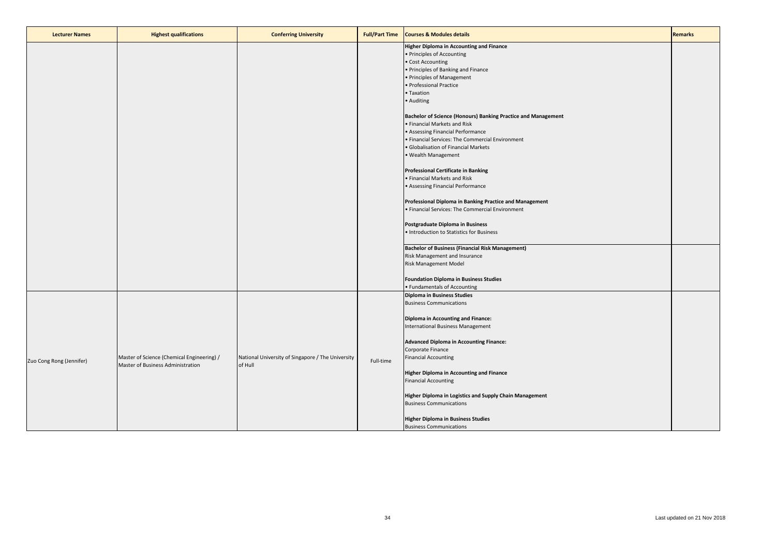| <b>Lecturer Names</b>    | <b>Highest qualifications</b>                                                   | <b>Conferring University</b>                                 | <b>Full/Part Time</b> | <b>Courses &amp; Modules details</b>                                                                                                                                                                                                                                                                                                                                                                                                                                                                                                                                                                                                                                                                                                                                                                                                                                                                                                                                           | <b>Remarks</b> |
|--------------------------|---------------------------------------------------------------------------------|--------------------------------------------------------------|-----------------------|--------------------------------------------------------------------------------------------------------------------------------------------------------------------------------------------------------------------------------------------------------------------------------------------------------------------------------------------------------------------------------------------------------------------------------------------------------------------------------------------------------------------------------------------------------------------------------------------------------------------------------------------------------------------------------------------------------------------------------------------------------------------------------------------------------------------------------------------------------------------------------------------------------------------------------------------------------------------------------|----------------|
|                          |                                                                                 |                                                              |                       | <b>Higher Diploma in Accounting and Finance</b><br>· Principles of Accounting<br>Cost Accounting<br>· Principles of Banking and Finance<br>· Principles of Management<br>· Professional Practice<br>· Taxation<br>• Auditing<br>Bachelor of Science (Honours) Banking Practice and Management<br>• Financial Markets and Risk<br>• Assessing Financial Performance<br>· Financial Services: The Commercial Environment<br>· Globalisation of Financial Markets<br>· Wealth Management<br><b>Professional Certificate in Banking</b><br>· Financial Markets and Risk<br>• Assessing Financial Performance<br>Professional Diploma in Banking Practice and Management<br>· Financial Services: The Commercial Environment<br>Postgraduate Diploma in Business<br>· Introduction to Statistics for Business<br><b>Bachelor of Business (Financial Risk Management)</b><br>Risk Management and Insurance<br>Risk Management Model<br><b>Foundation Diploma in Business Studies</b> |                |
| Zuo Cong Rong (Jennifer) | Master of Science (Chemical Engineering) /<br>Master of Business Administration | National University of Singapore / The University<br>of Hull | Full-time             | · Fundamentals of Accounting<br><b>Diploma in Business Studies</b><br><b>Business Communications</b><br><b>Diploma in Accounting and Finance:</b><br>International Business Management<br><b>Advanced Diploma in Accounting Finance:</b><br>Corporate Finance<br><b>Financial Accounting</b><br><b>Higher Diploma in Accounting and Finance</b><br><b>Financial Accounting</b><br>Higher Diploma in Logistics and Supply Chain Management<br><b>Business Communications</b><br><b>Higher Diploma in Business Studies</b><br><b>Business Communications</b>                                                                                                                                                                                                                                                                                                                                                                                                                     |                |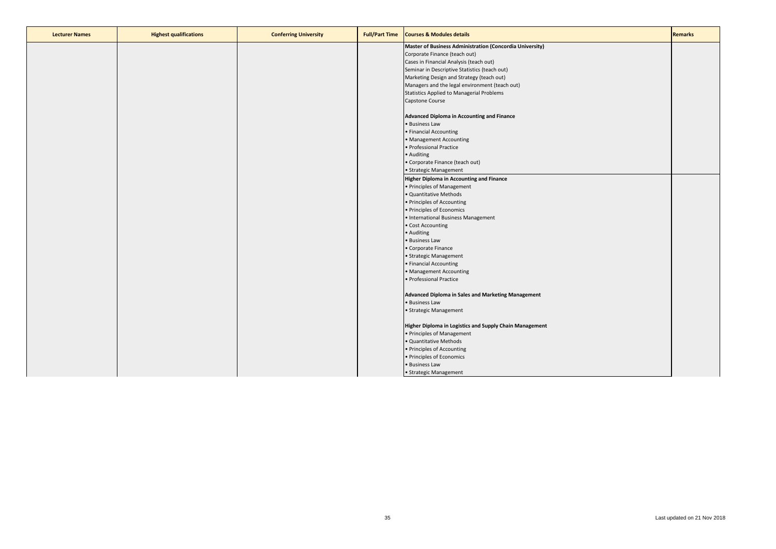| <b>Lecturer Names</b> | <b>Highest qualifications</b> | <b>Conferring University</b> | <b>Full/Part Time</b> | <b>Courses &amp; Modules details</b>                     | Remarks |
|-----------------------|-------------------------------|------------------------------|-----------------------|----------------------------------------------------------|---------|
|                       |                               |                              |                       | Master of Business Administration (Concordia University) |         |
|                       |                               |                              |                       | Corporate Finance (teach out)                            |         |
|                       |                               |                              |                       | Cases in Financial Analysis (teach out)                  |         |
|                       |                               |                              |                       | Seminar in Descriptive Statistics (teach out)            |         |
|                       |                               |                              |                       | Marketing Design and Strategy (teach out)                |         |
|                       |                               |                              |                       | Managers and the legal environment (teach out)           |         |
|                       |                               |                              |                       | <b>Statistics Applied to Managerial Problems</b>         |         |
|                       |                               |                              |                       | Capstone Course                                          |         |
|                       |                               |                              |                       | Advanced Diploma in Accounting and Finance               |         |
|                       |                               |                              |                       | • Business Law                                           |         |
|                       |                               |                              |                       | • Financial Accounting                                   |         |
|                       |                               |                              |                       | • Management Accounting                                  |         |
|                       |                               |                              |                       | · Professional Practice                                  |         |
|                       |                               |                              |                       | • Auditing                                               |         |
|                       |                               |                              |                       | • Corporate Finance (teach out)                          |         |
|                       |                               |                              |                       | • Strategic Management                                   |         |
|                       |                               |                              |                       | <b>Higher Diploma in Accounting and Finance</b>          |         |
|                       |                               |                              |                       | • Principles of Management                               |         |
|                       |                               |                              |                       | · Quantitative Methods                                   |         |
|                       |                               |                              |                       | • Principles of Accounting                               |         |
|                       |                               |                              |                       | • Principles of Economics                                |         |
|                       |                               |                              |                       | • International Business Management                      |         |
|                       |                               |                              |                       | • Cost Accounting                                        |         |
|                       |                               |                              |                       | • Auditing                                               |         |
|                       |                               |                              |                       | · Business Law                                           |         |
|                       |                               |                              |                       | • Corporate Finance                                      |         |
|                       |                               |                              |                       | • Strategic Management                                   |         |
|                       |                               |                              |                       | • Financial Accounting                                   |         |
|                       |                               |                              |                       | • Management Accounting                                  |         |
|                       |                               |                              |                       | · Professional Practice                                  |         |
|                       |                               |                              |                       | Advanced Diploma in Sales and Marketing Management       |         |
|                       |                               |                              |                       | • Business Law                                           |         |
|                       |                               |                              |                       | • Strategic Management                                   |         |
|                       |                               |                              |                       |                                                          |         |
|                       |                               |                              |                       | Higher Diploma in Logistics and Supply Chain Management  |         |
|                       |                               |                              |                       | • Principles of Management                               |         |
|                       |                               |                              |                       | · Quantitative Methods                                   |         |
|                       |                               |                              |                       | • Principles of Accounting                               |         |
|                       |                               |                              |                       | · Principles of Economics                                |         |
|                       |                               |                              |                       | · Business Law                                           |         |
|                       |                               |                              |                       | · Strategic Management                                   |         |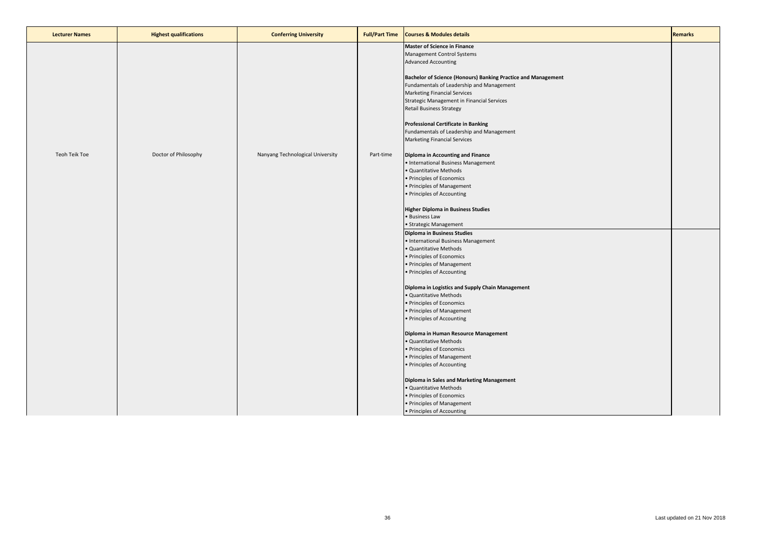| <b>Lecturer Names</b> | <b>Highest qualifications</b> | <b>Conferring University</b>     | <b>Full/Part Time</b> | <b>Courses &amp; Modules details</b>                                                                                                                                                                                                                                                                                                                                                                                                                                                                                                                                                                                                                                                           | <b>Remarks</b> |
|-----------------------|-------------------------------|----------------------------------|-----------------------|------------------------------------------------------------------------------------------------------------------------------------------------------------------------------------------------------------------------------------------------------------------------------------------------------------------------------------------------------------------------------------------------------------------------------------------------------------------------------------------------------------------------------------------------------------------------------------------------------------------------------------------------------------------------------------------------|----------------|
|                       |                               |                                  |                       | <b>Master of Science in Finance</b><br>Management Control Systems<br><b>Advanced Accounting</b><br>Bachelor of Science (Honours) Banking Practice and Management<br>Fundamentals of Leadership and Management<br><b>Marketing Financial Services</b><br>Strategic Management in Financial Services<br><b>Retail Business Strategy</b><br><b>Professional Certificate in Banking</b><br>Fundamentals of Leadership and Management<br><b>Marketing Financial Services</b>                                                                                                                                                                                                                        |                |
| Teoh Teik Toe         | Doctor of Philosophy          | Nanyang Technological University | Part-time             | Diploma in Accounting and Finance<br>• International Business Management<br>· Quantitative Methods<br>· Principles of Economics<br>• Principles of Management<br>· Principles of Accounting<br><b>Higher Diploma in Business Studies</b><br>· Business Law<br>• Strategic Management                                                                                                                                                                                                                                                                                                                                                                                                           |                |
|                       |                               |                                  |                       | <b>Diploma in Business Studies</b><br>• International Business Management<br>· Quantitative Methods<br>· Principles of Economics<br>• Principles of Management<br>· Principles of Accounting<br>Diploma in Logistics and Supply Chain Management<br>· Quantitative Methods<br>· Principles of Economics<br>• Principles of Management<br>· Principles of Accounting<br>Diploma in Human Resource Management<br>· Quantitative Methods<br>· Principles of Economics<br>• Principles of Management<br>· Principles of Accounting<br>Diploma in Sales and Marketing Management<br>· Quantitative Methods<br>· Principles of Economics<br>• Principles of Management<br>• Principles of Accounting |                |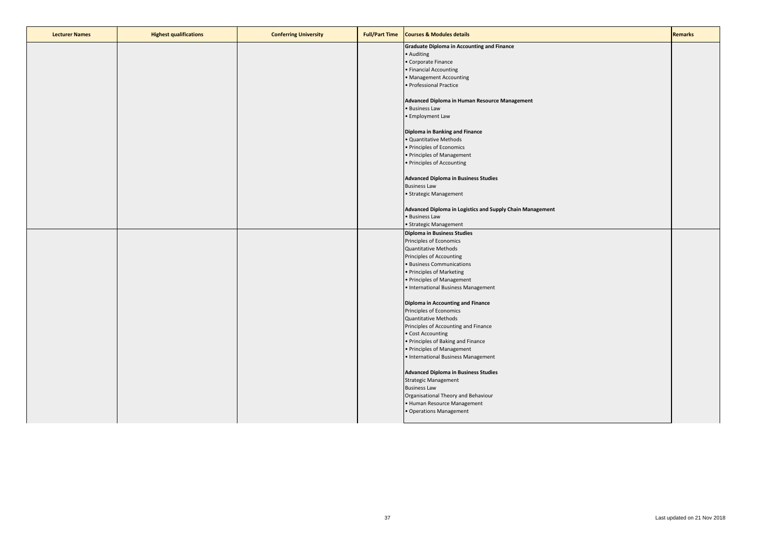| <b>Lecturer Names</b> | <b>Highest qualifications</b> | <b>Conferring University</b> | <b>Full/Part Time</b> | <b>Courses &amp; Modules details</b>                      | <b>Remarks</b> |
|-----------------------|-------------------------------|------------------------------|-----------------------|-----------------------------------------------------------|----------------|
|                       |                               |                              |                       | <b>Graduate Diploma in Accounting and Finance</b>         |                |
|                       |                               |                              |                       | · Auditing                                                |                |
|                       |                               |                              |                       | Corporate Finance                                         |                |
|                       |                               |                              |                       | · Financial Accounting                                    |                |
|                       |                               |                              |                       | <b>Management Accounting</b>                              |                |
|                       |                               |                              |                       | · Professional Practice                                   |                |
|                       |                               |                              |                       |                                                           |                |
|                       |                               |                              |                       | Advanced Diploma in Human Resource Management             |                |
|                       |                               |                              |                       | · Business Law                                            |                |
|                       |                               |                              |                       | • Employment Law                                          |                |
|                       |                               |                              |                       |                                                           |                |
|                       |                               |                              |                       | Diploma in Banking and Finance                            |                |
|                       |                               |                              |                       | Quantitative Methods                                      |                |
|                       |                               |                              |                       | · Principles of Economics                                 |                |
|                       |                               |                              |                       | · Principles of Management                                |                |
|                       |                               |                              |                       | · Principles of Accounting                                |                |
|                       |                               |                              |                       |                                                           |                |
|                       |                               |                              |                       | <b>Advanced Diploma in Business Studies</b>               |                |
|                       |                               |                              |                       | <b>Business Law</b>                                       |                |
|                       |                               |                              |                       | · Strategic Management                                    |                |
|                       |                               |                              |                       |                                                           |                |
|                       |                               |                              |                       | Advanced Diploma in Logistics and Supply Chain Management |                |
|                       |                               |                              |                       | · Business Law                                            |                |
|                       |                               |                              |                       | · Strategic Management                                    |                |
|                       |                               |                              |                       | <b>Diploma in Business Studies</b>                        |                |
|                       |                               |                              |                       | Principles of Economics                                   |                |
|                       |                               |                              |                       | <b>Quantitative Methods</b>                               |                |
|                       |                               |                              |                       | Principles of Accounting                                  |                |
|                       |                               |                              |                       | <b>Business Communications</b>                            |                |
|                       |                               |                              |                       | • Principles of Marketing                                 |                |
|                       |                               |                              |                       | · Principles of Management                                |                |
|                       |                               |                              |                       | · International Business Management                       |                |
|                       |                               |                              |                       |                                                           |                |
|                       |                               |                              |                       | Diploma in Accounting and Finance                         |                |
|                       |                               |                              |                       | Principles of Economics                                   |                |
|                       |                               |                              |                       | <b>Quantitative Methods</b>                               |                |
|                       |                               |                              |                       | Principles of Accounting and Finance                      |                |
|                       |                               |                              |                       | · Cost Accounting                                         |                |
|                       |                               |                              |                       | • Principles of Baking and Finance                        |                |
|                       |                               |                              |                       | · Principles of Management                                |                |
|                       |                               |                              |                       | · International Business Management                       |                |
|                       |                               |                              |                       |                                                           |                |
|                       |                               |                              |                       | <b>Advanced Diploma in Business Studies</b>               |                |
|                       |                               |                              |                       | Strategic Management                                      |                |
|                       |                               |                              |                       | <b>Business Law</b>                                       |                |
|                       |                               |                              |                       | Organisational Theory and Behaviour                       |                |
|                       |                               |                              |                       | · Human Resource Management                               |                |
|                       |                               |                              |                       | · Operations Management                                   |                |
|                       |                               |                              |                       |                                                           |                |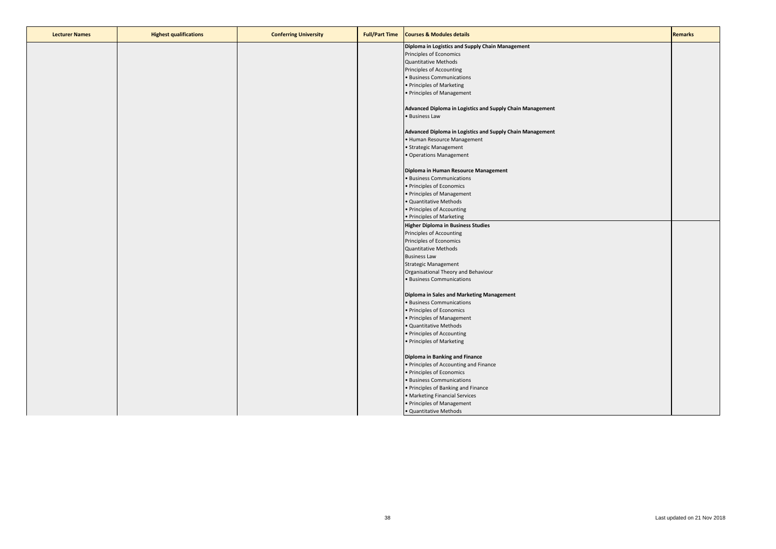| <b>Lecturer Names</b> | <b>Highest qualifications</b> | <b>Conferring University</b> | <b>Full/Part Time</b> | <b>Courses &amp; Modules details</b>                      | <b>Remarks</b> |
|-----------------------|-------------------------------|------------------------------|-----------------------|-----------------------------------------------------------|----------------|
|                       |                               |                              |                       | Diploma in Logistics and Supply Chain Management          |                |
|                       |                               |                              |                       | Principles of Economics                                   |                |
|                       |                               |                              |                       | <b>Quantitative Methods</b>                               |                |
|                       |                               |                              |                       | Principles of Accounting                                  |                |
|                       |                               |                              |                       | · Business Communications                                 |                |
|                       |                               |                              |                       | • Principles of Marketing                                 |                |
|                       |                               |                              |                       | • Principles of Management                                |                |
|                       |                               |                              |                       |                                                           |                |
|                       |                               |                              |                       | Advanced Diploma in Logistics and Supply Chain Management |                |
|                       |                               |                              |                       | • Business Law                                            |                |
|                       |                               |                              |                       |                                                           |                |
|                       |                               |                              |                       | Advanced Diploma in Logistics and Supply Chain Management |                |
|                       |                               |                              |                       | • Human Resource Management                               |                |
|                       |                               |                              |                       | • Strategic Management                                    |                |
|                       |                               |                              |                       | • Operations Management                                   |                |
|                       |                               |                              |                       | Diploma in Human Resource Management                      |                |
|                       |                               |                              |                       | · Business Communications                                 |                |
|                       |                               |                              |                       | • Principles of Economics                                 |                |
|                       |                               |                              |                       | • Principles of Management                                |                |
|                       |                               |                              |                       | · Quantitative Methods                                    |                |
|                       |                               |                              |                       | • Principles of Accounting                                |                |
|                       |                               |                              |                       | • Principles of Marketing                                 |                |
|                       |                               |                              |                       | <b>Higher Diploma in Business Studies</b>                 |                |
|                       |                               |                              |                       | Principles of Accounting                                  |                |
|                       |                               |                              |                       |                                                           |                |
|                       |                               |                              |                       | Principles of Economics<br>Quantitative Methods           |                |
|                       |                               |                              |                       |                                                           |                |
|                       |                               |                              |                       | <b>Business Law</b>                                       |                |
|                       |                               |                              |                       | <b>Strategic Management</b>                               |                |
|                       |                               |                              |                       | Organisational Theory and Behaviour                       |                |
|                       |                               |                              |                       | · Business Communications                                 |                |
|                       |                               |                              |                       | Diploma in Sales and Marketing Management                 |                |
|                       |                               |                              |                       | · Business Communications                                 |                |
|                       |                               |                              |                       | • Principles of Economics                                 |                |
|                       |                               |                              |                       | • Principles of Management                                |                |
|                       |                               |                              |                       | · Quantitative Methods                                    |                |
|                       |                               |                              |                       | • Principles of Accounting                                |                |
|                       |                               |                              |                       | • Principles of Marketing                                 |                |
|                       |                               |                              |                       |                                                           |                |
|                       |                               |                              |                       | Diploma in Banking and Finance                            |                |
|                       |                               |                              |                       | • Principles of Accounting and Finance                    |                |
|                       |                               |                              |                       | • Principles of Economics                                 |                |
|                       |                               |                              |                       | · Business Communications                                 |                |
|                       |                               |                              |                       | • Principles of Banking and Finance                       |                |
|                       |                               |                              |                       | • Marketing Financial Services                            |                |
|                       |                               |                              |                       | • Principles of Management                                |                |
|                       |                               |                              |                       | · Quantitative Methods                                    |                |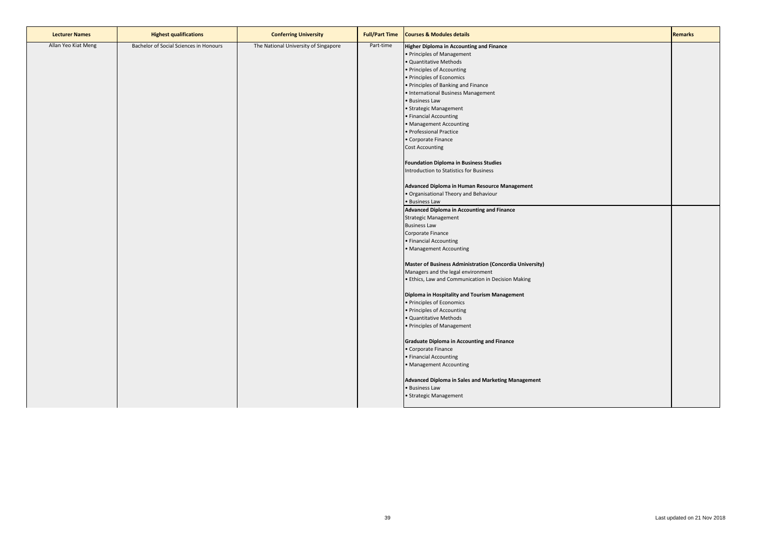| <b>Lecturer Names</b> | <b>Highest qualifications</b>          | <b>Conferring University</b>         | <b>Full/Part Time</b> | <b>Courses &amp; Modules details</b>                     | <b>Remarks</b> |
|-----------------------|----------------------------------------|--------------------------------------|-----------------------|----------------------------------------------------------|----------------|
| Allan Yeo Kiat Meng   | Bachelor of Social Sciences in Honours | The National University of Singapore | Part-time             | <b>Higher Diploma in Accounting and Finance</b>          |                |
|                       |                                        |                                      |                       | • Principles of Management                               |                |
|                       |                                        |                                      |                       | · Quantitative Methods                                   |                |
|                       |                                        |                                      |                       | • Principles of Accounting                               |                |
|                       |                                        |                                      |                       | · Principles of Economics                                |                |
|                       |                                        |                                      |                       | • Principles of Banking and Finance                      |                |
|                       |                                        |                                      |                       | • International Business Management                      |                |
|                       |                                        |                                      |                       | · Business Law                                           |                |
|                       |                                        |                                      |                       | • Strategic Management                                   |                |
|                       |                                        |                                      |                       | • Financial Accounting                                   |                |
|                       |                                        |                                      |                       | • Management Accounting                                  |                |
|                       |                                        |                                      |                       | · Professional Practice                                  |                |
|                       |                                        |                                      |                       | • Corporate Finance                                      |                |
|                       |                                        |                                      |                       | <b>Cost Accounting</b>                                   |                |
|                       |                                        |                                      |                       |                                                          |                |
|                       |                                        |                                      |                       | <b>Foundation Diploma in Business Studies</b>            |                |
|                       |                                        |                                      |                       | Introduction to Statistics for Business                  |                |
|                       |                                        |                                      |                       |                                                          |                |
|                       |                                        |                                      |                       | Advanced Diploma in Human Resource Management            |                |
|                       |                                        |                                      |                       | · Organisational Theory and Behaviour                    |                |
|                       |                                        |                                      |                       | · Business Law                                           |                |
|                       |                                        |                                      |                       | Advanced Diploma in Accounting and Finance               |                |
|                       |                                        |                                      |                       | <b>Strategic Management</b>                              |                |
|                       |                                        |                                      |                       | <b>Business Law</b>                                      |                |
|                       |                                        |                                      |                       | Corporate Finance                                        |                |
|                       |                                        |                                      |                       | • Financial Accounting                                   |                |
|                       |                                        |                                      |                       | • Management Accounting                                  |                |
|                       |                                        |                                      |                       |                                                          |                |
|                       |                                        |                                      |                       | Master of Business Administration (Concordia University) |                |
|                       |                                        |                                      |                       | Managers and the legal environment                       |                |
|                       |                                        |                                      |                       | · Ethics, Law and Communication in Decision Making       |                |
|                       |                                        |                                      |                       |                                                          |                |
|                       |                                        |                                      |                       | Diploma in Hospitality and Tourism Management            |                |
|                       |                                        |                                      |                       | · Principles of Economics                                |                |
|                       |                                        |                                      |                       | • Principles of Accounting                               |                |
|                       |                                        |                                      |                       | · Quantitative Methods                                   |                |
|                       |                                        |                                      |                       | • Principles of Management                               |                |
|                       |                                        |                                      |                       |                                                          |                |
|                       |                                        |                                      |                       | <b>Graduate Diploma in Accounting and Finance</b>        |                |
|                       |                                        |                                      |                       | • Corporate Finance                                      |                |
|                       |                                        |                                      |                       | • Financial Accounting                                   |                |
|                       |                                        |                                      |                       | • Management Accounting                                  |                |
|                       |                                        |                                      |                       |                                                          |                |
|                       |                                        |                                      |                       | Advanced Diploma in Sales and Marketing Management       |                |
|                       |                                        |                                      |                       | · Business Law                                           |                |
|                       |                                        |                                      |                       | · Strategic Management                                   |                |
|                       |                                        |                                      |                       |                                                          |                |
|                       |                                        |                                      |                       |                                                          |                |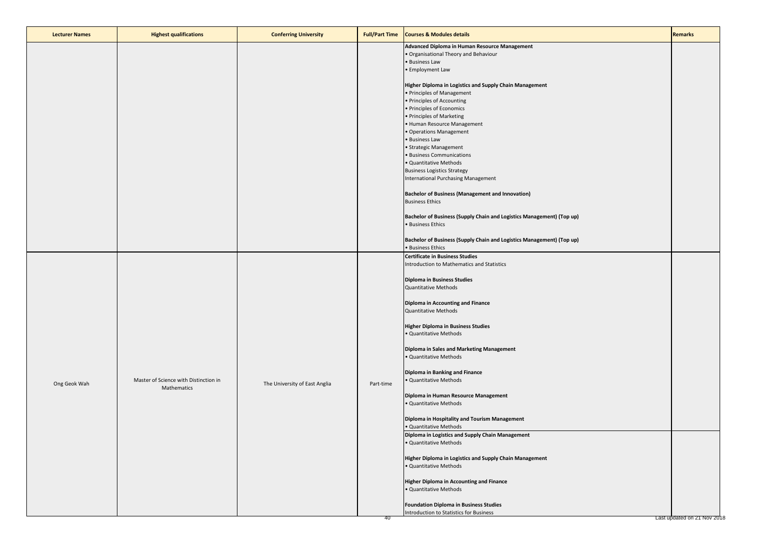| <b>Lecturer Names</b> | <b>Highest qualifications</b>                        | <b>Conferring University</b>  | <b>Full/Part Time</b> | <b>Courses &amp; Modules details</b>                                                       | <b>Remarks</b>              |
|-----------------------|------------------------------------------------------|-------------------------------|-----------------------|--------------------------------------------------------------------------------------------|-----------------------------|
|                       |                                                      |                               |                       | Advanced Diploma in Human Resource Management<br>· Organisational Theory and Behaviour     |                             |
|                       |                                                      |                               |                       | · Business Law<br>• Employment Law                                                         |                             |
|                       |                                                      |                               |                       | Higher Diploma in Logistics and Supply Chain Management<br>· Principles of Management      |                             |
|                       |                                                      |                               |                       | • Principles of Accounting                                                                 |                             |
|                       |                                                      |                               |                       | · Principles of Economics                                                                  |                             |
|                       |                                                      |                               |                       | • Principles of Marketing<br>• Human Resource Management                                   |                             |
|                       |                                                      |                               |                       | · Operations Management                                                                    |                             |
|                       |                                                      |                               |                       | · Business Law                                                                             |                             |
|                       |                                                      |                               |                       | • Strategic Management                                                                     |                             |
|                       |                                                      |                               |                       | · Business Communications<br>· Quantitative Methods                                        |                             |
|                       |                                                      |                               |                       | <b>Business Logistics Strategy</b>                                                         |                             |
|                       |                                                      |                               |                       | International Purchasing Management                                                        |                             |
|                       |                                                      |                               |                       | <b>Bachelor of Business (Management and Innovation)</b>                                    |                             |
|                       |                                                      |                               |                       | <b>Business Ethics</b>                                                                     |                             |
|                       |                                                      |                               |                       | Bachelor of Business (Supply Chain and Logistics Management) (Top up)                      |                             |
|                       |                                                      |                               |                       | • Business Ethics                                                                          |                             |
|                       |                                                      |                               |                       | Bachelor of Business (Supply Chain and Logistics Management) (Top up)<br>• Business Ethics |                             |
|                       |                                                      |                               |                       | <b>Certificate in Business Studies</b>                                                     |                             |
|                       |                                                      |                               |                       | Introduction to Mathematics and Statistics                                                 |                             |
|                       |                                                      |                               |                       | <b>Diploma in Business Studies</b>                                                         |                             |
|                       |                                                      |                               |                       | <b>Quantitative Methods</b>                                                                |                             |
|                       |                                                      |                               |                       | Diploma in Accounting and Finance                                                          |                             |
|                       |                                                      |                               |                       | Quantitative Methods                                                                       |                             |
|                       |                                                      |                               |                       | <b>Higher Diploma in Business Studies</b>                                                  |                             |
|                       |                                                      |                               |                       | · Quantitative Methods                                                                     |                             |
|                       |                                                      |                               |                       | Diploma in Sales and Marketing Management                                                  |                             |
|                       |                                                      |                               |                       | · Quantitative Methods                                                                     |                             |
|                       |                                                      |                               |                       | Diploma in Banking and Finance                                                             |                             |
| Ong Geok Wah          | Master of Science with Distinction in<br>Mathematics | The University of East Anglia | Part-time             | · Quantitative Methods                                                                     |                             |
|                       |                                                      |                               |                       | Diploma in Human Resource Management                                                       |                             |
|                       |                                                      |                               |                       | · Quantitative Methods                                                                     |                             |
|                       |                                                      |                               |                       | Diploma in Hospitality and Tourism Management                                              |                             |
|                       |                                                      |                               |                       | · Quantitative Methods<br>Diploma in Logistics and Supply Chain Management                 |                             |
|                       |                                                      |                               |                       | · Quantitative Methods                                                                     |                             |
|                       |                                                      |                               |                       | Higher Diploma in Logistics and Supply Chain Management                                    |                             |
|                       |                                                      |                               |                       | · Quantitative Methods                                                                     |                             |
|                       |                                                      |                               |                       | <b>Higher Diploma in Accounting and Finance</b>                                            |                             |
|                       |                                                      |                               |                       | · Quantitative Methods                                                                     |                             |
|                       |                                                      |                               |                       | <b>Foundation Diploma in Business Studies</b>                                              |                             |
|                       |                                                      |                               |                       | Introduction to Statistics for Business                                                    |                             |
|                       |                                                      |                               | 40                    |                                                                                            | Last updated on 21 Nov 2018 |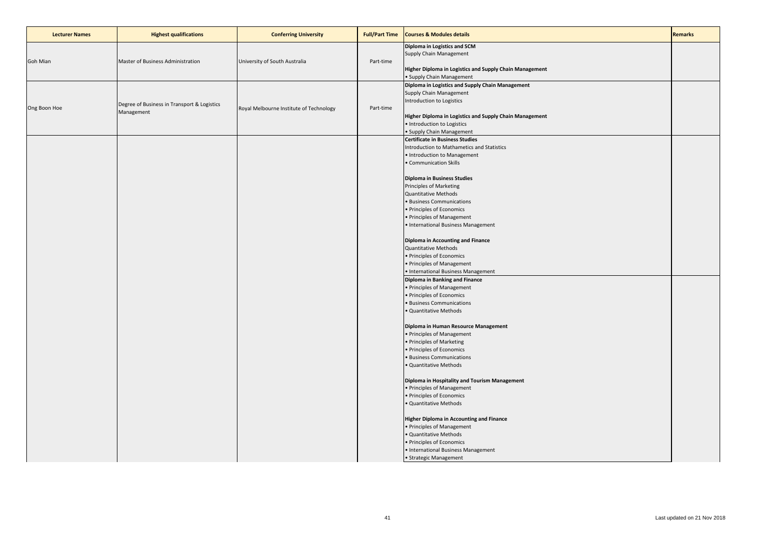| <b>Lecturer Names</b> | <b>Highest qualifications</b>                             | <b>Conferring University</b>            | <b>Full/Part Time</b> | <b>Courses &amp; Modules details</b>                                                                                                                                                                                                                                                                                                                                                                                                                                                                                                                                                                                                                                                                                                                                                                                                                                                                                                                                                                                                                                                                                                                                                                                                             | <b>Remarks</b> |
|-----------------------|-----------------------------------------------------------|-----------------------------------------|-----------------------|--------------------------------------------------------------------------------------------------------------------------------------------------------------------------------------------------------------------------------------------------------------------------------------------------------------------------------------------------------------------------------------------------------------------------------------------------------------------------------------------------------------------------------------------------------------------------------------------------------------------------------------------------------------------------------------------------------------------------------------------------------------------------------------------------------------------------------------------------------------------------------------------------------------------------------------------------------------------------------------------------------------------------------------------------------------------------------------------------------------------------------------------------------------------------------------------------------------------------------------------------|----------------|
| Goh Mian              | Master of Business Administration                         | University of South Australia           | Part-time             | Diploma in Logistics and SCM<br>Supply Chain Management<br>Higher Diploma in Logistics and Supply Chain Management<br>· Supply Chain Management                                                                                                                                                                                                                                                                                                                                                                                                                                                                                                                                                                                                                                                                                                                                                                                                                                                                                                                                                                                                                                                                                                  |                |
| Ong Boon Hoe          | Degree of Business in Transport & Logistics<br>Management | Royal Melbourne Institute of Technology | Part-time             | Diploma in Logistics and Supply Chain Management<br>Supply Chain Management<br>Introduction to Logistics<br>Higher Diploma in Logistics and Supply Chain Management<br>· Introduction to Logistics<br>· Supply Chain Management                                                                                                                                                                                                                                                                                                                                                                                                                                                                                                                                                                                                                                                                                                                                                                                                                                                                                                                                                                                                                  |                |
|                       |                                                           |                                         |                       | <b>Certificate in Business Studies</b><br>Introduction to Mathametics and Statistics<br>• Introduction to Management<br>• Communication Skills<br>Diploma in Business Studies<br>Principles of Marketing<br><b>Quantitative Methods</b><br>· Business Communications<br>• Principles of Economics<br>• Principles of Management<br>• International Business Management<br>Diploma in Accounting and Finance<br><b>Quantitative Methods</b><br>• Principles of Economics<br>• Principles of Management<br>• International Business Management<br>Diploma in Banking and Finance<br>• Principles of Management<br>· Principles of Economics<br><b>Business Communications</b><br>· Quantitative Methods<br>Diploma in Human Resource Management<br>• Principles of Management<br>• Principles of Marketing<br>· Principles of Economics<br><b>Business Communications</b><br>· Quantitative Methods<br>Diploma in Hospitality and Tourism Management<br>• Principles of Management<br>· Principles of Economics<br>· Quantitative Methods<br><b>Higher Diploma in Accounting and Finance</b><br>• Principles of Management<br>· Quantitative Methods<br>· Principles of Economics<br>• International Business Management<br>· Strategic Management |                |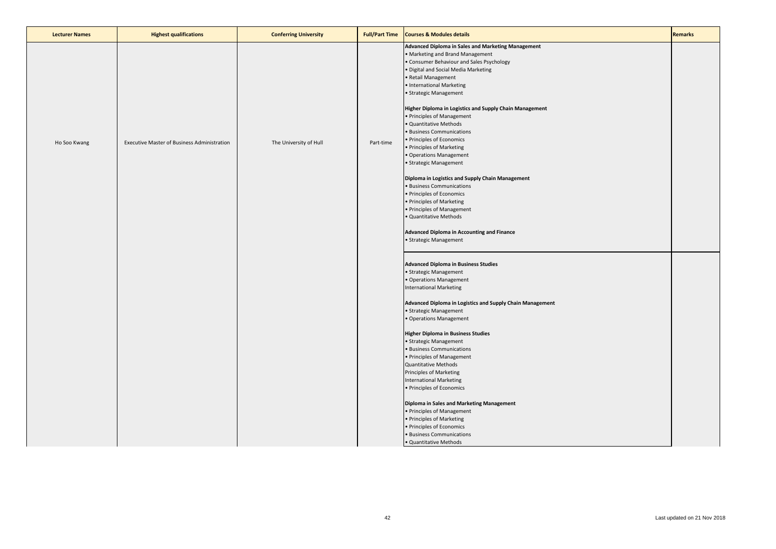| <b>Lecturer Names</b> | <b>Highest qualifications</b>               | <b>Conferring University</b> | <b>Full/Part Time</b> | <b>Courses &amp; Modules details</b>                                                                                                                                                                                                                                                                                                                                                                                                                                                                                                                                                                                                                                                                                                                                                                | <b>Remarks</b> |
|-----------------------|---------------------------------------------|------------------------------|-----------------------|-----------------------------------------------------------------------------------------------------------------------------------------------------------------------------------------------------------------------------------------------------------------------------------------------------------------------------------------------------------------------------------------------------------------------------------------------------------------------------------------------------------------------------------------------------------------------------------------------------------------------------------------------------------------------------------------------------------------------------------------------------------------------------------------------------|----------------|
| Ho Soo Kwang          | Executive Master of Business Administration | The University of Hull       | Part-time             | Advanced Diploma in Sales and Marketing Management<br>Marketing and Brand Management<br>Consumer Behaviour and Sales Psychology<br>Digital and Social Media Marketing<br>Retail Management<br>· International Marketing<br>Strategic Management<br>Higher Diploma in Logistics and Supply Chain Management<br>• Principles of Management<br>· Quantitative Methods<br><b>Business Communications</b><br>· Principles of Economics<br>• Principles of Marketing<br>· Operations Management<br>· Strategic Management<br>Diploma in Logistics and Supply Chain Management<br><b>Business Communications</b><br>· Principles of Economics<br>· Principles of Marketing<br>• Principles of Management<br>· Quantitative Methods<br>Advanced Diploma in Accounting and Finance<br>• Strategic Management |                |
|                       |                                             |                              |                       | <b>Advanced Diploma in Business Studies</b><br>• Strategic Management<br>· Operations Management<br><b>International Marketing</b><br>Advanced Diploma in Logistics and Supply Chain Management<br>· Strategic Management<br>Operations Management<br><b>Higher Diploma in Business Studies</b><br>· Strategic Management<br>· Business Communications<br>· Principles of Management<br><b>Quantitative Methods</b><br>Principles of Marketing<br><b>International Marketing</b><br>• Principles of Economics<br>Diploma in Sales and Marketing Management<br>• Principles of Management<br>· Principles of Marketing<br>· Principles of Economics<br>· Business Communications<br>· Quantitative Methods                                                                                           |                |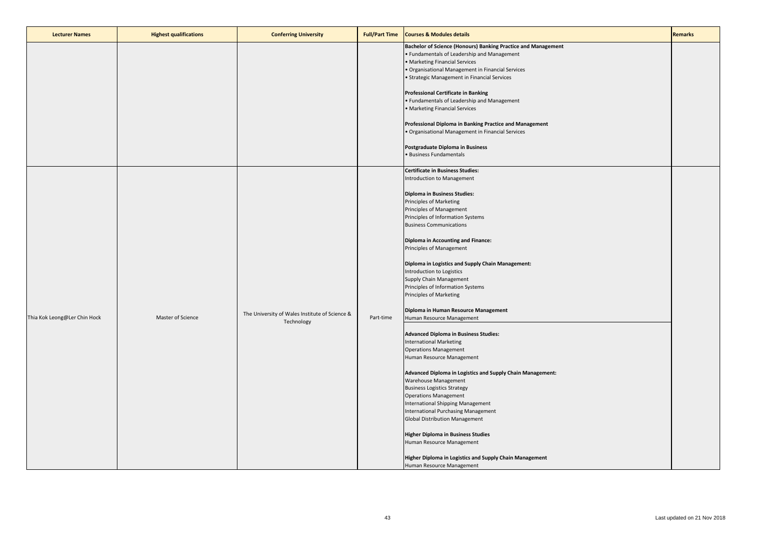| <b>Lecturer Names</b>        | <b>Highest qualifications</b> | <b>Conferring University</b>                                 | <b>Full/Part Time</b> | <b>Courses &amp; Modules details</b>                                                                                                                                                                                                                                                                                                                                                                                                                                                                                                                                                                                                                                                                                                                                                                                                                                                                                                                                                                                                        | <b>Remarks</b> |
|------------------------------|-------------------------------|--------------------------------------------------------------|-----------------------|---------------------------------------------------------------------------------------------------------------------------------------------------------------------------------------------------------------------------------------------------------------------------------------------------------------------------------------------------------------------------------------------------------------------------------------------------------------------------------------------------------------------------------------------------------------------------------------------------------------------------------------------------------------------------------------------------------------------------------------------------------------------------------------------------------------------------------------------------------------------------------------------------------------------------------------------------------------------------------------------------------------------------------------------|----------------|
|                              |                               |                                                              |                       | Bachelor of Science (Honours) Banking Practice and Management<br>• Fundamentals of Leadership and Management<br>• Marketing Financial Services<br>• Organisational Management in Financial Services<br>• Strategic Management in Financial Services                                                                                                                                                                                                                                                                                                                                                                                                                                                                                                                                                                                                                                                                                                                                                                                         |                |
|                              |                               |                                                              |                       | <b>Professional Certificate in Banking</b><br>• Fundamentals of Leadership and Management<br>• Marketing Financial Services                                                                                                                                                                                                                                                                                                                                                                                                                                                                                                                                                                                                                                                                                                                                                                                                                                                                                                                 |                |
|                              |                               |                                                              |                       | Professional Diploma in Banking Practice and Management<br>• Organisational Management in Financial Services                                                                                                                                                                                                                                                                                                                                                                                                                                                                                                                                                                                                                                                                                                                                                                                                                                                                                                                                |                |
|                              |                               |                                                              |                       | Postgraduate Diploma in Business<br>· Business Fundamentals                                                                                                                                                                                                                                                                                                                                                                                                                                                                                                                                                                                                                                                                                                                                                                                                                                                                                                                                                                                 |                |
| Thia Kok Leong@Ler Chin Hock | Master of Science             | The University of Wales Institute of Science &<br>Technology | Part-time             | <b>Certificate in Business Studies:</b><br>Introduction to Management<br>Diploma in Business Studies:<br>Principles of Marketing<br>Principles of Management<br>Principles of Information Systems<br><b>Business Communications</b><br>Diploma in Accounting and Finance:<br>Principles of Management<br>Diploma in Logistics and Supply Chain Management:<br>Introduction to Logistics<br>Supply Chain Management<br>Principles of Information Systems<br>Principles of Marketing<br>Diploma in Human Resource Management<br>Human Resource Management<br><b>Advanced Diploma in Business Studies:</b><br><b>International Marketing</b><br><b>Operations Management</b><br>Human Resource Management<br>Advanced Diploma in Logistics and Supply Chain Management:<br><b>Warehouse Management</b><br><b>Business Logistics Strategy</b><br><b>Operations Management</b><br>International Shipping Management<br>International Purchasing Management<br><b>Global Distribution Management</b><br><b>Higher Diploma in Business Studies</b> |                |
|                              |                               |                                                              |                       | Human Resource Management<br>Higher Diploma in Logistics and Supply Chain Management<br>Human Resource Management                                                                                                                                                                                                                                                                                                                                                                                                                                                                                                                                                                                                                                                                                                                                                                                                                                                                                                                           |                |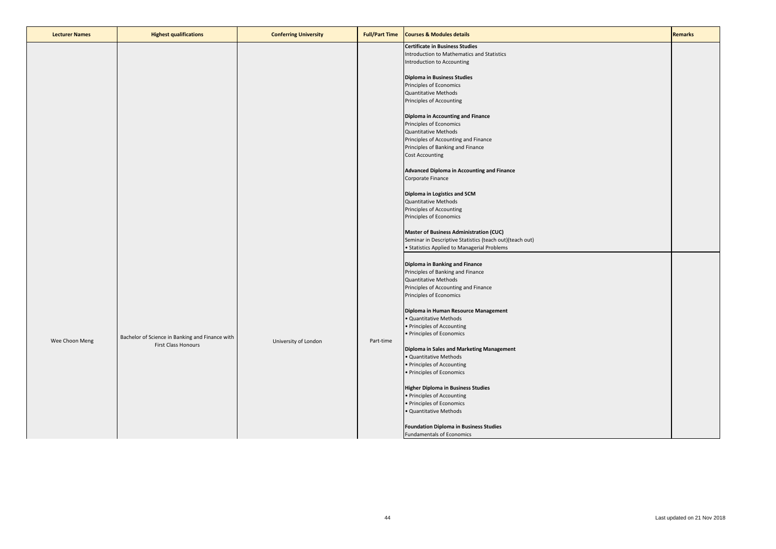| <b>Lecturer Names</b> | <b>Highest qualifications</b>                   | <b>Conferring University</b> | <b>Full/Part Time</b> | <b>Courses &amp; Modules details</b>                      | <b>Remarks</b> |
|-----------------------|-------------------------------------------------|------------------------------|-----------------------|-----------------------------------------------------------|----------------|
|                       |                                                 |                              |                       | <b>Certificate in Business Studies</b>                    |                |
|                       |                                                 |                              |                       | Introduction to Mathematics and Statistics                |                |
|                       |                                                 |                              |                       | Introduction to Accounting                                |                |
|                       |                                                 |                              |                       |                                                           |                |
|                       |                                                 |                              |                       | <b>Diploma in Business Studies</b>                        |                |
|                       |                                                 |                              |                       | Principles of Economics                                   |                |
|                       |                                                 |                              |                       | <b>Quantitative Methods</b>                               |                |
|                       |                                                 |                              |                       | Principles of Accounting                                  |                |
|                       |                                                 |                              |                       |                                                           |                |
|                       |                                                 |                              |                       | <b>Diploma in Accounting and Finance</b>                  |                |
|                       |                                                 |                              |                       | Principles of Economics                                   |                |
|                       |                                                 |                              |                       | <b>Quantitative Methods</b>                               |                |
|                       |                                                 |                              |                       | Principles of Accounting and Finance                      |                |
|                       |                                                 |                              |                       | Principles of Banking and Finance                         |                |
|                       |                                                 |                              |                       | <b>Cost Accounting</b>                                    |                |
|                       |                                                 |                              |                       |                                                           |                |
|                       |                                                 |                              |                       | Advanced Diploma in Accounting and Finance                |                |
|                       |                                                 |                              |                       | Corporate Finance                                         |                |
|                       |                                                 |                              |                       |                                                           |                |
|                       |                                                 |                              |                       | Diploma in Logistics and SCM                              |                |
|                       |                                                 |                              |                       | <b>Quantitative Methods</b>                               |                |
|                       |                                                 |                              |                       | Principles of Accounting                                  |                |
|                       |                                                 |                              |                       | Principles of Economics                                   |                |
|                       |                                                 |                              |                       |                                                           |                |
|                       |                                                 |                              |                       | <b>Master of Business Administration (CUC)</b>            |                |
|                       |                                                 |                              |                       | Seminar in Descriptive Statistics (teach out) (teach out) |                |
|                       |                                                 |                              |                       | • Statistics Applied to Managerial Problems               |                |
|                       |                                                 |                              |                       |                                                           |                |
|                       |                                                 |                              |                       | Diploma in Banking and Finance                            |                |
|                       |                                                 |                              |                       | Principles of Banking and Finance                         |                |
|                       |                                                 |                              |                       | <b>Quantitative Methods</b>                               |                |
|                       |                                                 |                              |                       | Principles of Accounting and Finance                      |                |
|                       |                                                 |                              |                       | Principles of Economics                                   |                |
|                       |                                                 |                              |                       |                                                           |                |
|                       |                                                 |                              |                       | Diploma in Human Resource Management                      |                |
|                       |                                                 |                              |                       | · Quantitative Methods                                    |                |
|                       |                                                 |                              |                       | • Principles of Accounting                                |                |
|                       | Bachelor of Science in Banking and Finance with |                              |                       | • Principles of Economics                                 |                |
| Wee Choon Meng        | <b>First Class Honours</b>                      | University of London         | Part-time             |                                                           |                |
|                       |                                                 |                              |                       | Diploma in Sales and Marketing Management                 |                |
|                       |                                                 |                              |                       | · Quantitative Methods                                    |                |
|                       |                                                 |                              |                       | • Principles of Accounting                                |                |
|                       |                                                 |                              |                       | · Principles of Economics                                 |                |
|                       |                                                 |                              |                       |                                                           |                |
|                       |                                                 |                              |                       | <b>Higher Diploma in Business Studies</b>                 |                |
|                       |                                                 |                              |                       | • Principles of Accounting                                |                |
|                       |                                                 |                              |                       | • Principles of Economics                                 |                |
|                       |                                                 |                              |                       | · Quantitative Methods                                    |                |
|                       |                                                 |                              |                       |                                                           |                |
|                       |                                                 |                              |                       | <b>Foundation Diploma in Business Studies</b>             |                |
|                       |                                                 |                              |                       | Fundamentals of Economics                                 |                |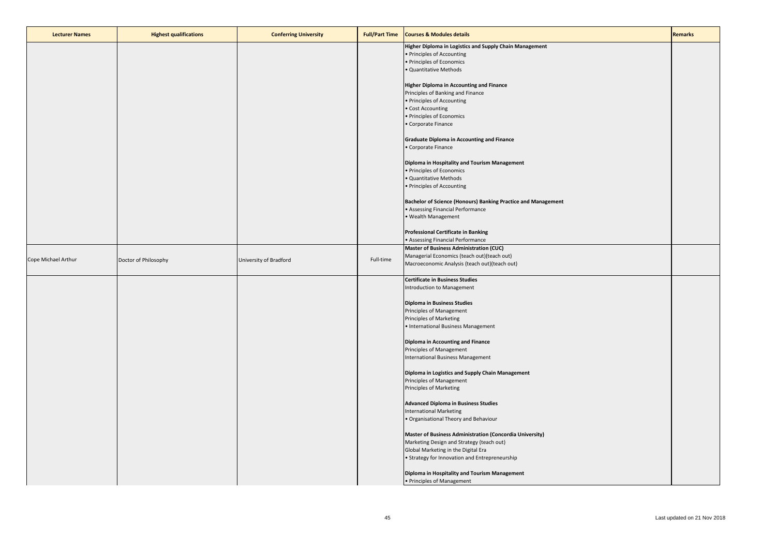| <b>Lecturer Names</b> | <b>Highest qualifications</b> | <b>Conferring University</b> | <b>Full/Part Time</b> | <b>Courses &amp; Modules details</b>                                             | <b>Remarks</b> |
|-----------------------|-------------------------------|------------------------------|-----------------------|----------------------------------------------------------------------------------|----------------|
|                       |                               |                              |                       | Higher Diploma in Logistics and Supply Chain Management                          |                |
|                       |                               |                              |                       | • Principles of Accounting                                                       |                |
|                       |                               |                              |                       | · Principles of Economics                                                        |                |
|                       |                               |                              |                       | · Quantitative Methods                                                           |                |
|                       |                               |                              |                       | <b>Higher Diploma in Accounting and Finance</b>                                  |                |
|                       |                               |                              |                       | Principles of Banking and Finance                                                |                |
|                       |                               |                              |                       | • Principles of Accounting                                                       |                |
|                       |                               |                              |                       | • Cost Accounting                                                                |                |
|                       |                               |                              |                       | • Principles of Economics                                                        |                |
|                       |                               |                              |                       | • Corporate Finance                                                              |                |
|                       |                               |                              |                       | <b>Graduate Diploma in Accounting and Finance</b>                                |                |
|                       |                               |                              |                       | • Corporate Finance                                                              |                |
|                       |                               |                              |                       | Diploma in Hospitality and Tourism Management                                    |                |
|                       |                               |                              |                       | · Principles of Economics                                                        |                |
|                       |                               |                              |                       | · Quantitative Methods                                                           |                |
|                       |                               |                              |                       | • Principles of Accounting                                                       |                |
|                       |                               |                              |                       |                                                                                  |                |
|                       |                               |                              |                       | Bachelor of Science (Honours) Banking Practice and Management                    |                |
|                       |                               |                              |                       | • Assessing Financial Performance                                                |                |
|                       |                               |                              |                       | • Wealth Management                                                              |                |
|                       |                               |                              |                       | <b>Professional Certificate in Banking</b>                                       |                |
|                       |                               |                              |                       | • Assessing Financial Performance                                                |                |
|                       |                               |                              |                       | <b>Master of Business Administration (CUC)</b>                                   |                |
| Cope Michael Arthur   |                               |                              | Full-time             | Managerial Economics (teach out) (teach out)                                     |                |
|                       | Doctor of Philosophy          | University of Bradford       |                       | Macroeconomic Analysis (teach out)(teach out)                                    |                |
|                       |                               |                              |                       | <b>Certificate in Business Studies</b>                                           |                |
|                       |                               |                              |                       | Introduction to Management                                                       |                |
|                       |                               |                              |                       | <b>Diploma in Business Studies</b>                                               |                |
|                       |                               |                              |                       | Principles of Management                                                         |                |
|                       |                               |                              |                       | Principles of Marketing                                                          |                |
|                       |                               |                              |                       | • International Business Management                                              |                |
|                       |                               |                              |                       | Diploma in Accounting and Finance                                                |                |
|                       |                               |                              |                       | Principles of Management                                                         |                |
|                       |                               |                              |                       | International Business Management                                                |                |
|                       |                               |                              |                       | Diploma in Logistics and Supply Chain Management                                 |                |
|                       |                               |                              |                       | Principles of Management                                                         |                |
|                       |                               |                              |                       | Principles of Marketing                                                          |                |
|                       |                               |                              |                       |                                                                                  |                |
|                       |                               |                              |                       | <b>Advanced Diploma in Business Studies</b><br><b>International Marketing</b>    |                |
|                       |                               |                              |                       | . Organisational Theory and Behaviour                                            |                |
|                       |                               |                              |                       |                                                                                  |                |
|                       |                               |                              |                       | Master of Business Administration (Concordia University)                         |                |
|                       |                               |                              |                       | Marketing Design and Strategy (teach out)<br>Global Marketing in the Digital Era |                |
|                       |                               |                              |                       | • Strategy for Innovation and Entrepreneurship                                   |                |
|                       |                               |                              |                       |                                                                                  |                |
|                       |                               |                              |                       | Diploma in Hospitality and Tourism Management<br>• Principles of Management      |                |
|                       |                               |                              |                       |                                                                                  |                |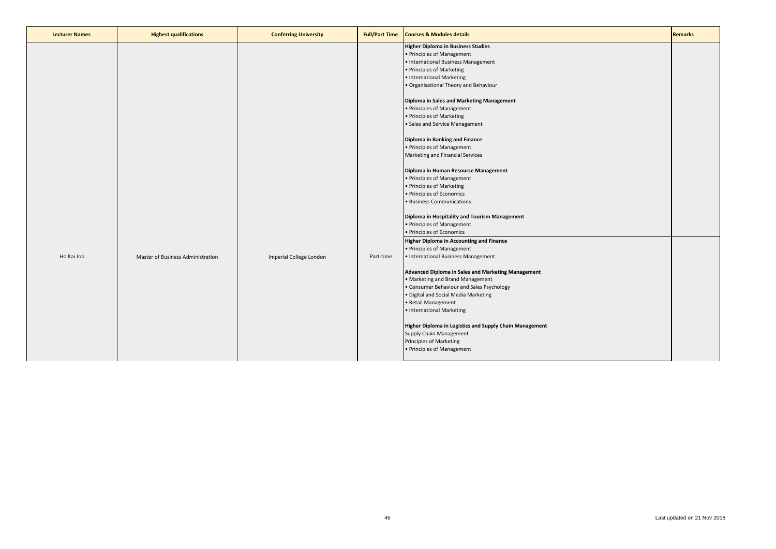| <b>Lecturer Names</b> | <b>Highest qualifications</b>     | <b>Conferring University</b> | <b>Full/Part Time</b> | <b>Courses &amp; Modules details</b>                                                                                                                                                                                                                                                                                                                                           | <b>Remarks</b> |
|-----------------------|-----------------------------------|------------------------------|-----------------------|--------------------------------------------------------------------------------------------------------------------------------------------------------------------------------------------------------------------------------------------------------------------------------------------------------------------------------------------------------------------------------|----------------|
|                       |                                   |                              |                       | <b>Higher Diploma in Business Studies</b><br>• Principles of Management<br>• International Business Management<br>• Principles of Marketing<br>• International Marketing<br>. Organisational Theory and Behaviour                                                                                                                                                              |                |
|                       |                                   |                              |                       | Diploma in Sales and Marketing Management<br>• Principles of Management<br>• Principles of Marketing<br>· Sales and Service Management                                                                                                                                                                                                                                         |                |
|                       |                                   |                              |                       | Diploma in Banking and Finance<br>• Principles of Management<br>Marketing and Financial Services<br>Diploma in Human Resource Management                                                                                                                                                                                                                                       |                |
|                       |                                   |                              |                       | • Principles of Management<br>• Principles of Marketing<br>• Principles of Economics<br>· Business Communications                                                                                                                                                                                                                                                              |                |
|                       |                                   |                              |                       | Diploma in Hospitality and Tourism Management<br>• Principles of Management<br>· Principles of Economics<br><b>Higher Diploma in Accounting and Finance</b>                                                                                                                                                                                                                    |                |
| Ho Kai Joo            | Master of Business Administration | Imperial College London      | Part-time             | • Principles of Management<br>• International Business Management                                                                                                                                                                                                                                                                                                              |                |
|                       |                                   |                              |                       | Advanced Diploma in Sales and Marketing Management<br>• Marketing and Brand Management<br>• Consumer Behaviour and Sales Psychology<br>· Digital and Social Media Marketing<br>• Retail Management<br>• International Marketing<br>Higher Diploma in Logistics and Supply Chain Management<br>Supply Chain Management<br>Principles of Marketing<br>• Principles of Management |                |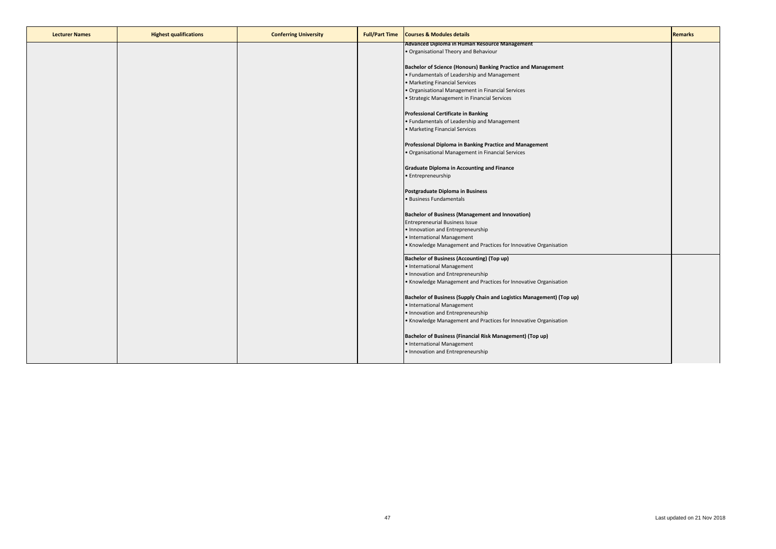| <b>Advanced Diploma in Human Resource Management</b><br>. Organisational Theory and Behaviour<br>Bachelor of Science (Honours) Banking Practice and Management<br>• Fundamentals of Leadership and Management<br>• Marketing Financial Services<br>· Organisational Management in Financial Services<br>· Strategic Management in Financial Services<br><b>Professional Certificate in Banking</b><br>• Fundamentals of Leadership and Management<br>· Marketing Financial Services<br>Professional Diploma in Banking Practice and Management<br>· Organisational Management in Financial Services<br><b>Graduate Diploma in Accounting and Finance</b><br>· Entrepreneurship |
|--------------------------------------------------------------------------------------------------------------------------------------------------------------------------------------------------------------------------------------------------------------------------------------------------------------------------------------------------------------------------------------------------------------------------------------------------------------------------------------------------------------------------------------------------------------------------------------------------------------------------------------------------------------------------------|
|                                                                                                                                                                                                                                                                                                                                                                                                                                                                                                                                                                                                                                                                                |
|                                                                                                                                                                                                                                                                                                                                                                                                                                                                                                                                                                                                                                                                                |
|                                                                                                                                                                                                                                                                                                                                                                                                                                                                                                                                                                                                                                                                                |
|                                                                                                                                                                                                                                                                                                                                                                                                                                                                                                                                                                                                                                                                                |
|                                                                                                                                                                                                                                                                                                                                                                                                                                                                                                                                                                                                                                                                                |
|                                                                                                                                                                                                                                                                                                                                                                                                                                                                                                                                                                                                                                                                                |
|                                                                                                                                                                                                                                                                                                                                                                                                                                                                                                                                                                                                                                                                                |
|                                                                                                                                                                                                                                                                                                                                                                                                                                                                                                                                                                                                                                                                                |
|                                                                                                                                                                                                                                                                                                                                                                                                                                                                                                                                                                                                                                                                                |
|                                                                                                                                                                                                                                                                                                                                                                                                                                                                                                                                                                                                                                                                                |
|                                                                                                                                                                                                                                                                                                                                                                                                                                                                                                                                                                                                                                                                                |
|                                                                                                                                                                                                                                                                                                                                                                                                                                                                                                                                                                                                                                                                                |
|                                                                                                                                                                                                                                                                                                                                                                                                                                                                                                                                                                                                                                                                                |
|                                                                                                                                                                                                                                                                                                                                                                                                                                                                                                                                                                                                                                                                                |
|                                                                                                                                                                                                                                                                                                                                                                                                                                                                                                                                                                                                                                                                                |
|                                                                                                                                                                                                                                                                                                                                                                                                                                                                                                                                                                                                                                                                                |
|                                                                                                                                                                                                                                                                                                                                                                                                                                                                                                                                                                                                                                                                                |
|                                                                                                                                                                                                                                                                                                                                                                                                                                                                                                                                                                                                                                                                                |
|                                                                                                                                                                                                                                                                                                                                                                                                                                                                                                                                                                                                                                                                                |
| Postgraduate Diploma in Business                                                                                                                                                                                                                                                                                                                                                                                                                                                                                                                                                                                                                                               |
| · Business Fundamentals                                                                                                                                                                                                                                                                                                                                                                                                                                                                                                                                                                                                                                                        |
|                                                                                                                                                                                                                                                                                                                                                                                                                                                                                                                                                                                                                                                                                |
| <b>Bachelor of Business (Management and Innovation)</b>                                                                                                                                                                                                                                                                                                                                                                                                                                                                                                                                                                                                                        |
| <b>Entrepreneurial Business Issue</b>                                                                                                                                                                                                                                                                                                                                                                                                                                                                                                                                                                                                                                          |
| • Innovation and Entrepreneurship                                                                                                                                                                                                                                                                                                                                                                                                                                                                                                                                                                                                                                              |
| • International Management                                                                                                                                                                                                                                                                                                                                                                                                                                                                                                                                                                                                                                                     |
|                                                                                                                                                                                                                                                                                                                                                                                                                                                                                                                                                                                                                                                                                |
| . Knowledge Management and Practices for Innovative Organisation                                                                                                                                                                                                                                                                                                                                                                                                                                                                                                                                                                                                               |
| <b>Bachelor of Business (Accounting) (Top up)</b>                                                                                                                                                                                                                                                                                                                                                                                                                                                                                                                                                                                                                              |
| • International Management                                                                                                                                                                                                                                                                                                                                                                                                                                                                                                                                                                                                                                                     |
| • Innovation and Entrepreneurship                                                                                                                                                                                                                                                                                                                                                                                                                                                                                                                                                                                                                                              |
| • Knowledge Management and Practices for Innovative Organisation                                                                                                                                                                                                                                                                                                                                                                                                                                                                                                                                                                                                               |
|                                                                                                                                                                                                                                                                                                                                                                                                                                                                                                                                                                                                                                                                                |
| Bachelor of Business (Supply Chain and Logistics Management) (Top up)                                                                                                                                                                                                                                                                                                                                                                                                                                                                                                                                                                                                          |
| • International Management                                                                                                                                                                                                                                                                                                                                                                                                                                                                                                                                                                                                                                                     |
| • Innovation and Entrepreneurship                                                                                                                                                                                                                                                                                                                                                                                                                                                                                                                                                                                                                                              |
| • Knowledge Management and Practices for Innovative Organisation                                                                                                                                                                                                                                                                                                                                                                                                                                                                                                                                                                                                               |
|                                                                                                                                                                                                                                                                                                                                                                                                                                                                                                                                                                                                                                                                                |
| Bachelor of Business (Financial Risk Management) (Top up)                                                                                                                                                                                                                                                                                                                                                                                                                                                                                                                                                                                                                      |
| • International Management                                                                                                                                                                                                                                                                                                                                                                                                                                                                                                                                                                                                                                                     |
| • Innovation and Entrepreneurship                                                                                                                                                                                                                                                                                                                                                                                                                                                                                                                                                                                                                                              |
|                                                                                                                                                                                                                                                                                                                                                                                                                                                                                                                                                                                                                                                                                |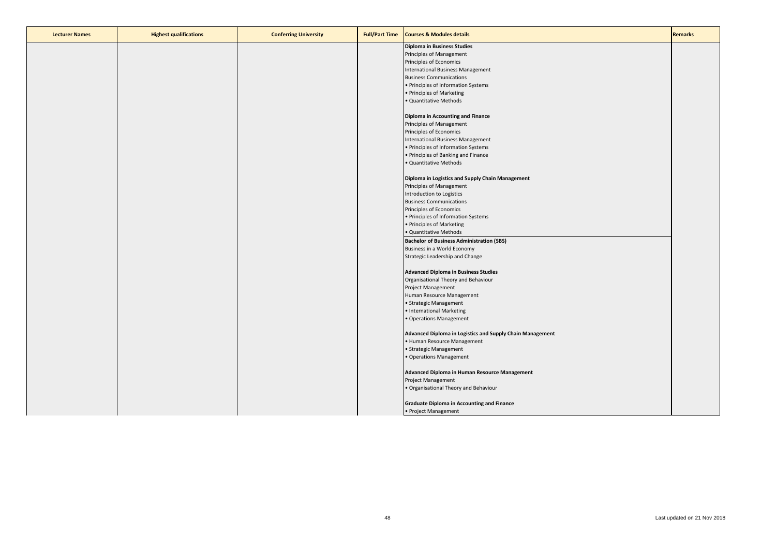| <b>Lecturer Names</b> | <b>Highest qualifications</b> | <b>Conferring University</b> | <b>Full/Part Time</b> | <b>Courses &amp; Modules details</b>                      | <b>Remarks</b> |
|-----------------------|-------------------------------|------------------------------|-----------------------|-----------------------------------------------------------|----------------|
|                       |                               |                              |                       | <b>Diploma in Business Studies</b>                        |                |
|                       |                               |                              |                       | Principles of Management                                  |                |
|                       |                               |                              |                       | Principles of Economics                                   |                |
|                       |                               |                              |                       | <b>International Business Management</b>                  |                |
|                       |                               |                              |                       | <b>Business Communications</b>                            |                |
|                       |                               |                              |                       | · Principles of Information Systems                       |                |
|                       |                               |                              |                       | · Principles of Marketing                                 |                |
|                       |                               |                              |                       | · Quantitative Methods                                    |                |
|                       |                               |                              |                       |                                                           |                |
|                       |                               |                              |                       | <b>Diploma in Accounting and Finance</b>                  |                |
|                       |                               |                              |                       | Principles of Management                                  |                |
|                       |                               |                              |                       | Principles of Economics                                   |                |
|                       |                               |                              |                       | International Business Management                         |                |
|                       |                               |                              |                       |                                                           |                |
|                       |                               |                              |                       | · Principles of Information Systems                       |                |
|                       |                               |                              |                       | · Principles of Banking and Finance                       |                |
|                       |                               |                              |                       | · Quantitative Methods                                    |                |
|                       |                               |                              |                       |                                                           |                |
|                       |                               |                              |                       | Diploma in Logistics and Supply Chain Management          |                |
|                       |                               |                              |                       | Principles of Management                                  |                |
|                       |                               |                              |                       | Introduction to Logistics                                 |                |
|                       |                               |                              |                       | <b>Business Communications</b>                            |                |
|                       |                               |                              |                       | Principles of Economics                                   |                |
|                       |                               |                              |                       | • Principles of Information Systems                       |                |
|                       |                               |                              |                       | · Principles of Marketing                                 |                |
|                       |                               |                              |                       | · Quantitative Methods                                    |                |
|                       |                               |                              |                       | <b>Bachelor of Business Administration (SBS)</b>          |                |
|                       |                               |                              |                       | Business in a World Economy                               |                |
|                       |                               |                              |                       | Strategic Leadership and Change                           |                |
|                       |                               |                              |                       | <b>Advanced Diploma in Business Studies</b>               |                |
|                       |                               |                              |                       | Organisational Theory and Behaviour                       |                |
|                       |                               |                              |                       | Project Management                                        |                |
|                       |                               |                              |                       | Human Resource Management                                 |                |
|                       |                               |                              |                       | · Strategic Management                                    |                |
|                       |                               |                              |                       | • International Marketing                                 |                |
|                       |                               |                              |                       | · Operations Management                                   |                |
|                       |                               |                              |                       |                                                           |                |
|                       |                               |                              |                       | Advanced Diploma in Logistics and Supply Chain Management |                |
|                       |                               |                              |                       | · Human Resource Management                               |                |
|                       |                               |                              |                       | · Strategic Management                                    |                |
|                       |                               |                              |                       | · Operations Management                                   |                |
|                       |                               |                              |                       |                                                           |                |
|                       |                               |                              |                       | Advanced Diploma in Human Resource Management             |                |
|                       |                               |                              |                       | Project Management                                        |                |
|                       |                               |                              |                       | · Organisational Theory and Behaviour                     |                |
|                       |                               |                              |                       | <b>Graduate Diploma in Accounting and Finance</b>         |                |
|                       |                               |                              |                       | • Project Management                                      |                |
|                       |                               |                              |                       |                                                           |                |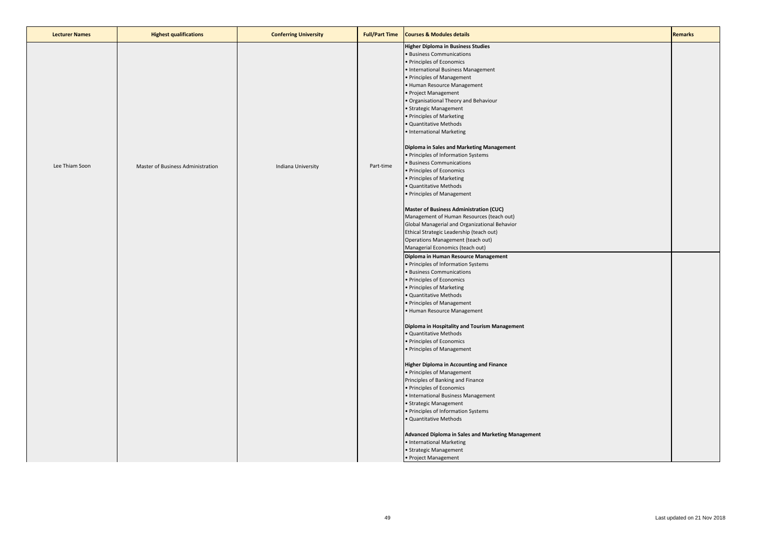| <b>Lecturer Names</b> | <b>Highest qualifications</b>     | <b>Conferring University</b> | <b>Full/Part Time</b> | <b>Courses &amp; Modules details</b>                                                                                                                                                                                                                                                                                                                                                | <b>Remarks</b> |
|-----------------------|-----------------------------------|------------------------------|-----------------------|-------------------------------------------------------------------------------------------------------------------------------------------------------------------------------------------------------------------------------------------------------------------------------------------------------------------------------------------------------------------------------------|----------------|
|                       |                                   |                              |                       | <b>Higher Diploma in Business Studies</b><br><b>Business Communications</b><br>· Principles of Economics<br>· International Business Management<br>· Principles of Management<br>Human Resource Management<br>Project Management<br>Organisational Theory and Behaviour<br>· Strategic Management<br>Principles of Marketing<br>· Quantitative Methods<br>· International Marketing |                |
| Lee Thiam Soon        | Master of Business Administration | Indiana University           | Part-time             | Diploma in Sales and Marketing Management<br>· Principles of Information Systems<br><b>Business Communications</b><br>· Principles of Economics<br>· Principles of Marketing<br>Quantitative Methods<br>· Principles of Management                                                                                                                                                  |                |
|                       |                                   |                              |                       | <b>Master of Business Administration (CUC)</b><br>Management of Human Resources (teach out)<br>Global Managerial and Organizational Behavior<br>Ethical Strategic Leadership (teach out)<br>Operations Management (teach out)<br>Managerial Economics (teach out)                                                                                                                   |                |
|                       |                                   |                              |                       | Diploma in Human Resource Management<br>· Principles of Information Systems<br><b>Business Communications</b><br>· Principles of Economics<br>· Principles of Marketing<br>Quantitative Methods<br>· Principles of Management<br>Human Resource Management                                                                                                                          |                |
|                       |                                   |                              |                       | Diploma in Hospitality and Tourism Management<br>· Quantitative Methods<br>· Principles of Economics<br>· Principles of Management                                                                                                                                                                                                                                                  |                |
|                       |                                   |                              |                       | <b>Higher Diploma in Accounting and Finance</b><br>• Principles of Management<br>Principles of Banking and Finance<br>· Principles of Economics<br>· International Business Management<br>· Strategic Management<br>Principles of Information Systems                                                                                                                               |                |
|                       |                                   |                              |                       | Quantitative Methods<br><b>Advanced Diploma in Sales and Marketing Management</b><br>· International Marketing<br>· Strategic Management<br>• Project Management                                                                                                                                                                                                                    |                |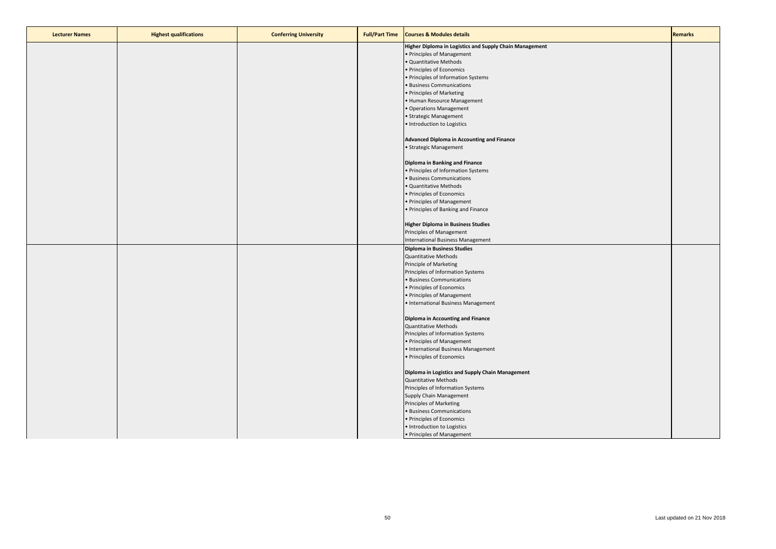| <b>Lecturer Names</b> | <b>Highest qualifications</b> | <b>Conferring University</b> | <b>Full/Part Time</b> | <b>Courses &amp; Modules details</b>                    | <b>Remarks</b> |
|-----------------------|-------------------------------|------------------------------|-----------------------|---------------------------------------------------------|----------------|
|                       |                               |                              |                       | Higher Diploma in Logistics and Supply Chain Management |                |
|                       |                               |                              |                       | • Principles of Management                              |                |
|                       |                               |                              |                       | · Quantitative Methods                                  |                |
|                       |                               |                              |                       | · Principles of Economics                               |                |
|                       |                               |                              |                       | · Principles of Information Systems                     |                |
|                       |                               |                              |                       | <b>Business Communications</b>                          |                |
|                       |                               |                              |                       | • Principles of Marketing                               |                |
|                       |                               |                              |                       | • Human Resource Management                             |                |
|                       |                               |                              |                       | · Operations Management                                 |                |
|                       |                               |                              |                       | · Strategic Management                                  |                |
|                       |                               |                              |                       | · Introduction to Logistics                             |                |
|                       |                               |                              |                       | Advanced Diploma in Accounting and Finance              |                |
|                       |                               |                              |                       | • Strategic Management                                  |                |
|                       |                               |                              |                       | Diploma in Banking and Finance                          |                |
|                       |                               |                              |                       | • Principles of Information Systems                     |                |
|                       |                               |                              |                       | · Business Communications                               |                |
|                       |                               |                              |                       | · Quantitative Methods                                  |                |
|                       |                               |                              |                       | · Principles of Economics                               |                |
|                       |                               |                              |                       | · Principles of Management                              |                |
|                       |                               |                              |                       | · Principles of Banking and Finance                     |                |
|                       |                               |                              |                       |                                                         |                |
|                       |                               |                              |                       | <b>Higher Diploma in Business Studies</b>               |                |
|                       |                               |                              |                       | Principles of Management                                |                |
|                       |                               |                              |                       | <b>International Business Management</b>                |                |
|                       |                               |                              |                       | <b>Diploma in Business Studies</b>                      |                |
|                       |                               |                              |                       | <b>Quantitative Methods</b>                             |                |
|                       |                               |                              |                       | Principle of Marketing                                  |                |
|                       |                               |                              |                       | Principles of Information Systems                       |                |
|                       |                               |                              |                       | · Business Communications                               |                |
|                       |                               |                              |                       | • Principles of Economics                               |                |
|                       |                               |                              |                       | • Principles of Management                              |                |
|                       |                               |                              |                       | • International Business Management                     |                |
|                       |                               |                              |                       | Diploma in Accounting and Finance                       |                |
|                       |                               |                              |                       | <b>Quantitative Methods</b>                             |                |
|                       |                               |                              |                       | Principles of Information Systems                       |                |
|                       |                               |                              |                       | • Principles of Management                              |                |
|                       |                               |                              |                       | • International Business Management                     |                |
|                       |                               |                              |                       | • Principles of Economics                               |                |
|                       |                               |                              |                       |                                                         |                |
|                       |                               |                              |                       | Diploma in Logistics and Supply Chain Management        |                |
|                       |                               |                              |                       | <b>Quantitative Methods</b>                             |                |
|                       |                               |                              |                       | Principles of Information Systems                       |                |
|                       |                               |                              |                       | Supply Chain Management                                 |                |
|                       |                               |                              |                       | Principles of Marketing                                 |                |
|                       |                               |                              |                       | · Business Communications                               |                |
|                       |                               |                              |                       | • Principles of Economics                               |                |
|                       |                               |                              |                       | · Introduction to Logistics                             |                |
|                       |                               |                              |                       | • Principles of Management                              |                |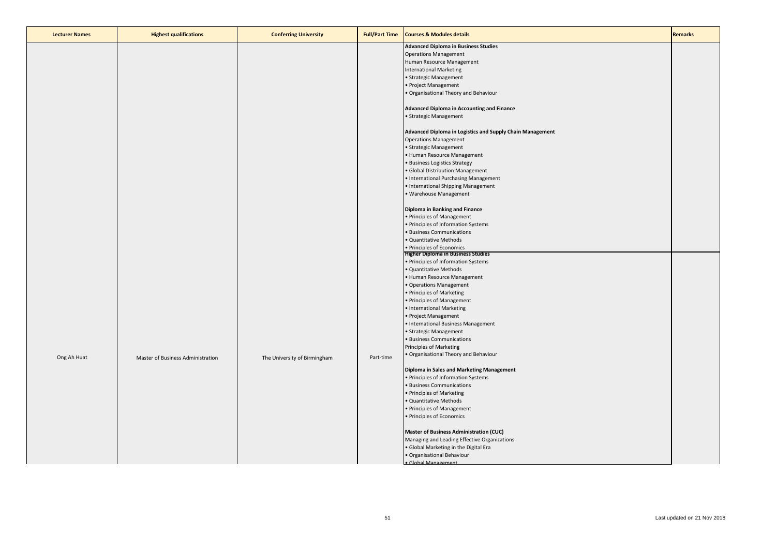| <b>Lecturer Names</b> | <b>Highest qualifications</b>     | <b>Conferring University</b> | <b>Full/Part Time</b> | <b>Courses &amp; Modules details</b>                      | <b>Remarks</b> |
|-----------------------|-----------------------------------|------------------------------|-----------------------|-----------------------------------------------------------|----------------|
|                       |                                   |                              |                       | <b>Advanced Diploma in Business Studies</b>               |                |
|                       |                                   |                              |                       | <b>Operations Management</b>                              |                |
|                       |                                   |                              |                       | Human Resource Management                                 |                |
|                       |                                   |                              |                       | <b>International Marketing</b>                            |                |
|                       |                                   |                              |                       | • Strategic Management                                    |                |
|                       |                                   |                              |                       | · Project Management                                      |                |
|                       |                                   |                              |                       | · Organisational Theory and Behaviour                     |                |
|                       |                                   |                              |                       |                                                           |                |
|                       |                                   |                              |                       | Advanced Diploma in Accounting and Finance                |                |
|                       |                                   |                              |                       | • Strategic Management                                    |                |
|                       |                                   |                              |                       | Advanced Diploma in Logistics and Supply Chain Management |                |
|                       |                                   |                              |                       | <b>Operations Management</b>                              |                |
|                       |                                   |                              |                       | • Strategic Management                                    |                |
|                       |                                   |                              |                       | • Human Resource Management                               |                |
|                       |                                   |                              |                       | • Business Logistics Strategy                             |                |
|                       |                                   |                              |                       | · Global Distribution Management                          |                |
|                       |                                   |                              |                       | • International Purchasing Management                     |                |
|                       |                                   |                              |                       | • International Shipping Management                       |                |
|                       |                                   |                              |                       |                                                           |                |
|                       |                                   |                              |                       | · Warehouse Management                                    |                |
|                       |                                   |                              |                       | Diploma in Banking and Finance                            |                |
|                       |                                   |                              |                       | • Principles of Management                                |                |
|                       |                                   |                              |                       | • Principles of Information Systems                       |                |
|                       |                                   |                              |                       | · Business Communications                                 |                |
|                       |                                   |                              |                       | · Quantitative Methods                                    |                |
|                       |                                   |                              |                       | • Principles of Economics                                 |                |
|                       |                                   |                              |                       | <b>Higher Diploma in Business Studies</b>                 |                |
|                       |                                   |                              |                       | • Principles of Information Systems                       |                |
|                       |                                   |                              |                       | · Quantitative Methods                                    |                |
|                       |                                   |                              |                       | • Human Resource Management                               |                |
|                       |                                   |                              |                       | • Operations Management                                   |                |
|                       |                                   |                              |                       | • Principles of Marketing                                 |                |
|                       |                                   |                              |                       |                                                           |                |
|                       |                                   |                              |                       | • Principles of Management                                |                |
|                       |                                   |                              |                       | • International Marketing                                 |                |
|                       |                                   |                              |                       | • Project Management                                      |                |
|                       |                                   |                              |                       | • International Business Management                       |                |
|                       |                                   |                              |                       | • Strategic Management                                    |                |
|                       |                                   |                              |                       | • Business Communications                                 |                |
|                       |                                   |                              |                       | Principles of Marketing                                   |                |
| Ong Ah Huat           | Master of Business Administration | The University of Birmingham | Part-time             | · Organisational Theory and Behaviour                     |                |
|                       |                                   |                              |                       | Diploma in Sales and Marketing Management                 |                |
|                       |                                   |                              |                       | • Principles of Information Systems                       |                |
|                       |                                   |                              |                       | · Business Communications                                 |                |
|                       |                                   |                              |                       | • Principles of Marketing                                 |                |
|                       |                                   |                              |                       | · Quantitative Methods                                    |                |
|                       |                                   |                              |                       | • Principles of Management                                |                |
|                       |                                   |                              |                       | · Principles of Economics                                 |                |
|                       |                                   |                              |                       | <b>Master of Business Administration (CUC)</b>            |                |
|                       |                                   |                              |                       | Managing and Leading Effective Organizations              |                |
|                       |                                   |                              |                       |                                                           |                |
|                       |                                   |                              |                       | · Global Marketing in the Digital Era                     |                |
|                       |                                   |                              |                       | · Organisational Behaviour                                |                |
|                       |                                   |                              |                       | · Global Management                                       |                |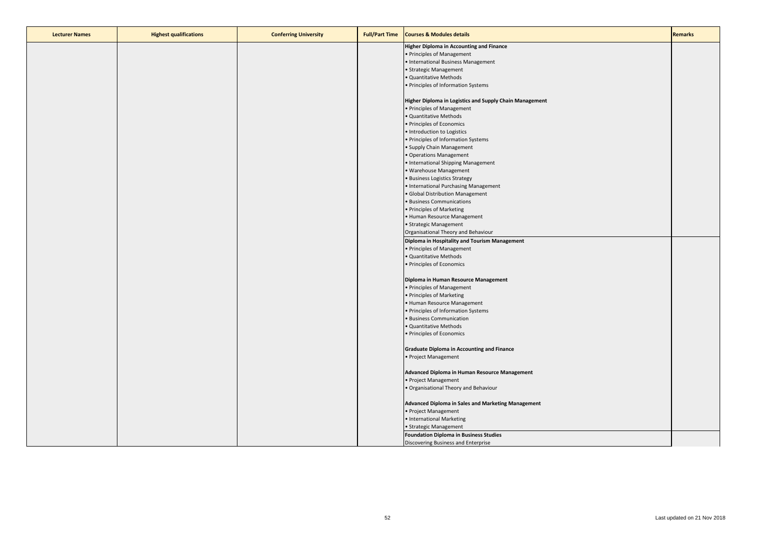| <b>Lecturer Names</b> | <b>Highest qualifications</b> | <b>Conferring University</b> | <b>Full/Part Time</b> | <b>Courses &amp; Modules details</b>                    | <b>Remarks</b> |
|-----------------------|-------------------------------|------------------------------|-----------------------|---------------------------------------------------------|----------------|
|                       |                               |                              |                       | <b>Higher Diploma in Accounting and Finance</b>         |                |
|                       |                               |                              |                       | • Principles of Management                              |                |
|                       |                               |                              |                       | · International Business Management                     |                |
|                       |                               |                              |                       | · Strategic Management                                  |                |
|                       |                               |                              |                       | · Quantitative Methods                                  |                |
|                       |                               |                              |                       | · Principles of Information Systems                     |                |
|                       |                               |                              |                       |                                                         |                |
|                       |                               |                              |                       | Higher Diploma in Logistics and Supply Chain Management |                |
|                       |                               |                              |                       | • Principles of Management                              |                |
|                       |                               |                              |                       | · Quantitative Methods                                  |                |
|                       |                               |                              |                       | · Principles of Economics                               |                |
|                       |                               |                              |                       | · Introduction to Logistics                             |                |
|                       |                               |                              |                       | • Principles of Information Systems                     |                |
|                       |                               |                              |                       | · Supply Chain Management                               |                |
|                       |                               |                              |                       | · Operations Management                                 |                |
|                       |                               |                              |                       | · International Shipping Management                     |                |
|                       |                               |                              |                       | · Warehouse Management                                  |                |
|                       |                               |                              |                       | · Business Logistics Strategy                           |                |
|                       |                               |                              |                       | · International Purchasing Management                   |                |
|                       |                               |                              |                       | · Global Distribution Management                        |                |
|                       |                               |                              |                       | · Business Communications                               |                |
|                       |                               |                              |                       | • Principles of Marketing                               |                |
|                       |                               |                              |                       | · Human Resource Management                             |                |
|                       |                               |                              |                       | · Strategic Management                                  |                |
|                       |                               |                              |                       | Organisational Theory and Behaviour                     |                |
|                       |                               |                              |                       |                                                         |                |
|                       |                               |                              |                       | Diploma in Hospitality and Tourism Management           |                |
|                       |                               |                              |                       | • Principles of Management                              |                |
|                       |                               |                              |                       | · Quantitative Methods                                  |                |
|                       |                               |                              |                       | · Principles of Economics                               |                |
|                       |                               |                              |                       | Diploma in Human Resource Management                    |                |
|                       |                               |                              |                       | • Principles of Management                              |                |
|                       |                               |                              |                       | · Principles of Marketing                               |                |
|                       |                               |                              |                       | • Human Resource Management                             |                |
|                       |                               |                              |                       | · Principles of Information Systems                     |                |
|                       |                               |                              |                       | · Business Communication                                |                |
|                       |                               |                              |                       | · Quantitative Methods                                  |                |
|                       |                               |                              |                       | · Principles of Economics                               |                |
|                       |                               |                              |                       |                                                         |                |
|                       |                               |                              |                       | <b>Graduate Diploma in Accounting and Finance</b>       |                |
|                       |                               |                              |                       | • Project Management                                    |                |
|                       |                               |                              |                       | Advanced Diploma in Human Resource Management           |                |
|                       |                               |                              |                       | • Project Management                                    |                |
|                       |                               |                              |                       | . Organisational Theory and Behaviour                   |                |
|                       |                               |                              |                       |                                                         |                |
|                       |                               |                              |                       | Advanced Diploma in Sales and Marketing Management      |                |
|                       |                               |                              |                       | · Project Management                                    |                |
|                       |                               |                              |                       | • International Marketing                               |                |
|                       |                               |                              |                       | · Strategic Management                                  |                |
|                       |                               |                              |                       | <b>Foundation Diploma in Business Studies</b>           |                |
|                       |                               |                              |                       | Discovering Business and Enterprise                     |                |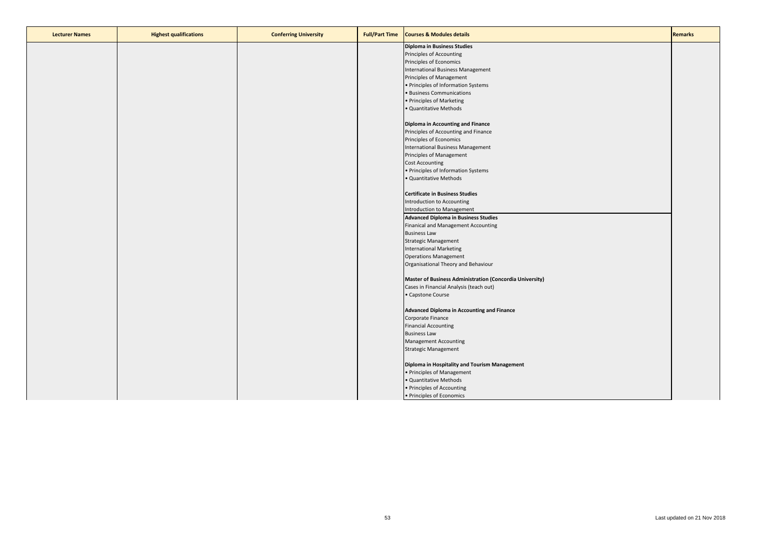| <b>Lecturer Names</b> | <b>Highest qualifications</b> | <b>Conferring University</b> | <b>Full/Part Time</b> | <b>Courses &amp; Modules details</b>                     | <b>Remarks</b> |
|-----------------------|-------------------------------|------------------------------|-----------------------|----------------------------------------------------------|----------------|
|                       |                               |                              |                       | <b>Diploma in Business Studies</b>                       |                |
|                       |                               |                              |                       | Principles of Accounting                                 |                |
|                       |                               |                              |                       | Principles of Economics                                  |                |
|                       |                               |                              |                       | International Business Management                        |                |
|                       |                               |                              |                       | Principles of Management                                 |                |
|                       |                               |                              |                       | • Principles of Information Systems                      |                |
|                       |                               |                              |                       | • Business Communications                                |                |
|                       |                               |                              |                       | • Principles of Marketing                                |                |
|                       |                               |                              |                       | • Quantitative Methods                                   |                |
|                       |                               |                              |                       |                                                          |                |
|                       |                               |                              |                       | Diploma in Accounting and Finance                        |                |
|                       |                               |                              |                       | Principles of Accounting and Finance                     |                |
|                       |                               |                              |                       | Principles of Economics                                  |                |
|                       |                               |                              |                       | International Business Management                        |                |
|                       |                               |                              |                       | Principles of Management                                 |                |
|                       |                               |                              |                       | <b>Cost Accounting</b>                                   |                |
|                       |                               |                              |                       | • Principles of Information Systems                      |                |
|                       |                               |                              |                       | · Quantitative Methods                                   |                |
|                       |                               |                              |                       |                                                          |                |
|                       |                               |                              |                       | <b>Certificate in Business Studies</b>                   |                |
|                       |                               |                              |                       | Introduction to Accounting                               |                |
|                       |                               |                              |                       | Introduction to Management                               |                |
|                       |                               |                              |                       | <b>Advanced Diploma in Business Studies</b>              |                |
|                       |                               |                              |                       | Finanical and Management Accounting                      |                |
|                       |                               |                              |                       | <b>Business Law</b>                                      |                |
|                       |                               |                              |                       | <b>Strategic Management</b>                              |                |
|                       |                               |                              |                       | <b>International Marketing</b>                           |                |
|                       |                               |                              |                       | <b>Operations Management</b>                             |                |
|                       |                               |                              |                       | Organisational Theory and Behaviour                      |                |
|                       |                               |                              |                       |                                                          |                |
|                       |                               |                              |                       | Master of Business Administration (Concordia University) |                |
|                       |                               |                              |                       | Cases in Financial Analysis (teach out)                  |                |
|                       |                               |                              |                       | • Capstone Course                                        |                |
|                       |                               |                              |                       |                                                          |                |
|                       |                               |                              |                       | Advanced Diploma in Accounting and Finance               |                |
|                       |                               |                              |                       | Corporate Finance                                        |                |
|                       |                               |                              |                       | <b>Financial Accounting</b>                              |                |
|                       |                               |                              |                       | <b>Business Law</b>                                      |                |
|                       |                               |                              |                       | <b>Management Accounting</b>                             |                |
|                       |                               |                              |                       | <b>Strategic Management</b>                              |                |
|                       |                               |                              |                       | Diploma in Hospitality and Tourism Management            |                |
|                       |                               |                              |                       | • Principles of Management                               |                |
|                       |                               |                              |                       | · Quantitative Methods                                   |                |
|                       |                               |                              |                       | • Principles of Accounting                               |                |
|                       |                               |                              |                       | • Principles of Economics                                |                |
|                       |                               |                              |                       |                                                          |                |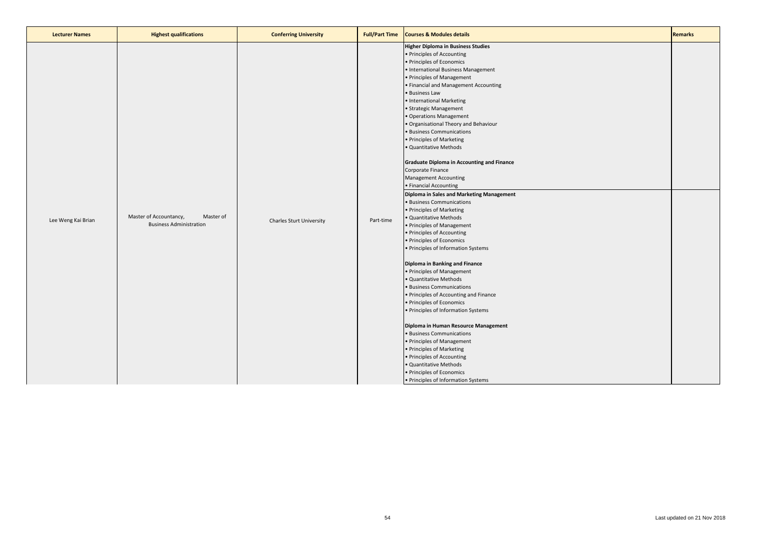| <b>Lecturer Names</b> | <b>Highest qualifications</b>                                         | <b>Conferring University</b> | <b>Full/Part Time</b> | <b>Courses &amp; Modules details</b>                                                                                                                                                                                                                                                                                                                                                                                                                                                                                                                                                                                                                                                                                                                                                                                                                                                                                                                                                                                                                                                                                                                                                                                                                                                                                                                      | <b>Remarks</b> |
|-----------------------|-----------------------------------------------------------------------|------------------------------|-----------------------|-----------------------------------------------------------------------------------------------------------------------------------------------------------------------------------------------------------------------------------------------------------------------------------------------------------------------------------------------------------------------------------------------------------------------------------------------------------------------------------------------------------------------------------------------------------------------------------------------------------------------------------------------------------------------------------------------------------------------------------------------------------------------------------------------------------------------------------------------------------------------------------------------------------------------------------------------------------------------------------------------------------------------------------------------------------------------------------------------------------------------------------------------------------------------------------------------------------------------------------------------------------------------------------------------------------------------------------------------------------|----------------|
| Lee Weng Kai Brian    | Master of Accountancy,<br>Master of<br><b>Business Administration</b> | Charles Sturt University     | Part-time             | <b>Higher Diploma in Business Studies</b><br>• Principles of Accounting<br>• Principles of Economics<br>• International Business Management<br>• Principles of Management<br>• Financial and Management Accounting<br>· Business Law<br>• International Marketing<br>• Strategic Management<br>· Operations Management<br>. Organisational Theory and Behaviour<br>· Business Communications<br>• Principles of Marketing<br>· Quantitative Methods<br><b>Graduate Diploma in Accounting and Finance</b><br>Corporate Finance<br><b>Management Accounting</b><br>• Financial Accounting<br>Diploma in Sales and Marketing Management<br>· Business Communications<br>• Principles of Marketing<br>· Quantitative Methods<br>• Principles of Management<br>• Principles of Accounting<br>· Principles of Economics<br>• Principles of Information Systems<br>Diploma in Banking and Finance<br>• Principles of Management<br>· Quantitative Methods<br>· Business Communications<br>• Principles of Accounting and Finance<br>· Principles of Economics<br>• Principles of Information Systems<br>Diploma in Human Resource Management<br>· Business Communications<br>• Principles of Management<br>• Principles of Marketing<br>• Principles of Accounting<br>· Quantitative Methods<br>• Principles of Economics<br>• Principles of Information Systems |                |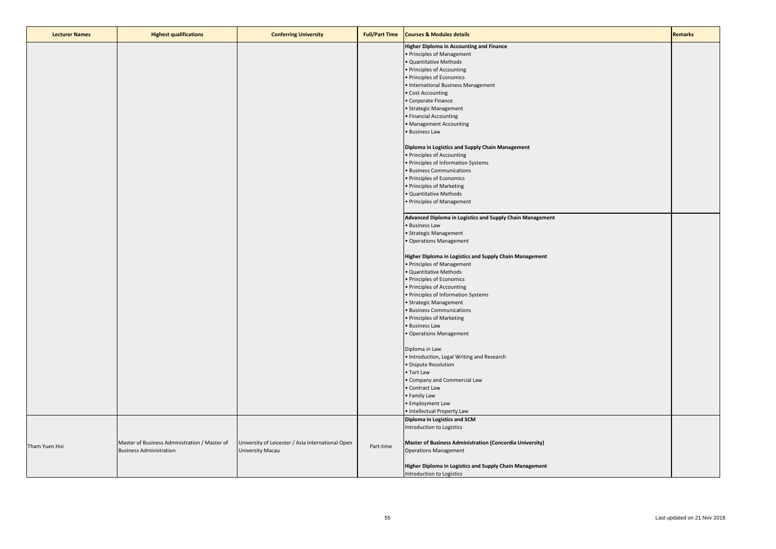| <b>Lecturer Names</b> | <b>Highest qualifications</b>                 | <b>Conferring University</b>                      | <b>Full/Part Time</b> | <b>Courses &amp; Modules details</b>                      | <b>Remarks</b> |
|-----------------------|-----------------------------------------------|---------------------------------------------------|-----------------------|-----------------------------------------------------------|----------------|
|                       |                                               |                                                   |                       | <b>Higher Diploma in Accounting and Finance</b>           |                |
|                       |                                               |                                                   |                       | • Principles of Management                                |                |
|                       |                                               |                                                   |                       | · Quantitative Methods                                    |                |
|                       |                                               |                                                   |                       | · Principles of Accounting                                |                |
|                       |                                               |                                                   |                       |                                                           |                |
|                       |                                               |                                                   |                       | · Principles of Economics                                 |                |
|                       |                                               |                                                   |                       | • International Business Management                       |                |
|                       |                                               |                                                   |                       | • Cost Accounting                                         |                |
|                       |                                               |                                                   |                       | • Corporate Finance                                       |                |
|                       |                                               |                                                   |                       | · Strategic Management                                    |                |
|                       |                                               |                                                   |                       | • Financial Accounting                                    |                |
|                       |                                               |                                                   |                       | · Management Accounting                                   |                |
|                       |                                               |                                                   |                       | · Business Law                                            |                |
|                       |                                               |                                                   |                       | Diploma in Logistics and Supply Chain Management          |                |
|                       |                                               |                                                   |                       | • Principles of Accounting                                |                |
|                       |                                               |                                                   |                       | • Principles of Information Systems                       |                |
|                       |                                               |                                                   |                       | · Business Communications                                 |                |
|                       |                                               |                                                   |                       | · Principles of Economics                                 |                |
|                       |                                               |                                                   |                       | • Principles of Marketing                                 |                |
|                       |                                               |                                                   |                       | · Quantitative Methods                                    |                |
|                       |                                               |                                                   |                       |                                                           |                |
|                       |                                               |                                                   |                       | · Principles of Management                                |                |
|                       |                                               |                                                   |                       | Advanced Diploma in Logistics and Supply Chain Management |                |
|                       |                                               |                                                   |                       | · Business Law                                            |                |
|                       |                                               |                                                   |                       | · Strategic Management                                    |                |
|                       |                                               |                                                   |                       | · Operations Management                                   |                |
|                       |                                               |                                                   |                       | Higher Diploma in Logistics and Supply Chain Management   |                |
|                       |                                               |                                                   |                       | • Principles of Management                                |                |
|                       |                                               |                                                   |                       | · Quantitative Methods                                    |                |
|                       |                                               |                                                   |                       | · Principles of Economics                                 |                |
|                       |                                               |                                                   |                       | • Principles of Accounting                                |                |
|                       |                                               |                                                   |                       | · Principles of Information Systems                       |                |
|                       |                                               |                                                   |                       | · Strategic Management                                    |                |
|                       |                                               |                                                   |                       | · Business Communications                                 |                |
|                       |                                               |                                                   |                       | • Principles of Marketing                                 |                |
|                       |                                               |                                                   |                       |                                                           |                |
|                       |                                               |                                                   |                       | · Business Law                                            |                |
|                       |                                               |                                                   |                       | · Operations Management                                   |                |
|                       |                                               |                                                   |                       | Diploma in Law                                            |                |
|                       |                                               |                                                   |                       | • Introduction, Legal Writing and Research                |                |
|                       |                                               |                                                   |                       | · Dispute Resolution                                      |                |
|                       |                                               |                                                   |                       | • Tort Law                                                |                |
|                       |                                               |                                                   |                       |                                                           |                |
|                       |                                               |                                                   |                       | Company and Commercial Law                                |                |
|                       |                                               |                                                   |                       | • Contract Law                                            |                |
|                       |                                               |                                                   |                       | • Family Law                                              |                |
|                       |                                               |                                                   |                       | • Employment Law                                          |                |
|                       |                                               |                                                   |                       | · Intellectual Property Law                               |                |
|                       |                                               |                                                   |                       | Diploma in Logistics and SCM                              |                |
|                       |                                               |                                                   |                       | Introduction to Logistics                                 |                |
|                       | Master of Business Administration / Master of | University of Leicester / Asia International Open |                       | Master of Business Administration (Concordia University)  |                |
| Tham Yuen Hoi         | <b>Business Administration</b>                | University Macau                                  | Part-time             | <b>Operations Management</b>                              |                |
|                       |                                               |                                                   |                       | Higher Diploma in Logistics and Supply Chain Management   |                |
|                       |                                               |                                                   |                       | Introduction to Logistics                                 |                |
|                       |                                               |                                                   |                       |                                                           |                |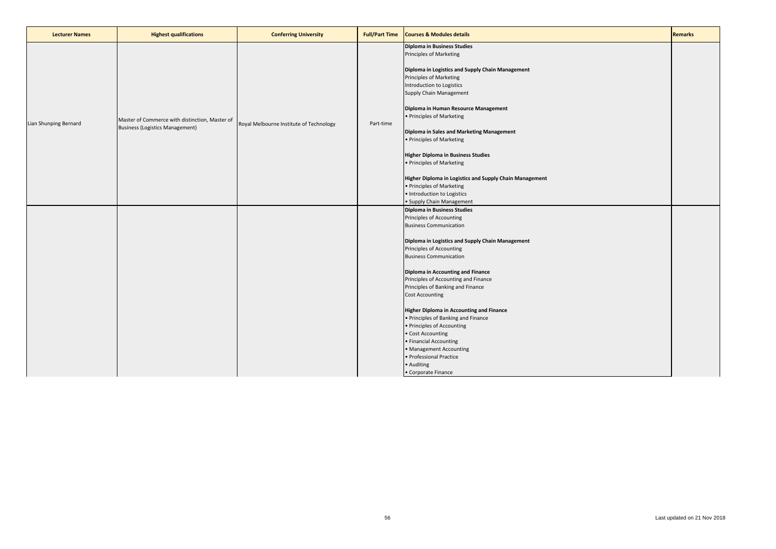| <b>Lecturer Names</b> | <b>Highest qualifications</b>                                                            | <b>Conferring University</b>            | <b>Full/Part Time</b> | <b>Courses &amp; Modules details</b>                                                                                                                                                                                                                                                                                                                                                                                                                                                                                                                                                                                           | <b>Remarks</b> |
|-----------------------|------------------------------------------------------------------------------------------|-----------------------------------------|-----------------------|--------------------------------------------------------------------------------------------------------------------------------------------------------------------------------------------------------------------------------------------------------------------------------------------------------------------------------------------------------------------------------------------------------------------------------------------------------------------------------------------------------------------------------------------------------------------------------------------------------------------------------|----------------|
| Lian Shunping Bernard | Master of Commerce with distinction, Master of<br><b>Business (Logistics Management)</b> | Royal Melbourne Institute of Technology | Part-time             | <b>Diploma in Business Studies</b><br>Principles of Marketing<br>Diploma in Logistics and Supply Chain Management<br>Principles of Marketing<br>Introduction to Logistics<br>Supply Chain Management<br>Diploma in Human Resource Management<br>• Principles of Marketing<br>Diploma in Sales and Marketing Management<br>• Principles of Marketing                                                                                                                                                                                                                                                                            |                |
|                       |                                                                                          |                                         |                       | <b>Higher Diploma in Business Studies</b><br>• Principles of Marketing<br>Higher Diploma in Logistics and Supply Chain Management<br>• Principles of Marketing<br>· Introduction to Logistics<br>• Supply Chain Management                                                                                                                                                                                                                                                                                                                                                                                                     |                |
|                       |                                                                                          |                                         |                       | <b>Diploma in Business Studies</b><br>Principles of Accounting<br><b>Business Communication</b><br>Diploma in Logistics and Supply Chain Management<br>Principles of Accounting<br><b>Business Communication</b><br>Diploma in Accounting and Finance<br>Principles of Accounting and Finance<br>Principles of Banking and Finance<br><b>Cost Accounting</b><br><b>Higher Diploma in Accounting and Finance</b><br>• Principles of Banking and Finance<br>• Principles of Accounting<br>• Cost Accounting<br>• Financial Accounting<br>• Management Accounting<br>· Professional Practice<br>• Auditing<br>• Corporate Finance |                |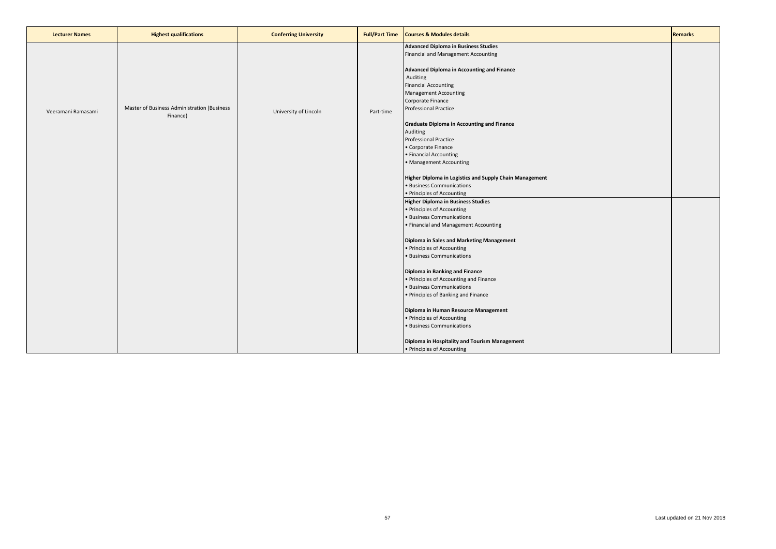| <b>Lecturer Names</b> | <b>Highest qualifications</b>               | <b>Conferring University</b> | <b>Full/Part Time</b> | <b>Courses &amp; Modules details</b>                                                                                                                                                                                                                                                            | <b>Remarks</b> |
|-----------------------|---------------------------------------------|------------------------------|-----------------------|-------------------------------------------------------------------------------------------------------------------------------------------------------------------------------------------------------------------------------------------------------------------------------------------------|----------------|
| Veeramani Ramasami    | Master of Business Administration (Business | University of Lincoln        | Part-time             | <b>Advanced Diploma in Business Studies</b><br>Financial and Management Accounting<br>Advanced Diploma in Accounting and Finance<br>Auditing<br><b>Financial Accounting</b><br><b>Management Accounting</b><br>Corporate Finance<br><b>Professional Practice</b>                                |                |
|                       | Finance)                                    |                              |                       | <b>Graduate Diploma in Accounting and Finance</b><br>Auditing<br><b>Professional Practice</b><br>• Corporate Finance<br>• Financial Accounting<br>• Management Accounting<br>Higher Diploma in Logistics and Supply Chain Management<br>· Business Communications<br>• Principles of Accounting |                |
|                       |                                             |                              |                       | <b>Higher Diploma in Business Studies</b><br>• Principles of Accounting<br>· Business Communications<br>• Financial and Management Accounting<br>Diploma in Sales and Marketing Management<br>• Principles of Accounting                                                                        |                |
|                       |                                             |                              |                       | · Business Communications<br>Diploma in Banking and Finance<br>• Principles of Accounting and Finance<br>· Business Communications<br>• Principles of Banking and Finance<br>Diploma in Human Resource Management                                                                               |                |
|                       |                                             |                              |                       | • Principles of Accounting<br>· Business Communications<br>Diploma in Hospitality and Tourism Management<br>• Principles of Accounting                                                                                                                                                          |                |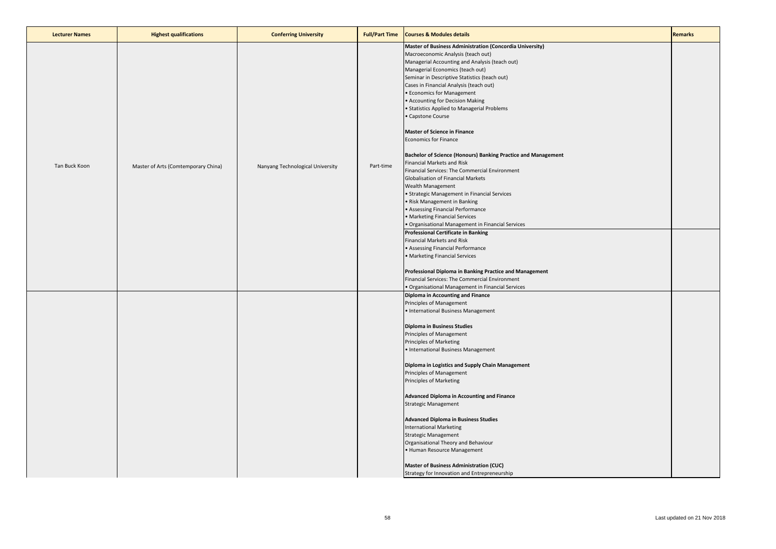| <b>Lecturer Names</b> | <b>Highest qualifications</b>       | <b>Conferring University</b>     | <b>Full/Part Time</b> | <b>Courses &amp; Modules details</b>                                                                                                                                                                                                                                                                                                                                                                                                                                                                                                                                                                                                                                                                                                                                                                                                                                                                                                                                                                                                                                                                                                                                                                                                              | <b>Remarks</b> |
|-----------------------|-------------------------------------|----------------------------------|-----------------------|---------------------------------------------------------------------------------------------------------------------------------------------------------------------------------------------------------------------------------------------------------------------------------------------------------------------------------------------------------------------------------------------------------------------------------------------------------------------------------------------------------------------------------------------------------------------------------------------------------------------------------------------------------------------------------------------------------------------------------------------------------------------------------------------------------------------------------------------------------------------------------------------------------------------------------------------------------------------------------------------------------------------------------------------------------------------------------------------------------------------------------------------------------------------------------------------------------------------------------------------------|----------------|
| Tan Buck Koon         | Master of Arts (Comtemporary China) | Nanyang Technological University | Part-time             | Master of Business Administration (Concordia University)<br>Macroeconomic Analysis (teach out)<br>Managerial Accounting and Analysis (teach out)<br>Managerial Economics (teach out)<br>Seminar in Descriptive Statistics (teach out)<br>Cases in Financial Analysis (teach out)<br>• Economics for Management<br>• Accounting for Decision Making<br>• Statistics Applied to Managerial Problems<br>• Capstone Course<br><b>Master of Science in Finance</b><br><b>Economics for Finance</b><br>Bachelor of Science (Honours) Banking Practice and Management<br>Financial Markets and Risk<br>Financial Services: The Commercial Environment<br>Globalisation of Financial Markets<br><b>Wealth Management</b><br>• Strategic Management in Financial Services<br>• Risk Management in Banking<br>• Assessing Financial Performance<br>• Marketing Financial Services<br>• Organisational Management in Financial Services<br><b>Professional Certificate in Banking</b><br>Financial Markets and Risk<br>• Assessing Financial Performance<br>• Marketing Financial Services<br>Professional Diploma in Banking Practice and Management<br>Financial Services: The Commercial Environment<br>• Organisational Management in Financial Services |                |
|                       |                                     |                                  |                       | Diploma in Accounting and Finance<br>Principles of Management<br>• International Business Management<br>Diploma in Business Studies<br>Principles of Management<br>Principles of Marketing<br>• International Business Management<br>Diploma in Logistics and Supply Chain Management<br>Principles of Management<br><b>Principles of Marketing</b><br>Advanced Diploma in Accounting and Finance<br><b>Strategic Management</b><br><b>Advanced Diploma in Business Studies</b><br><b>International Marketing</b><br><b>Strategic Management</b><br>Organisational Theory and Behaviour<br>• Human Resource Management<br><b>Master of Business Administration (CUC)</b><br>Strategy for Innovation and Entrepreneurship                                                                                                                                                                                                                                                                                                                                                                                                                                                                                                                          |                |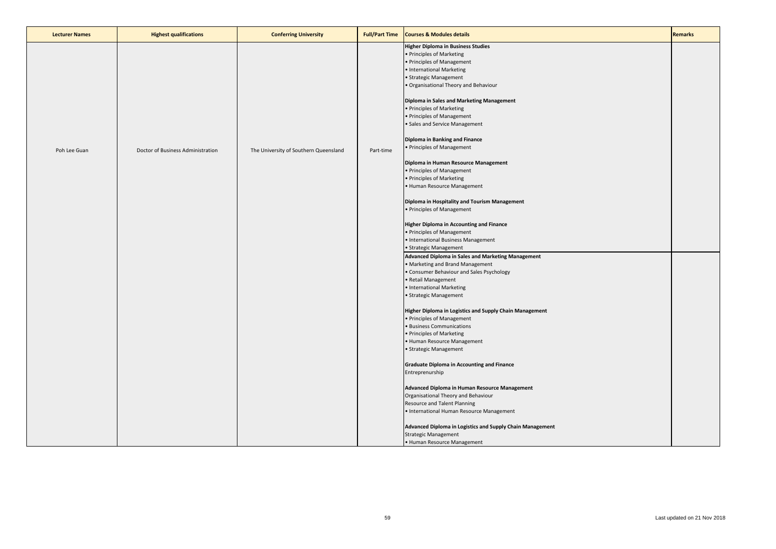| <b>Lecturer Names</b> | <b>Highest qualifications</b>     | <b>Conferring University</b>          | <b>Full/Part Time</b> | <b>Courses &amp; Modules details</b>                                                                                                                                                                                                                                                                                                                                                                                                                                                                                                                                                                                                                                                                                                                                                                                                                                                                                                                                                                                                                                                                                                                                              | <b>Remarks</b> |
|-----------------------|-----------------------------------|---------------------------------------|-----------------------|-----------------------------------------------------------------------------------------------------------------------------------------------------------------------------------------------------------------------------------------------------------------------------------------------------------------------------------------------------------------------------------------------------------------------------------------------------------------------------------------------------------------------------------------------------------------------------------------------------------------------------------------------------------------------------------------------------------------------------------------------------------------------------------------------------------------------------------------------------------------------------------------------------------------------------------------------------------------------------------------------------------------------------------------------------------------------------------------------------------------------------------------------------------------------------------|----------------|
| Poh Lee Guan          | Doctor of Business Administration | The University of Southern Queensland | Part-time             | <b>Higher Diploma in Business Studies</b><br>· Principles of Marketing<br>Principles of Management<br>International Marketing<br>Strategic Management<br>Organisational Theory and Behaviour<br>Diploma in Sales and Marketing Management<br>Principles of Marketing<br>Principles of Management<br>Sales and Service Management<br>Diploma in Banking and Finance<br>Principles of Management<br>Diploma in Human Resource Management<br>Principles of Management<br>Principles of Marketing<br>Human Resource Management<br>Diploma in Hospitality and Tourism Management<br>· Principles of Management<br><b>Higher Diploma in Accounting and Finance</b><br>· Principles of Management<br>· International Business Management<br>· Strategic Management<br>Advanced Diploma in Sales and Marketing Management<br>Marketing and Brand Management<br>Consumer Behaviour and Sales Psychology<br>Retail Management<br>International Marketing<br>Strategic Management<br>Higher Diploma in Logistics and Supply Chain Management<br>Principles of Management<br><b>Business Communications</b><br>Principles of Marketing<br>Human Resource Management<br>· Strategic Management |                |
|                       |                                   |                                       |                       | <b>Graduate Diploma in Accounting and Finance</b><br>Entreprenurship                                                                                                                                                                                                                                                                                                                                                                                                                                                                                                                                                                                                                                                                                                                                                                                                                                                                                                                                                                                                                                                                                                              |                |
|                       |                                   |                                       |                       | Advanced Diploma in Human Resource Management<br>Organisational Theory and Behaviour<br>Resource and Talent Planning<br>• International Human Resource Management                                                                                                                                                                                                                                                                                                                                                                                                                                                                                                                                                                                                                                                                                                                                                                                                                                                                                                                                                                                                                 |                |
|                       |                                   |                                       |                       | Advanced Diploma in Logistics and Supply Chain Management<br>Strategic Management<br>• Human Resource Management                                                                                                                                                                                                                                                                                                                                                                                                                                                                                                                                                                                                                                                                                                                                                                                                                                                                                                                                                                                                                                                                  |                |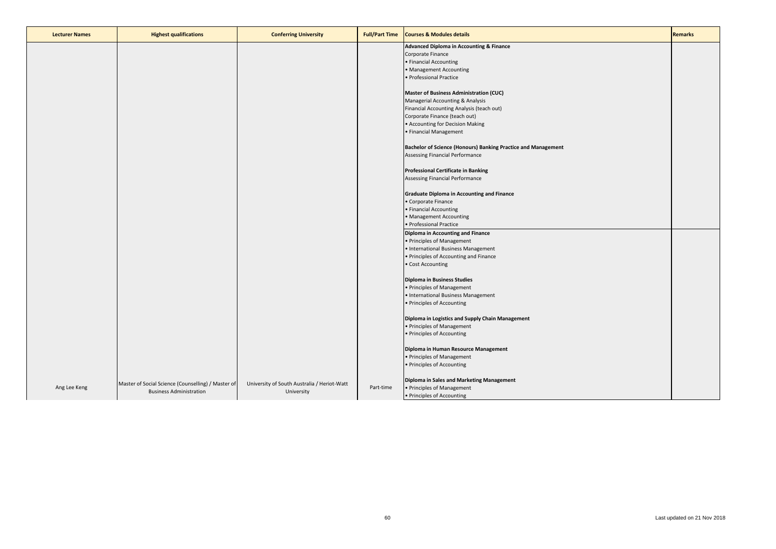| <b>Lecturer Names</b> | <b>Highest qualifications</b>                      | <b>Conferring University</b>                | <b>Full/Part Time</b> | <b>Courses &amp; Modules details</b>                          | <b>Remarks</b> |
|-----------------------|----------------------------------------------------|---------------------------------------------|-----------------------|---------------------------------------------------------------|----------------|
|                       |                                                    |                                             |                       | Advanced Diploma in Accounting & Finance                      |                |
|                       |                                                    |                                             |                       | Corporate Finance                                             |                |
|                       |                                                    |                                             |                       | • Financial Accounting                                        |                |
|                       |                                                    |                                             |                       | • Management Accounting                                       |                |
|                       |                                                    |                                             |                       | · Professional Practice                                       |                |
|                       |                                                    |                                             |                       |                                                               |                |
|                       |                                                    |                                             |                       | <b>Master of Business Administration (CUC)</b>                |                |
|                       |                                                    |                                             |                       | Managerial Accounting & Analysis                              |                |
|                       |                                                    |                                             |                       | Financial Accounting Analysis (teach out)                     |                |
|                       |                                                    |                                             |                       | Corporate Finance (teach out)                                 |                |
|                       |                                                    |                                             |                       | • Accounting for Decision Making                              |                |
|                       |                                                    |                                             |                       | • Financial Management                                        |                |
|                       |                                                    |                                             |                       |                                                               |                |
|                       |                                                    |                                             |                       | Bachelor of Science (Honours) Banking Practice and Management |                |
|                       |                                                    |                                             |                       | Assessing Financial Performance                               |                |
|                       |                                                    |                                             |                       | <b>Professional Certificate in Banking</b>                    |                |
|                       |                                                    |                                             |                       | Assessing Financial Performance                               |                |
|                       |                                                    |                                             |                       |                                                               |                |
|                       |                                                    |                                             |                       | <b>Graduate Diploma in Accounting and Finance</b>             |                |
|                       |                                                    |                                             |                       | • Corporate Finance                                           |                |
|                       |                                                    |                                             |                       | • Financial Accounting                                        |                |
|                       |                                                    |                                             |                       | • Management Accounting                                       |                |
|                       |                                                    |                                             |                       | · Professional Practice                                       |                |
|                       |                                                    |                                             |                       | Diploma in Accounting and Finance                             |                |
|                       |                                                    |                                             |                       | • Principles of Management                                    |                |
|                       |                                                    |                                             |                       | • International Business Management                           |                |
|                       |                                                    |                                             |                       | • Principles of Accounting and Finance                        |                |
|                       |                                                    |                                             |                       | • Cost Accounting                                             |                |
|                       |                                                    |                                             |                       |                                                               |                |
|                       |                                                    |                                             |                       | Diploma in Business Studies                                   |                |
|                       |                                                    |                                             |                       | • Principles of Management                                    |                |
|                       |                                                    |                                             |                       | • International Business Management                           |                |
|                       |                                                    |                                             |                       | • Principles of Accounting                                    |                |
|                       |                                                    |                                             |                       | Diploma in Logistics and Supply Chain Management              |                |
|                       |                                                    |                                             |                       | • Principles of Management                                    |                |
|                       |                                                    |                                             |                       | • Principles of Accounting                                    |                |
|                       |                                                    |                                             |                       |                                                               |                |
|                       |                                                    |                                             |                       | Diploma in Human Resource Management                          |                |
|                       |                                                    |                                             |                       | • Principles of Management                                    |                |
|                       |                                                    |                                             |                       | • Principles of Accounting                                    |                |
|                       |                                                    |                                             |                       | Diploma in Sales and Marketing Management                     |                |
| Ang Lee Keng          | Master of Social Science (Counselling) / Master of | University of South Australia / Heriot-Watt | Part-time             | • Principles of Management                                    |                |
|                       | <b>Business Administration</b>                     | University                                  |                       | • Principles of Accounting                                    |                |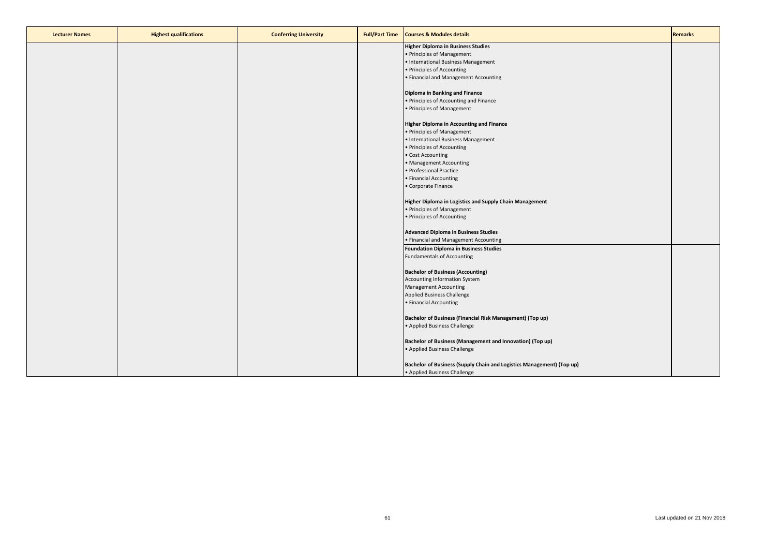| <b>Lecturer Names</b> | <b>Highest qualifications</b> | <b>Conferring University</b> | <b>Full/Part Time</b> | <b>Courses &amp; Modules details</b>                                  | <b>Remarks</b> |
|-----------------------|-------------------------------|------------------------------|-----------------------|-----------------------------------------------------------------------|----------------|
|                       |                               |                              |                       | <b>Higher Diploma in Business Studies</b>                             |                |
|                       |                               |                              |                       | • Principles of Management                                            |                |
|                       |                               |                              |                       | • International Business Management                                   |                |
|                       |                               |                              |                       | • Principles of Accounting                                            |                |
|                       |                               |                              |                       | • Financial and Management Accounting                                 |                |
|                       |                               |                              |                       |                                                                       |                |
|                       |                               |                              |                       | Diploma in Banking and Finance                                        |                |
|                       |                               |                              |                       | • Principles of Accounting and Finance                                |                |
|                       |                               |                              |                       | • Principles of Management                                            |                |
|                       |                               |                              |                       |                                                                       |                |
|                       |                               |                              |                       | <b>Higher Diploma in Accounting and Finance</b>                       |                |
|                       |                               |                              |                       | • Principles of Management                                            |                |
|                       |                               |                              |                       | • International Business Management                                   |                |
|                       |                               |                              |                       | • Principles of Accounting                                            |                |
|                       |                               |                              |                       | • Cost Accounting                                                     |                |
|                       |                               |                              |                       | • Management Accounting                                               |                |
|                       |                               |                              |                       | · Professional Practice                                               |                |
|                       |                               |                              |                       | • Financial Accounting                                                |                |
|                       |                               |                              |                       | • Corporate Finance                                                   |                |
|                       |                               |                              |                       |                                                                       |                |
|                       |                               |                              |                       | Higher Diploma in Logistics and Supply Chain Management               |                |
|                       |                               |                              |                       | • Principles of Management                                            |                |
|                       |                               |                              |                       | • Principles of Accounting                                            |                |
|                       |                               |                              |                       | <b>Advanced Diploma in Business Studies</b>                           |                |
|                       |                               |                              |                       | • Financial and Management Accounting                                 |                |
|                       |                               |                              |                       | <b>Foundation Diploma in Business Studies</b>                         |                |
|                       |                               |                              |                       | <b>Fundamentals of Accounting</b>                                     |                |
|                       |                               |                              |                       |                                                                       |                |
|                       |                               |                              |                       | <b>Bachelor of Business (Accounting)</b>                              |                |
|                       |                               |                              |                       | <b>Accounting Information System</b>                                  |                |
|                       |                               |                              |                       | <b>Management Accounting</b>                                          |                |
|                       |                               |                              |                       | Applied Business Challenge                                            |                |
|                       |                               |                              |                       | • Financial Accounting                                                |                |
|                       |                               |                              |                       |                                                                       |                |
|                       |                               |                              |                       | Bachelor of Business (Financial Risk Management) (Top up)             |                |
|                       |                               |                              |                       | • Applied Business Challenge                                          |                |
|                       |                               |                              |                       |                                                                       |                |
|                       |                               |                              |                       | Bachelor of Business (Management and Innovation) (Top up)             |                |
|                       |                               |                              |                       | • Applied Business Challenge                                          |                |
|                       |                               |                              |                       |                                                                       |                |
|                       |                               |                              |                       | Bachelor of Business (Supply Chain and Logistics Management) (Top up) |                |
|                       |                               |                              |                       | • Applied Business Challenge                                          |                |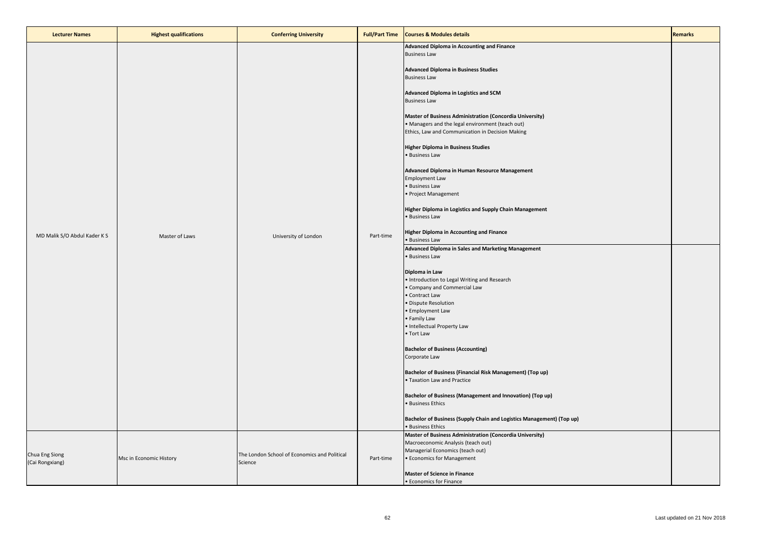| <b>Lecturer Names</b>             | <b>Highest qualifications</b> | <b>Conferring University</b>                            | <b>Full/Part Time</b> | <b>Courses &amp; Modules details</b>                                                                                                                                                                                                                                                                                                                                                                                                                                                                                                                                                                                                                                                                                                                                                                                                                                                                                                                                                                                                                                                                                                                                                                                                                                                                                                                                                                                       | <b>Remarks</b> |
|-----------------------------------|-------------------------------|---------------------------------------------------------|-----------------------|----------------------------------------------------------------------------------------------------------------------------------------------------------------------------------------------------------------------------------------------------------------------------------------------------------------------------------------------------------------------------------------------------------------------------------------------------------------------------------------------------------------------------------------------------------------------------------------------------------------------------------------------------------------------------------------------------------------------------------------------------------------------------------------------------------------------------------------------------------------------------------------------------------------------------------------------------------------------------------------------------------------------------------------------------------------------------------------------------------------------------------------------------------------------------------------------------------------------------------------------------------------------------------------------------------------------------------------------------------------------------------------------------------------------------|----------------|
| MD Malik S/O Abdul Kader K S      | Master of Laws                | University of London                                    | Part-time             | <b>Advanced Diploma in Accounting and Finance</b><br><b>Business Law</b><br><b>Advanced Diploma in Business Studies</b><br><b>Business Law</b><br>Advanced Diploma in Logistics and SCM<br><b>Business Law</b><br>Master of Business Administration (Concordia University)<br>• Managers and the legal environment (teach out)<br>Ethics, Law and Communication in Decision Making<br>Higher Diploma in Business Studies<br>• Business Law<br>Advanced Diploma in Human Resource Management<br><b>Employment Law</b><br>• Business Law<br>• Project Management<br>Higher Diploma in Logistics and Supply Chain Management<br>• Business Law<br><b>Higher Diploma in Accounting and Finance</b><br>• Business Law<br>Advanced Diploma in Sales and Marketing Management<br>• Business Law<br>Diploma in Law<br>. Introduction to Legal Writing and Research<br>• Company and Commercial Law<br>• Contract Law<br>· Dispute Resolution<br>• Employment Law<br>• Family Law<br>· Intellectual Property Law<br>• Tort Law<br><b>Bachelor of Business (Accounting)</b><br>Corporate Law<br>Bachelor of Business (Financial Risk Management) (Top up)<br>• Taxation Law and Practice<br>Bachelor of Business (Management and Innovation) (Top up)<br>• Business Ethics<br>Bachelor of Business (Supply Chain and Logistics Management) (Top up)<br>• Business Ethics<br>Master of Business Administration (Concordia University) |                |
| Chua Eng Siong<br>(Cai Rongxiang) | Msc in Economic History       | The London School of Economics and Political<br>Science | Part-time             | Macroeconomic Analysis (teach out)<br>Managerial Economics (teach out)<br>• Economics for Management<br><b>Master of Science in Finance</b><br>• Economics for Finance                                                                                                                                                                                                                                                                                                                                                                                                                                                                                                                                                                                                                                                                                                                                                                                                                                                                                                                                                                                                                                                                                                                                                                                                                                                     |                |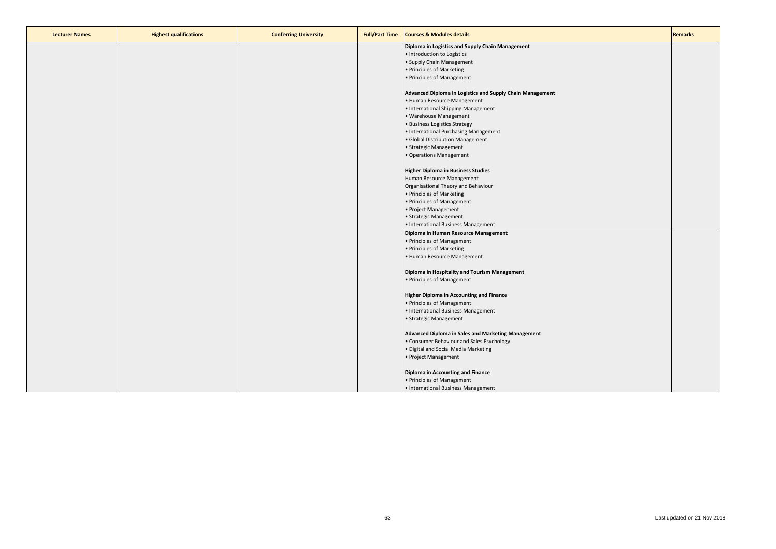| <b>Lecturer Names</b> | <b>Highest qualifications</b> | <b>Conferring University</b> | <b>Full/Part Time</b> | <b>Courses &amp; Modules details</b>                      | <b>Remarks</b> |
|-----------------------|-------------------------------|------------------------------|-----------------------|-----------------------------------------------------------|----------------|
|                       |                               |                              |                       | Diploma in Logistics and Supply Chain Management          |                |
|                       |                               |                              |                       | . Introduction to Logistics                               |                |
|                       |                               |                              |                       | • Supply Chain Management                                 |                |
|                       |                               |                              |                       | • Principles of Marketing                                 |                |
|                       |                               |                              |                       | • Principles of Management                                |                |
|                       |                               |                              |                       |                                                           |                |
|                       |                               |                              |                       | Advanced Diploma in Logistics and Supply Chain Management |                |
|                       |                               |                              |                       | • Human Resource Management                               |                |
|                       |                               |                              |                       | • International Shipping Management                       |                |
|                       |                               |                              |                       | · Warehouse Management                                    |                |
|                       |                               |                              |                       | · Business Logistics Strategy                             |                |
|                       |                               |                              |                       | • International Purchasing Management                     |                |
|                       |                               |                              |                       | · Global Distribution Management                          |                |
|                       |                               |                              |                       | · Strategic Management                                    |                |
|                       |                               |                              |                       | • Operations Management                                   |                |
|                       |                               |                              |                       |                                                           |                |
|                       |                               |                              |                       | <b>Higher Diploma in Business Studies</b>                 |                |
|                       |                               |                              |                       | Human Resource Management                                 |                |
|                       |                               |                              |                       | Organisational Theory and Behaviour                       |                |
|                       |                               |                              |                       | • Principles of Marketing                                 |                |
|                       |                               |                              |                       | • Principles of Management                                |                |
|                       |                               |                              |                       | • Project Management                                      |                |
|                       |                               |                              |                       | · Strategic Management                                    |                |
|                       |                               |                              |                       | • International Business Management                       |                |
|                       |                               |                              |                       | Diploma in Human Resource Management                      |                |
|                       |                               |                              |                       | • Principles of Management                                |                |
|                       |                               |                              |                       | • Principles of Marketing                                 |                |
|                       |                               |                              |                       | • Human Resource Management                               |                |
|                       |                               |                              |                       |                                                           |                |
|                       |                               |                              |                       | Diploma in Hospitality and Tourism Management             |                |
|                       |                               |                              |                       | • Principles of Management                                |                |
|                       |                               |                              |                       |                                                           |                |
|                       |                               |                              |                       | <b>Higher Diploma in Accounting and Finance</b>           |                |
|                       |                               |                              |                       | • Principles of Management                                |                |
|                       |                               |                              |                       | • International Business Management                       |                |
|                       |                               |                              |                       | • Strategic Management                                    |                |
|                       |                               |                              |                       |                                                           |                |
|                       |                               |                              |                       | Advanced Diploma in Sales and Marketing Management        |                |
|                       |                               |                              |                       | • Consumer Behaviour and Sales Psychology                 |                |
|                       |                               |                              |                       | . Digital and Social Media Marketing                      |                |
|                       |                               |                              |                       | • Project Management                                      |                |
|                       |                               |                              |                       |                                                           |                |
|                       |                               |                              |                       | Diploma in Accounting and Finance                         |                |
|                       |                               |                              |                       | • Principles of Management                                |                |
|                       |                               |                              |                       | · International Business Management                       |                |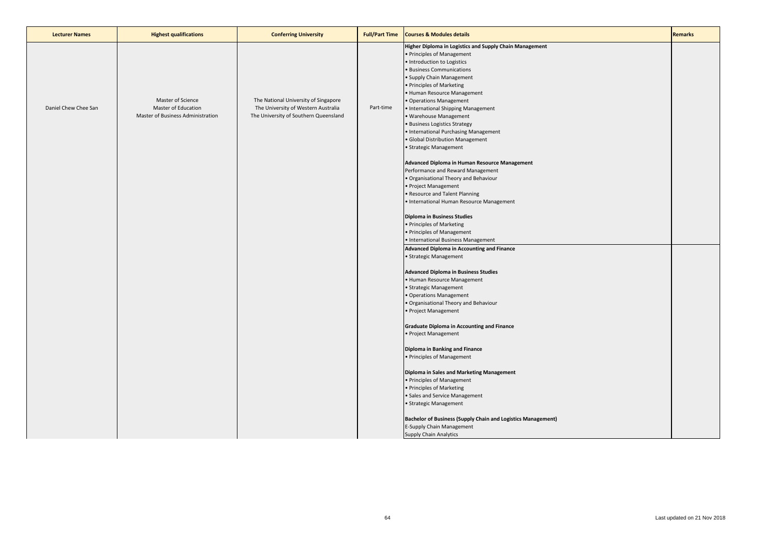| <b>Lecturer Names</b> | <b>Highest qualifications</b>                                                 | <b>Conferring University</b>                                                                                         | <b>Full/Part Time</b> | <b>Courses &amp; Modules details</b>                                                                                                                                                                                                                                                                                                                                                                                                                                                | <b>Remarks</b> |
|-----------------------|-------------------------------------------------------------------------------|----------------------------------------------------------------------------------------------------------------------|-----------------------|-------------------------------------------------------------------------------------------------------------------------------------------------------------------------------------------------------------------------------------------------------------------------------------------------------------------------------------------------------------------------------------------------------------------------------------------------------------------------------------|----------------|
| Daniel Chew Chee San  | Master of Science<br>Master of Education<br>Master of Business Administration | The National University of Singapore<br>The University of Western Australia<br>The University of Southern Queensland | Part-time             | Higher Diploma in Logistics and Supply Chain Management<br>· Principles of Management<br>· Introduction to Logistics<br>· Business Communications<br>• Supply Chain Management<br>· Principles of Marketing<br>· Human Resource Management<br>· Operations Management<br>• International Shipping Management<br>· Warehouse Management<br><b>Business Logistics Strategy</b><br>· International Purchasing Management<br>· Global Distribution Management<br>• Strategic Management |                |
|                       |                                                                               |                                                                                                                      |                       | Advanced Diploma in Human Resource Management<br>Performance and Reward Management<br>Organisational Theory and Behaviour<br>· Project Management<br>· Resource and Talent Planning<br>International Human Resource Management<br><b>Diploma in Business Studies</b><br>· Principles of Marketing                                                                                                                                                                                   |                |
|                       |                                                                               |                                                                                                                      |                       | · Principles of Management<br>· International Business Management<br>Advanced Diploma in Accounting and Finance                                                                                                                                                                                                                                                                                                                                                                     |                |
|                       |                                                                               |                                                                                                                      |                       | · Strategic Management<br><b>Advanced Diploma in Business Studies</b><br>• Human Resource Management<br>· Strategic Management<br>· Operations Management<br>· Organisational Theory and Behaviour<br>· Project Management                                                                                                                                                                                                                                                          |                |
|                       |                                                                               |                                                                                                                      |                       | <b>Graduate Diploma in Accounting and Finance</b><br>Project Management                                                                                                                                                                                                                                                                                                                                                                                                             |                |
|                       |                                                                               |                                                                                                                      |                       | Diploma in Banking and Finance<br>Principles of Management                                                                                                                                                                                                                                                                                                                                                                                                                          |                |
|                       |                                                                               |                                                                                                                      |                       | Diploma in Sales and Marketing Management<br>• Principles of Management<br>• Principles of Marketing<br>· Sales and Service Management<br>· Strategic Management                                                                                                                                                                                                                                                                                                                    |                |
|                       |                                                                               |                                                                                                                      |                       | <b>Bachelor of Business (Supply Chain and Logistics Management)</b><br>E-Supply Chain Management<br><b>Supply Chain Analytics</b>                                                                                                                                                                                                                                                                                                                                                   |                |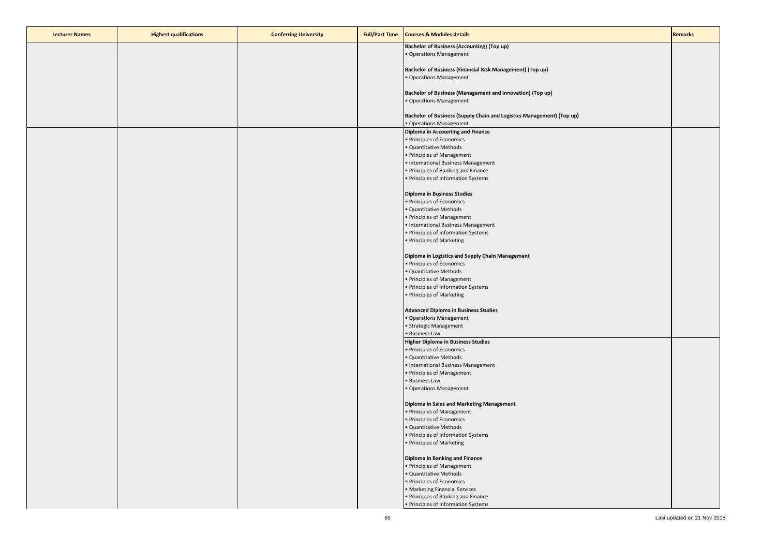| <b>Lecturer Names</b> | <b>Highest qualifications</b> | <b>Conferring University</b> | <b>Full/Part Time</b> Courses & Modules details                                                  | <b>Remarks</b> |
|-----------------------|-------------------------------|------------------------------|--------------------------------------------------------------------------------------------------|----------------|
|                       |                               |                              | <b>Bachelor of Business (Accounting) (Top up)</b>                                                |                |
|                       |                               |                              | · Operations Management                                                                          |                |
|                       |                               |                              | Bachelor of Business (Financial Risk Management) (Top up)                                        |                |
|                       |                               |                              | • Operations Management                                                                          |                |
|                       |                               |                              |                                                                                                  |                |
|                       |                               |                              | Bachelor of Business (Management and Innovation) (Top up)                                        |                |
|                       |                               |                              | • Operations Management                                                                          |                |
|                       |                               |                              |                                                                                                  |                |
|                       |                               |                              | Bachelor of Business (Supply Chain and Logistics Management) (Top up)<br>• Operations Management |                |
|                       |                               |                              | Diploma in Accounting and Finance                                                                |                |
|                       |                               |                              | · Principles of Economics                                                                        |                |
|                       |                               |                              | · Quantitative Methods                                                                           |                |
|                       |                               |                              | • Principles of Management                                                                       |                |
|                       |                               |                              | • International Business Management                                                              |                |
|                       |                               |                              | • Principles of Banking and Finance<br>• Principles of Information Systems                       |                |
|                       |                               |                              |                                                                                                  |                |
|                       |                               |                              | Diploma in Business Studies                                                                      |                |
|                       |                               |                              | • Principles of Economics                                                                        |                |
|                       |                               |                              | · Quantitative Methods                                                                           |                |
|                       |                               |                              | • Principles of Management                                                                       |                |
|                       |                               |                              | • International Business Management                                                              |                |
|                       |                               |                              | • Principles of Information Systems<br>• Principles of Marketing                                 |                |
|                       |                               |                              |                                                                                                  |                |
|                       |                               |                              | Diploma in Logistics and Supply Chain Management                                                 |                |
|                       |                               |                              | · Principles of Economics                                                                        |                |
|                       |                               |                              | · Quantitative Methods                                                                           |                |
|                       |                               |                              | • Principles of Management                                                                       |                |
|                       |                               |                              | • Principles of Information Systems                                                              |                |
|                       |                               |                              | • Principles of Marketing                                                                        |                |
|                       |                               |                              | <b>Advanced Diploma in Business Studies</b>                                                      |                |
|                       |                               |                              | • Operations Management                                                                          |                |
|                       |                               |                              | • Strategic Management                                                                           |                |
|                       |                               |                              | • Business Law                                                                                   |                |
|                       |                               |                              | <b>Higher Diploma in Business Studies</b>                                                        |                |
|                       |                               |                              | • Principles of Economics                                                                        |                |
|                       |                               |                              | · Quantitative Methods<br>• International Business Management                                    |                |
|                       |                               |                              | • Principles of Management                                                                       |                |
|                       |                               |                              | • Business Law                                                                                   |                |
|                       |                               |                              | • Operations Management                                                                          |                |
|                       |                               |                              |                                                                                                  |                |
|                       |                               |                              | Diploma in Sales and Marketing Management                                                        |                |
|                       |                               |                              | • Principles of Management<br>· Principles of Economics                                          |                |
|                       |                               |                              | · Quantitative Methods                                                                           |                |
|                       |                               |                              | • Principles of Information Systems                                                              |                |
|                       |                               |                              | • Principles of Marketing                                                                        |                |
|                       |                               |                              |                                                                                                  |                |
|                       |                               |                              | Diploma in Banking and Finance                                                                   |                |
|                       |                               |                              | • Principles of Management                                                                       |                |
|                       |                               |                              | · Quantitative Methods                                                                           |                |
|                       |                               |                              | • Principles of Economics                                                                        |                |
|                       |                               |                              | • Marketing Financial Services<br>• Principles of Banking and Finance                            |                |
|                       |                               |                              | • Principles of Information Systems                                                              |                |
|                       |                               |                              |                                                                                                  |                |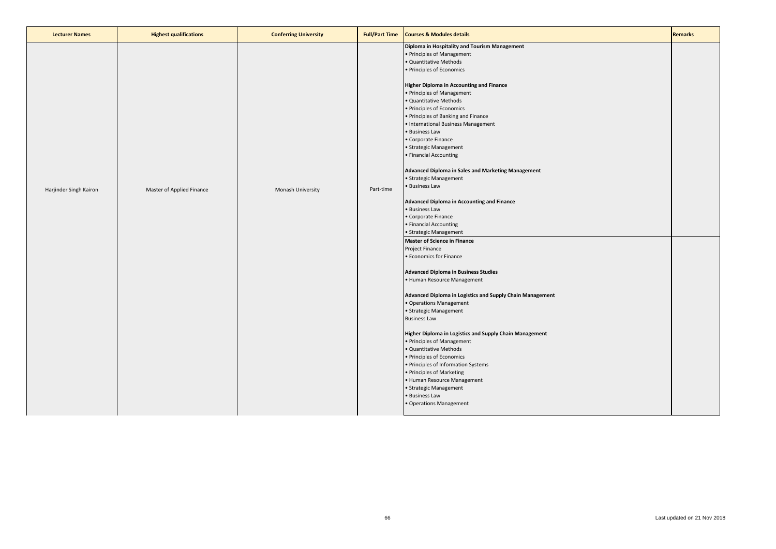| <b>Lecturer Names</b>  | <b>Highest qualifications</b> | <b>Conferring University</b> | <b>Full/Part Time</b> | <b>Courses &amp; Modules details</b>                                                                                                                                                                                                                                                                                                                                                                                                                                                                                                                                                                                                                                                                                                                                                                                                                                                                                                                                                                                                                                                                                                                                                                                                                                                                                                                         | <b>Remarks</b> |
|------------------------|-------------------------------|------------------------------|-----------------------|--------------------------------------------------------------------------------------------------------------------------------------------------------------------------------------------------------------------------------------------------------------------------------------------------------------------------------------------------------------------------------------------------------------------------------------------------------------------------------------------------------------------------------------------------------------------------------------------------------------------------------------------------------------------------------------------------------------------------------------------------------------------------------------------------------------------------------------------------------------------------------------------------------------------------------------------------------------------------------------------------------------------------------------------------------------------------------------------------------------------------------------------------------------------------------------------------------------------------------------------------------------------------------------------------------------------------------------------------------------|----------------|
| Harjinder Singh Kairon | Master of Applied Finance     | Monash University            | Part-time             | Diploma in Hospitality and Tourism Management<br>· Principles of Management<br>· Quantitative Methods<br>· Principles of Economics<br><b>Higher Diploma in Accounting and Finance</b><br>· Principles of Management<br>· Quantitative Methods<br>· Principles of Economics<br>· Principles of Banking and Finance<br>· International Business Management<br>· Business Law<br>Corporate Finance<br>· Strategic Management<br>· Financial Accounting<br><b>Advanced Diploma in Sales and Marketing Management</b><br>· Strategic Management<br>· Business Law<br><b>Advanced Diploma in Accounting and Finance</b><br>· Business Law<br>Corporate Finance<br>· Financial Accounting<br>· Strategic Management<br><b>Master of Science in Finance</b><br>Project Finance<br><b>Economics for Finance</b><br><b>Advanced Diploma in Business Studies</b><br>· Human Resource Management<br>Advanced Diploma in Logistics and Supply Chain Management<br>· Operations Management<br>· Strategic Management<br><b>Business Law</b><br>Higher Diploma in Logistics and Supply Chain Management<br>· Principles of Management<br>· Quantitative Methods<br>· Principles of Economics<br>· Principles of Information Systems<br>· Principles of Marketing<br>· Human Resource Management<br>· Strategic Management<br><b>Business Law</b><br>· Operations Management |                |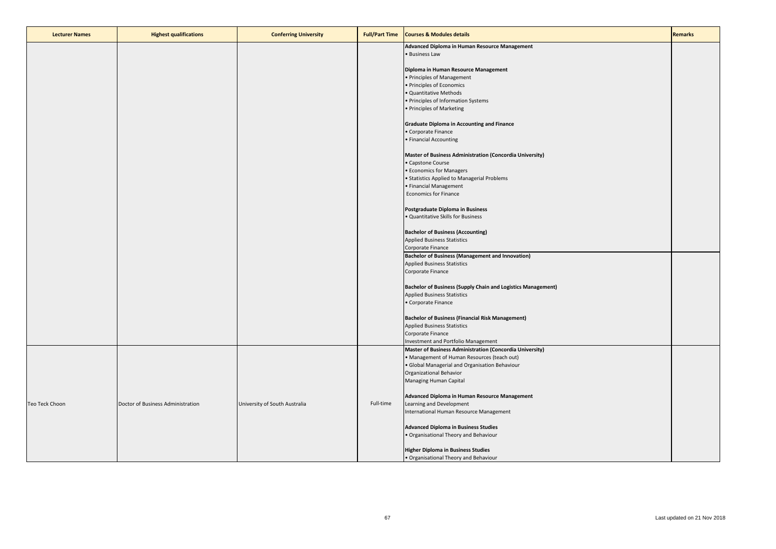| <b>Lecturer Names</b> | <b>Highest qualifications</b>     | <b>Conferring University</b>  | <b>Full/Part Time</b> | <b>Courses &amp; Modules details</b>                                | <b>Remarks</b> |
|-----------------------|-----------------------------------|-------------------------------|-----------------------|---------------------------------------------------------------------|----------------|
|                       |                                   |                               |                       | Advanced Diploma in Human Resource Management                       |                |
|                       |                                   |                               |                       | · Business Law                                                      |                |
|                       |                                   |                               |                       |                                                                     |                |
|                       |                                   |                               |                       | Diploma in Human Resource Management                                |                |
|                       |                                   |                               |                       | · Principles of Management                                          |                |
|                       |                                   |                               |                       | · Principles of Economics                                           |                |
|                       |                                   |                               |                       | · Quantitative Methods                                              |                |
|                       |                                   |                               |                       | · Principles of Information Systems                                 |                |
|                       |                                   |                               |                       | · Principles of Marketing                                           |                |
|                       |                                   |                               |                       |                                                                     |                |
|                       |                                   |                               |                       | <b>Graduate Diploma in Accounting and Finance</b>                   |                |
|                       |                                   |                               |                       | · Corporate Finance                                                 |                |
|                       |                                   |                               |                       | · Financial Accounting                                              |                |
|                       |                                   |                               |                       |                                                                     |                |
|                       |                                   |                               |                       | Master of Business Administration (Concordia University)            |                |
|                       |                                   |                               |                       | Capstone Course                                                     |                |
|                       |                                   |                               |                       | <b>Economics for Managers</b>                                       |                |
|                       |                                   |                               |                       | • Statistics Applied to Managerial Problems                         |                |
|                       |                                   |                               |                       | · Financial Management                                              |                |
|                       |                                   |                               |                       |                                                                     |                |
|                       |                                   |                               |                       | <b>Economics for Finance</b>                                        |                |
|                       |                                   |                               |                       |                                                                     |                |
|                       |                                   |                               |                       | Postgraduate Diploma in Business                                    |                |
|                       |                                   |                               |                       | · Quantitative Skills for Business                                  |                |
|                       |                                   |                               |                       | <b>Bachelor of Business (Accounting)</b>                            |                |
|                       |                                   |                               |                       |                                                                     |                |
|                       |                                   |                               |                       | <b>Applied Business Statistics</b>                                  |                |
|                       |                                   |                               |                       | Corporate Finance                                                   |                |
|                       |                                   |                               |                       | <b>Bachelor of Business (Management and Innovation)</b>             |                |
|                       |                                   |                               |                       | <b>Applied Business Statistics</b>                                  |                |
|                       |                                   |                               |                       | Corporate Finance                                                   |                |
|                       |                                   |                               |                       |                                                                     |                |
|                       |                                   |                               |                       | <b>Bachelor of Business (Supply Chain and Logistics Management)</b> |                |
|                       |                                   |                               |                       | <b>Applied Business Statistics</b>                                  |                |
|                       |                                   |                               |                       | · Corporate Finance                                                 |                |
|                       |                                   |                               |                       |                                                                     |                |
|                       |                                   |                               |                       | <b>Bachelor of Business (Financial Risk Management)</b>             |                |
|                       |                                   |                               |                       | <b>Applied Business Statistics</b>                                  |                |
|                       |                                   |                               |                       | Corporate Finance                                                   |                |
|                       |                                   |                               |                       | Investment and Portfolio Management                                 |                |
|                       |                                   |                               |                       | Master of Business Administration (Concordia University)            |                |
|                       |                                   |                               |                       | Management of Human Resources (teach out)                           |                |
|                       |                                   |                               |                       | · Global Managerial and Organisation Behaviour                      |                |
|                       |                                   |                               |                       | Organizational Behavior                                             |                |
|                       |                                   |                               |                       | Managing Human Capital                                              |                |
|                       |                                   |                               |                       |                                                                     |                |
|                       |                                   |                               |                       | Advanced Diploma in Human Resource Management                       |                |
| Teo Teck Choon        | Doctor of Business Administration | University of South Australia | Full-time             | Learning and Development                                            |                |
|                       |                                   |                               |                       | International Human Resource Management                             |                |
|                       |                                   |                               |                       |                                                                     |                |
|                       |                                   |                               |                       | <b>Advanced Diploma in Business Studies</b>                         |                |
|                       |                                   |                               |                       | · Organisational Theory and Behaviour                               |                |
|                       |                                   |                               |                       |                                                                     |                |
|                       |                                   |                               |                       | <b>Higher Diploma in Business Studies</b>                           |                |
|                       |                                   |                               |                       | · Organisational Theory and Behaviour                               |                |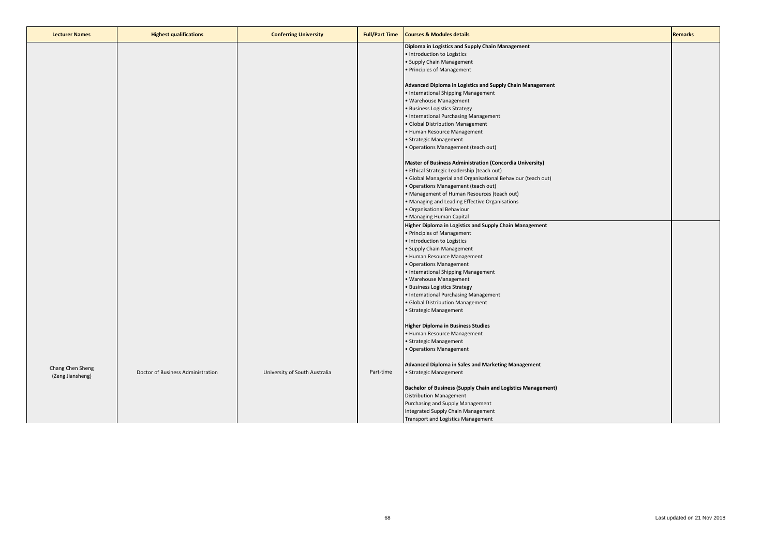| <b>Lecturer Names</b> | <b>Highest qualifications</b>     | <b>Conferring University</b>  | <b>Full/Part Time</b> | <b>Courses &amp; Modules details</b>                                | <b>Remarks</b> |
|-----------------------|-----------------------------------|-------------------------------|-----------------------|---------------------------------------------------------------------|----------------|
|                       |                                   |                               |                       | Diploma in Logistics and Supply Chain Management                    |                |
|                       |                                   |                               |                       | · Introduction to Logistics                                         |                |
|                       |                                   |                               |                       | • Supply Chain Management                                           |                |
|                       |                                   |                               |                       | • Principles of Management                                          |                |
|                       |                                   |                               |                       |                                                                     |                |
|                       |                                   |                               |                       | Advanced Diploma in Logistics and Supply Chain Management           |                |
|                       |                                   |                               |                       | • International Shipping Management                                 |                |
|                       |                                   |                               |                       | • Warehouse Management                                              |                |
|                       |                                   |                               |                       | • Business Logistics Strategy                                       |                |
|                       |                                   |                               |                       | • International Purchasing Management                               |                |
|                       |                                   |                               |                       | • Global Distribution Management                                    |                |
|                       |                                   |                               |                       | • Human Resource Management                                         |                |
|                       |                                   |                               |                       | • Strategic Management                                              |                |
|                       |                                   |                               |                       | • Operations Management (teach out)                                 |                |
|                       |                                   |                               |                       | Master of Business Administration (Concordia University)            |                |
|                       |                                   |                               |                       | • Ethical Strategic Leadership (teach out)                          |                |
|                       |                                   |                               |                       | · Global Managerial and Organisational Behaviour (teach out)        |                |
|                       |                                   |                               |                       | • Operations Management (teach out)                                 |                |
|                       |                                   |                               |                       | • Management of Human Resources (teach out)                         |                |
|                       |                                   |                               |                       | • Managing and Leading Effective Organisations                      |                |
|                       |                                   |                               |                       | · Organisational Behaviour                                          |                |
|                       |                                   |                               |                       | • Managing Human Capital                                            |                |
|                       |                                   |                               |                       | Higher Diploma in Logistics and Supply Chain Management             |                |
|                       |                                   |                               |                       | • Principles of Management                                          |                |
|                       |                                   |                               |                       | . Introduction to Logistics                                         |                |
|                       |                                   |                               |                       | • Supply Chain Management                                           |                |
|                       |                                   |                               |                       | • Human Resource Management                                         |                |
|                       |                                   |                               |                       | • Operations Management                                             |                |
|                       |                                   |                               |                       | • International Shipping Management                                 |                |
|                       |                                   |                               |                       | • Warehouse Management                                              |                |
|                       |                                   |                               |                       | • Business Logistics Strategy                                       |                |
|                       |                                   |                               |                       | • International Purchasing Management                               |                |
|                       |                                   |                               |                       | · Global Distribution Management                                    |                |
|                       |                                   |                               |                       | • Strategic Management                                              |                |
|                       |                                   |                               |                       | <b>Higher Diploma in Business Studies</b>                           |                |
|                       |                                   |                               |                       | • Human Resource Management                                         |                |
|                       |                                   |                               |                       | • Strategic Management                                              |                |
|                       |                                   |                               |                       | • Operations Management                                             |                |
|                       |                                   |                               |                       |                                                                     |                |
| Chang Chen Sheng      |                                   |                               |                       | Advanced Diploma in Sales and Marketing Management                  |                |
| (Zeng Jiansheng)      | Doctor of Business Administration | University of South Australia | Part-time             | • Strategic Management                                              |                |
|                       |                                   |                               |                       | <b>Bachelor of Business (Supply Chain and Logistics Management)</b> |                |
|                       |                                   |                               |                       | <b>Distribution Management</b>                                      |                |
|                       |                                   |                               |                       | Purchasing and Supply Management                                    |                |
|                       |                                   |                               |                       | Integrated Supply Chain Management                                  |                |
|                       |                                   |                               |                       | <b>Transport and Logistics Management</b>                           |                |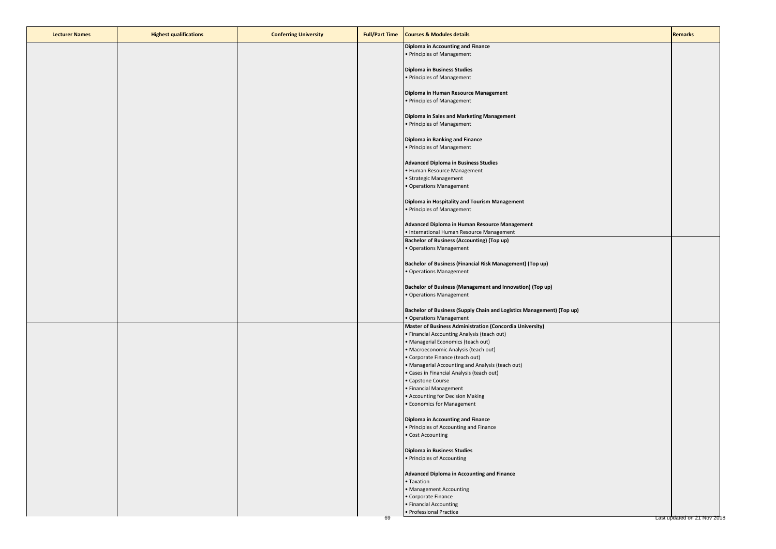| <b>Lecturer Names</b> | <b>Highest qualifications</b> | <b>Conferring University</b> | <b>Full/Part Time</b> | <b>Courses &amp; Modules details</b>                                                             | <b>Remarks</b>              |
|-----------------------|-------------------------------|------------------------------|-----------------------|--------------------------------------------------------------------------------------------------|-----------------------------|
|                       |                               |                              |                       | <b>Diploma in Accounting and Finance</b><br>• Principles of Management                           |                             |
|                       |                               |                              |                       | <b>Diploma in Business Studies</b>                                                               |                             |
|                       |                               |                              |                       | • Principles of Management                                                                       |                             |
|                       |                               |                              |                       | Diploma in Human Resource Management                                                             |                             |
|                       |                               |                              |                       | • Principles of Management                                                                       |                             |
|                       |                               |                              |                       | Diploma in Sales and Marketing Management<br>• Principles of Management                          |                             |
|                       |                               |                              |                       | Diploma in Banking and Finance                                                                   |                             |
|                       |                               |                              |                       | · Principles of Management                                                                       |                             |
|                       |                               |                              |                       | <b>Advanced Diploma in Business Studies</b><br>• Human Resource Management                       |                             |
|                       |                               |                              |                       | • Strategic Management                                                                           |                             |
|                       |                               |                              |                       | · Operations Management                                                                          |                             |
|                       |                               |                              |                       | Diploma in Hospitality and Tourism Management                                                    |                             |
|                       |                               |                              |                       | · Principles of Management                                                                       |                             |
|                       |                               |                              |                       | Advanced Diploma in Human Resource Management                                                    |                             |
|                       |                               |                              |                       | • International Human Resource Management<br><b>Bachelor of Business (Accounting) (Top up)</b>   |                             |
|                       |                               |                              |                       | · Operations Management                                                                          |                             |
|                       |                               |                              |                       | Bachelor of Business (Financial Risk Management) (Top up)                                        |                             |
|                       |                               |                              |                       | · Operations Management                                                                          |                             |
|                       |                               |                              |                       | Bachelor of Business (Management and Innovation) (Top up)                                        |                             |
|                       |                               |                              |                       | · Operations Management                                                                          |                             |
|                       |                               |                              |                       | Bachelor of Business (Supply Chain and Logistics Management) (Top up)<br>· Operations Management |                             |
|                       |                               |                              |                       | <b>Master of Business Administration (Concordia University)</b>                                  |                             |
|                       |                               |                              |                       | · Financial Accounting Analysis (teach out)                                                      |                             |
|                       |                               |                              |                       | • Managerial Economics (teach out)<br>• Macroeconomic Analysis (teach out)                       |                             |
|                       |                               |                              |                       | • Corporate Finance (teach out)                                                                  |                             |
|                       |                               |                              |                       | • Managerial Accounting and Analysis (teach out)                                                 |                             |
|                       |                               |                              |                       | · Cases in Financial Analysis (teach out)                                                        |                             |
|                       |                               |                              |                       | • Capstone Course<br>• Financial Management                                                      |                             |
|                       |                               |                              |                       | • Accounting for Decision Making                                                                 |                             |
|                       |                               |                              |                       | <b>• Economics for Management</b>                                                                |                             |
|                       |                               |                              |                       | Diploma in Accounting and Finance                                                                |                             |
|                       |                               |                              |                       | • Principles of Accounting and Finance                                                           |                             |
|                       |                               |                              |                       | • Cost Accounting                                                                                |                             |
|                       |                               |                              |                       | <b>Diploma in Business Studies</b>                                                               |                             |
|                       |                               |                              |                       | • Principles of Accounting                                                                       |                             |
|                       |                               |                              |                       | Advanced Diploma in Accounting and Finance                                                       |                             |
|                       |                               |                              |                       | • Taxation<br>• Management Accounting                                                            |                             |
|                       |                               |                              |                       | · Corporate Finance                                                                              |                             |
|                       |                               |                              |                       | • Financial Accounting                                                                           |                             |
|                       |                               |                              | 69                    | · Professional Practice                                                                          | Last updated on 21 Nov 2018 |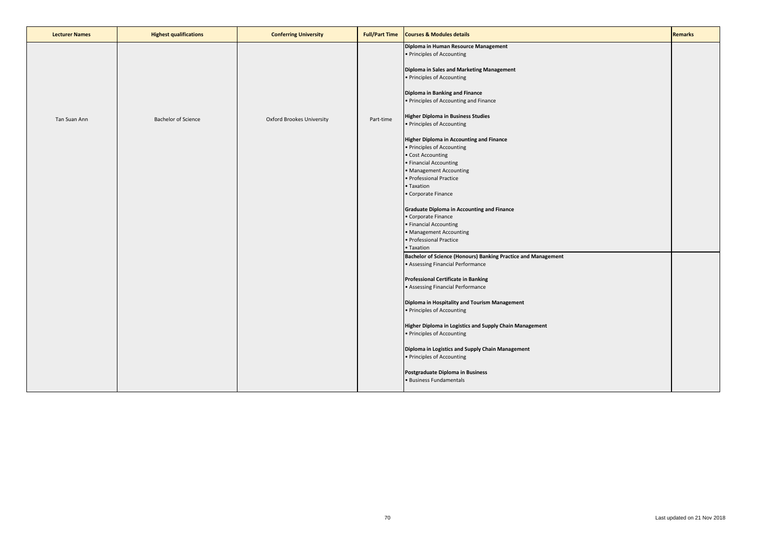| <b>Lecturer Names</b> | <b>Highest qualifications</b> | <b>Conferring University</b>     | <b>Full/Part Time</b> | <b>Courses &amp; Modules details</b>                                                                                                   | <b>Remarks</b> |
|-----------------------|-------------------------------|----------------------------------|-----------------------|----------------------------------------------------------------------------------------------------------------------------------------|----------------|
|                       |                               |                                  |                       | Diploma in Human Resource Management<br>• Principles of Accounting<br>Diploma in Sales and Marketing Management                        |                |
|                       |                               |                                  |                       | • Principles of Accounting<br>Diploma in Banking and Finance<br>• Principles of Accounting and Finance                                 |                |
| Tan Suan Ann          | <b>Bachelor of Science</b>    | <b>Oxford Brookes University</b> | Part-time             | <b>Higher Diploma in Business Studies</b><br>• Principles of Accounting                                                                |                |
|                       |                               |                                  |                       | <b>Higher Diploma in Accounting and Finance</b><br>• Principles of Accounting<br>· Cost Accounting<br>• Financial Accounting           |                |
|                       |                               |                                  |                       | • Management Accounting<br>· Professional Practice<br>· Taxation                                                                       |                |
|                       |                               |                                  |                       | · Corporate Finance<br><b>Graduate Diploma in Accounting and Finance</b><br>• Corporate Finance                                        |                |
|                       |                               |                                  |                       | • Financial Accounting<br>• Management Accounting<br>· Professional Practice                                                           |                |
|                       |                               |                                  |                       | • Taxation<br>Bachelor of Science (Honours) Banking Practice and Management<br>• Assessing Financial Performance                       |                |
|                       |                               |                                  |                       | <b>Professional Certificate in Banking</b><br>• Assessing Financial Performance                                                        |                |
|                       |                               |                                  |                       | Diploma in Hospitality and Tourism Management<br>• Principles of Accounting<br>Higher Diploma in Logistics and Supply Chain Management |                |
|                       |                               |                                  |                       | • Principles of Accounting<br>Diploma in Logistics and Supply Chain Management                                                         |                |
|                       |                               |                                  |                       | • Principles of Accounting<br>Postgraduate Diploma in Business<br>· Business Fundamentals                                              |                |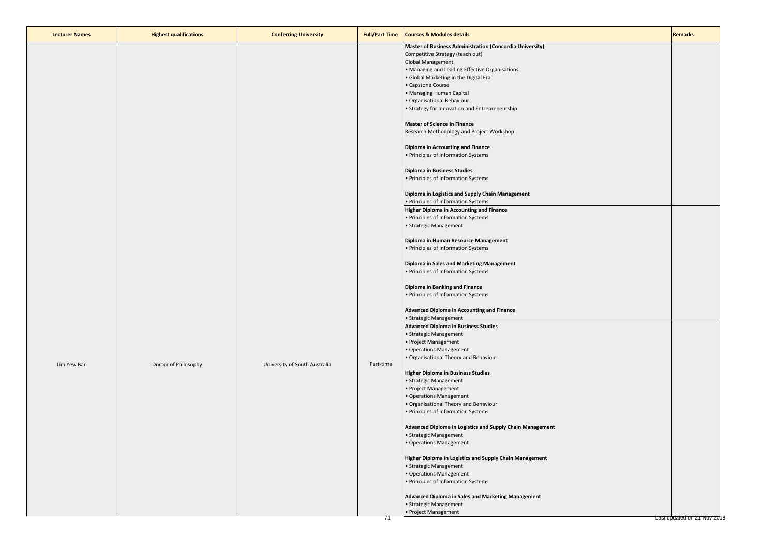| <b>Lecturer Names</b> | <b>Highest qualifications</b> | <b>Conferring University</b>  | <b>Full/Part Time</b> | <b>Courses &amp; Modules details</b>                                                                                                                                                                                                                                                                                                          | <b>Remarks</b>              |
|-----------------------|-------------------------------|-------------------------------|-----------------------|-----------------------------------------------------------------------------------------------------------------------------------------------------------------------------------------------------------------------------------------------------------------------------------------------------------------------------------------------|-----------------------------|
|                       |                               |                               |                       | Master of Business Administration (Concordia University)<br>Competitive Strategy (teach out)<br>Global Management<br>· Managing and Leading Effective Organisations<br>· Global Marketing in the Digital Era<br>· Capstone Course<br>· Managing Human Capital<br>· Organisational Behaviour<br>• Strategy for Innovation and Entrepreneurship |                             |
|                       |                               |                               |                       | <b>Master of Science in Finance</b><br>Research Methodology and Project Workshop<br>Diploma in Accounting and Finance                                                                                                                                                                                                                         |                             |
|                       |                               |                               |                       | · Principles of Information Systems<br><b>Diploma in Business Studies</b><br>· Principles of Information Systems                                                                                                                                                                                                                              |                             |
|                       |                               |                               |                       | Diploma in Logistics and Supply Chain Management<br>· Principles of Information Systems<br><b>Higher Diploma in Accounting and Finance</b><br>· Principles of Information Systems<br>· Strategic Management                                                                                                                                   |                             |
|                       |                               |                               |                       | Diploma in Human Resource Management<br>· Principles of Information Systems<br>Diploma in Sales and Marketing Management                                                                                                                                                                                                                      |                             |
|                       |                               |                               |                       | · Principles of Information Systems<br>Diploma in Banking and Finance<br>• Principles of Information Systems                                                                                                                                                                                                                                  |                             |
|                       |                               |                               |                       | Advanced Diploma in Accounting and Finance<br>· Strategic Management<br><b>Advanced Diploma in Business Studies</b><br>· Strategic Management<br>· Project Management<br>· Operations Management<br>· Organisational Theory and Behaviour                                                                                                     |                             |
| Lim Yew Ban           | Doctor of Philosophy          | University of South Australia | Part-time             | <b>Higher Diploma in Business Studies</b><br>· Strategic Management<br>· Project Management<br>Operations Management<br>· Organisational Theory and Behaviour<br>• Principles of Information Systems                                                                                                                                          |                             |
|                       |                               |                               |                       | Advanced Diploma in Logistics and Supply Chain Management<br>• Strategic Management<br>• Operations Management<br>Higher Diploma in Logistics and Supply Chain Management                                                                                                                                                                     |                             |
|                       |                               |                               |                       | · Strategic Management<br>· Operations Management<br>· Principles of Information Systems<br>Advanced Diploma in Sales and Marketing Management                                                                                                                                                                                                |                             |
|                       |                               |                               | 71                    | · Strategic Management<br>· Project Management                                                                                                                                                                                                                                                                                                | Last updated on 21 Nov 2018 |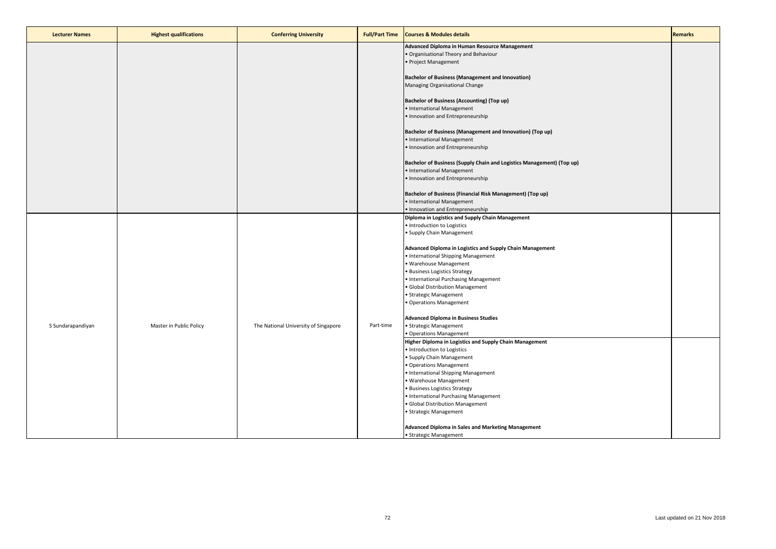| <b>Lecturer Names</b> | <b>Highest qualifications</b> | <b>Conferring University</b>         | <b>Full/Part Time</b> | <b>Courses &amp; Modules details</b>                                                                                                                                                                                                                                                                                                                                                                                                                                                                              | <b>Remarks</b> |
|-----------------------|-------------------------------|--------------------------------------|-----------------------|-------------------------------------------------------------------------------------------------------------------------------------------------------------------------------------------------------------------------------------------------------------------------------------------------------------------------------------------------------------------------------------------------------------------------------------------------------------------------------------------------------------------|----------------|
|                       |                               |                                      |                       | Advanced Diploma in Human Resource Management<br>· Organisational Theory and Behaviour<br>· Project Management                                                                                                                                                                                                                                                                                                                                                                                                    |                |
|                       |                               |                                      |                       | <b>Bachelor of Business (Management and Innovation)</b><br>Managing Organisational Change                                                                                                                                                                                                                                                                                                                                                                                                                         |                |
|                       |                               |                                      |                       | <b>Bachelor of Business (Accounting) (Top up)</b><br>· International Management<br>· Innovation and Entrepreneurship                                                                                                                                                                                                                                                                                                                                                                                              |                |
|                       |                               |                                      |                       | Bachelor of Business (Management and Innovation) (Top up)<br>· International Management<br>· Innovation and Entrepreneurship                                                                                                                                                                                                                                                                                                                                                                                      |                |
|                       |                               |                                      |                       | Bachelor of Business (Supply Chain and Logistics Management) (Top up)<br>• International Management<br>· Innovation and Entrepreneurship                                                                                                                                                                                                                                                                                                                                                                          |                |
|                       |                               |                                      |                       | Bachelor of Business (Financial Risk Management) (Top up)<br>• International Management<br>• Innovation and Entrepreneurship                                                                                                                                                                                                                                                                                                                                                                                      |                |
| S Sundarapandiyan     | Master in Public Policy       | The National University of Singapore | Part-time             | Diploma in Logistics and Supply Chain Management<br>· Introduction to Logistics<br>· Supply Chain Management<br>Advanced Diploma in Logistics and Supply Chain Management<br>• International Shipping Management<br>· Warehouse Management<br>· Business Logistics Strategy<br>• International Purchasing Management<br>· Global Distribution Management<br>· Strategic Management<br>· Operations Management<br><b>Advanced Diploma in Business Studies</b><br>· Strategic Management<br>· Operations Management |                |
|                       |                               |                                      |                       | Higher Diploma in Logistics and Supply Chain Management<br>· Introduction to Logistics<br>· Supply Chain Management<br>· Operations Management<br>· International Shipping Management<br>· Warehouse Management<br>· Business Logistics Strategy<br>• International Purchasing Management<br>· Global Distribution Management<br>· Strategic Management<br>Advanced Diploma in Sales and Marketing Management<br>• Strategic Management                                                                           |                |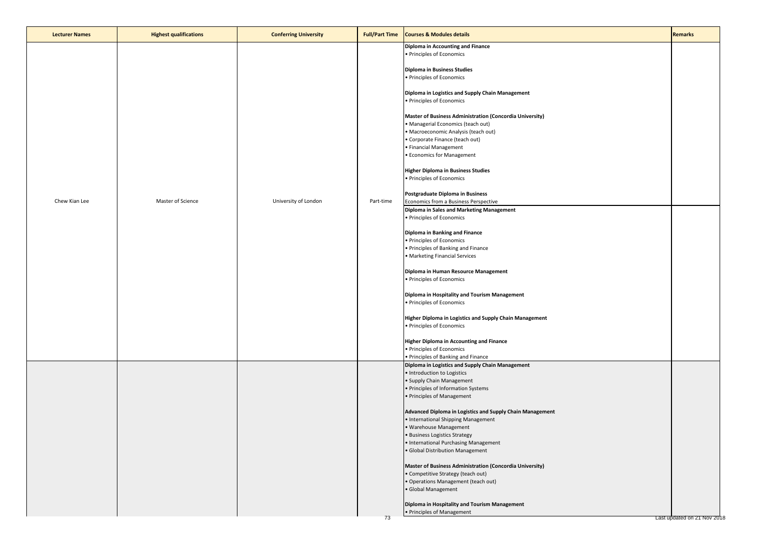| <b>Lecturer Names</b> | <b>Highest qualifications</b> | <b>Conferring University</b> | <b>Full/Part Time</b> | <b>Courses &amp; Modules details</b>                                                                                                                                                                                                                                                                                                                                                                                                                                                                                                                                                                                                                                                                                              | <b>Remarks</b>              |
|-----------------------|-------------------------------|------------------------------|-----------------------|-----------------------------------------------------------------------------------------------------------------------------------------------------------------------------------------------------------------------------------------------------------------------------------------------------------------------------------------------------------------------------------------------------------------------------------------------------------------------------------------------------------------------------------------------------------------------------------------------------------------------------------------------------------------------------------------------------------------------------------|-----------------------------|
| Chew Kian Lee         | Master of Science             | University of London         | Part-time             | Diploma in Accounting and Finance<br>• Principles of Economics<br><b>Diploma in Business Studies</b><br>· Principles of Economics<br>Diploma in Logistics and Supply Chain Management<br>· Principles of Economics<br>Master of Business Administration (Concordia University)<br>· Managerial Economics (teach out)<br>· Macroeconomic Analysis (teach out)<br>· Corporate Finance (teach out)<br>· Financial Management<br><b>• Economics for Management</b><br><b>Higher Diploma in Business Studies</b><br>· Principles of Economics<br>Postgraduate Diploma in Business<br>Economics from a Business Perspective<br>Diploma in Sales and Marketing Management<br>· Principles of Economics<br>Diploma in Banking and Finance |                             |
|                       |                               |                              |                       | · Principles of Economics<br>· Principles of Banking and Finance<br>· Marketing Financial Services<br>Diploma in Human Resource Management<br>· Principles of Economics<br>Diploma in Hospitality and Tourism Management<br>· Principles of Economics<br>Higher Diploma in Logistics and Supply Chain Management<br>· Principles of Economics<br>Higher Diploma in Accounting and Finance<br>· Principles of Economics<br>· Principles of Banking and Finance                                                                                                                                                                                                                                                                     |                             |
|                       |                               |                              |                       | Diploma in Logistics and Supply Chain Management<br>· Introduction to Logistics<br>• Supply Chain Management<br>• Principles of Information Systems<br>• Principles of Management<br>Advanced Diploma in Logistics and Supply Chain Management<br>• International Shipping Management<br>· Warehouse Management<br>· Business Logistics Strategy<br>• International Purchasing Management<br>· Global Distribution Management<br>Master of Business Administration (Concordia University)<br>· Competitive Strategy (teach out)<br>· Operations Management (teach out)                                                                                                                                                            |                             |
|                       |                               |                              | 73                    | · Global Management<br>Diploma in Hospitality and Tourism Management<br>• Principles of Management                                                                                                                                                                                                                                                                                                                                                                                                                                                                                                                                                                                                                                | Last updated on 21 Nov 2018 |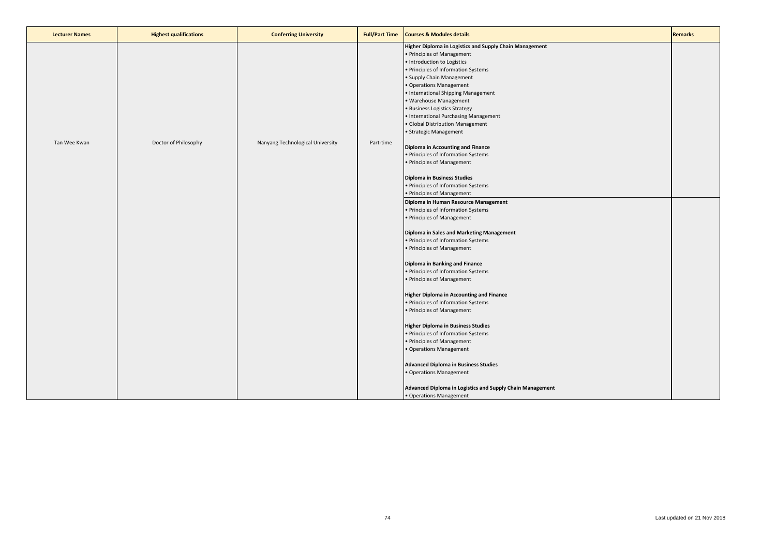| <b>Lecturer Names</b> | <b>Highest qualifications</b> | <b>Conferring University</b>     | <b>Full/Part Time</b> | <b>Courses &amp; Modules details</b>                                                                                                                                                                                                                                                                                                                                                                                         | <b>Remarks</b> |
|-----------------------|-------------------------------|----------------------------------|-----------------------|------------------------------------------------------------------------------------------------------------------------------------------------------------------------------------------------------------------------------------------------------------------------------------------------------------------------------------------------------------------------------------------------------------------------------|----------------|
|                       |                               |                                  |                       | Higher Diploma in Logistics and Supply Chain Management<br>• Principles of Management<br>· Introduction to Logistics<br>· Principles of Information Systems<br>• Supply Chain Management<br>• Operations Management<br>• International Shipping Management<br>· Warehouse Management<br>· Business Logistics Strategy<br>• International Purchasing Management<br>· Global Distribution Management<br>• Strategic Management |                |
| Tan Wee Kwan          | Doctor of Philosophy          | Nanyang Technological University | Part-time             | Diploma in Accounting and Finance<br>• Principles of Information Systems<br>• Principles of Management<br>Diploma in Business Studies<br>• Principles of Information Systems                                                                                                                                                                                                                                                 |                |
|                       |                               |                                  |                       | • Principles of Management<br>Diploma in Human Resource Management<br>• Principles of Information Systems<br>• Principles of Management<br>Diploma in Sales and Marketing Management<br>• Principles of Information Systems<br>• Principles of Management                                                                                                                                                                    |                |
|                       |                               |                                  |                       | Diploma in Banking and Finance<br>• Principles of Information Systems<br>• Principles of Management                                                                                                                                                                                                                                                                                                                          |                |
|                       |                               |                                  |                       | <b>Higher Diploma in Accounting and Finance</b><br>• Principles of Information Systems<br>• Principles of Management<br><b>Higher Diploma in Business Studies</b>                                                                                                                                                                                                                                                            |                |
|                       |                               |                                  |                       | • Principles of Information Systems<br>• Principles of Management<br>· Operations Management                                                                                                                                                                                                                                                                                                                                 |                |
|                       |                               |                                  |                       | <b>Advanced Diploma in Business Studies</b><br>• Operations Management                                                                                                                                                                                                                                                                                                                                                       |                |
|                       |                               |                                  |                       | Advanced Diploma in Logistics and Supply Chain Management<br>• Operations Management                                                                                                                                                                                                                                                                                                                                         |                |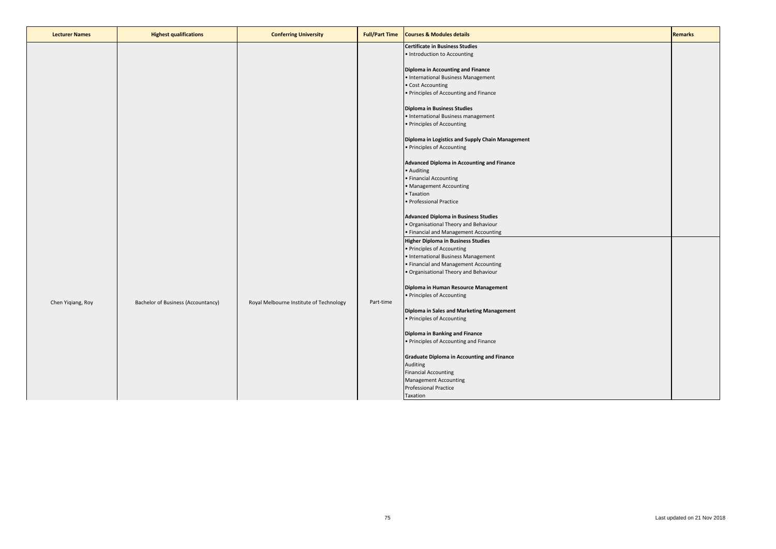| <b>Lecturer Names</b> | <b>Highest qualifications</b>      | <b>Conferring University</b>            | <b>Full/Part Time</b> | <b>Courses &amp; Modules details</b>                                                                                                                                                                                                                                                                                                                                                                                                                                                                                                                                                                                                                                                                                                                                          | <b>Remarks</b> |
|-----------------------|------------------------------------|-----------------------------------------|-----------------------|-------------------------------------------------------------------------------------------------------------------------------------------------------------------------------------------------------------------------------------------------------------------------------------------------------------------------------------------------------------------------------------------------------------------------------------------------------------------------------------------------------------------------------------------------------------------------------------------------------------------------------------------------------------------------------------------------------------------------------------------------------------------------------|----------------|
|                       |                                    |                                         |                       | <b>Certificate in Business Studies</b><br>· Introduction to Accounting<br>Diploma in Accounting and Finance<br>· International Business Management<br>· Cost Accounting<br>· Principles of Accounting and Finance<br>Diploma in Business Studies<br>• International Business management<br>· Principles of Accounting<br>Diploma in Logistics and Supply Chain Management<br>• Principles of Accounting<br>Advanced Diploma in Accounting and Finance<br>· Auditing<br>· Financial Accounting<br>Management Accounting                                                                                                                                                                                                                                                        |                |
| Chen Yiqiang, Roy     | Bachelor of Business (Accountancy) | Royal Melbourne Institute of Technology | Part-time             | Taxation<br>Professional Practice<br><b>Advanced Diploma in Business Studies</b><br>· Organisational Theory and Behaviour<br>· Financial and Management Accounting<br><b>Higher Diploma in Business Studies</b><br>• Principles of Accounting<br>International Business Management<br>· Financial and Management Accounting<br>· Organisational Theory and Behaviour<br>Diploma in Human Resource Management<br>• Principles of Accounting<br>Diploma in Sales and Marketing Management<br>• Principles of Accounting<br>Diploma in Banking and Finance<br>• Principles of Accounting and Finance<br><b>Graduate Diploma in Accounting and Finance</b><br>Auditing<br><b>Financial Accounting</b><br><b>Management Accounting</b><br><b>Professional Practice</b><br>Taxation |                |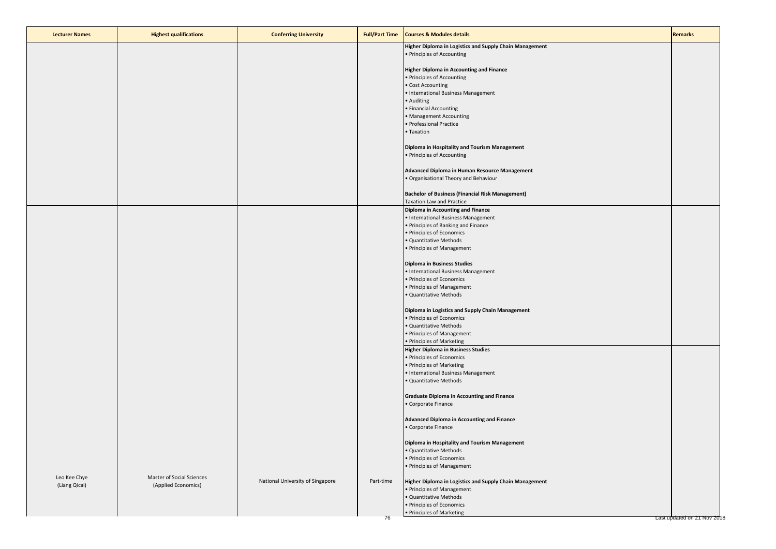| <b>Lecturer Names</b> | <b>Highest qualifications</b> | <b>Conferring University</b>     | <b>Full/Part Time</b> | <b>Courses &amp; Modules details</b>                                                  | <b>Remarks</b>              |
|-----------------------|-------------------------------|----------------------------------|-----------------------|---------------------------------------------------------------------------------------|-----------------------------|
|                       |                               |                                  |                       | Higher Diploma in Logistics and Supply Chain Management                               |                             |
|                       |                               |                                  |                       | • Principles of Accounting                                                            |                             |
|                       |                               |                                  |                       | Higher Diploma in Accounting and Finance<br>· Principles of Accounting                |                             |
|                       |                               |                                  |                       | Cost Accounting                                                                       |                             |
|                       |                               |                                  |                       | International Business Management                                                     |                             |
|                       |                               |                                  |                       | Auditing                                                                              |                             |
|                       |                               |                                  |                       | Financial Accounting<br>• Management Accounting                                       |                             |
|                       |                               |                                  |                       | Professional Practice                                                                 |                             |
|                       |                               |                                  |                       | • Taxation                                                                            |                             |
|                       |                               |                                  |                       | Diploma in Hospitality and Tourism Management                                         |                             |
|                       |                               |                                  |                       | · Principles of Accounting                                                            |                             |
|                       |                               |                                  |                       | Advanced Diploma in Human Resource Management                                         |                             |
|                       |                               |                                  |                       | · Organisational Theory and Behaviour                                                 |                             |
|                       |                               |                                  |                       |                                                                                       |                             |
|                       |                               |                                  |                       | <b>Bachelor of Business (Financial Risk Management)</b><br>Taxation Law and Practice  |                             |
|                       |                               |                                  |                       | Diploma in Accounting and Finance                                                     |                             |
|                       |                               |                                  |                       | • International Business Management                                                   |                             |
|                       |                               |                                  |                       | · Principles of Banking and Finance<br>· Principles of Economics                      |                             |
|                       |                               |                                  |                       | · Quantitative Methods                                                                |                             |
|                       |                               |                                  |                       | Principles of Management                                                              |                             |
|                       |                               |                                  |                       | Diploma in Business Studies                                                           |                             |
|                       |                               |                                  |                       | · International Business Management                                                   |                             |
|                       |                               |                                  |                       | · Principles of Economics                                                             |                             |
|                       |                               |                                  |                       | · Principles of Management<br>Quantitative Methods                                    |                             |
|                       |                               |                                  |                       |                                                                                       |                             |
|                       |                               |                                  |                       | Diploma in Logistics and Supply Chain Management<br>· Principles of Economics         |                             |
|                       |                               |                                  |                       | Quantitative Methods                                                                  |                             |
|                       |                               |                                  |                       | • Principles of Management                                                            |                             |
|                       |                               |                                  |                       | · Principles of Marketing<br><b>Higher Diploma in Business Studies</b>                |                             |
|                       |                               |                                  |                       | · Principles of Economics                                                             |                             |
|                       |                               |                                  |                       | · Principles of Marketing                                                             |                             |
|                       |                               |                                  |                       | · International Business Management<br>Quantitative Methods                           |                             |
|                       |                               |                                  |                       |                                                                                       |                             |
|                       |                               |                                  |                       | <b>Graduate Diploma in Accounting and Finance</b>                                     |                             |
|                       |                               |                                  |                       | Corporate Finance                                                                     |                             |
|                       |                               |                                  |                       | <b>Advanced Diploma in Accounting and Finance</b>                                     |                             |
|                       |                               |                                  |                       | • Corporate Finance                                                                   |                             |
|                       |                               |                                  |                       | Diploma in Hospitality and Tourism Management                                         |                             |
|                       |                               |                                  |                       | · Quantitative Methods                                                                |                             |
|                       |                               |                                  |                       | · Principles of Economics<br>• Principles of Management                               |                             |
| Leo Kee Chye          | Master of Social Sciences     |                                  |                       |                                                                                       |                             |
| (Liang Qicai)         | (Applied Economics)           | National University of Singapore | Part-time             | Higher Diploma in Logistics and Supply Chain Management<br>• Principles of Management |                             |
|                       |                               |                                  |                       | · Quantitative Methods                                                                |                             |
|                       |                               |                                  |                       | · Principles of Economics                                                             |                             |
|                       |                               |                                  | 76                    | • Principles of Marketing                                                             | Last updated on 21 Nov 2018 |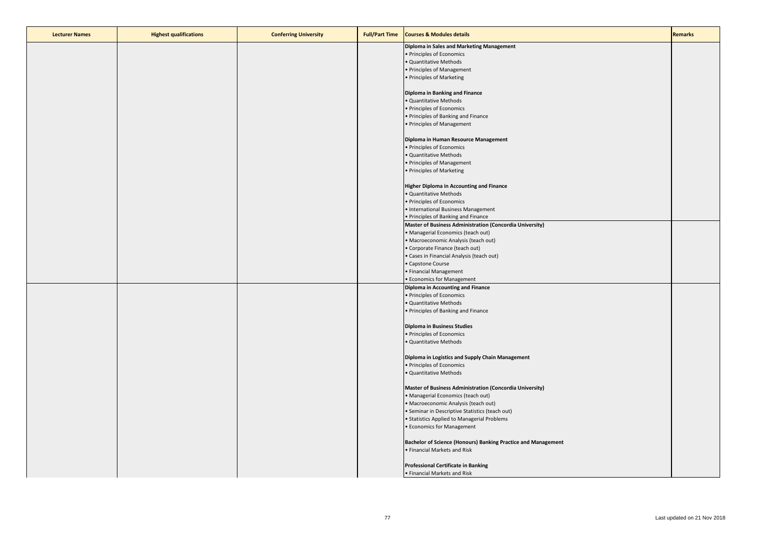| <b>Lecturer Names</b> | <b>Highest qualifications</b> | <b>Conferring University</b> | <b>Full/Part Time</b> | <b>Courses &amp; Modules details</b>                          | <b>Remarks</b> |
|-----------------------|-------------------------------|------------------------------|-----------------------|---------------------------------------------------------------|----------------|
|                       |                               |                              |                       | Diploma in Sales and Marketing Management                     |                |
|                       |                               |                              |                       | • Principles of Economics                                     |                |
|                       |                               |                              |                       | · Quantitative Methods                                        |                |
|                       |                               |                              |                       | • Principles of Management                                    |                |
|                       |                               |                              |                       | • Principles of Marketing                                     |                |
|                       |                               |                              |                       |                                                               |                |
|                       |                               |                              |                       | Diploma in Banking and Finance                                |                |
|                       |                               |                              |                       | · Quantitative Methods                                        |                |
|                       |                               |                              |                       | · Principles of Economics                                     |                |
|                       |                               |                              |                       | • Principles of Banking and Finance                           |                |
|                       |                               |                              |                       | • Principles of Management                                    |                |
|                       |                               |                              |                       |                                                               |                |
|                       |                               |                              |                       | Diploma in Human Resource Management                          |                |
|                       |                               |                              |                       | · Principles of Economics                                     |                |
|                       |                               |                              |                       | · Quantitative Methods                                        |                |
|                       |                               |                              |                       | • Principles of Management                                    |                |
|                       |                               |                              |                       | • Principles of Marketing                                     |                |
|                       |                               |                              |                       |                                                               |                |
|                       |                               |                              |                       | <b>Higher Diploma in Accounting and Finance</b>               |                |
|                       |                               |                              |                       | · Quantitative Methods                                        |                |
|                       |                               |                              |                       | • Principles of Economics                                     |                |
|                       |                               |                              |                       | • International Business Management                           |                |
|                       |                               |                              |                       | • Principles of Banking and Finance                           |                |
|                       |                               |                              |                       | Master of Business Administration (Concordia University)      |                |
|                       |                               |                              |                       | · Managerial Economics (teach out)                            |                |
|                       |                               |                              |                       | · Macroeconomic Analysis (teach out)                          |                |
|                       |                               |                              |                       | • Corporate Finance (teach out)                               |                |
|                       |                               |                              |                       | · Cases in Financial Analysis (teach out)                     |                |
|                       |                               |                              |                       | • Capstone Course                                             |                |
|                       |                               |                              |                       | • Financial Management                                        |                |
|                       |                               |                              |                       | • Economics for Management                                    |                |
|                       |                               |                              |                       | Diploma in Accounting and Finance                             |                |
|                       |                               |                              |                       | • Principles of Economics                                     |                |
|                       |                               |                              |                       | • Quantitative Methods                                        |                |
|                       |                               |                              |                       | • Principles of Banking and Finance                           |                |
|                       |                               |                              |                       |                                                               |                |
|                       |                               |                              |                       | <b>Diploma in Business Studies</b>                            |                |
|                       |                               |                              |                       | • Principles of Economics                                     |                |
|                       |                               |                              |                       | · Quantitative Methods                                        |                |
|                       |                               |                              |                       |                                                               |                |
|                       |                               |                              |                       | Diploma in Logistics and Supply Chain Management              |                |
|                       |                               |                              |                       | • Principles of Economics                                     |                |
|                       |                               |                              |                       | · Quantitative Methods                                        |                |
|                       |                               |                              |                       |                                                               |                |
|                       |                               |                              |                       | Master of Business Administration (Concordia University)      |                |
|                       |                               |                              |                       | · Managerial Economics (teach out)                            |                |
|                       |                               |                              |                       | • Macroeconomic Analysis (teach out)                          |                |
|                       |                               |                              |                       | • Seminar in Descriptive Statistics (teach out)               |                |
|                       |                               |                              |                       | • Statistics Applied to Managerial Problems                   |                |
|                       |                               |                              |                       | • Economics for Management                                    |                |
|                       |                               |                              |                       |                                                               |                |
|                       |                               |                              |                       | Bachelor of Science (Honours) Banking Practice and Management |                |
|                       |                               |                              |                       | · Financial Markets and Risk                                  |                |
|                       |                               |                              |                       |                                                               |                |
|                       |                               |                              |                       | <b>Professional Certificate in Banking</b>                    |                |
|                       |                               |                              |                       | . Financial Markets and Risk                                  |                |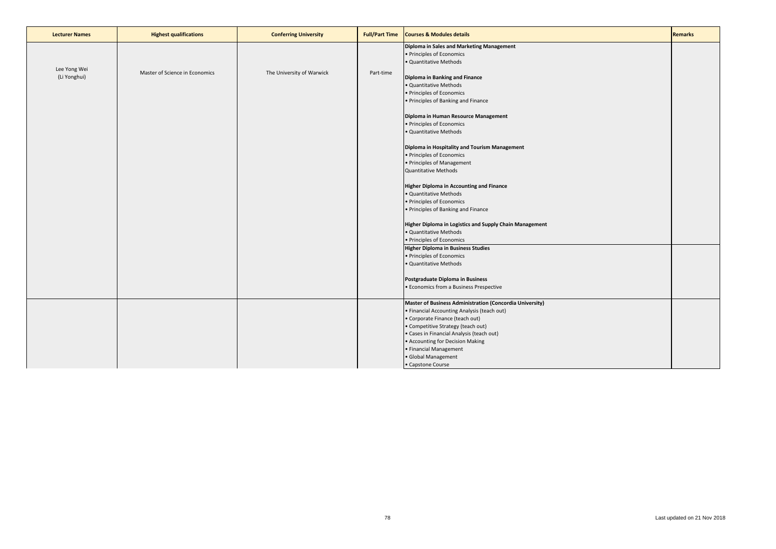| <b>Lecturer Names</b>        | <b>Highest qualifications</b>  | <b>Conferring University</b> | <b>Full/Part Time</b> | <b>Courses &amp; Modules details</b>                                                                                                                                                                                                                                                                                                                                                                                                                                                                                                                                                                                                                                                                                                                                                                                                                                                                                      | <b>Remarks</b> |
|------------------------------|--------------------------------|------------------------------|-----------------------|---------------------------------------------------------------------------------------------------------------------------------------------------------------------------------------------------------------------------------------------------------------------------------------------------------------------------------------------------------------------------------------------------------------------------------------------------------------------------------------------------------------------------------------------------------------------------------------------------------------------------------------------------------------------------------------------------------------------------------------------------------------------------------------------------------------------------------------------------------------------------------------------------------------------------|----------------|
| Lee Yong Wei<br>(Li Yonghui) | Master of Science in Economics | The University of Warwick    | Part-time             | Diploma in Sales and Marketing Management<br>• Principles of Economics<br>· Quantitative Methods<br>Diploma in Banking and Finance<br>· Quantitative Methods<br>· Principles of Economics<br>• Principles of Banking and Finance<br>Diploma in Human Resource Management<br>• Principles of Economics<br>· Quantitative Methods<br>Diploma in Hospitality and Tourism Management<br>· Principles of Economics<br>• Principles of Management<br><b>Quantitative Methods</b><br><b>Higher Diploma in Accounting and Finance</b><br>· Quantitative Methods<br>· Principles of Economics<br>• Principles of Banking and Finance<br>Higher Diploma in Logistics and Supply Chain Management<br>· Quantitative Methods<br>• Principles of Economics<br>Higher Diploma in Business Studies<br>· Principles of Economics<br>· Quantitative Methods<br>Postgraduate Diploma in Business<br>• Economics from a Business Prespective |                |
|                              |                                |                              |                       | Master of Business Administration (Concordia University)<br>• Financial Accounting Analysis (teach out)<br>• Corporate Finance (teach out)<br>• Competitive Strategy (teach out)<br>· Cases in Financial Analysis (teach out)<br>• Accounting for Decision Making<br>• Financial Management<br>· Global Management<br>• Capstone Course                                                                                                                                                                                                                                                                                                                                                                                                                                                                                                                                                                                   |                |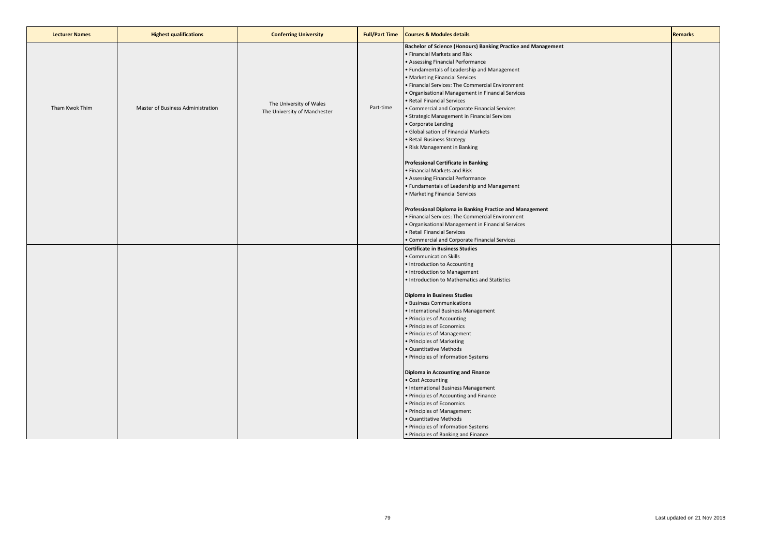| <b>Courses &amp; Modules details</b><br><b>Lecturer Names</b><br><b>Highest qualifications</b><br><b>Full/Part Time</b><br><b>Conferring University</b>                                                                                                                                                                                                                                                                                                                                                                                                                                                                                                                                                                  | <b>Remarks</b> |
|--------------------------------------------------------------------------------------------------------------------------------------------------------------------------------------------------------------------------------------------------------------------------------------------------------------------------------------------------------------------------------------------------------------------------------------------------------------------------------------------------------------------------------------------------------------------------------------------------------------------------------------------------------------------------------------------------------------------------|----------------|
| Bachelor of Science (Honours) Banking Practice and Management<br>• Financial Markets and Risk<br>• Assessing Financial Performance<br>• Fundamentals of Leadership and Management<br>• Marketing Financial Services<br>. Financial Services: The Commercial Environment<br>· Organisational Management in Financial Services<br>• Retail Financial Services<br>The University of Wales<br>Part-time<br>Tham Kwok Thim<br>Master of Business Administration<br>• Commercial and Corporate Financial Services<br>The University of Manchester<br>• Strategic Management in Financial Services<br>• Corporate Lending<br>· Globalisation of Financial Markets<br>• Retail Business Strategy<br>• Risk Management in Banking |                |
| <b>Professional Certificate in Banking</b><br>• Financial Markets and Risk<br>• Assessing Financial Performance<br>• Fundamentals of Leadership and Management<br>• Marketing Financial Services                                                                                                                                                                                                                                                                                                                                                                                                                                                                                                                         |                |
| Professional Diploma in Banking Practice and Management<br>. Financial Services: The Commercial Environment<br>• Organisational Management in Financial Services<br>• Retail Financial Services                                                                                                                                                                                                                                                                                                                                                                                                                                                                                                                          |                |
| • Commercial and Corporate Financial Services<br><b>Certificate in Business Studies</b>                                                                                                                                                                                                                                                                                                                                                                                                                                                                                                                                                                                                                                  |                |
| • Communication Skills<br>· Introduction to Accounting<br>• Introduction to Management<br>. Introduction to Mathematics and Statistics                                                                                                                                                                                                                                                                                                                                                                                                                                                                                                                                                                                   |                |
|                                                                                                                                                                                                                                                                                                                                                                                                                                                                                                                                                                                                                                                                                                                          |                |
| <b>Diploma in Business Studies</b><br>· Business Communications                                                                                                                                                                                                                                                                                                                                                                                                                                                                                                                                                                                                                                                          |                |
| • International Business Management<br>• Principles of Accounting                                                                                                                                                                                                                                                                                                                                                                                                                                                                                                                                                                                                                                                        |                |
| • Principles of Economics                                                                                                                                                                                                                                                                                                                                                                                                                                                                                                                                                                                                                                                                                                |                |
| • Principles of Management                                                                                                                                                                                                                                                                                                                                                                                                                                                                                                                                                                                                                                                                                               |                |
| • Principles of Marketing<br>· Quantitative Methods                                                                                                                                                                                                                                                                                                                                                                                                                                                                                                                                                                                                                                                                      |                |
| • Principles of Information Systems                                                                                                                                                                                                                                                                                                                                                                                                                                                                                                                                                                                                                                                                                      |                |
| Diploma in Accounting and Finance                                                                                                                                                                                                                                                                                                                                                                                                                                                                                                                                                                                                                                                                                        |                |
| • Cost Accounting                                                                                                                                                                                                                                                                                                                                                                                                                                                                                                                                                                                                                                                                                                        |                |
| • International Business Management                                                                                                                                                                                                                                                                                                                                                                                                                                                                                                                                                                                                                                                                                      |                |
| • Principles of Accounting and Finance                                                                                                                                                                                                                                                                                                                                                                                                                                                                                                                                                                                                                                                                                   |                |
| • Principles of Economics                                                                                                                                                                                                                                                                                                                                                                                                                                                                                                                                                                                                                                                                                                |                |
| • Principles of Management                                                                                                                                                                                                                                                                                                                                                                                                                                                                                                                                                                                                                                                                                               |                |
| · Quantitative Methods                                                                                                                                                                                                                                                                                                                                                                                                                                                                                                                                                                                                                                                                                                   |                |
| • Principles of Information Systems<br>• Principles of Banking and Finance                                                                                                                                                                                                                                                                                                                                                                                                                                                                                                                                                                                                                                               |                |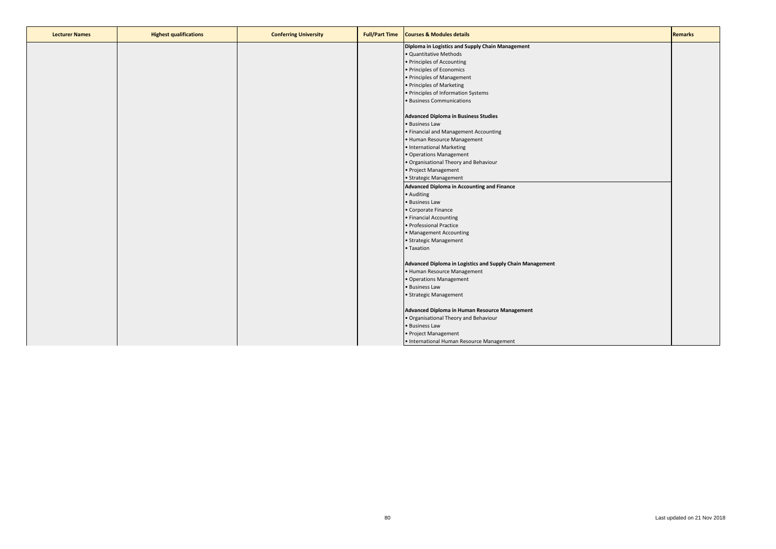| <b>Lecturer Names</b> | <b>Highest qualifications</b> | <b>Conferring University</b> | <b>Full/Part Time</b> | <b>Courses &amp; Modules details</b>                      | <b>Remarks</b> |
|-----------------------|-------------------------------|------------------------------|-----------------------|-----------------------------------------------------------|----------------|
|                       |                               |                              |                       | Diploma in Logistics and Supply Chain Management          |                |
|                       |                               |                              |                       | · Quantitative Methods                                    |                |
|                       |                               |                              |                       | · Principles of Accounting                                |                |
|                       |                               |                              |                       | · Principles of Economics                                 |                |
|                       |                               |                              |                       | • Principles of Management                                |                |
|                       |                               |                              |                       | • Principles of Marketing                                 |                |
|                       |                               |                              |                       | • Principles of Information Systems                       |                |
|                       |                               |                              |                       | · Business Communications                                 |                |
|                       |                               |                              |                       |                                                           |                |
|                       |                               |                              |                       | <b>Advanced Diploma in Business Studies</b>               |                |
|                       |                               |                              |                       | · Business Law                                            |                |
|                       |                               |                              |                       | • Financial and Management Accounting                     |                |
|                       |                               |                              |                       | • Human Resource Management                               |                |
|                       |                               |                              |                       | • International Marketing                                 |                |
|                       |                               |                              |                       | • Operations Management                                   |                |
|                       |                               |                              |                       | . Organisational Theory and Behaviour                     |                |
|                       |                               |                              |                       | • Project Management                                      |                |
|                       |                               |                              |                       | • Strategic Management                                    |                |
|                       |                               |                              |                       | <b>Advanced Diploma in Accounting and Finance</b>         |                |
|                       |                               |                              |                       | • Auditing                                                |                |
|                       |                               |                              |                       | · Business Law                                            |                |
|                       |                               |                              |                       | • Corporate Finance                                       |                |
|                       |                               |                              |                       | • Financial Accounting                                    |                |
|                       |                               |                              |                       | · Professional Practice                                   |                |
|                       |                               |                              |                       | • Management Accounting                                   |                |
|                       |                               |                              |                       | · Strategic Management                                    |                |
|                       |                               |                              |                       | • Taxation                                                |                |
|                       |                               |                              |                       | Advanced Diploma in Logistics and Supply Chain Management |                |
|                       |                               |                              |                       | • Human Resource Management                               |                |
|                       |                               |                              |                       | • Operations Management                                   |                |
|                       |                               |                              |                       | · Business Law                                            |                |
|                       |                               |                              |                       |                                                           |                |
|                       |                               |                              |                       | · Strategic Management                                    |                |
|                       |                               |                              |                       | Advanced Diploma in Human Resource Management             |                |
|                       |                               |                              |                       | . Organisational Theory and Behaviour                     |                |
|                       |                               |                              |                       | • Business Law                                            |                |
|                       |                               |                              |                       | • Project Management                                      |                |
|                       |                               |                              |                       | · International Human Resource Management                 |                |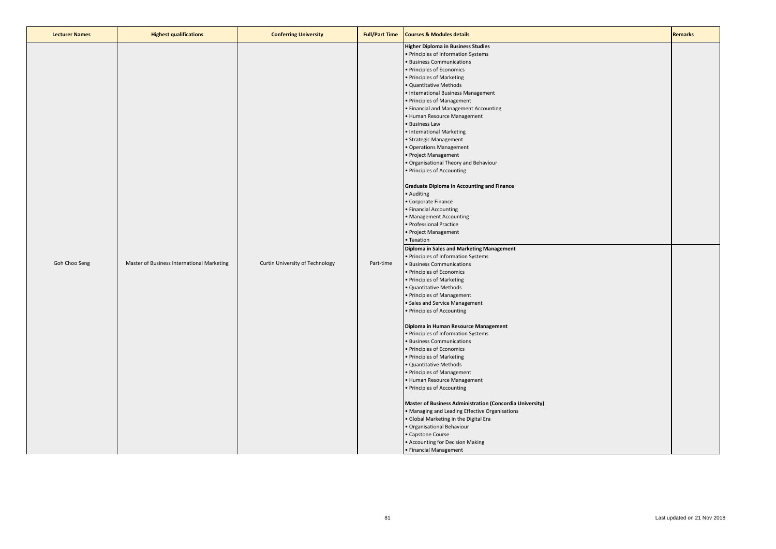| <b>Lecturer Names</b> | <b>Highest qualifications</b>              | <b>Conferring University</b>    | <b>Full/Part Time</b> | <b>Courses &amp; Modules details</b>                                                                                                                                                                                                                                                                                                                                                                                                                                                                                                                                                                                                                                                                                                                                                                                                                                                                                                                                                                                                                                                                                                                                                                                                                                                                                                                                                                                                                                                                                                                                                                                       | <b>Remarks</b> |
|-----------------------|--------------------------------------------|---------------------------------|-----------------------|----------------------------------------------------------------------------------------------------------------------------------------------------------------------------------------------------------------------------------------------------------------------------------------------------------------------------------------------------------------------------------------------------------------------------------------------------------------------------------------------------------------------------------------------------------------------------------------------------------------------------------------------------------------------------------------------------------------------------------------------------------------------------------------------------------------------------------------------------------------------------------------------------------------------------------------------------------------------------------------------------------------------------------------------------------------------------------------------------------------------------------------------------------------------------------------------------------------------------------------------------------------------------------------------------------------------------------------------------------------------------------------------------------------------------------------------------------------------------------------------------------------------------------------------------------------------------------------------------------------------------|----------------|
| Goh Choo Seng         | Master of Business International Marketing | Curtin University of Technology | Part-time             | <b>Higher Diploma in Business Studies</b><br>· Principles of Information Systems<br><b>Business Communications</b><br>· Principles of Economics<br>Principles of Marketing<br>· Quantitative Methods<br>• International Business Management<br>· Principles of Management<br>· Financial and Management Accounting<br>· Human Resource Management<br><b>Business Law</b><br>· International Marketing<br>· Strategic Management<br>· Operations Management<br>· Project Management<br>Organisational Theory and Behaviour<br>· Principles of Accounting<br><b>Graduate Diploma in Accounting and Finance</b><br>• Auditing<br>Corporate Finance<br>Financial Accounting<br>• Management Accounting<br>· Professional Practice<br>· Project Management<br>• Taxation<br>Diploma in Sales and Marketing Management<br>· Principles of Information Systems<br>· Business Communications<br>· Principles of Economics<br>Principles of Marketing<br>Quantitative Methods<br>Principles of Management<br>Sales and Service Management<br>· Principles of Accounting<br>Diploma in Human Resource Management<br>· Principles of Information Systems<br><b>Business Communications</b><br>· Principles of Economics<br>Principles of Marketing<br>Quantitative Methods<br>· Principles of Management<br>Human Resource Management<br>· Principles of Accounting<br>Master of Business Administration (Concordia University)<br>• Managing and Leading Effective Organisations<br>Global Marketing in the Digital Era<br>Organisational Behaviour<br>Capstone Course<br>• Accounting for Decision Making<br>• Financial Management |                |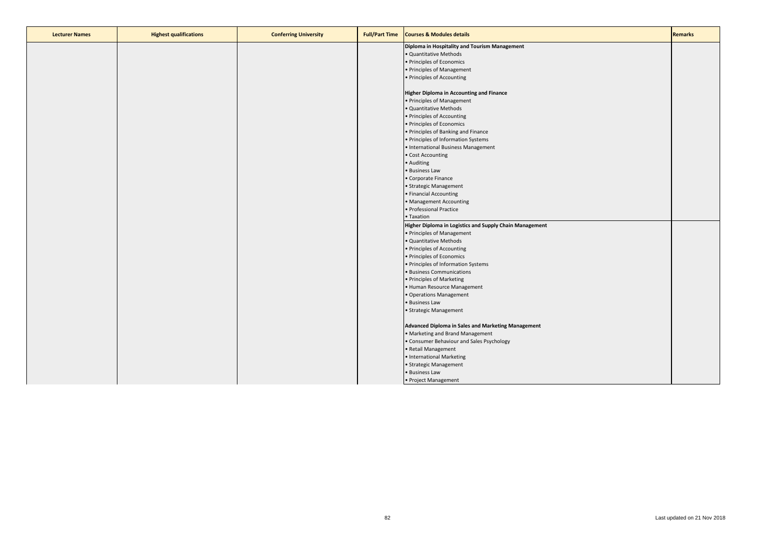| <b>Lecturer Names</b> | <b>Highest qualifications</b> | <b>Conferring University</b> | <b>Full/Part Time</b> | <b>Courses &amp; Modules details</b>                    | <b>Remarks</b> |
|-----------------------|-------------------------------|------------------------------|-----------------------|---------------------------------------------------------|----------------|
|                       |                               |                              |                       | Diploma in Hospitality and Tourism Management           |                |
|                       |                               |                              |                       | · Quantitative Methods                                  |                |
|                       |                               |                              |                       | • Principles of Economics                               |                |
|                       |                               |                              |                       | • Principles of Management                              |                |
|                       |                               |                              |                       | • Principles of Accounting                              |                |
|                       |                               |                              |                       |                                                         |                |
|                       |                               |                              |                       | <b>Higher Diploma in Accounting and Finance</b>         |                |
|                       |                               |                              |                       | • Principles of Management                              |                |
|                       |                               |                              |                       | · Quantitative Methods                                  |                |
|                       |                               |                              |                       | • Principles of Accounting                              |                |
|                       |                               |                              |                       | • Principles of Economics                               |                |
|                       |                               |                              |                       | • Principles of Banking and Finance                     |                |
|                       |                               |                              |                       | • Principles of Information Systems                     |                |
|                       |                               |                              |                       | • International Business Management                     |                |
|                       |                               |                              |                       | • Cost Accounting                                       |                |
|                       |                               |                              |                       | • Auditing                                              |                |
|                       |                               |                              |                       | • Business Law                                          |                |
|                       |                               |                              |                       | • Corporate Finance                                     |                |
|                       |                               |                              |                       | • Strategic Management                                  |                |
|                       |                               |                              |                       | • Financial Accounting                                  |                |
|                       |                               |                              |                       | • Management Accounting                                 |                |
|                       |                               |                              |                       | · Professional Practice                                 |                |
|                       |                               |                              |                       | • Taxation                                              |                |
|                       |                               |                              |                       | Higher Diploma in Logistics and Supply Chain Management |                |
|                       |                               |                              |                       | • Principles of Management                              |                |
|                       |                               |                              |                       | · Quantitative Methods                                  |                |
|                       |                               |                              |                       | • Principles of Accounting                              |                |
|                       |                               |                              |                       | • Principles of Economics                               |                |
|                       |                               |                              |                       | • Principles of Information Systems                     |                |
|                       |                               |                              |                       | • Business Communications                               |                |
|                       |                               |                              |                       | • Principles of Marketing                               |                |
|                       |                               |                              |                       | · Human Resource Management                             |                |
|                       |                               |                              |                       | • Operations Management                                 |                |
|                       |                               |                              |                       | • Business Law                                          |                |
|                       |                               |                              |                       | • Strategic Management                                  |                |
|                       |                               |                              |                       | Advanced Diploma in Sales and Marketing Management      |                |
|                       |                               |                              |                       | • Marketing and Brand Management                        |                |
|                       |                               |                              |                       | • Consumer Behaviour and Sales Psychology               |                |
|                       |                               |                              |                       | • Retail Management                                     |                |
|                       |                               |                              |                       | · International Marketing                               |                |
|                       |                               |                              |                       | • Strategic Management                                  |                |
|                       |                               |                              |                       | • Business Law                                          |                |
|                       |                               |                              |                       | • Project Management                                    |                |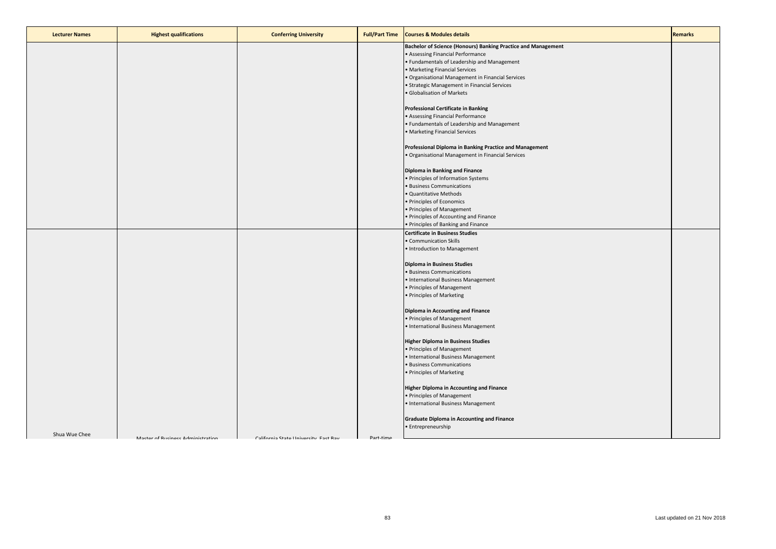| <b>Lecturer Names</b> | <b>Highest qualifications</b>     | <b>Conferring University</b>          | <b>Full/Part Time</b> | <b>Courses &amp; Modules details</b>                                          | <b>Remarks</b> |
|-----------------------|-----------------------------------|---------------------------------------|-----------------------|-------------------------------------------------------------------------------|----------------|
|                       |                                   |                                       |                       | Bachelor of Science (Honours) Banking Practice and Management                 |                |
|                       |                                   |                                       |                       | • Assessing Financial Performance                                             |                |
|                       |                                   |                                       |                       | • Fundamentals of Leadership and Management                                   |                |
|                       |                                   |                                       |                       | • Marketing Financial Services                                                |                |
|                       |                                   |                                       |                       | · Organisational Management in Financial Services                             |                |
|                       |                                   |                                       |                       | • Strategic Management in Financial Services                                  |                |
|                       |                                   |                                       |                       | · Globalisation of Markets                                                    |                |
|                       |                                   |                                       |                       | <b>Professional Certificate in Banking</b>                                    |                |
|                       |                                   |                                       |                       | • Assessing Financial Performance                                             |                |
|                       |                                   |                                       |                       | • Fundamentals of Leadership and Management                                   |                |
|                       |                                   |                                       |                       | • Marketing Financial Services                                                |                |
|                       |                                   |                                       |                       |                                                                               |                |
|                       |                                   |                                       |                       | Professional Diploma in Banking Practice and Management                       |                |
|                       |                                   |                                       |                       | · Organisational Management in Financial Services                             |                |
|                       |                                   |                                       |                       |                                                                               |                |
|                       |                                   |                                       |                       | Diploma in Banking and Finance                                                |                |
|                       |                                   |                                       |                       | • Principles of Information Systems                                           |                |
|                       |                                   |                                       |                       | · Business Communications                                                     |                |
|                       |                                   |                                       |                       | · Quantitative Methods                                                        |                |
|                       |                                   |                                       |                       | • Principles of Economics                                                     |                |
|                       |                                   |                                       |                       | • Principles of Management                                                    |                |
|                       |                                   |                                       |                       | · Principles of Accounting and Finance<br>• Principles of Banking and Finance |                |
|                       |                                   |                                       |                       | <b>Certificate in Business Studies</b>                                        |                |
|                       |                                   |                                       |                       | • Communication Skills                                                        |                |
|                       |                                   |                                       |                       | • Introduction to Management                                                  |                |
|                       |                                   |                                       |                       |                                                                               |                |
|                       |                                   |                                       |                       | <b>Diploma in Business Studies</b>                                            |                |
|                       |                                   |                                       |                       | · Business Communications                                                     |                |
|                       |                                   |                                       |                       | • International Business Management                                           |                |
|                       |                                   |                                       |                       | • Principles of Management                                                    |                |
|                       |                                   |                                       |                       | • Principles of Marketing                                                     |                |
|                       |                                   |                                       |                       | <b>Diploma in Accounting and Finance</b>                                      |                |
|                       |                                   |                                       |                       | • Principles of Management                                                    |                |
|                       |                                   |                                       |                       | • International Business Management                                           |                |
|                       |                                   |                                       |                       |                                                                               |                |
|                       |                                   |                                       |                       | <b>Higher Diploma in Business Studies</b>                                     |                |
|                       |                                   |                                       |                       | • Principles of Management                                                    |                |
|                       |                                   |                                       |                       | • International Business Management                                           |                |
|                       |                                   |                                       |                       | · Business Communications                                                     |                |
|                       |                                   |                                       |                       | • Principles of Marketing                                                     |                |
|                       |                                   |                                       |                       | <b>Higher Diploma in Accounting and Finance</b>                               |                |
|                       |                                   |                                       |                       | · Principles of Management                                                    |                |
|                       |                                   |                                       |                       | • International Business Management                                           |                |
|                       |                                   |                                       |                       |                                                                               |                |
|                       |                                   |                                       |                       | <b>Graduate Diploma in Accounting and Finance</b>                             |                |
|                       |                                   |                                       |                       | • Entrepreneurship                                                            |                |
| Shua Wue Chee         | Master of Rusiness Administration | California State University, Fast Ray | Part-time             |                                                                               |                |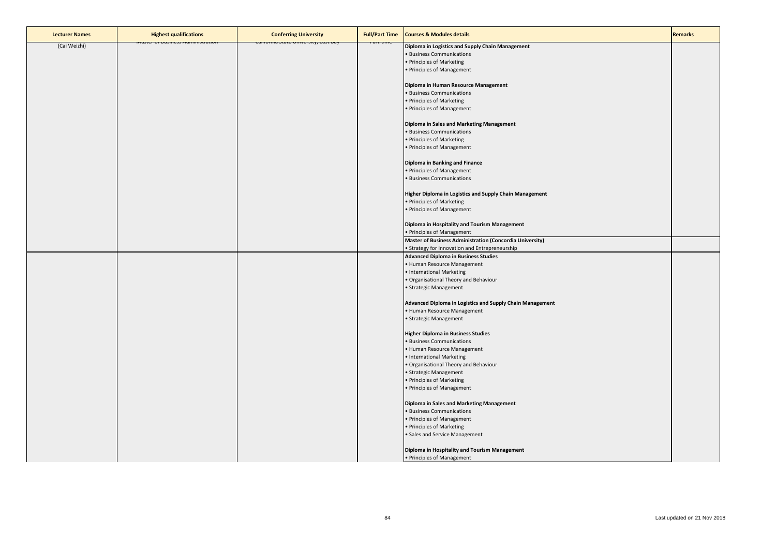| <b>Lecturer Names</b> | <b>Highest qualifications</b>                      | <b>Conferring University</b>                     | <b>Full/Part Time</b> | <b>Courses &amp; Modules details</b>                      | <b>Remarks</b> |
|-----------------------|----------------------------------------------------|--------------------------------------------------|-----------------------|-----------------------------------------------------------|----------------|
| (Cai Weizhi)          | <mark>iviastei oi busiriess Aurrimistration</mark> | <mark>Camornia state University, Last bay</mark> |                       | Diploma in Logistics and Supply Chain Management          |                |
|                       |                                                    |                                                  |                       | · Business Communications                                 |                |
|                       |                                                    |                                                  |                       | • Principles of Marketing                                 |                |
|                       |                                                    |                                                  |                       | · Principles of Management                                |                |
|                       |                                                    |                                                  |                       |                                                           |                |
|                       |                                                    |                                                  |                       | Diploma in Human Resource Management                      |                |
|                       |                                                    |                                                  |                       | · Business Communications                                 |                |
|                       |                                                    |                                                  |                       | • Principles of Marketing                                 |                |
|                       |                                                    |                                                  |                       | · Principles of Management                                |                |
|                       |                                                    |                                                  |                       |                                                           |                |
|                       |                                                    |                                                  |                       | Diploma in Sales and Marketing Management                 |                |
|                       |                                                    |                                                  |                       | · Business Communications                                 |                |
|                       |                                                    |                                                  |                       | • Principles of Marketing                                 |                |
|                       |                                                    |                                                  |                       | • Principles of Management                                |                |
|                       |                                                    |                                                  |                       |                                                           |                |
|                       |                                                    |                                                  |                       | Diploma in Banking and Finance                            |                |
|                       |                                                    |                                                  |                       | · Principles of Management                                |                |
|                       |                                                    |                                                  |                       | · Business Communications                                 |                |
|                       |                                                    |                                                  |                       |                                                           |                |
|                       |                                                    |                                                  |                       | Higher Diploma in Logistics and Supply Chain Management   |                |
|                       |                                                    |                                                  |                       | • Principles of Marketing                                 |                |
|                       |                                                    |                                                  |                       | • Principles of Management                                |                |
|                       |                                                    |                                                  |                       |                                                           |                |
|                       |                                                    |                                                  |                       | Diploma in Hospitality and Tourism Management             |                |
|                       |                                                    |                                                  |                       | • Principles of Management                                |                |
|                       |                                                    |                                                  |                       | Master of Business Administration (Concordia University)  |                |
|                       |                                                    |                                                  |                       | • Strategy for Innovation and Entrepreneurship            |                |
|                       |                                                    |                                                  |                       | <b>Advanced Diploma in Business Studies</b>               |                |
|                       |                                                    |                                                  |                       | · Human Resource Management                               |                |
|                       |                                                    |                                                  |                       | · International Marketing                                 |                |
|                       |                                                    |                                                  |                       | · Organisational Theory and Behaviour                     |                |
|                       |                                                    |                                                  |                       | · Strategic Management                                    |                |
|                       |                                                    |                                                  |                       |                                                           |                |
|                       |                                                    |                                                  |                       | Advanced Diploma in Logistics and Supply Chain Management |                |
|                       |                                                    |                                                  |                       | • Human Resource Management                               |                |
|                       |                                                    |                                                  |                       | · Strategic Management                                    |                |
|                       |                                                    |                                                  |                       |                                                           |                |
|                       |                                                    |                                                  |                       | <b>Higher Diploma in Business Studies</b>                 |                |
|                       |                                                    |                                                  |                       | · Business Communications                                 |                |
|                       |                                                    |                                                  |                       | • Human Resource Management                               |                |
|                       |                                                    |                                                  |                       | • International Marketing                                 |                |
|                       |                                                    |                                                  |                       | · Organisational Theory and Behaviour                     |                |
|                       |                                                    |                                                  |                       | · Strategic Management                                    |                |
|                       |                                                    |                                                  |                       | • Principles of Marketing                                 |                |
|                       |                                                    |                                                  |                       | • Principles of Management                                |                |
|                       |                                                    |                                                  |                       |                                                           |                |
|                       |                                                    |                                                  |                       | Diploma in Sales and Marketing Management                 |                |
|                       |                                                    |                                                  |                       | · Business Communications                                 |                |
|                       |                                                    |                                                  |                       | • Principles of Management                                |                |
|                       |                                                    |                                                  |                       | • Principles of Marketing                                 |                |
|                       |                                                    |                                                  |                       | · Sales and Service Management                            |                |
|                       |                                                    |                                                  |                       |                                                           |                |
|                       |                                                    |                                                  |                       | Diploma in Hospitality and Tourism Management             |                |
|                       |                                                    |                                                  |                       | • Principles of Management                                |                |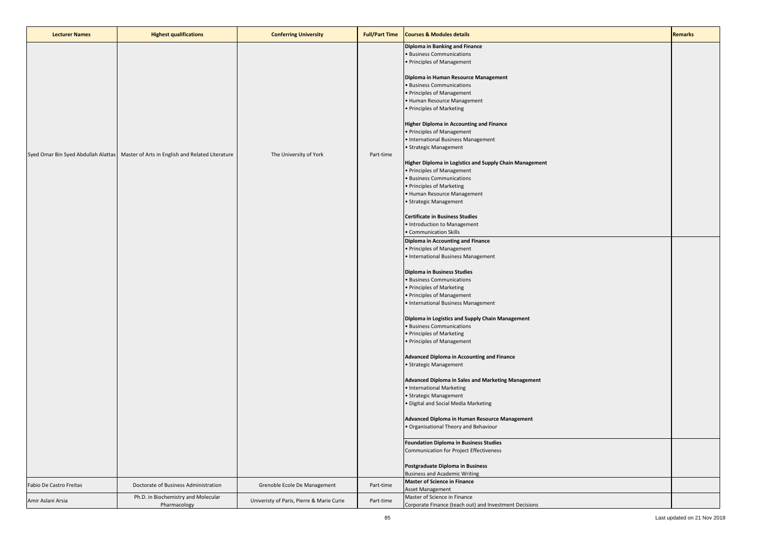| <b>Lecturer Names</b>   | <b>Highest qualifications</b>                                                          | <b>Conferring University</b>              | <b>Full/Part Time</b> | <b>Courses &amp; Modules details</b>                                                                                                                                                                                                                                                                                                                                                                                                                                                                                                                                                                                                                                                                                                                                                                                                                                                                                                                                                                                                                                                                                                                                                                              | <b>Remarks</b> |
|-------------------------|----------------------------------------------------------------------------------------|-------------------------------------------|-----------------------|-------------------------------------------------------------------------------------------------------------------------------------------------------------------------------------------------------------------------------------------------------------------------------------------------------------------------------------------------------------------------------------------------------------------------------------------------------------------------------------------------------------------------------------------------------------------------------------------------------------------------------------------------------------------------------------------------------------------------------------------------------------------------------------------------------------------------------------------------------------------------------------------------------------------------------------------------------------------------------------------------------------------------------------------------------------------------------------------------------------------------------------------------------------------------------------------------------------------|----------------|
|                         | Syed Omar Bin Syed Abdullah Alattas   Master of Arts in English and Related Literature | The University of York                    | Part-time             | Diploma in Banking and Finance<br>· Business Communications<br>• Principles of Management<br>Diploma in Human Resource Management<br>· Business Communications<br>• Principles of Management<br>• Human Resource Management<br>• Principles of Marketing<br><b>Higher Diploma in Accounting and Finance</b><br>• Principles of Management<br>• International Business Management<br>• Strategic Management<br>Higher Diploma in Logistics and Supply Chain Management<br>• Principles of Management<br>· Business Communications<br>• Principles of Marketing<br>· Human Resource Management<br>• Strategic Management<br><b>Certificate in Business Studies</b><br>• Introduction to Management<br>• Communication Skills<br><b>Diploma in Accounting and Finance</b><br>• Principles of Management<br>• International Business Management<br><b>Diploma in Business Studies</b><br>· Business Communications<br>• Principles of Marketing<br>• Principles of Management<br>• International Business Management<br>Diploma in Logistics and Supply Chain Management<br>• Business Communications<br>• Principles of Marketing<br>• Principles of Management<br><b>Advanced Diploma in Accounting and Finance</b> |                |
|                         |                                                                                        |                                           |                       | · Strategic Management<br>Advanced Diploma in Sales and Marketing Management<br>• International Marketing<br>· Strategic Management<br>· Digital and Social Media Marketing                                                                                                                                                                                                                                                                                                                                                                                                                                                                                                                                                                                                                                                                                                                                                                                                                                                                                                                                                                                                                                       |                |
|                         |                                                                                        |                                           |                       | Advanced Diploma in Human Resource Management<br>. Organisational Theory and Behaviour                                                                                                                                                                                                                                                                                                                                                                                                                                                                                                                                                                                                                                                                                                                                                                                                                                                                                                                                                                                                                                                                                                                            |                |
|                         |                                                                                        |                                           |                       | <b>Foundation Diploma in Business Studies</b><br>Communication for Project Effectiveness<br>Postgraduate Diploma in Business<br><b>Business and Academic Writing</b>                                                                                                                                                                                                                                                                                                                                                                                                                                                                                                                                                                                                                                                                                                                                                                                                                                                                                                                                                                                                                                              |                |
| Fabio De Castro Freitas | Doctorate of Business Administration                                                   | Grenoble Ecole De Management              | Part-time             | <b>Master of Science in Finance</b><br>Asset Management                                                                                                                                                                                                                                                                                                                                                                                                                                                                                                                                                                                                                                                                                                                                                                                                                                                                                                                                                                                                                                                                                                                                                           |                |
| Amir Aslani Arsia       | Ph.D. in Biochemistry and Molecular<br>Pharmacology                                    | Univeristy of Paris, Pierre & Marie Curie | Part-time             | Master of Science in Finance<br>Corporate Finance (teach out) and Investment Decisions                                                                                                                                                                                                                                                                                                                                                                                                                                                                                                                                                                                                                                                                                                                                                                                                                                                                                                                                                                                                                                                                                                                            |                |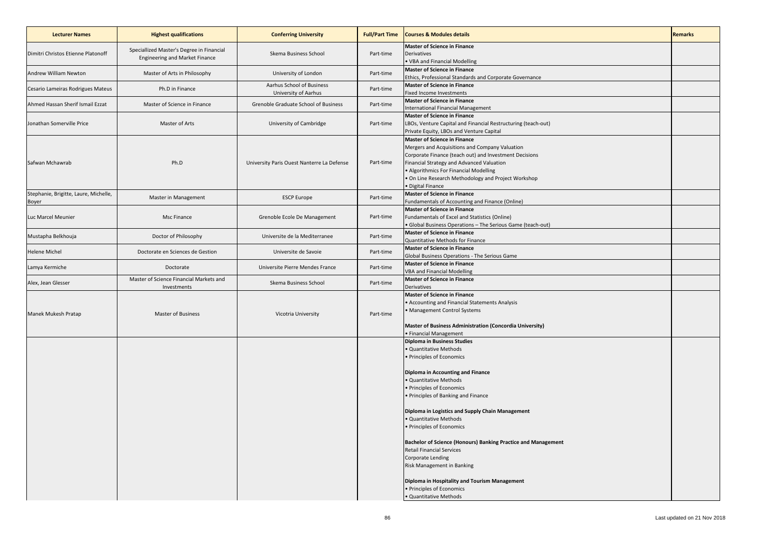| <b>Lecturer Names</b>                          | <b>Highest qualifications</b>                                                      | <b>Conferring University</b>                      | <b>Full/Part Time</b> | <b>Courses &amp; Modules details</b>                                                                                                                                                                                                                                                                         | <b>Remarks</b> |
|------------------------------------------------|------------------------------------------------------------------------------------|---------------------------------------------------|-----------------------|--------------------------------------------------------------------------------------------------------------------------------------------------------------------------------------------------------------------------------------------------------------------------------------------------------------|----------------|
| Dimitri Christos Etienne Platonoff             | Speciallized Master's Degree in Financial<br><b>Engineering and Market Finance</b> | Skema Business School                             | Part-time             | <b>Master of Science in Finance</b><br><b>Derivatives</b><br>. VBA and Financial Modelling                                                                                                                                                                                                                   |                |
| Andrew William Newton                          | Master of Arts in Philosophy                                                       | University of London                              | Part-time             | <b>Master of Science in Finance</b><br>Ethics, Professional Standards and Corporate Governance                                                                                                                                                                                                               |                |
| Cesario Lameiras Rodrigues Mateus              | Ph.D in Finance                                                                    | Aarhus School of Business<br>University of Aarhus | Part-time             | <b>Master of Science in Finance</b><br><b>Fixed Income Investments</b>                                                                                                                                                                                                                                       |                |
| Ahmed Hassan Sherif Ismail Ezzat               | Master of Science in Finance                                                       | Grenoble Graduate School of Business              | Part-time             | <b>Master of Science in Finance</b><br>International Financial Management                                                                                                                                                                                                                                    |                |
| Jonathan Somerville Price                      | Master of Arts                                                                     | University of Cambridge                           | Part-time             | <b>Master of Science in Finance</b><br>LBOs, Venture Capital and Financial Restructuring (teach-out)<br>Private Equity, LBOs and Venture Capital                                                                                                                                                             |                |
| Safwan Mchawrab                                | Ph.D                                                                               | University Paris Ouest Nanterre La Defense        | Part-time             | <b>Master of Science in Finance</b><br>Mergers and Acquisitions and Company Valuation<br>Corporate Finance (teach out) and Investment Decisions<br>Financial Strategy and Advanced Valuation<br>Algorithmics For Financial Modelling<br>On Line Research Methodology and Project Workshop<br>Digital Finance |                |
| Stephanie, Brigitte, Laure, Michelle,<br>Boyer | Master in Management                                                               | <b>ESCP Europe</b>                                | Part-time             | <b>Master of Science in Finance</b><br>Fundamentals of Accounting and Finance (Online)                                                                                                                                                                                                                       |                |
| Luc Marcel Meunier                             | Msc Finance                                                                        | Grenoble Ecole De Management                      | Part-time             | <b>Master of Science in Finance</b><br>Fundamentals of Excel and Statistics (Online)<br>· Global Business Operations - The Serious Game (teach-out)                                                                                                                                                          |                |
| Mustapha Belkhouja                             | Doctor of Philosophy                                                               | Universite de la Mediterranee                     | Part-time             | <b>Master of Science in Finance</b><br>Quantitative Methods for Finance                                                                                                                                                                                                                                      |                |
| <b>Helene Michel</b>                           | Doctorate en Sciences de Gestion                                                   | Universite de Savoie                              | Part-time             | <b>Master of Science in Finance</b><br>Global Business Operations - The Serious Game                                                                                                                                                                                                                         |                |
| Lamya Kermiche                                 | Doctorate                                                                          | Universite Pierre Mendes France                   | Part-time             | <b>Master of Science in Finance</b><br><b>VBA and Financial Modelling</b>                                                                                                                                                                                                                                    |                |
| Alex, Jean Glesser                             | Master of Science Financial Markets and<br>Investments                             | Skema Business School                             | Part-time             | <b>Master of Science in Finance</b><br>Derivatives                                                                                                                                                                                                                                                           |                |
| Manek Mukesh Pratap                            | Master of Business                                                                 | Vicotria University                               | Part-time             | <b>Master of Science in Finance</b><br>Accounting and Financial Statements Analysis<br>Management Control Systems<br>Master of Business Administration (Concordia University)<br>· Financial Management                                                                                                      |                |
|                                                |                                                                                    |                                                   |                       | <b>Diploma in Business Studies</b><br>Quantitative Methods<br>Principles of Economics<br>Diploma in Accounting and Finance<br>Quantitative Methods<br>Principles of Economics<br>Principles of Banking and Finance                                                                                           |                |
|                                                |                                                                                    |                                                   |                       | Diploma in Logistics and Supply Chain Management<br>Quantitative Methods<br>Principles of Economics<br>Bachelor of Science (Honours) Banking Practice and Management<br><b>Retail Financial Services</b><br>Corporate Lending<br>Risk Management in Banking                                                  |                |
|                                                |                                                                                    |                                                   |                       | Diploma in Hospitality and Tourism Management<br>· Principles of Economics<br>· Quantitative Methods                                                                                                                                                                                                         |                |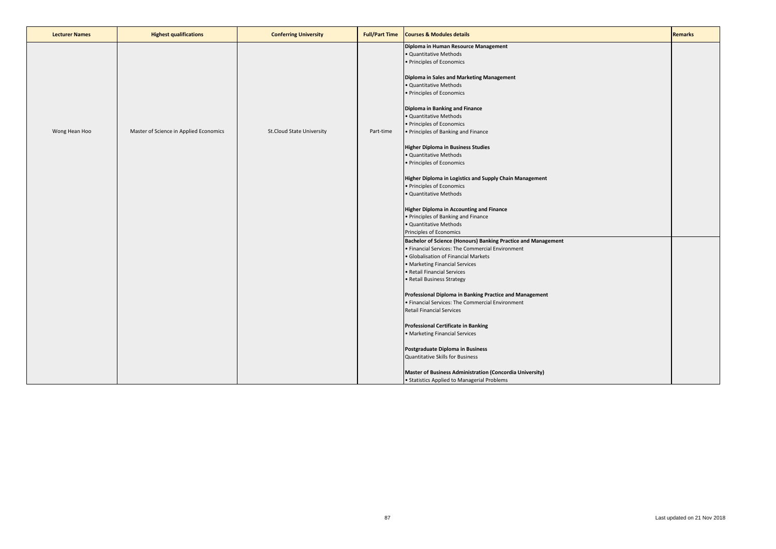| <b>Lecturer Names</b> | <b>Highest qualifications</b>          | <b>Conferring University</b>     | <b>Full/Part Time</b> | <b>Courses &amp; Modules details</b>                                                                              | <b>Remarks</b> |
|-----------------------|----------------------------------------|----------------------------------|-----------------------|-------------------------------------------------------------------------------------------------------------------|----------------|
|                       |                                        |                                  |                       | Diploma in Human Resource Management<br>Quantitative Methods<br>· Principles of Economics                         |                |
|                       |                                        |                                  |                       | Diploma in Sales and Marketing Management<br>· Quantitative Methods<br>· Principles of Economics                  |                |
|                       |                                        |                                  |                       | Diploma in Banking and Finance<br>· Quantitative Methods                                                          |                |
| Wong Hean Hoo         | Master of Science in Applied Economics | <b>St.Cloud State University</b> | Part-time             | · Principles of Economics<br>• Principles of Banking and Finance                                                  |                |
|                       |                                        |                                  |                       | <b>Higher Diploma in Business Studies</b><br>· Quantitative Methods<br>• Principles of Economics                  |                |
|                       |                                        |                                  |                       | Higher Diploma in Logistics and Supply Chain Management<br>· Principles of Economics                              |                |
|                       |                                        |                                  |                       | · Quantitative Methods                                                                                            |                |
|                       |                                        |                                  |                       | <b>Higher Diploma in Accounting and Finance</b><br>• Principles of Banking and Finance                            |                |
|                       |                                        |                                  |                       | · Quantitative Methods<br>Principles of Economics                                                                 |                |
|                       |                                        |                                  |                       | Bachelor of Science (Honours) Banking Practice and Management<br>· Financial Services: The Commercial Environment |                |
|                       |                                        |                                  |                       | · Globalisation of Financial Markets<br>• Marketing Financial Services                                            |                |
|                       |                                        |                                  |                       | · Retail Financial Services<br>• Retail Business Strategy                                                         |                |
|                       |                                        |                                  |                       | Professional Diploma in Banking Practice and Management                                                           |                |
|                       |                                        |                                  |                       | · Financial Services: The Commercial Environment<br><b>Retail Financial Services</b>                              |                |
|                       |                                        |                                  |                       | <b>Professional Certificate in Banking</b><br>· Marketing Financial Services                                      |                |
|                       |                                        |                                  |                       | Postgraduate Diploma in Business                                                                                  |                |
|                       |                                        |                                  |                       | Quantitative Skills for Business                                                                                  |                |
|                       |                                        |                                  |                       | Master of Business Administration (Concordia University)<br>• Statistics Applied to Managerial Problems           |                |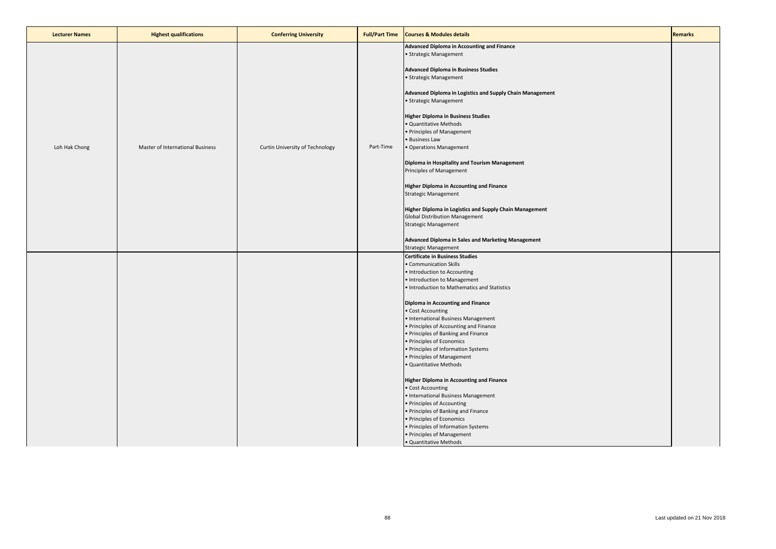| <b>Lecturer Names</b> | <b>Highest qualifications</b>    | <b>Conferring University</b>    | <b>Full/Part Time</b> | <b>Courses &amp; Modules details</b>                                                                                                                                                                                                                                                                                                                                                                                                                                                                                                                                                                                                                                                                                                                                                                           | <b>Remarks</b> |
|-----------------------|----------------------------------|---------------------------------|-----------------------|----------------------------------------------------------------------------------------------------------------------------------------------------------------------------------------------------------------------------------------------------------------------------------------------------------------------------------------------------------------------------------------------------------------------------------------------------------------------------------------------------------------------------------------------------------------------------------------------------------------------------------------------------------------------------------------------------------------------------------------------------------------------------------------------------------------|----------------|
| Loh Hak Chong         | Master of International Business | Curtin University of Technology | Part-Time             | Advanced Diploma in Accounting and Finance<br>• Strategic Management<br><b>Advanced Diploma in Business Studies</b><br>• Strategic Management<br>Advanced Diploma in Logistics and Supply Chain Management<br>• Strategic Management<br><b>Higher Diploma in Business Studies</b><br><b>Quantitative Methods</b><br>· Principles of Management<br>· Business Law<br>· Operations Management<br>Diploma in Hospitality and Tourism Management<br>Principles of Management<br>Higher Diploma in Accounting and Finance<br><b>Strategic Management</b><br>Higher Diploma in Logistics and Supply Chain Management<br><b>Global Distribution Management</b><br>Strategic Management<br>Advanced Diploma in Sales and Marketing Management<br><b>Strategic Management</b>                                           |                |
|                       |                                  |                                 |                       | <b>Certificate in Business Studies</b><br>· Communication Skills<br>• Introduction to Accounting<br>• Introduction to Management<br>• Introduction to Mathematics and Statistics<br>Diploma in Accounting and Finance<br>• Cost Accounting<br>• International Business Management<br>• Principles of Accounting and Finance<br>• Principles of Banking and Finance<br>• Principles of Economics<br>• Principles of Information Systems<br>· Principles of Management<br>· Quantitative Methods<br><b>Higher Diploma in Accounting and Finance</b><br>· Cost Accounting<br>• International Business Management<br>• Principles of Accounting<br>• Principles of Banking and Finance<br>· Principles of Economics<br>• Principles of Information Systems<br>• Principles of Management<br>· Quantitative Methods |                |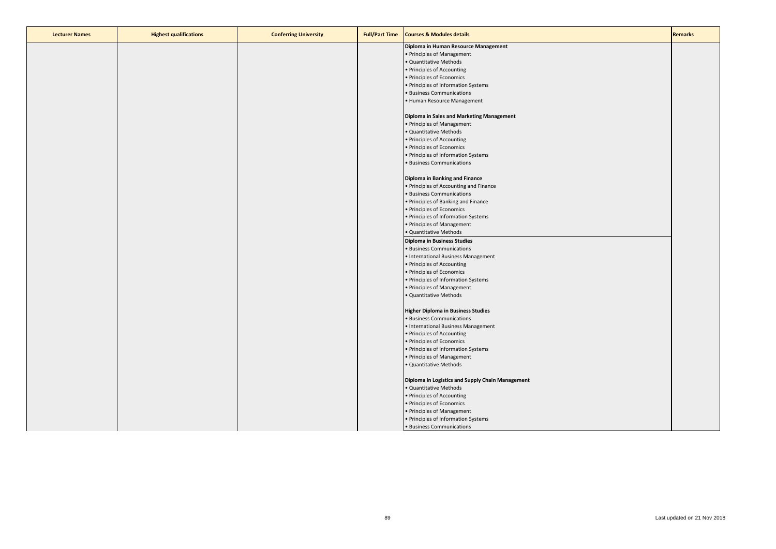| <b>Lecturer Names</b> | <b>Highest qualifications</b> | <b>Conferring University</b> | <b>Full/Part Time</b> | <b>Courses &amp; Modules details</b>             | <b>Remarks</b> |
|-----------------------|-------------------------------|------------------------------|-----------------------|--------------------------------------------------|----------------|
|                       |                               |                              |                       | Diploma in Human Resource Management             |                |
|                       |                               |                              |                       | · Principles of Management                       |                |
|                       |                               |                              |                       | · Quantitative Methods                           |                |
|                       |                               |                              |                       | · Principles of Accounting                       |                |
|                       |                               |                              |                       | · Principles of Economics                        |                |
|                       |                               |                              |                       | · Principles of Information Systems              |                |
|                       |                               |                              |                       | <b>Business Communications</b>                   |                |
|                       |                               |                              |                       | Human Resource Management                        |                |
|                       |                               |                              |                       |                                                  |                |
|                       |                               |                              |                       | Diploma in Sales and Marketing Management        |                |
|                       |                               |                              |                       | · Principles of Management                       |                |
|                       |                               |                              |                       | · Quantitative Methods                           |                |
|                       |                               |                              |                       | · Principles of Accounting                       |                |
|                       |                               |                              |                       | · Principles of Economics                        |                |
|                       |                               |                              |                       | · Principles of Information Systems              |                |
|                       |                               |                              |                       | <b>Business Communications</b>                   |                |
|                       |                               |                              |                       |                                                  |                |
|                       |                               |                              |                       | Diploma in Banking and Finance                   |                |
|                       |                               |                              |                       | · Principles of Accounting and Finance           |                |
|                       |                               |                              |                       | <b>Business Communications</b>                   |                |
|                       |                               |                              |                       |                                                  |                |
|                       |                               |                              |                       | · Principles of Banking and Finance              |                |
|                       |                               |                              |                       | · Principles of Economics                        |                |
|                       |                               |                              |                       | · Principles of Information Systems              |                |
|                       |                               |                              |                       | · Principles of Management                       |                |
|                       |                               |                              |                       | · Quantitative Methods                           |                |
|                       |                               |                              |                       | <b>Diploma in Business Studies</b>               |                |
|                       |                               |                              |                       | · Business Communications                        |                |
|                       |                               |                              |                       | · International Business Management              |                |
|                       |                               |                              |                       | · Principles of Accounting                       |                |
|                       |                               |                              |                       | · Principles of Economics                        |                |
|                       |                               |                              |                       | · Principles of Information Systems              |                |
|                       |                               |                              |                       | · Principles of Management                       |                |
|                       |                               |                              |                       | Quantitative Methods                             |                |
|                       |                               |                              |                       |                                                  |                |
|                       |                               |                              |                       | Higher Diploma in Business Studies               |                |
|                       |                               |                              |                       | <b>Business Communications</b>                   |                |
|                       |                               |                              |                       | · International Business Management              |                |
|                       |                               |                              |                       | · Principles of Accounting                       |                |
|                       |                               |                              |                       | · Principles of Economics                        |                |
|                       |                               |                              |                       | · Principles of Information Systems              |                |
|                       |                               |                              |                       | · Principles of Management                       |                |
|                       |                               |                              |                       | Quantitative Methods                             |                |
|                       |                               |                              |                       |                                                  |                |
|                       |                               |                              |                       | Diploma in Logistics and Supply Chain Management |                |
|                       |                               |                              |                       | · Quantitative Methods                           |                |
|                       |                               |                              |                       | · Principles of Accounting                       |                |
|                       |                               |                              |                       | · Principles of Economics                        |                |
|                       |                               |                              |                       | · Principles of Management                       |                |
|                       |                               |                              |                       | · Principles of Information Systems              |                |
|                       |                               |                              |                       | · Business Communications                        |                |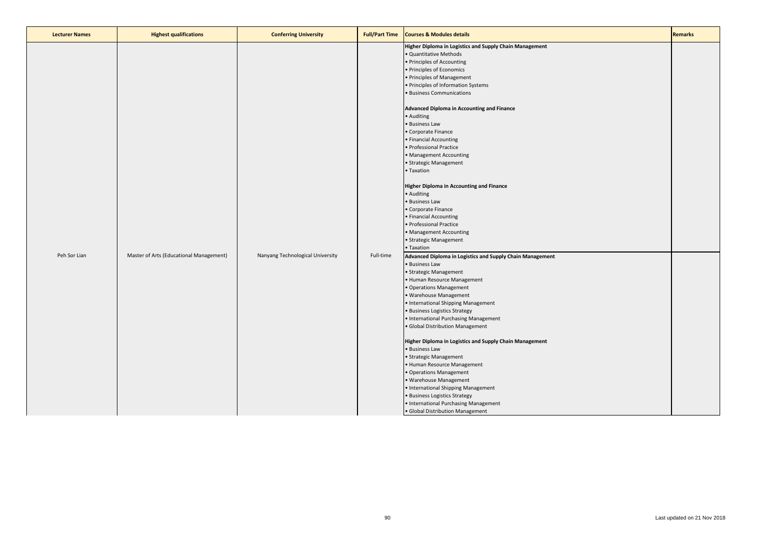| Higher Diploma in Logistics and Supply Chain Management<br><b>Quantitative Methods</b><br>Principles of Accounting<br>· Principles of Economics<br>Principles of Management<br>· Principles of Information Systems<br>· Business Communications<br>Advanced Diploma in Accounting and Finance<br>· Auditing<br><b>Business Law</b><br>Corporate Finance<br>Financial Accounting<br>Professional Practice<br>Management Accounting<br>Strategic Management<br>· Taxation<br><b>Higher Diploma in Accounting and Finance</b><br>· Auditing<br><b>Business Law</b><br>Corporate Finance<br>Financial Accounting<br>Professional Practice<br>Management Accounting<br>Strategic Management<br>• Taxation<br>Peh Sor Lian<br>Master of Arts (Educational Management)<br>Nanyang Technological University<br>Full-time<br>Advanced Diploma in Logistics and Supply Chain Management<br><b>Business Law</b><br>Strategic Management<br>Human Resource Management<br>Operations Management<br>· Warehouse Management<br>International Shipping Management<br>· Business Logistics Strategy<br>• International Purchasing Management<br>· Global Distribution Management<br>Higher Diploma in Logistics and Supply Chain Management<br>· Business Law<br>Strategic Management<br>Human Resource Management<br>Operations Management<br>· Warehouse Management |
|------------------------------------------------------------------------------------------------------------------------------------------------------------------------------------------------------------------------------------------------------------------------------------------------------------------------------------------------------------------------------------------------------------------------------------------------------------------------------------------------------------------------------------------------------------------------------------------------------------------------------------------------------------------------------------------------------------------------------------------------------------------------------------------------------------------------------------------------------------------------------------------------------------------------------------------------------------------------------------------------------------------------------------------------------------------------------------------------------------------------------------------------------------------------------------------------------------------------------------------------------------------------------------------------------------------------------------------------------|
| International Shipping Management                                                                                                                                                                                                                                                                                                                                                                                                                                                                                                                                                                                                                                                                                                                                                                                                                                                                                                                                                                                                                                                                                                                                                                                                                                                                                                                    |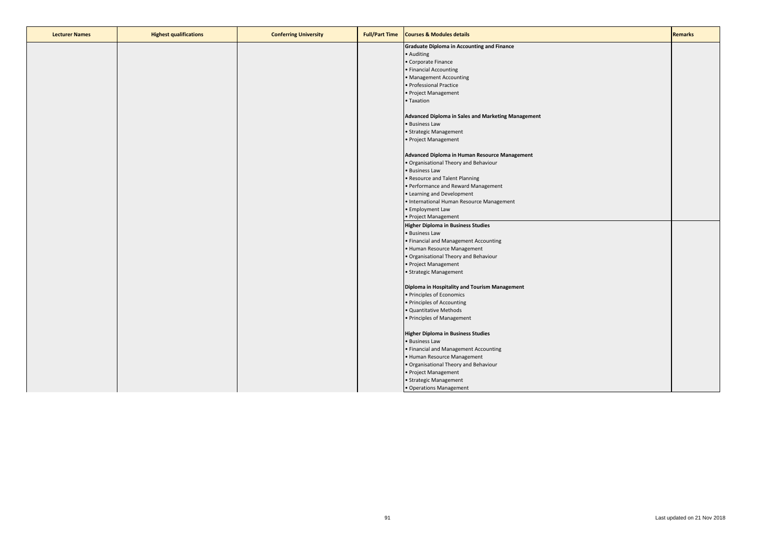| <b>Lecturer Names</b> | <b>Highest qualifications</b> | <b>Conferring University</b> | <b>Full/Part Time</b> | <b>Courses &amp; Modules details</b>               | <b>Remarks</b> |
|-----------------------|-------------------------------|------------------------------|-----------------------|----------------------------------------------------|----------------|
|                       |                               |                              |                       | <b>Graduate Diploma in Accounting and Finance</b>  |                |
|                       |                               |                              |                       | • Auditing                                         |                |
|                       |                               |                              |                       | • Corporate Finance                                |                |
|                       |                               |                              |                       | • Financial Accounting                             |                |
|                       |                               |                              |                       | • Management Accounting                            |                |
|                       |                               |                              |                       | · Professional Practice                            |                |
|                       |                               |                              |                       | • Project Management                               |                |
|                       |                               |                              |                       | • Taxation                                         |                |
|                       |                               |                              |                       | Advanced Diploma in Sales and Marketing Management |                |
|                       |                               |                              |                       | · Business Law                                     |                |
|                       |                               |                              |                       | • Strategic Management                             |                |
|                       |                               |                              |                       | • Project Management                               |                |
|                       |                               |                              |                       | Advanced Diploma in Human Resource Management      |                |
|                       |                               |                              |                       | . Organisational Theory and Behaviour              |                |
|                       |                               |                              |                       | · Business Law                                     |                |
|                       |                               |                              |                       | · Resource and Talent Planning                     |                |
|                       |                               |                              |                       | · Performance and Reward Management                |                |
|                       |                               |                              |                       | • Learning and Development                         |                |
|                       |                               |                              |                       | • International Human Resource Management          |                |
|                       |                               |                              |                       | • Employment Law                                   |                |
|                       |                               |                              |                       | • Project Management                               |                |
|                       |                               |                              |                       | <b>Higher Diploma in Business Studies</b>          |                |
|                       |                               |                              |                       | · Business Law                                     |                |
|                       |                               |                              |                       | • Financial and Management Accounting              |                |
|                       |                               |                              |                       | • Human Resource Management                        |                |
|                       |                               |                              |                       | . Organisational Theory and Behaviour              |                |
|                       |                               |                              |                       | • Project Management                               |                |
|                       |                               |                              |                       | · Strategic Management                             |                |
|                       |                               |                              |                       | Diploma in Hospitality and Tourism Management      |                |
|                       |                               |                              |                       | · Principles of Economics                          |                |
|                       |                               |                              |                       | • Principles of Accounting                         |                |
|                       |                               |                              |                       | · Quantitative Methods                             |                |
|                       |                               |                              |                       | • Principles of Management                         |                |
|                       |                               |                              |                       | <b>Higher Diploma in Business Studies</b>          |                |
|                       |                               |                              |                       | · Business Law                                     |                |
|                       |                               |                              |                       | • Financial and Management Accounting              |                |
|                       |                               |                              |                       | • Human Resource Management                        |                |
|                       |                               |                              |                       | . Organisational Theory and Behaviour              |                |
|                       |                               |                              |                       | • Project Management                               |                |
|                       |                               |                              |                       | · Strategic Management                             |                |
|                       |                               |                              |                       | • Operations Management                            |                |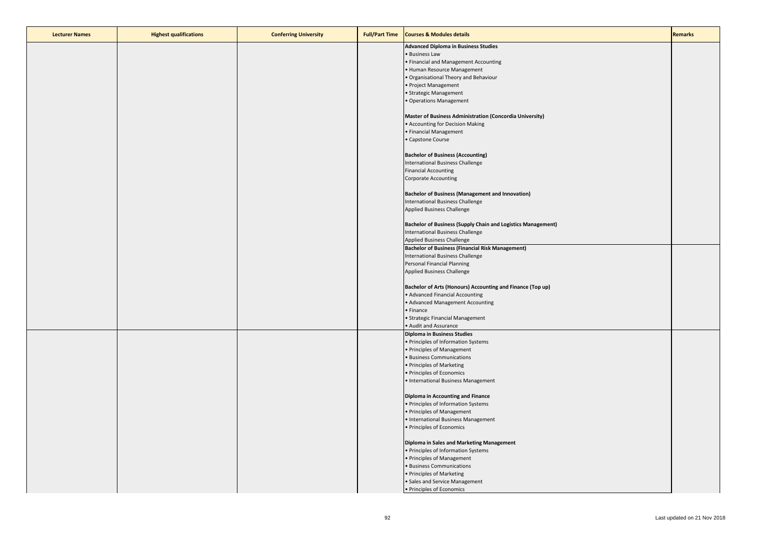| <b>Lecturer Names</b> | <b>Highest qualifications</b> | <b>Conferring University</b> | <b>Full/Part Time</b> | <b>Courses &amp; Modules details</b>                                | <b>Remarks</b> |
|-----------------------|-------------------------------|------------------------------|-----------------------|---------------------------------------------------------------------|----------------|
|                       |                               |                              |                       | <b>Advanced Diploma in Business Studies</b>                         |                |
|                       |                               |                              |                       | · Business Law                                                      |                |
|                       |                               |                              |                       | • Financial and Management Accounting                               |                |
|                       |                               |                              |                       | • Human Resource Management                                         |                |
|                       |                               |                              |                       | . Organisational Theory and Behaviour                               |                |
|                       |                               |                              |                       | • Project Management                                                |                |
|                       |                               |                              |                       | • Strategic Management                                              |                |
|                       |                               |                              |                       | • Operations Management                                             |                |
|                       |                               |                              |                       | Master of Business Administration (Concordia University)            |                |
|                       |                               |                              |                       | • Accounting for Decision Making                                    |                |
|                       |                               |                              |                       | • Financial Management                                              |                |
|                       |                               |                              |                       | · Capstone Course                                                   |                |
|                       |                               |                              |                       | <b>Bachelor of Business (Accounting)</b>                            |                |
|                       |                               |                              |                       | International Business Challenge                                    |                |
|                       |                               |                              |                       | <b>Financial Accounting</b>                                         |                |
|                       |                               |                              |                       | <b>Corporate Accounting</b>                                         |                |
|                       |                               |                              |                       | <b>Bachelor of Business (Management and Innovation)</b>             |                |
|                       |                               |                              |                       | International Business Challenge                                    |                |
|                       |                               |                              |                       | <b>Applied Business Challenge</b>                                   |                |
|                       |                               |                              |                       | <b>Bachelor of Business (Supply Chain and Logistics Management)</b> |                |
|                       |                               |                              |                       | International Business Challenge                                    |                |
|                       |                               |                              |                       | <b>Applied Business Challenge</b>                                   |                |
|                       |                               |                              |                       | <b>Bachelor of Business (Financial Risk Management)</b>             |                |
|                       |                               |                              |                       | International Business Challenge                                    |                |
|                       |                               |                              |                       | Personal Financial Planning                                         |                |
|                       |                               |                              |                       | <b>Applied Business Challenge</b>                                   |                |
|                       |                               |                              |                       | Bachelor of Arts (Honours) Accounting and Finance (Top up)          |                |
|                       |                               |                              |                       | • Advanced Financial Accounting                                     |                |
|                       |                               |                              |                       | • Advanced Management Accounting                                    |                |
|                       |                               |                              |                       | • Finance                                                           |                |
|                       |                               |                              |                       | · Strategic Financial Management                                    |                |
|                       |                               |                              |                       | • Audit and Assurance                                               |                |
|                       |                               |                              |                       | <b>Diploma in Business Studies</b>                                  |                |
|                       |                               |                              |                       | · Principles of Information Systems                                 |                |
|                       |                               |                              |                       | • Principles of Management                                          |                |
|                       |                               |                              |                       | · Business Communications<br>• Principles of Marketing              |                |
|                       |                               |                              |                       | • Principles of Economics                                           |                |
|                       |                               |                              |                       | • International Business Management                                 |                |
|                       |                               |                              |                       |                                                                     |                |
|                       |                               |                              |                       | <b>Diploma in Accounting and Finance</b>                            |                |
|                       |                               |                              |                       | • Principles of Information Systems                                 |                |
|                       |                               |                              |                       | • Principles of Management                                          |                |
|                       |                               |                              |                       | • International Business Management                                 |                |
|                       |                               |                              |                       | • Principles of Economics                                           |                |
|                       |                               |                              |                       | Diploma in Sales and Marketing Management                           |                |
|                       |                               |                              |                       | • Principles of Information Systems                                 |                |
|                       |                               |                              |                       | · Principles of Management                                          |                |
|                       |                               |                              |                       | • Business Communications                                           |                |
|                       |                               |                              |                       | · Principles of Marketing                                           |                |
|                       |                               |                              |                       | • Sales and Service Management                                      |                |
|                       |                               |                              |                       | • Principles of Economics                                           |                |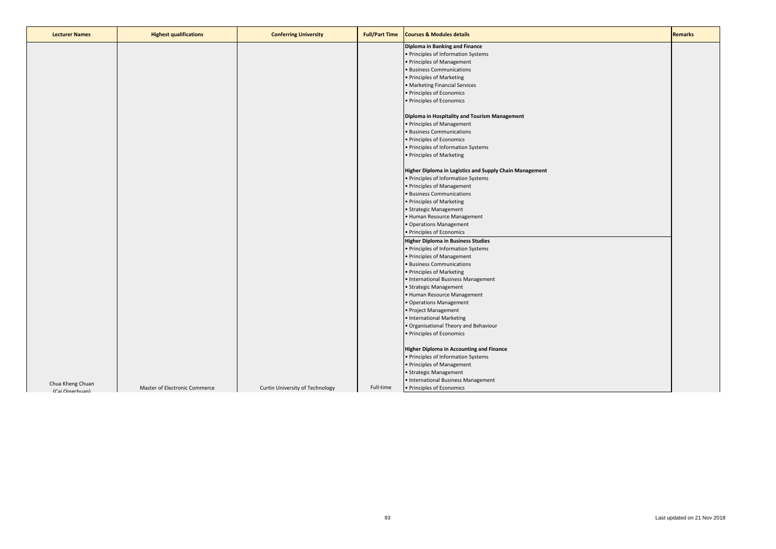| <b>Lecturer Names</b>               | <b>Highest qualifications</b> | <b>Conferring University</b>    | <b>Full/Part Time</b> | <b>Courses &amp; Modules details</b>                                                                                                                                                                                                            | <b>Remarks</b> |
|-------------------------------------|-------------------------------|---------------------------------|-----------------------|-------------------------------------------------------------------------------------------------------------------------------------------------------------------------------------------------------------------------------------------------|----------------|
|                                     |                               |                                 |                       | Diploma in Banking and Finance<br>• Principles of Information Systems<br>• Principles of Management<br>• Business Communications<br>• Principles of Marketing<br>• Marketing Financial Services<br>• Principles of Economics                    |                |
|                                     |                               |                                 |                       | • Principles of Economics<br>Diploma in Hospitality and Tourism Management<br>• Principles of Management<br>· Business Communications<br>· Principles of Economics<br>• Principles of Information Systems<br>• Principles of Marketing          |                |
|                                     |                               |                                 |                       | Higher Diploma in Logistics and Supply Chain Management<br>• Principles of Information Systems<br>• Principles of Management<br>· Business Communications<br>• Principles of Marketing<br>· Strategic Management<br>• Human Resource Management |                |
|                                     |                               |                                 |                       | • Operations Management<br>• Principles of Economics<br><b>Higher Diploma in Business Studies</b><br>• Principles of Information Systems<br>• Principles of Management<br>· Business Communications                                             |                |
|                                     |                               |                                 |                       | • Principles of Marketing<br>• International Business Management<br>· Strategic Management<br>• Human Resource Management<br>• Operations Management<br>• Project Management<br>• International Marketing                                       |                |
|                                     |                               |                                 |                       | · Organisational Theory and Behaviour<br>• Principles of Economics<br><b>Higher Diploma in Accounting and Finance</b><br>• Principles of Information Systems<br>• Principles of Management<br>• Strategic Management                            |                |
| Chua Kheng Chuan<br>(Cai Oingchuan) | Master of Electronic Commerce | Curtin University of Technology | Full-time             | • International Business Management<br>• Principles of Economics                                                                                                                                                                                |                |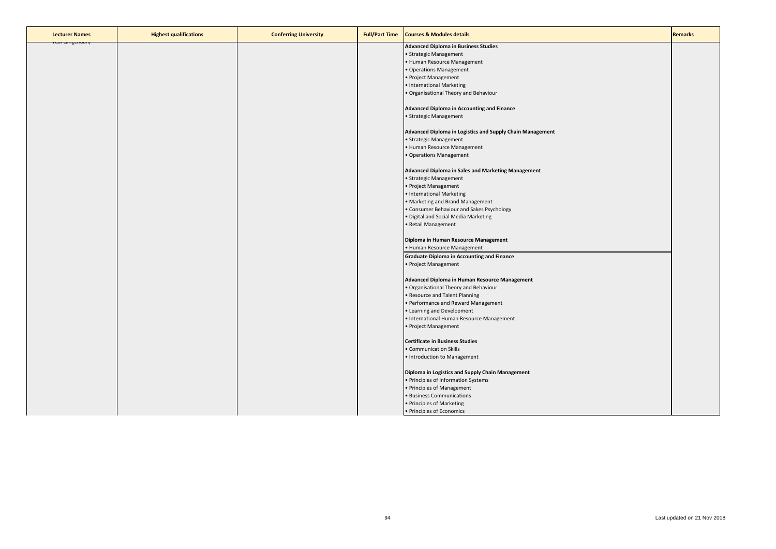| <b>Lecturer Names</b> | <b>Highest qualifications</b> | <b>Conferring University</b> | <b>Full/Part Time</b> | <b>Courses &amp; Modules details</b>                      | <b>Remarks</b> |
|-----------------------|-------------------------------|------------------------------|-----------------------|-----------------------------------------------------------|----------------|
| <b>TCal Qingchuan</b> |                               |                              |                       | <b>Advanced Diploma in Business Studies</b>               |                |
|                       |                               |                              |                       | • Strategic Management                                    |                |
|                       |                               |                              |                       | Human Resource Management                                 |                |
|                       |                               |                              |                       | Operations Management                                     |                |
|                       |                               |                              |                       | Project Management                                        |                |
|                       |                               |                              |                       | · International Marketing                                 |                |
|                       |                               |                              |                       | Organisational Theory and Behaviour                       |                |
|                       |                               |                              |                       |                                                           |                |
|                       |                               |                              |                       | <b>Advanced Diploma in Accounting and Finance</b>         |                |
|                       |                               |                              |                       | · Strategic Management                                    |                |
|                       |                               |                              |                       |                                                           |                |
|                       |                               |                              |                       | Advanced Diploma in Logistics and Supply Chain Management |                |
|                       |                               |                              |                       | Strategic Management                                      |                |
|                       |                               |                              |                       | · Human Resource Management                               |                |
|                       |                               |                              |                       | Operations Management                                     |                |
|                       |                               |                              |                       |                                                           |                |
|                       |                               |                              |                       | <b>Advanced Diploma in Sales and Marketing Management</b> |                |
|                       |                               |                              |                       | · Strategic Management                                    |                |
|                       |                               |                              |                       | · Project Management                                      |                |
|                       |                               |                              |                       | · International Marketing                                 |                |
|                       |                               |                              |                       | • Marketing and Brand Management                          |                |
|                       |                               |                              |                       | Consumer Behaviour and Sakes Psychology                   |                |
|                       |                               |                              |                       | Digital and Social Media Marketing                        |                |
|                       |                               |                              |                       |                                                           |                |
|                       |                               |                              |                       | Retail Management                                         |                |
|                       |                               |                              |                       | Diploma in Human Resource Management                      |                |
|                       |                               |                              |                       | • Human Resource Management                               |                |
|                       |                               |                              |                       | <b>Graduate Diploma in Accounting and Finance</b>         |                |
|                       |                               |                              |                       | Project Management                                        |                |
|                       |                               |                              |                       |                                                           |                |
|                       |                               |                              |                       | Advanced Diploma in Human Resource Management             |                |
|                       |                               |                              |                       | · Organisational Theory and Behaviour                     |                |
|                       |                               |                              |                       | Resource and Talent Planning                              |                |
|                       |                               |                              |                       | Performance and Reward Management                         |                |
|                       |                               |                              |                       | Learning and Development                                  |                |
|                       |                               |                              |                       | · International Human Resource Management                 |                |
|                       |                               |                              |                       | Project Management                                        |                |
|                       |                               |                              |                       |                                                           |                |
|                       |                               |                              |                       | <b>Certificate in Business Studies</b>                    |                |
|                       |                               |                              |                       | • Communication Skills                                    |                |
|                       |                               |                              |                       |                                                           |                |
|                       |                               |                              |                       | · Introduction to Management                              |                |
|                       |                               |                              |                       | Diploma in Logistics and Supply Chain Management          |                |
|                       |                               |                              |                       | Principles of Information Systems                         |                |
|                       |                               |                              |                       | Principles of Management                                  |                |
|                       |                               |                              |                       | <b>Business Communications</b>                            |                |
|                       |                               |                              |                       | · Principles of Marketing                                 |                |
|                       |                               |                              |                       | • Principles of Economics                                 |                |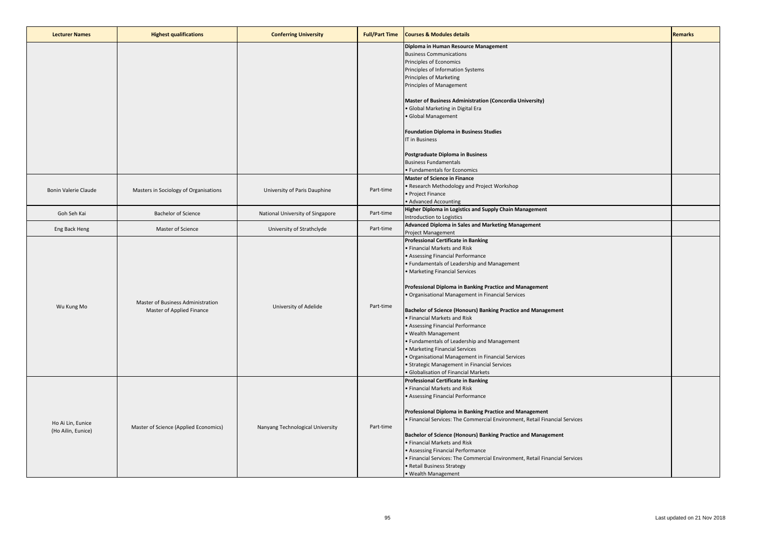| <b>Lecturer Names</b>                   | <b>Highest qualifications</b>                                  | <b>Conferring University</b>     | <b>Full/Part Time</b> | <b>Courses &amp; Modules details</b>                                                                                                   | <b>Remarks</b> |
|-----------------------------------------|----------------------------------------------------------------|----------------------------------|-----------------------|----------------------------------------------------------------------------------------------------------------------------------------|----------------|
|                                         |                                                                |                                  |                       | Diploma in Human Resource Management<br><b>Business Communications</b>                                                                 |                |
|                                         |                                                                |                                  |                       | Principles of Economics                                                                                                                |                |
|                                         |                                                                |                                  |                       | Principles of Information Systems                                                                                                      |                |
|                                         |                                                                |                                  |                       | <b>Principles of Marketing</b>                                                                                                         |                |
|                                         |                                                                |                                  |                       | Principles of Management                                                                                                               |                |
|                                         |                                                                |                                  |                       | Master of Business Administration (Concordia University)                                                                               |                |
|                                         |                                                                |                                  |                       | · Global Marketing in Digital Era                                                                                                      |                |
|                                         |                                                                |                                  |                       | · Global Management                                                                                                                    |                |
|                                         |                                                                |                                  |                       |                                                                                                                                        |                |
|                                         |                                                                |                                  |                       | <b>Foundation Diploma in Business Studies</b>                                                                                          |                |
|                                         |                                                                |                                  |                       | <b>IT in Business</b>                                                                                                                  |                |
|                                         |                                                                |                                  |                       | Postgraduate Diploma in Business                                                                                                       |                |
|                                         |                                                                |                                  |                       | <b>Business Fundamentals</b>                                                                                                           |                |
|                                         |                                                                |                                  |                       | · Fundamentals for Economics                                                                                                           |                |
|                                         |                                                                |                                  |                       | <b>Master of Science in Finance</b>                                                                                                    |                |
| <b>Bonin Valerie Claude</b>             | Masters in Sociology of Organisations                          | University of Paris Dauphine     | Part-time             | · Research Methodology and Project Workshop<br>· Project Finance                                                                       |                |
|                                         |                                                                |                                  |                       | Advanced Accounting                                                                                                                    |                |
|                                         |                                                                |                                  |                       | Higher Diploma in Logistics and Supply Chain Management                                                                                |                |
| Goh Seh Kai                             | <b>Bachelor of Science</b>                                     | National University of Singapore | Part-time             | Introduction to Logistics                                                                                                              |                |
| Eng Back Heng                           | Master of Science                                              | University of Strathclyde        | Part-time             | Advanced Diploma in Sales and Marketing Management                                                                                     |                |
|                                         |                                                                |                                  |                       | <b>Project Management</b>                                                                                                              |                |
|                                         | Master of Business Administration<br>Master of Applied Finance | University of Adelide            | Part-time             | <b>Professional Certificate in Banking</b><br>· Financial Markets and Risk                                                             |                |
|                                         |                                                                |                                  |                       | Assessing Financial Performance                                                                                                        |                |
|                                         |                                                                |                                  |                       | • Fundamentals of Leadership and Management                                                                                            |                |
|                                         |                                                                |                                  |                       | <b>Marketing Financial Services</b>                                                                                                    |                |
|                                         |                                                                |                                  |                       |                                                                                                                                        |                |
|                                         |                                                                |                                  |                       | Professional Diploma in Banking Practice and Management                                                                                |                |
|                                         |                                                                |                                  |                       | · Organisational Management in Financial Services                                                                                      |                |
| Wu Kung Mo                              |                                                                |                                  |                       | Bachelor of Science (Honours) Banking Practice and Management                                                                          |                |
|                                         |                                                                |                                  |                       | · Financial Markets and Risk                                                                                                           |                |
|                                         |                                                                |                                  |                       | Assessing Financial Performance                                                                                                        |                |
|                                         |                                                                |                                  |                       | Wealth Management                                                                                                                      |                |
|                                         |                                                                |                                  |                       | Fundamentals of Leadership and Management                                                                                              |                |
|                                         |                                                                |                                  |                       | <b>Marketing Financial Services</b>                                                                                                    |                |
|                                         |                                                                |                                  |                       | Organisational Management in Financial Services<br>Strategic Management in Financial Services                                          |                |
|                                         |                                                                |                                  |                       | · Globalisation of Financial Markets                                                                                                   |                |
|                                         |                                                                |                                  |                       | <b>Professional Certificate in Banking</b>                                                                                             |                |
|                                         |                                                                |                                  |                       | Financial Markets and Risk                                                                                                             |                |
| Ho Ai Lin, Eunice<br>(Ho Ailin, Eunice) |                                                                |                                  |                       | Assessing Financial Performance                                                                                                        |                |
|                                         |                                                                |                                  |                       |                                                                                                                                        |                |
|                                         | Master of Science (Applied Economics)                          |                                  |                       | Professional Diploma in Banking Practice and Management<br>· Financial Services: The Commercial Environment, Retail Financial Services |                |
|                                         |                                                                | Nanyang Technological University | Part-time             |                                                                                                                                        |                |
|                                         |                                                                |                                  |                       | Bachelor of Science (Honours) Banking Practice and Management                                                                          |                |
|                                         |                                                                |                                  |                       | · Financial Markets and Risk                                                                                                           |                |
|                                         |                                                                |                                  |                       | Assessing Financial Performance                                                                                                        |                |
|                                         |                                                                |                                  |                       | Financial Services: The Commercial Environment, Retail Financial Services                                                              |                |
|                                         |                                                                |                                  |                       | · Retail Business Strategy                                                                                                             |                |
|                                         |                                                                |                                  |                       | · Wealth Management                                                                                                                    |                |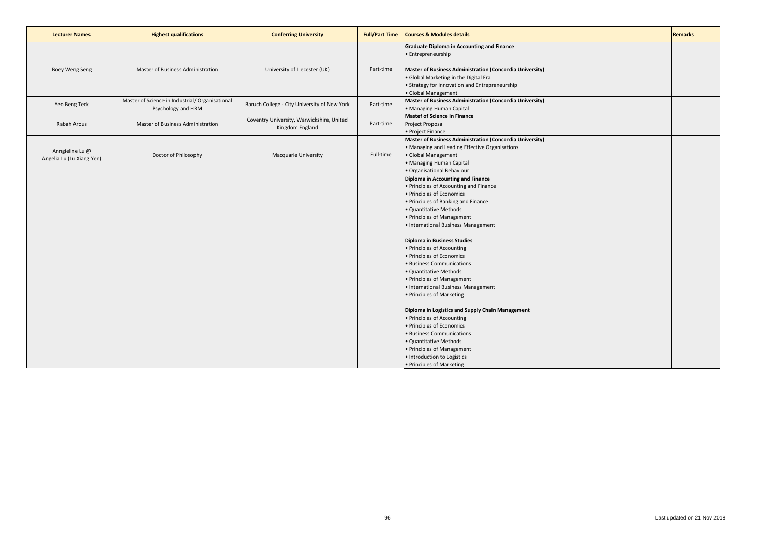| <b>Lecturer Names</b>                        | <b>Highest qualifications</b>                           | <b>Conferring University</b>                                 | <b>Full/Part Time</b> | <b>Courses &amp; Modules details</b>                                                                                                                                                                                                                                                                                                                                                                                                                                                                                                                                                                                                                                                                                                                                     | <b>Remarks</b> |
|----------------------------------------------|---------------------------------------------------------|--------------------------------------------------------------|-----------------------|--------------------------------------------------------------------------------------------------------------------------------------------------------------------------------------------------------------------------------------------------------------------------------------------------------------------------------------------------------------------------------------------------------------------------------------------------------------------------------------------------------------------------------------------------------------------------------------------------------------------------------------------------------------------------------------------------------------------------------------------------------------------------|----------------|
| Boey Weng Seng                               | Master of Business Administration                       | University of Liecester (UK)                                 | Part-time             | <b>Graduate Diploma in Accounting and Finance</b><br>• Entrepreneurship<br>Master of Business Administration (Concordia University)<br>. Global Marketing in the Digital Era<br>• Strategy for Innovation and Entrepreneurship                                                                                                                                                                                                                                                                                                                                                                                                                                                                                                                                           |                |
| Yeo Beng Teck                                | Master of Science in Industrial/ Organisational         | Baruch College - City University of New York                 | Part-time             | · Global Management<br>Master of Business Administration (Concordia University)                                                                                                                                                                                                                                                                                                                                                                                                                                                                                                                                                                                                                                                                                          |                |
| Rabah Arous                                  | Psychology and HRM<br>Master of Business Administration | Coventry University, Warwickshire, United<br>Kingdom England | Part-time             | • Managing Human Capital<br><b>Mastef of Science in Finance</b><br>Project Proposal<br>• Project Finance                                                                                                                                                                                                                                                                                                                                                                                                                                                                                                                                                                                                                                                                 |                |
| Anngieline Lu @<br>Angelia Lu (Lu Xiang Yen) | Doctor of Philosophy                                    | <b>Macquarie University</b>                                  | Full-time             | Master of Business Administration (Concordia University)<br>• Managing and Leading Effective Organisations<br>· Global Management<br>• Managing Human Capital<br>· Organisational Behaviour                                                                                                                                                                                                                                                                                                                                                                                                                                                                                                                                                                              |                |
|                                              |                                                         |                                                              |                       | Diploma in Accounting and Finance<br>• Principles of Accounting and Finance<br>· Principles of Economics<br>. Principles of Banking and Finance<br>· Quantitative Methods<br>• Principles of Management<br>• International Business Management<br><b>Diploma in Business Studies</b><br>• Principles of Accounting<br>• Principles of Economics<br>· Business Communications<br>· Quantitative Methods<br>• Principles of Management<br>• International Business Management<br>• Principles of Marketing<br>Diploma in Logistics and Supply Chain Management<br>• Principles of Accounting<br>· Principles of Economics<br>· Business Communications<br>· Quantitative Methods<br>• Principles of Management<br>· Introduction to Logistics<br>• Principles of Marketing |                |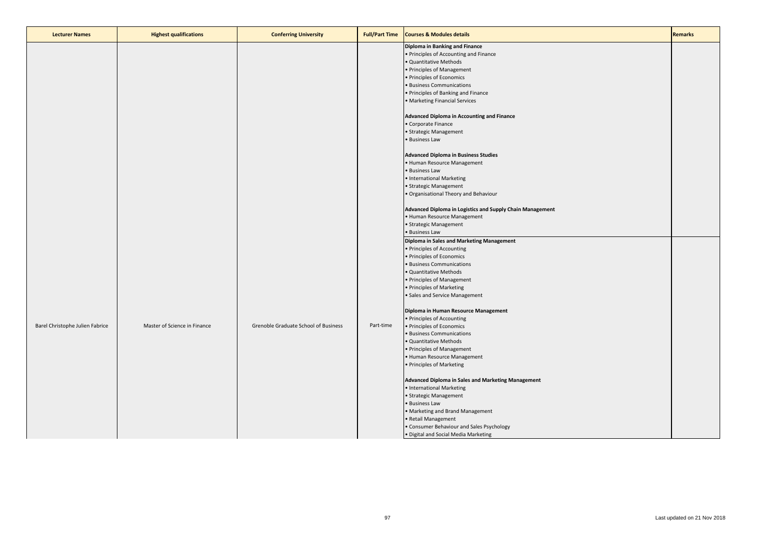| <b>Lecturer Names</b><br><b>Highest qualifications</b><br><b>Courses &amp; Modules details</b><br><b>Conferring University</b><br><b>Full/Part Time</b> | <b>Remarks</b> |
|---------------------------------------------------------------------------------------------------------------------------------------------------------|----------------|
| Diploma in Banking and Finance<br>• Principles of Accounting and Finance                                                                                |                |
| · Quantitative Methods                                                                                                                                  |                |
| • Principles of Management                                                                                                                              |                |
| • Principles of Economics                                                                                                                               |                |
| · Business Communications                                                                                                                               |                |
| • Principles of Banking and Finance                                                                                                                     |                |
| · Marketing Financial Services                                                                                                                          |                |
| Advanced Diploma in Accounting and Finance                                                                                                              |                |
| Corporate Finance                                                                                                                                       |                |
| · Strategic Management                                                                                                                                  |                |
| · Business Law                                                                                                                                          |                |
| <b>Advanced Diploma in Business Studies</b>                                                                                                             |                |
| • Human Resource Management                                                                                                                             |                |
| • Business Law                                                                                                                                          |                |
| • International Marketing                                                                                                                               |                |
| · Strategic Management                                                                                                                                  |                |
| · Organisational Theory and Behaviour                                                                                                                   |                |
| Advanced Diploma in Logistics and Supply Chain Management                                                                                               |                |
| • Human Resource Management                                                                                                                             |                |
| · Strategic Management                                                                                                                                  |                |
| • Business Law                                                                                                                                          |                |
| Diploma in Sales and Marketing Management                                                                                                               |                |
| • Principles of Accounting                                                                                                                              |                |
| • Principles of Economics                                                                                                                               |                |
| · Business Communications                                                                                                                               |                |
| · Quantitative Methods                                                                                                                                  |                |
| • Principles of Management                                                                                                                              |                |
| • Principles of Marketing                                                                                                                               |                |
| · Sales and Service Management                                                                                                                          |                |
| Diploma in Human Resource Management                                                                                                                    |                |
| • Principles of Accounting                                                                                                                              |                |
| Master of Science in Finance<br>Grenoble Graduate School of Business<br>Part-time<br>Barel Christophe Julien Fabrice<br>• Principles of Economics       |                |
| · Business Communications                                                                                                                               |                |
| · Quantitative Methods                                                                                                                                  |                |
| • Principles of Management<br>• Human Resource Management                                                                                               |                |
| • Principles of Marketing                                                                                                                               |                |
|                                                                                                                                                         |                |
| Advanced Diploma in Sales and Marketing Management                                                                                                      |                |
| • International Marketing                                                                                                                               |                |
| · Strategic Management                                                                                                                                  |                |
| · Business Law                                                                                                                                          |                |
| • Marketing and Brand Management<br>· Retail Management                                                                                                 |                |
| • Consumer Behaviour and Sales Psychology                                                                                                               |                |
| · Digital and Social Media Marketing                                                                                                                    |                |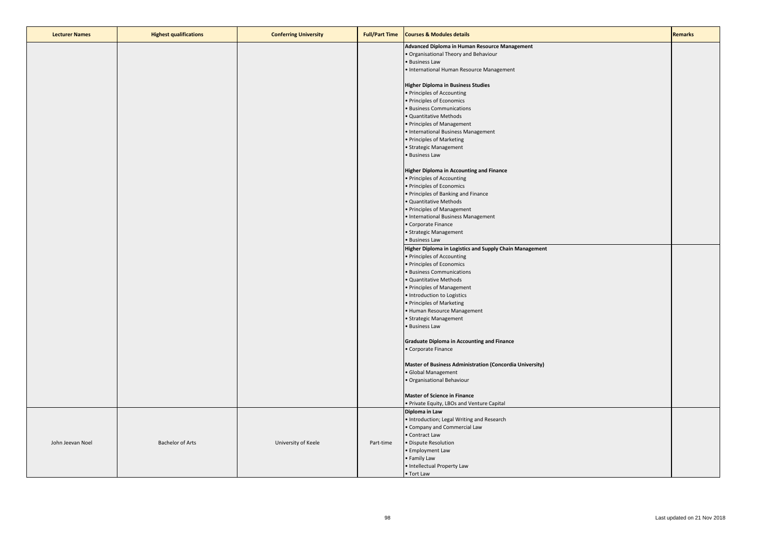| <b>Lecturer Names</b> | <b>Highest qualifications</b> | <b>Conferring University</b> | <b>Full/Part Time</b> | <b>Courses &amp; Modules details</b>                              | <b>Remarks</b> |
|-----------------------|-------------------------------|------------------------------|-----------------------|-------------------------------------------------------------------|----------------|
|                       |                               |                              |                       | Advanced Diploma in Human Resource Management                     |                |
|                       |                               |                              |                       | . Organisational Theory and Behaviour                             |                |
|                       |                               |                              |                       | • Business Law                                                    |                |
|                       |                               |                              |                       | • International Human Resource Management                         |                |
|                       |                               |                              |                       | <b>Higher Diploma in Business Studies</b>                         |                |
|                       |                               |                              |                       | • Principles of Accounting                                        |                |
|                       |                               |                              |                       | • Principles of Economics                                         |                |
|                       |                               |                              |                       | • Business Communications                                         |                |
|                       |                               |                              |                       | · Quantitative Methods                                            |                |
|                       |                               |                              |                       | • Principles of Management<br>• International Business Management |                |
|                       |                               |                              |                       | • Principles of Marketing                                         |                |
|                       |                               |                              |                       | • Strategic Management                                            |                |
|                       |                               |                              |                       | · Business Law                                                    |                |
|                       |                               |                              |                       |                                                                   |                |
|                       |                               |                              |                       | <b>Higher Diploma in Accounting and Finance</b>                   |                |
|                       |                               |                              |                       | • Principles of Accounting                                        |                |
|                       |                               |                              |                       | · Principles of Economics                                         |                |
|                       |                               |                              |                       | • Principles of Banking and Finance                               |                |
|                       |                               |                              |                       | · Quantitative Methods<br>• Principles of Management              |                |
|                       |                               |                              |                       | • International Business Management                               |                |
|                       |                               |                              |                       | • Corporate Finance                                               |                |
|                       |                               |                              |                       | • Strategic Management                                            |                |
|                       |                               |                              |                       | • Business Law                                                    |                |
|                       |                               |                              |                       | Higher Diploma in Logistics and Supply Chain Management           |                |
|                       |                               |                              |                       | • Principles of Accounting                                        |                |
|                       |                               |                              |                       | · Principles of Economics                                         |                |
|                       |                               |                              |                       | · Business Communications                                         |                |
|                       |                               |                              |                       | · Quantitative Methods                                            |                |
|                       |                               |                              |                       | • Principles of Management                                        |                |
|                       |                               |                              |                       | · Introduction to Logistics<br>• Principles of Marketing          |                |
|                       |                               |                              |                       | • Human Resource Management                                       |                |
|                       |                               |                              |                       | • Strategic Management                                            |                |
|                       |                               |                              |                       | • Business Law                                                    |                |
|                       |                               |                              |                       |                                                                   |                |
|                       |                               |                              |                       | <b>Graduate Diploma in Accounting and Finance</b>                 |                |
|                       |                               |                              |                       | · Corporate Finance                                               |                |
|                       |                               |                              |                       | Master of Business Administration (Concordia University)          |                |
|                       |                               |                              |                       | · Global Management                                               |                |
|                       |                               |                              |                       | · Organisational Behaviour                                        |                |
|                       |                               |                              |                       |                                                                   |                |
|                       |                               |                              |                       | <b>Master of Science in Finance</b>                               |                |
|                       |                               |                              |                       | . Private Equity, LBOs and Venture Capital                        |                |
|                       |                               |                              |                       | Diploma in Law                                                    |                |
|                       |                               |                              |                       | • Introduction; Legal Writing and Research                        |                |
|                       |                               |                              |                       | • Company and Commercial Law<br>• Contract Law                    |                |
| John Jeevan Noel      | <b>Bachelor of Arts</b>       | University of Keele          | Part-time             | · Dispute Resolution                                              |                |
|                       |                               |                              |                       | • Employment Law                                                  |                |
|                       |                               |                              |                       | • Family Law                                                      |                |
|                       |                               |                              |                       | · Intellectual Property Law                                       |                |
|                       |                               |                              |                       | • Tort Law                                                        |                |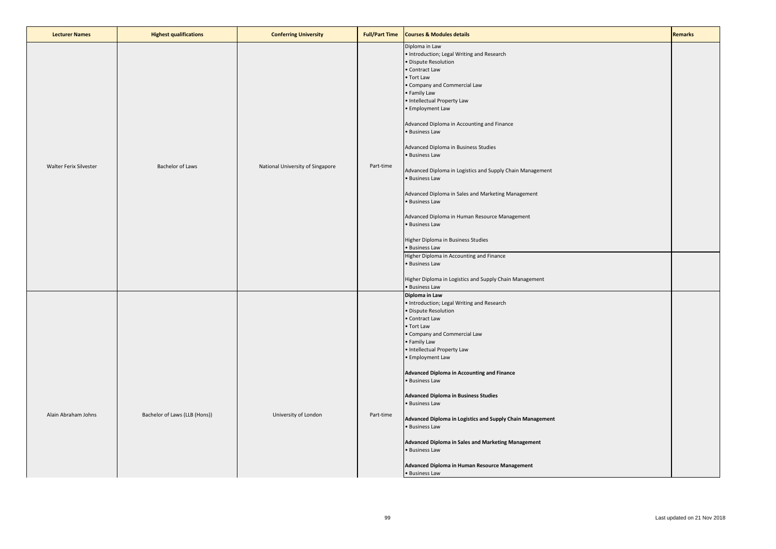| <b>Lecturer Names</b>  | <b>Highest qualifications</b> | <b>Conferring University</b>     | <b>Full/Part Time</b> | <b>Courses &amp; Modules details</b>                                                                                                                                                                                                                                                                                                                                                                                                                                                                                                                                                                                                                                                                                                                                       | <b>Remarks</b> |
|------------------------|-------------------------------|----------------------------------|-----------------------|----------------------------------------------------------------------------------------------------------------------------------------------------------------------------------------------------------------------------------------------------------------------------------------------------------------------------------------------------------------------------------------------------------------------------------------------------------------------------------------------------------------------------------------------------------------------------------------------------------------------------------------------------------------------------------------------------------------------------------------------------------------------------|----------------|
| Walter Ferix Silvester | Bachelor of Laws              | National University of Singapore | Part-time             | Diploma in Law<br>• Introduction; Legal Writing and Research<br>Dispute Resolution<br>· Contract Law<br>• Tort Law<br>· Company and Commercial Law<br>Family Law<br>· Intellectual Property Law<br>· Employment Law<br>Advanced Diploma in Accounting and Finance<br>· Business Law<br>Advanced Diploma in Business Studies<br>· Business Law<br>Advanced Diploma in Logistics and Supply Chain Management<br>· Business Law<br>Advanced Diploma in Sales and Marketing Management<br>· Business Law<br>Advanced Diploma in Human Resource Management<br>· Business Law<br>Higher Diploma in Business Studies<br>· Business Law<br>Higher Diploma in Accounting and Finance<br>· Business Law<br>Higher Diploma in Logistics and Supply Chain Management<br>· Business Law |                |
| Alain Abraham Johns    | Bachelor of Laws (LLB (Hons)) | University of London             | Part-time             | Diploma in Law<br>· Introduction; Legal Writing and Research<br>Dispute Resolution<br>Contract Law<br>• Tort Law<br>Company and Commercial Law<br>· Family Law<br>· Intellectual Property Law<br>· Employment Law<br>Advanced Diploma in Accounting and Finance<br>· Business Law<br><b>Advanced Diploma in Business Studies</b><br>· Business Law<br>Advanced Diploma in Logistics and Supply Chain Management<br>· Business Law<br>Advanced Diploma in Sales and Marketing Management<br>· Business Law<br>Advanced Diploma in Human Resource Management<br>• Business Law                                                                                                                                                                                               |                |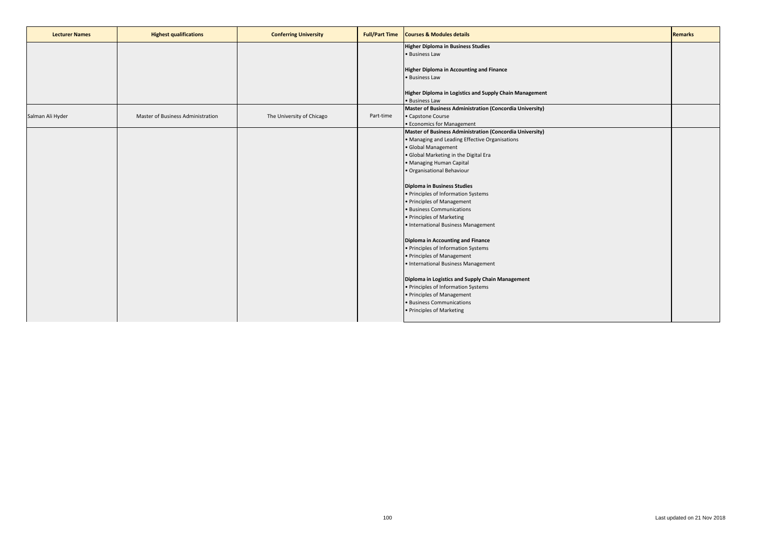| <b>Lecturer Names</b> | <b>Highest qualifications</b>     | <b>Conferring University</b> | <b>Full/Part Time</b> | <b>Courses &amp; Modules details</b>                            | <b>Remarks</b> |
|-----------------------|-----------------------------------|------------------------------|-----------------------|-----------------------------------------------------------------|----------------|
|                       |                                   |                              |                       | <b>Higher Diploma in Business Studies</b>                       |                |
|                       |                                   |                              |                       | · Business Law                                                  |                |
|                       |                                   |                              |                       |                                                                 |                |
|                       |                                   |                              |                       | <b>Higher Diploma in Accounting and Finance</b>                 |                |
|                       |                                   |                              |                       | · Business Law                                                  |                |
|                       |                                   |                              |                       |                                                                 |                |
|                       |                                   |                              |                       | Higher Diploma in Logistics and Supply Chain Management         |                |
|                       |                                   |                              |                       | • Business Law                                                  |                |
|                       |                                   |                              |                       | <b>Master of Business Administration (Concordia University)</b> |                |
| Salman Ali Hyder      | Master of Business Administration | The University of Chicago    | Part-time             | • Capstone Course                                               |                |
|                       |                                   |                              |                       | • Economics for Management                                      |                |
|                       |                                   |                              |                       | Master of Business Administration (Concordia University)        |                |
|                       |                                   |                              |                       | · Managing and Leading Effective Organisations                  |                |
|                       |                                   |                              |                       | · Global Management                                             |                |
|                       |                                   |                              |                       | · Global Marketing in the Digital Era                           |                |
|                       |                                   |                              |                       | · Managing Human Capital                                        |                |
|                       |                                   |                              |                       | · Organisational Behaviour                                      |                |
|                       |                                   |                              |                       |                                                                 |                |
|                       |                                   |                              |                       | <b>Diploma in Business Studies</b>                              |                |
|                       |                                   |                              |                       | • Principles of Information Systems                             |                |
|                       |                                   |                              |                       | • Principles of Management                                      |                |
|                       |                                   |                              |                       | · Business Communications                                       |                |
|                       |                                   |                              |                       | • Principles of Marketing                                       |                |
|                       |                                   |                              |                       | • International Business Management                             |                |
|                       |                                   |                              |                       |                                                                 |                |
|                       |                                   |                              |                       | <b>Diploma in Accounting and Finance</b>                        |                |
|                       |                                   |                              |                       | • Principles of Information Systems                             |                |
|                       |                                   |                              |                       | • Principles of Management                                      |                |
|                       |                                   |                              |                       | • International Business Management                             |                |
|                       |                                   |                              |                       | Diploma in Logistics and Supply Chain Management                |                |
|                       |                                   |                              |                       | • Principles of Information Systems                             |                |
|                       |                                   |                              |                       | • Principles of Management                                      |                |
|                       |                                   |                              |                       | • Business Communications                                       |                |
|                       |                                   |                              |                       | · Principles of Marketing                                       |                |
|                       |                                   |                              |                       |                                                                 |                |
|                       |                                   |                              |                       |                                                                 |                |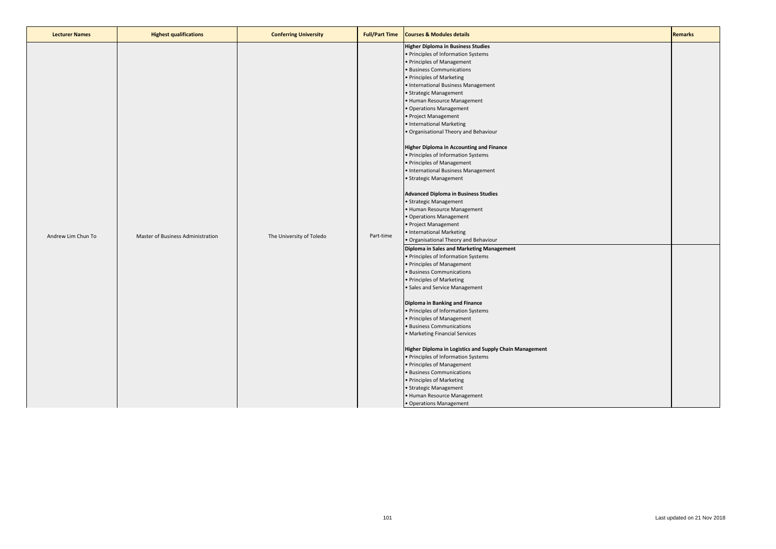| <b>Lecturer Names</b> | <b>Highest qualifications</b>     | <b>Conferring University</b> | <b>Full/Part Time</b> | <b>Courses &amp; Modules details</b>                                                                                                                                                                                                                                                                                                                                                                                                                                                                                                                                                                                                                                                                                                                                                                                                                                                                                                                                                                                                                                                                                                                                                                                                                                                                                                                                                                                                                                                     | <b>Remarks</b> |
|-----------------------|-----------------------------------|------------------------------|-----------------------|------------------------------------------------------------------------------------------------------------------------------------------------------------------------------------------------------------------------------------------------------------------------------------------------------------------------------------------------------------------------------------------------------------------------------------------------------------------------------------------------------------------------------------------------------------------------------------------------------------------------------------------------------------------------------------------------------------------------------------------------------------------------------------------------------------------------------------------------------------------------------------------------------------------------------------------------------------------------------------------------------------------------------------------------------------------------------------------------------------------------------------------------------------------------------------------------------------------------------------------------------------------------------------------------------------------------------------------------------------------------------------------------------------------------------------------------------------------------------------------|----------------|
| Andrew Lim Chun To    | Master of Business Administration | The University of Toledo     | Part-time             | <b>Higher Diploma in Business Studies</b><br>· Principles of Information Systems<br>· Principles of Management<br>· Business Communications<br>· Principles of Marketing<br>· International Business Management<br>· Strategic Management<br>· Human Resource Management<br>Operations Management<br>Project Management<br>· International Marketing<br>Organisational Theory and Behaviour<br><b>Higher Diploma in Accounting and Finance</b><br>· Principles of Information Systems<br>· Principles of Management<br>· International Business Management<br>· Strategic Management<br><b>Advanced Diploma in Business Studies</b><br>· Strategic Management<br>Human Resource Management<br>Operations Management<br>· Project Management<br>• International Marketing<br>• Organisational Theory and Behaviour<br>Diploma in Sales and Marketing Management<br>· Principles of Information Systems<br>Principles of Management<br><b>Business Communications</b><br>Principles of Marketing<br>Sales and Service Management<br>Diploma in Banking and Finance<br>· Principles of Information Systems<br>· Principles of Management<br><b>Business Communications</b><br>Marketing Financial Services<br>Higher Diploma in Logistics and Supply Chain Management<br>· Principles of Information Systems<br>· Principles of Management<br><b>Business Communications</b><br>• Principles of Marketing<br>Strategic Management<br>· Human Resource Management<br>• Operations Management |                |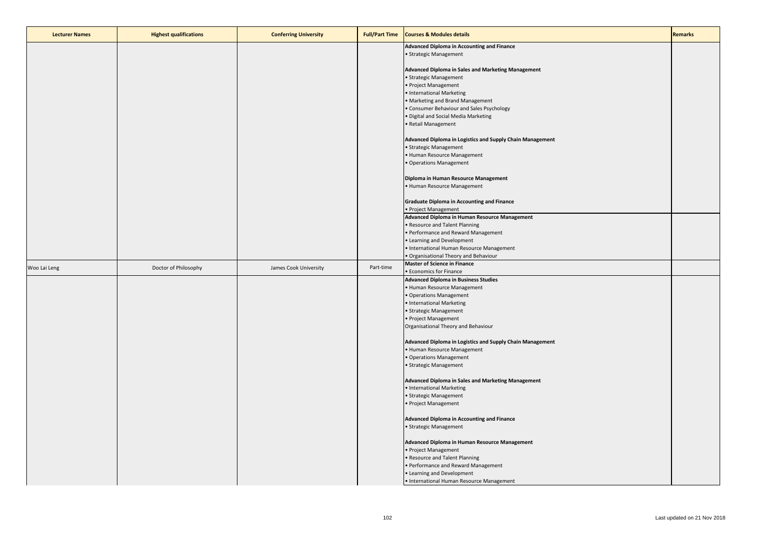| <b>Lecturer Names</b> | <b>Highest qualifications</b> | <b>Conferring University</b> | <b>Full/Part Time</b> | <b>Courses &amp; Modules details</b>                      | <b>Remarks</b> |
|-----------------------|-------------------------------|------------------------------|-----------------------|-----------------------------------------------------------|----------------|
|                       |                               |                              |                       | <b>Advanced Diploma in Accounting and Finance</b>         |                |
|                       |                               |                              |                       | • Strategic Management                                    |                |
|                       |                               |                              |                       |                                                           |                |
|                       |                               |                              |                       | Advanced Diploma in Sales and Marketing Management        |                |
|                       |                               |                              |                       | · Strategic Management                                    |                |
|                       |                               |                              |                       | • Project Management                                      |                |
|                       |                               |                              |                       | • International Marketing                                 |                |
|                       |                               |                              |                       | • Marketing and Brand Management                          |                |
|                       |                               |                              |                       | • Consumer Behaviour and Sales Psychology                 |                |
|                       |                               |                              |                       | · Digital and Social Media Marketing                      |                |
|                       |                               |                              |                       | • Retail Management                                       |                |
|                       |                               |                              |                       | Advanced Diploma in Logistics and Supply Chain Management |                |
|                       |                               |                              |                       | · Strategic Management                                    |                |
|                       |                               |                              |                       | • Human Resource Management                               |                |
|                       |                               |                              |                       | · Operations Management                                   |                |
|                       |                               |                              |                       |                                                           |                |
|                       |                               |                              |                       | Diploma in Human Resource Management                      |                |
|                       |                               |                              |                       | • Human Resource Management                               |                |
|                       |                               |                              |                       |                                                           |                |
|                       |                               |                              |                       | <b>Graduate Diploma in Accounting and Finance</b>         |                |
|                       |                               |                              |                       | • Project Management                                      |                |
|                       |                               |                              |                       | Advanced Diploma in Human Resource Management             |                |
|                       |                               |                              |                       | • Resource and Talent Planning                            |                |
|                       |                               |                              |                       | • Performance and Reward Management                       |                |
|                       |                               |                              |                       | • Learning and Development                                |                |
|                       |                               |                              |                       | • International Human Resource Management                 |                |
|                       |                               |                              |                       | · Organisational Theory and Behaviour                     |                |
| Woo Lai Leng          | Doctor of Philosophy          | James Cook University        | Part-time             | <b>Master of Science in Finance</b>                       |                |
|                       |                               |                              |                       | <b>• Economics for Finance</b>                            |                |
|                       |                               |                              |                       | <b>Advanced Diploma in Business Studies</b>               |                |
|                       |                               |                              |                       | • Human Resource Management                               |                |
|                       |                               |                              |                       | • Operations Management                                   |                |
|                       |                               |                              |                       | • International Marketing                                 |                |
|                       |                               |                              |                       | • Strategic Management                                    |                |
|                       |                               |                              |                       | • Project Management                                      |                |
|                       |                               |                              |                       | Organisational Theory and Behaviour                       |                |
|                       |                               |                              |                       |                                                           |                |
|                       |                               |                              |                       | Advanced Diploma in Logistics and Supply Chain Management |                |
|                       |                               |                              |                       | • Human Resource Management<br>• Operations Management    |                |
|                       |                               |                              |                       |                                                           |                |
|                       |                               |                              |                       | · Strategic Management                                    |                |
|                       |                               |                              |                       | Advanced Diploma in Sales and Marketing Management        |                |
|                       |                               |                              |                       | • International Marketing                                 |                |
|                       |                               |                              |                       | • Strategic Management                                    |                |
|                       |                               |                              |                       | · Project Management                                      |                |
|                       |                               |                              |                       |                                                           |                |
|                       |                               |                              |                       | Advanced Diploma in Accounting and Finance                |                |
|                       |                               |                              |                       | • Strategic Management                                    |                |
|                       |                               |                              |                       |                                                           |                |
|                       |                               |                              |                       | Advanced Diploma in Human Resource Management             |                |
|                       |                               |                              |                       | • Project Management                                      |                |
|                       |                               |                              |                       | • Resource and Talent Planning                            |                |
|                       |                               |                              |                       | • Performance and Reward Management                       |                |
|                       |                               |                              |                       | • Learning and Development                                |                |
|                       |                               |                              |                       | • International Human Resource Management                 |                |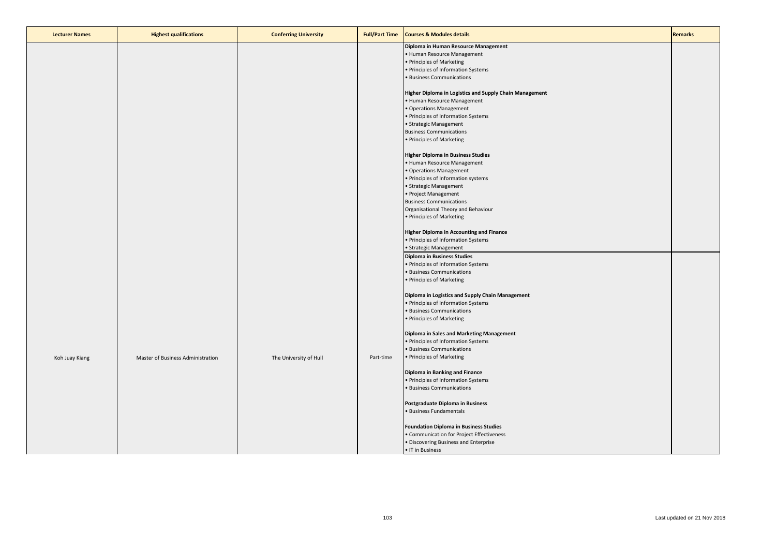| <b>Lecturer Names</b> | <b>Highest qualifications</b>     | <b>Conferring University</b> | <b>Full/Part Time</b> | <b>Courses &amp; Modules details</b>                    | <b>Remarks</b> |
|-----------------------|-----------------------------------|------------------------------|-----------------------|---------------------------------------------------------|----------------|
|                       |                                   |                              |                       | Diploma in Human Resource Management                    |                |
|                       |                                   |                              |                       | • Human Resource Management                             |                |
|                       |                                   |                              |                       | • Principles of Marketing                               |                |
|                       |                                   |                              |                       | • Principles of Information Systems                     |                |
|                       |                                   |                              |                       | · Business Communications                               |                |
|                       |                                   |                              |                       | Higher Diploma in Logistics and Supply Chain Management |                |
|                       |                                   |                              |                       | • Human Resource Management                             |                |
|                       |                                   |                              |                       | • Operations Management                                 |                |
|                       |                                   |                              |                       | • Principles of Information Systems                     |                |
|                       |                                   |                              |                       | • Strategic Management                                  |                |
|                       |                                   |                              |                       | <b>Business Communications</b>                          |                |
|                       |                                   |                              |                       | • Principles of Marketing                               |                |
|                       |                                   |                              |                       | <b>Higher Diploma in Business Studies</b>               |                |
|                       |                                   |                              |                       | • Human Resource Management                             |                |
|                       |                                   |                              |                       | • Operations Management                                 |                |
|                       |                                   |                              |                       | • Principles of Information systems                     |                |
|                       |                                   |                              |                       | • Strategic Management                                  |                |
|                       |                                   |                              |                       | • Project Management                                    |                |
|                       |                                   |                              |                       | <b>Business Communications</b>                          |                |
|                       |                                   |                              |                       | Organisational Theory and Behaviour                     |                |
|                       |                                   |                              |                       | • Principles of Marketing                               |                |
|                       |                                   |                              |                       | <b>Higher Diploma in Accounting and Finance</b>         |                |
|                       |                                   |                              |                       | • Principles of Information Systems                     |                |
|                       |                                   |                              |                       | • Strategic Management                                  |                |
|                       |                                   |                              |                       | <b>Diploma in Business Studies</b>                      |                |
|                       |                                   |                              |                       | • Principles of Information Systems                     |                |
|                       |                                   |                              |                       | • Business Communications                               |                |
|                       |                                   |                              |                       | • Principles of Marketing                               |                |
|                       |                                   |                              |                       | Diploma in Logistics and Supply Chain Management        |                |
|                       |                                   |                              |                       | • Principles of Information Systems                     |                |
|                       |                                   |                              |                       | · Business Communications                               |                |
|                       |                                   |                              |                       | • Principles of Marketing                               |                |
|                       |                                   |                              |                       | Diploma in Sales and Marketing Management               |                |
|                       |                                   |                              |                       | • Principles of Information Systems                     |                |
|                       |                                   |                              |                       | • Business Communications                               |                |
| Koh Juay Kiang        | Master of Business Administration | The University of Hull       | Part-time             | • Principles of Marketing                               |                |
|                       |                                   |                              |                       | Diploma in Banking and Finance                          |                |
|                       |                                   |                              |                       | • Principles of Information Systems                     |                |
|                       |                                   |                              |                       | · Business Communications                               |                |
|                       |                                   |                              |                       | Postgraduate Diploma in Business                        |                |
|                       |                                   |                              |                       | · Business Fundamentals                                 |                |
|                       |                                   |                              |                       |                                                         |                |
|                       |                                   |                              |                       | <b>Foundation Diploma in Business Studies</b>           |                |
|                       |                                   |                              |                       | • Communication for Project Effectiveness               |                |
|                       |                                   |                              |                       | · Discovering Business and Enterprise                   |                |
|                       |                                   |                              |                       | • IT in Business                                        |                |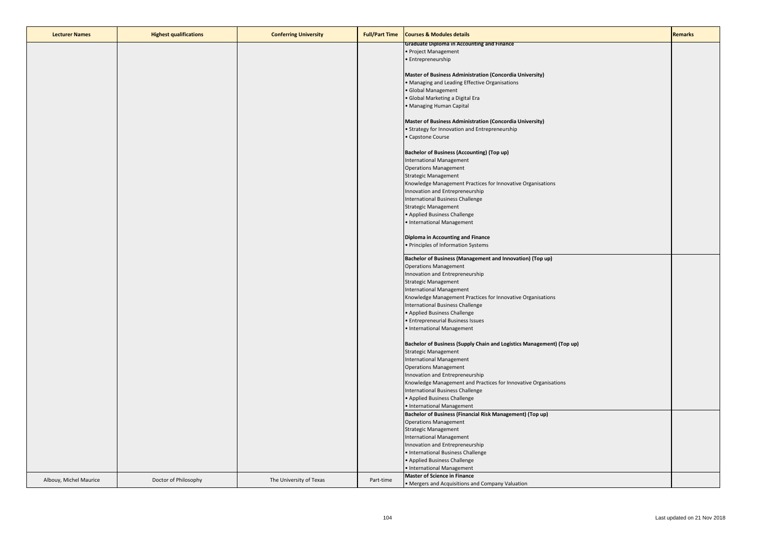| <b>Lecturer Names</b>  | <b>Highest qualifications</b> | <b>Conferring University</b> | <b>Full/Part Time</b> | <b>Courses &amp; Modules details</b>                                  | <b>Remarks</b> |
|------------------------|-------------------------------|------------------------------|-----------------------|-----------------------------------------------------------------------|----------------|
|                        |                               |                              |                       | <b>Graduate Diploma in Accounting and Finance</b>                     |                |
|                        |                               |                              |                       | • Project Management                                                  |                |
|                        |                               |                              |                       | • Entrepreneurship                                                    |                |
|                        |                               |                              |                       | Master of Business Administration (Concordia University)              |                |
|                        |                               |                              |                       | • Managing and Leading Effective Organisations                        |                |
|                        |                               |                              |                       | · Global Management                                                   |                |
|                        |                               |                              |                       | · Global Marketing a Digital Era                                      |                |
|                        |                               |                              |                       | • Managing Human Capital                                              |                |
|                        |                               |                              |                       | Master of Business Administration (Concordia University)              |                |
|                        |                               |                              |                       | • Strategy for Innovation and Entrepreneurship                        |                |
|                        |                               |                              |                       | • Capstone Course                                                     |                |
|                        |                               |                              |                       |                                                                       |                |
|                        |                               |                              |                       | <b>Bachelor of Business (Accounting) (Top up)</b>                     |                |
|                        |                               |                              |                       | <b>International Management</b>                                       |                |
|                        |                               |                              |                       | <b>Operations Management</b>                                          |                |
|                        |                               |                              |                       | <b>Strategic Management</b>                                           |                |
|                        |                               |                              |                       | Knowledge Management Practices for Innovative Organisations           |                |
|                        |                               |                              |                       | Innovation and Entrepreneurship                                       |                |
|                        |                               |                              |                       | International Business Challenge                                      |                |
|                        |                               |                              |                       | <b>Strategic Management</b>                                           |                |
|                        |                               |                              |                       | • Applied Business Challenge                                          |                |
|                        |                               |                              |                       | · International Management                                            |                |
|                        |                               |                              |                       | Diploma in Accounting and Finance                                     |                |
|                        |                               |                              |                       | • Principles of Information Systems                                   |                |
|                        |                               |                              |                       |                                                                       |                |
|                        |                               |                              |                       | Bachelor of Business (Management and Innovation) (Top up)             |                |
|                        |                               |                              |                       | <b>Operations Management</b>                                          |                |
|                        |                               |                              |                       | Innovation and Entrepreneurship                                       |                |
|                        |                               |                              |                       | <b>Strategic Management</b>                                           |                |
|                        |                               |                              |                       | <b>International Management</b>                                       |                |
|                        |                               |                              |                       | Knowledge Management Practices for Innovative Organisations           |                |
|                        |                               |                              |                       | International Business Challenge                                      |                |
|                        |                               |                              |                       | • Applied Business Challenge                                          |                |
|                        |                               |                              |                       | • Entrepreneurial Business Issues                                     |                |
|                        |                               |                              |                       | · International Management                                            |                |
|                        |                               |                              |                       | Bachelor of Business (Supply Chain and Logistics Management) (Top up) |                |
|                        |                               |                              |                       | <b>Strategic Management</b>                                           |                |
|                        |                               |                              |                       | <b>International Management</b>                                       |                |
|                        |                               |                              |                       | <b>Operations Management</b>                                          |                |
|                        |                               |                              |                       | Innovation and Entrepreneurship                                       |                |
|                        |                               |                              |                       | Knowledge Management and Practices for Innovative Organisations       |                |
|                        |                               |                              |                       | International Business Challenge                                      |                |
|                        |                               |                              |                       | • Applied Business Challenge                                          |                |
|                        |                               |                              |                       | • International Management                                            |                |
|                        |                               |                              |                       | Bachelor of Business (Financial Risk Management) (Top up)             |                |
|                        |                               |                              |                       | <b>Operations Management</b>                                          |                |
|                        |                               |                              |                       | <b>Strategic Management</b>                                           |                |
|                        |                               |                              |                       | International Management                                              |                |
|                        |                               |                              |                       | Innovation and Entrepreneurship                                       |                |
|                        |                               |                              |                       | • International Business Challenge                                    |                |
|                        |                               |                              |                       | • Applied Business Challenge                                          |                |
|                        |                               |                              |                       | • International Management                                            |                |
| Albouy, Michel Maurice | Doctor of Philosophy          | The University of Texas      | Part-time             | <b>Master of Science in Finance</b>                                   |                |
|                        |                               |                              |                       | • Mergers and Acquisitions and Company Valuation                      |                |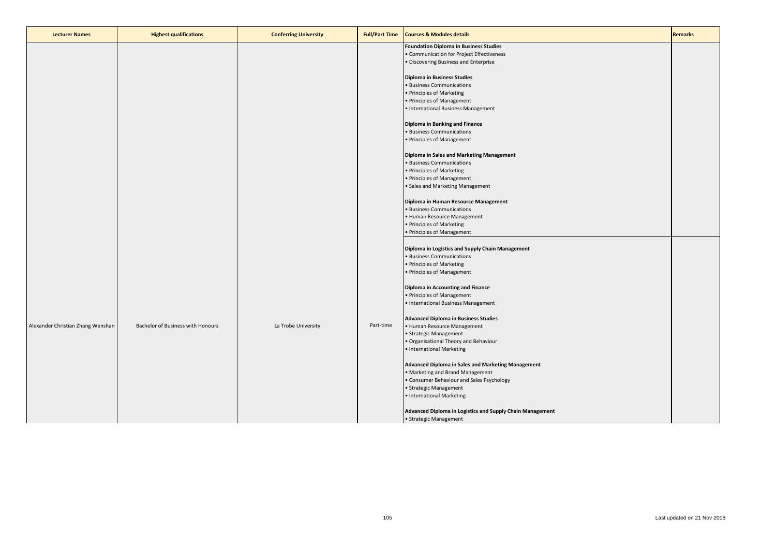| <b>Lecturer Names</b>             | <b>Highest qualifications</b>     | <b>Conferring University</b> | <b>Full/Part Time</b> | <b>Courses &amp; Modules details</b>                                                                                                | <b>Remarks</b> |
|-----------------------------------|-----------------------------------|------------------------------|-----------------------|-------------------------------------------------------------------------------------------------------------------------------------|----------------|
|                                   |                                   |                              |                       | <b>Foundation Diploma in Business Studies</b><br>• Communication for Project Effectiveness<br>· Discovering Business and Enterprise |                |
|                                   |                                   |                              |                       | Diploma in Business Studies                                                                                                         |                |
|                                   |                                   |                              |                       | • Business Communications                                                                                                           |                |
|                                   |                                   |                              |                       | • Principles of Marketing                                                                                                           |                |
|                                   |                                   |                              |                       | • Principles of Management                                                                                                          |                |
|                                   |                                   |                              |                       | • International Business Management                                                                                                 |                |
|                                   |                                   |                              |                       | Diploma in Banking and Finance                                                                                                      |                |
|                                   |                                   |                              |                       | • Business Communications                                                                                                           |                |
|                                   |                                   |                              |                       | • Principles of Management                                                                                                          |                |
|                                   |                                   |                              |                       | Diploma in Sales and Marketing Management                                                                                           |                |
|                                   |                                   |                              |                       | · Business Communications                                                                                                           |                |
|                                   |                                   |                              |                       | • Principles of Marketing                                                                                                           |                |
|                                   |                                   |                              |                       | • Principles of Management                                                                                                          |                |
|                                   |                                   |                              |                       | • Sales and Marketing Management                                                                                                    |                |
|                                   |                                   |                              |                       | Diploma in Human Resource Management                                                                                                |                |
|                                   |                                   |                              |                       | · Business Communications                                                                                                           |                |
|                                   |                                   |                              |                       | • Human Resource Management                                                                                                         |                |
|                                   |                                   |                              |                       | • Principles of Marketing                                                                                                           |                |
|                                   |                                   |                              |                       | • Principles of Management                                                                                                          |                |
|                                   |                                   |                              |                       | Diploma in Logistics and Supply Chain Management                                                                                    |                |
|                                   |                                   |                              |                       | · Business Communications                                                                                                           |                |
|                                   |                                   |                              |                       | • Principles of Marketing                                                                                                           |                |
|                                   |                                   |                              |                       | • Principles of Management                                                                                                          |                |
|                                   |                                   |                              |                       | Diploma in Accounting and Finance                                                                                                   |                |
|                                   |                                   |                              |                       | • Principles of Management                                                                                                          |                |
|                                   |                                   |                              |                       | • International Business Management                                                                                                 |                |
|                                   |                                   |                              |                       | <b>Advanced Diploma in Business Studies</b>                                                                                         |                |
| Alexander Christian Zhang Wenshan | Bachelor of Business with Honours | La Trobe University          | Part-time             | • Human Resource Management                                                                                                         |                |
|                                   |                                   |                              |                       | • Strategic Management                                                                                                              |                |
|                                   |                                   |                              |                       | . Organisational Theory and Behaviour                                                                                               |                |
|                                   |                                   |                              |                       | • International Marketing                                                                                                           |                |
|                                   |                                   |                              |                       | Advanced Diploma in Sales and Marketing Management                                                                                  |                |
|                                   |                                   |                              |                       | • Marketing and Brand Management                                                                                                    |                |
|                                   |                                   |                              |                       | • Consumer Behaviour and Sales Psychology                                                                                           |                |
|                                   |                                   |                              |                       | · Strategic Management                                                                                                              |                |
|                                   |                                   |                              |                       | • International Marketing                                                                                                           |                |
|                                   |                                   |                              |                       | Advanced Diploma in Logistics and Supply Chain Management                                                                           |                |
|                                   |                                   |                              |                       | · Strategic Management                                                                                                              |                |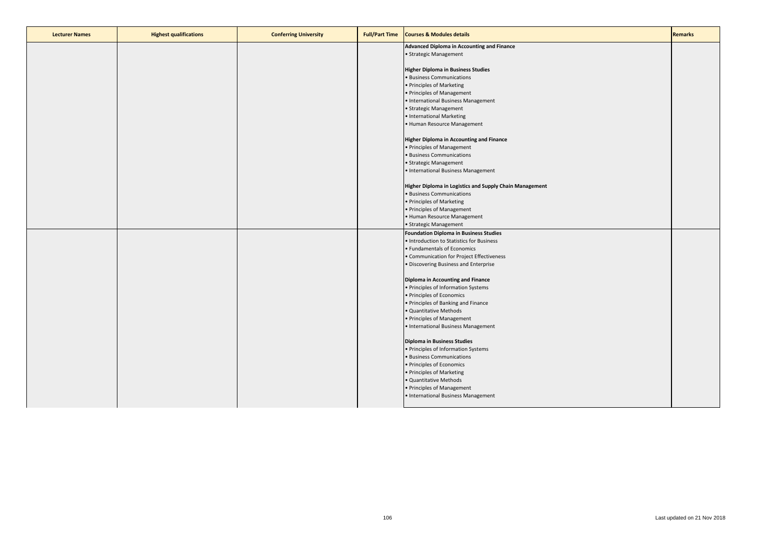| <b>Lecturer Names</b> | <b>Highest qualifications</b> | <b>Conferring University</b> | <b>Full/Part Time</b> | <b>Courses &amp; Modules details</b>                    | <b>Remarks</b> |
|-----------------------|-------------------------------|------------------------------|-----------------------|---------------------------------------------------------|----------------|
|                       |                               |                              |                       | Advanced Diploma in Accounting and Finance              |                |
|                       |                               |                              |                       | • Strategic Management                                  |                |
|                       |                               |                              |                       |                                                         |                |
|                       |                               |                              |                       | <b>Higher Diploma in Business Studies</b>               |                |
|                       |                               |                              |                       | · Business Communications                               |                |
|                       |                               |                              |                       | • Principles of Marketing                               |                |
|                       |                               |                              |                       | • Principles of Management                              |                |
|                       |                               |                              |                       | • International Business Management                     |                |
|                       |                               |                              |                       | • Strategic Management                                  |                |
|                       |                               |                              |                       | • International Marketing                               |                |
|                       |                               |                              |                       | • Human Resource Management                             |                |
|                       |                               |                              |                       |                                                         |                |
|                       |                               |                              |                       | Higher Diploma in Accounting and Finance                |                |
|                       |                               |                              |                       |                                                         |                |
|                       |                               |                              |                       | • Principles of Management                              |                |
|                       |                               |                              |                       | • Business Communications                               |                |
|                       |                               |                              |                       | • Strategic Management                                  |                |
|                       |                               |                              |                       | • International Business Management                     |                |
|                       |                               |                              |                       |                                                         |                |
|                       |                               |                              |                       | Higher Diploma in Logistics and Supply Chain Management |                |
|                       |                               |                              |                       | · Business Communications                               |                |
|                       |                               |                              |                       | • Principles of Marketing                               |                |
|                       |                               |                              |                       | · Principles of Management                              |                |
|                       |                               |                              |                       | • Human Resource Management                             |                |
|                       |                               |                              |                       | • Strategic Management                                  |                |
|                       |                               |                              |                       | <b>Foundation Diploma in Business Studies</b>           |                |
|                       |                               |                              |                       | • Introduction to Statistics for Business               |                |
|                       |                               |                              |                       | • Fundamentals of Economics                             |                |
|                       |                               |                              |                       | • Communication for Project Effectiveness               |                |
|                       |                               |                              |                       | · Discovering Business and Enterprise                   |                |
|                       |                               |                              |                       |                                                         |                |
|                       |                               |                              |                       | Diploma in Accounting and Finance                       |                |
|                       |                               |                              |                       | • Principles of Information Systems                     |                |
|                       |                               |                              |                       | · Principles of Economics                               |                |
|                       |                               |                              |                       | • Principles of Banking and Finance                     |                |
|                       |                               |                              |                       | · Quantitative Methods                                  |                |
|                       |                               |                              |                       | • Principles of Management                              |                |
|                       |                               |                              |                       | • International Business Management                     |                |
|                       |                               |                              |                       |                                                         |                |
|                       |                               |                              |                       |                                                         |                |
|                       |                               |                              |                       | <b>Diploma in Business Studies</b>                      |                |
|                       |                               |                              |                       | • Principles of Information Systems                     |                |
|                       |                               |                              |                       | • Business Communications                               |                |
|                       |                               |                              |                       | • Principles of Economics                               |                |
|                       |                               |                              |                       | • Principles of Marketing                               |                |
|                       |                               |                              |                       | · Quantitative Methods                                  |                |
|                       |                               |                              |                       | • Principles of Management                              |                |
|                       |                               |                              |                       | • International Business Management                     |                |
|                       |                               |                              |                       |                                                         |                |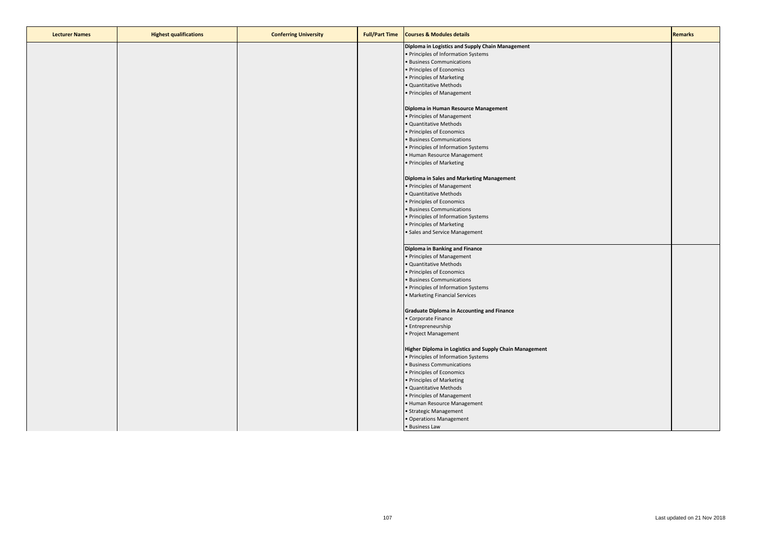| <b>Lecturer Names</b> | <b>Highest qualifications</b> | <b>Conferring University</b> | <b>Full/Part Time</b> | <b>Courses &amp; Modules details</b>                    | <b>Remarks</b> |
|-----------------------|-------------------------------|------------------------------|-----------------------|---------------------------------------------------------|----------------|
|                       |                               |                              |                       | Diploma in Logistics and Supply Chain Management        |                |
|                       |                               |                              |                       | · Principles of Information Systems                     |                |
|                       |                               |                              |                       | · Business Communications                               |                |
|                       |                               |                              |                       | · Principles of Economics                               |                |
|                       |                               |                              |                       | • Principles of Marketing                               |                |
|                       |                               |                              |                       | · Quantitative Methods                                  |                |
|                       |                               |                              |                       | · Principles of Management                              |                |
|                       |                               |                              |                       |                                                         |                |
|                       |                               |                              |                       | Diploma in Human Resource Management                    |                |
|                       |                               |                              |                       | · Principles of Management                              |                |
|                       |                               |                              |                       | · Quantitative Methods                                  |                |
|                       |                               |                              |                       | • Principles of Economics                               |                |
|                       |                               |                              |                       | · Business Communications                               |                |
|                       |                               |                              |                       | · Principles of Information Systems                     |                |
|                       |                               |                              |                       | • Human Resource Management                             |                |
|                       |                               |                              |                       | • Principles of Marketing                               |                |
|                       |                               |                              |                       |                                                         |                |
|                       |                               |                              |                       | Diploma in Sales and Marketing Management               |                |
|                       |                               |                              |                       | • Principles of Management                              |                |
|                       |                               |                              |                       | · Quantitative Methods                                  |                |
|                       |                               |                              |                       | • Principles of Economics                               |                |
|                       |                               |                              |                       |                                                         |                |
|                       |                               |                              |                       | · Business Communications                               |                |
|                       |                               |                              |                       | • Principles of Information Systems                     |                |
|                       |                               |                              |                       | • Principles of Marketing                               |                |
|                       |                               |                              |                       | · Sales and Service Management                          |                |
|                       |                               |                              |                       | Diploma in Banking and Finance                          |                |
|                       |                               |                              |                       | · Principles of Management                              |                |
|                       |                               |                              |                       | · Quantitative Methods                                  |                |
|                       |                               |                              |                       | • Principles of Economics                               |                |
|                       |                               |                              |                       | · Business Communications                               |                |
|                       |                               |                              |                       | • Principles of Information Systems                     |                |
|                       |                               |                              |                       | · Marketing Financial Services                          |                |
|                       |                               |                              |                       |                                                         |                |
|                       |                               |                              |                       | <b>Graduate Diploma in Accounting and Finance</b>       |                |
|                       |                               |                              |                       | · Corporate Finance                                     |                |
|                       |                               |                              |                       | · Entrepreneurship                                      |                |
|                       |                               |                              |                       | · Project Management                                    |                |
|                       |                               |                              |                       |                                                         |                |
|                       |                               |                              |                       | Higher Diploma in Logistics and Supply Chain Management |                |
|                       |                               |                              |                       | • Principles of Information Systems                     |                |
|                       |                               |                              |                       | · Business Communications                               |                |
|                       |                               |                              |                       | · Principles of Economics                               |                |
|                       |                               |                              |                       | • Principles of Marketing                               |                |
|                       |                               |                              |                       | · Quantitative Methods                                  |                |
|                       |                               |                              |                       | • Principles of Management                              |                |
|                       |                               |                              |                       | · Human Resource Management                             |                |
|                       |                               |                              |                       | · Strategic Management                                  |                |
|                       |                               |                              |                       | · Operations Management                                 |                |
|                       |                               |                              |                       | • Business Law                                          |                |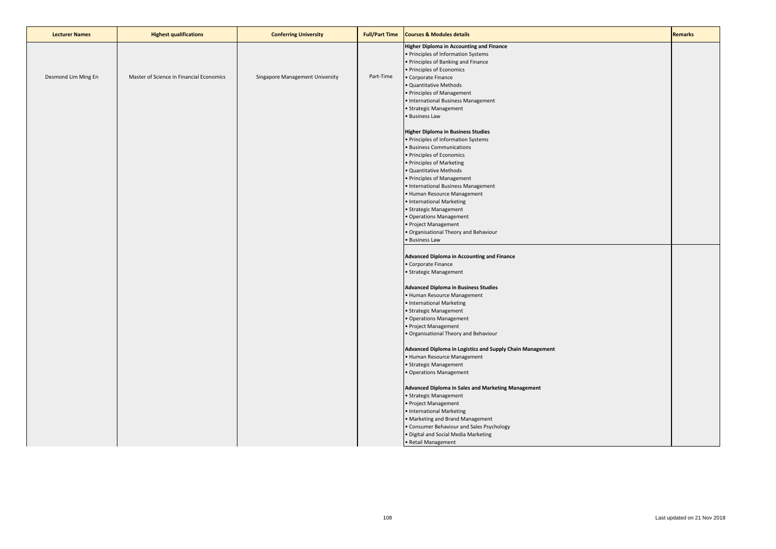| <b>Lecturer Names</b> | <b>Highest qualifications</b>            | <b>Conferring University</b>    | <b>Full/Part Time</b> | <b>Courses &amp; Modules details</b>                                                                                                                                                                                                                                                                                                                                                                                                                                    | <b>Remarks</b> |
|-----------------------|------------------------------------------|---------------------------------|-----------------------|-------------------------------------------------------------------------------------------------------------------------------------------------------------------------------------------------------------------------------------------------------------------------------------------------------------------------------------------------------------------------------------------------------------------------------------------------------------------------|----------------|
| Desmond Lim Ming En   | Master of Science in Financial Economics | Singapore Management University | Part-Time             | <b>Higher Diploma in Accounting and Finance</b><br>· Principles of Information Systems<br>· Principles of Banking and Finance<br>Principles of Economics<br>Corporate Finance<br>· Quantitative Methods<br>· Principles of Management<br>· International Business Management<br>Strategic Management<br>· Business Law                                                                                                                                                  |                |
|                       |                                          |                                 |                       | <b>Higher Diploma in Business Studies</b><br>· Principles of Information Systems<br><b>Business Communications</b><br>· Principles of Economics<br>· Principles of Marketing<br>Quantitative Methods<br>· Principles of Management<br>· International Business Management<br>• Human Resource Management<br>· International Marketing<br>Strategic Management<br>Operations Management<br>· Project Management<br>Organisational Theory and Behaviour<br>· Business Law |                |
|                       |                                          |                                 |                       | <b>Advanced Diploma in Accounting and Finance</b><br>• Corporate Finance<br>· Strategic Management<br><b>Advanced Diploma in Business Studies</b><br>· Human Resource Management<br>• International Marketing<br>· Strategic Management<br>Operations Management<br>· Project Management<br>Organisational Theory and Behaviour                                                                                                                                         |                |
|                       |                                          |                                 |                       | Advanced Diploma in Logistics and Supply Chain Management<br>Human Resource Management<br>· Strategic Management<br>Operations Management<br><b>Advanced Diploma in Sales and Marketing Management</b><br>· Strategic Management<br>· Project Management<br>· International Marketing<br>Marketing and Brand Management<br>Consumer Behaviour and Sales Psychology<br>Digital and Social Media Marketing<br>• Retail Management                                         |                |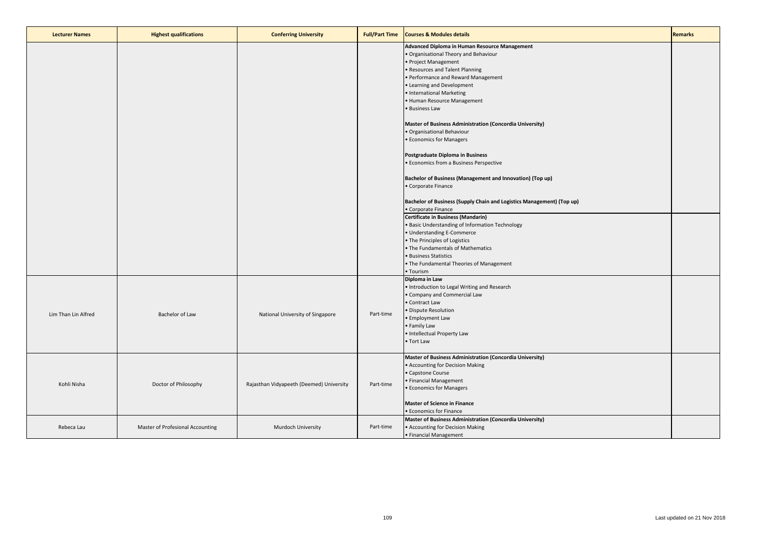| <b>Lecturer Names</b> | <b>Highest qualifications</b>    | <b>Conferring University</b>             | <b>Full/Part Time</b> | <b>Courses &amp; Modules details</b>                                                                                                                                                                                                                                                                                                                                                                                                                                                                                                                                                                                                                                                                                                                                                                                                                                                       | <b>Remarks</b> |
|-----------------------|----------------------------------|------------------------------------------|-----------------------|--------------------------------------------------------------------------------------------------------------------------------------------------------------------------------------------------------------------------------------------------------------------------------------------------------------------------------------------------------------------------------------------------------------------------------------------------------------------------------------------------------------------------------------------------------------------------------------------------------------------------------------------------------------------------------------------------------------------------------------------------------------------------------------------------------------------------------------------------------------------------------------------|----------------|
|                       |                                  |                                          |                       | Advanced Diploma in Human Resource Management<br>. Organisational Theory and Behaviour<br>• Project Management<br>• Resources and Talent Planning<br>• Performance and Reward Management<br>• Learning and Development<br>• International Marketing<br>• Human Resource Management<br>• Business Law<br>Master of Business Administration (Concordia University)<br>· Organisational Behaviour<br>• Economics for Managers<br>Postgraduate Diploma in Business<br>• Economics from a Business Perspective<br>Bachelor of Business (Management and Innovation) (Top up)<br>• Corporate Finance<br>Bachelor of Business (Supply Chain and Logistics Management) (Top up)<br>• Corporate Finance<br>Certificate in Business (Mandarin)<br>. Basic Understanding of Information Technology<br>• Understanding E-Commerce<br>• The Principles of Logistics<br>• The Fundamentals of Mathematics |                |
| Lim Than Lin Alfred   | Bachelor of Law                  | National University of Singapore         | Part-time             | • Business Statistics<br>. The Fundamental Theories of Management<br>• Tourism<br>Diploma in Law<br>. Introduction to Legal Writing and Research<br>• Company and Commercial Law<br>• Contract Law<br>· Dispute Resolution<br>• Employment Law<br>• Family Law<br>· Intellectual Property Law<br>• Tort Law                                                                                                                                                                                                                                                                                                                                                                                                                                                                                                                                                                                |                |
| Kohli Nisha           | Doctor of Philosophy             | Rajasthan Vidyapeeth (Deemed) University | Part-time             | Master of Business Administration (Concordia University)<br>• Accounting for Decision Making<br>• Capstone Course<br>• Financial Management<br>• Economics for Managers<br><b>Master of Science in Finance</b><br>• Economics for Finance                                                                                                                                                                                                                                                                                                                                                                                                                                                                                                                                                                                                                                                  |                |
| Rebeca Lau            | Master of Profesional Accounting | Murdoch University                       | Part-time             | Master of Business Administration (Concordia University)<br>• Accounting for Decision Making<br>• Financial Management                                                                                                                                                                                                                                                                                                                                                                                                                                                                                                                                                                                                                                                                                                                                                                     |                |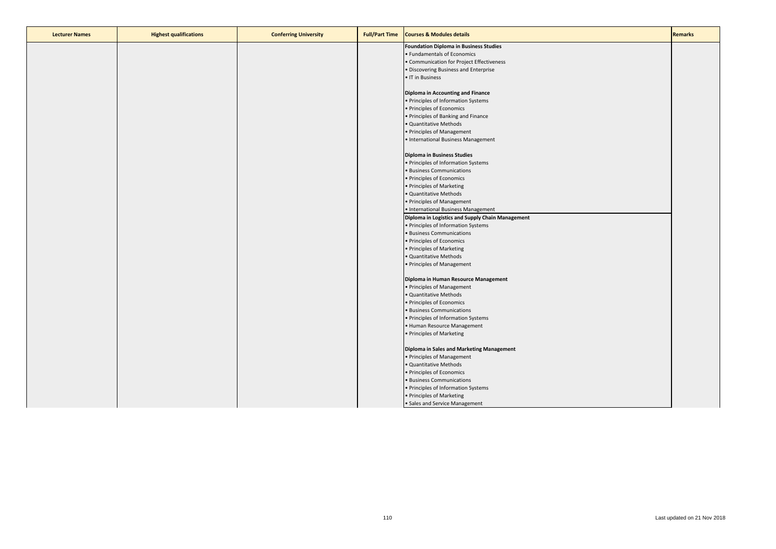| <b>Lecturer Names</b> | <b>Highest qualifications</b> | <b>Conferring University</b> | <b>Full/Part Time</b> | <b>Courses &amp; Modules details</b>             | <b>Remarks</b> |
|-----------------------|-------------------------------|------------------------------|-----------------------|--------------------------------------------------|----------------|
|                       |                               |                              |                       | <b>Foundation Diploma in Business Studies</b>    |                |
|                       |                               |                              |                       | • Fundamentals of Economics                      |                |
|                       |                               |                              |                       | • Communication for Project Effectiveness        |                |
|                       |                               |                              |                       | · Discovering Business and Enterprise            |                |
|                       |                               |                              |                       | • IT in Business                                 |                |
|                       |                               |                              |                       |                                                  |                |
|                       |                               |                              |                       | Diploma in Accounting and Finance                |                |
|                       |                               |                              |                       | • Principles of Information Systems              |                |
|                       |                               |                              |                       | • Principles of Economics                        |                |
|                       |                               |                              |                       | • Principles of Banking and Finance              |                |
|                       |                               |                              |                       | · Quantitative Methods                           |                |
|                       |                               |                              |                       | • Principles of Management                       |                |
|                       |                               |                              |                       | • International Business Management              |                |
|                       |                               |                              |                       |                                                  |                |
|                       |                               |                              |                       | <b>Diploma in Business Studies</b>               |                |
|                       |                               |                              |                       | • Principles of Information Systems              |                |
|                       |                               |                              |                       | • Business Communications                        |                |
|                       |                               |                              |                       | • Principles of Economics                        |                |
|                       |                               |                              |                       | • Principles of Marketing                        |                |
|                       |                               |                              |                       | · Quantitative Methods                           |                |
|                       |                               |                              |                       | • Principles of Management                       |                |
|                       |                               |                              |                       | • International Business Management              |                |
|                       |                               |                              |                       | Diploma in Logistics and Supply Chain Management |                |
|                       |                               |                              |                       | • Principles of Information Systems              |                |
|                       |                               |                              |                       | • Business Communications                        |                |
|                       |                               |                              |                       | • Principles of Economics                        |                |
|                       |                               |                              |                       | • Principles of Marketing                        |                |
|                       |                               |                              |                       | · Quantitative Methods                           |                |
|                       |                               |                              |                       | • Principles of Management                       |                |
|                       |                               |                              |                       | Diploma in Human Resource Management             |                |
|                       |                               |                              |                       | • Principles of Management                       |                |
|                       |                               |                              |                       | · Quantitative Methods                           |                |
|                       |                               |                              |                       | • Principles of Economics                        |                |
|                       |                               |                              |                       | · Business Communications                        |                |
|                       |                               |                              |                       | • Principles of Information Systems              |                |
|                       |                               |                              |                       | • Human Resource Management                      |                |
|                       |                               |                              |                       | • Principles of Marketing                        |                |
|                       |                               |                              |                       |                                                  |                |
|                       |                               |                              |                       | Diploma in Sales and Marketing Management        |                |
|                       |                               |                              |                       | • Principles of Management                       |                |
|                       |                               |                              |                       | · Quantitative Methods                           |                |
|                       |                               |                              |                       | • Principles of Economics                        |                |
|                       |                               |                              |                       | · Business Communications                        |                |
|                       |                               |                              |                       | • Principles of Information Systems              |                |
|                       |                               |                              |                       | • Principles of Marketing                        |                |
|                       |                               |                              |                       | • Sales and Service Management                   |                |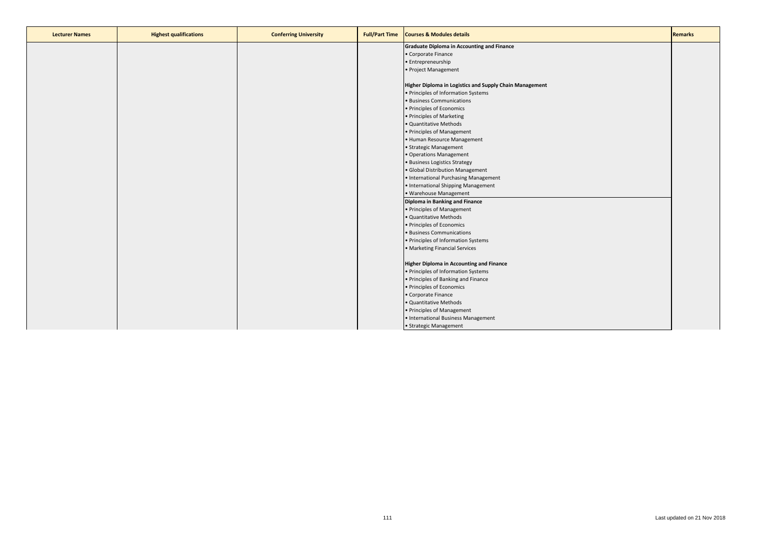| <b>Lecturer Names</b> | <b>Highest qualifications</b> | <b>Conferring University</b> | <b>Full/Part Time</b> | <b>Courses &amp; Modules details</b>                    | Remarks |
|-----------------------|-------------------------------|------------------------------|-----------------------|---------------------------------------------------------|---------|
|                       |                               |                              |                       | <b>Graduate Diploma in Accounting and Finance</b>       |         |
|                       |                               |                              |                       | • Corporate Finance                                     |         |
|                       |                               |                              |                       | • Entrepreneurship                                      |         |
|                       |                               |                              |                       | • Project Management                                    |         |
|                       |                               |                              |                       |                                                         |         |
|                       |                               |                              |                       | Higher Diploma in Logistics and Supply Chain Management |         |
|                       |                               |                              |                       | • Principles of Information Systems                     |         |
|                       |                               |                              |                       | · Business Communications                               |         |
|                       |                               |                              |                       | · Principles of Economics                               |         |
|                       |                               |                              |                       | • Principles of Marketing                               |         |
|                       |                               |                              |                       | · Quantitative Methods                                  |         |
|                       |                               |                              |                       | • Principles of Management                              |         |
|                       |                               |                              |                       | • Human Resource Management                             |         |
|                       |                               |                              |                       | · Strategic Management                                  |         |
|                       |                               |                              |                       | • Operations Management                                 |         |
|                       |                               |                              |                       | · Business Logistics Strategy                           |         |
|                       |                               |                              |                       | · Global Distribution Management                        |         |
|                       |                               |                              |                       | • International Purchasing Management                   |         |
|                       |                               |                              |                       | • International Shipping Management                     |         |
|                       |                               |                              |                       | · Warehouse Management                                  |         |
|                       |                               |                              |                       | Diploma in Banking and Finance                          |         |
|                       |                               |                              |                       | • Principles of Management                              |         |
|                       |                               |                              |                       | · Quantitative Methods                                  |         |
|                       |                               |                              |                       | • Principles of Economics                               |         |
|                       |                               |                              |                       | · Business Communications                               |         |
|                       |                               |                              |                       | • Principles of Information Systems                     |         |
|                       |                               |                              |                       | • Marketing Financial Services                          |         |
|                       |                               |                              |                       | <b>Higher Diploma in Accounting and Finance</b>         |         |
|                       |                               |                              |                       | • Principles of Information Systems                     |         |
|                       |                               |                              |                       | • Principles of Banking and Finance                     |         |
|                       |                               |                              |                       | • Principles of Economics                               |         |
|                       |                               |                              |                       | • Corporate Finance                                     |         |
|                       |                               |                              |                       | · Quantitative Methods                                  |         |
|                       |                               |                              |                       | • Principles of Management                              |         |
|                       |                               |                              |                       | • International Business Management                     |         |
|                       |                               |                              |                       | · Strategic Management                                  |         |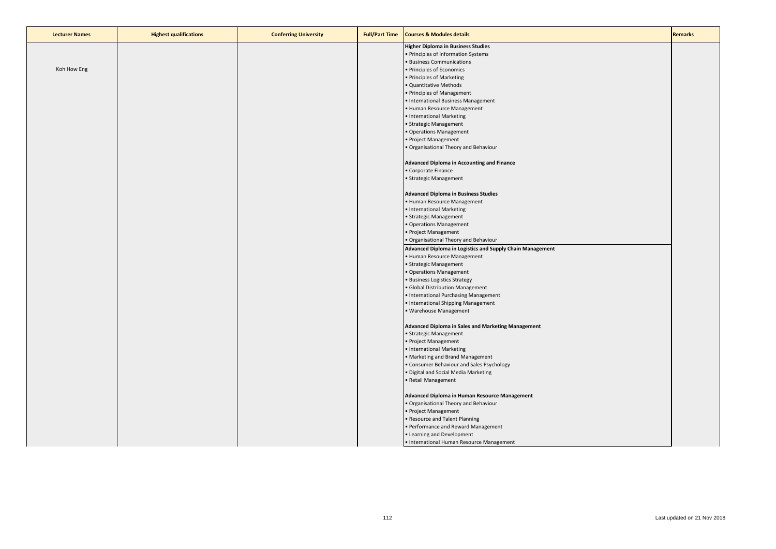| <b>Lecturer Names</b> | <b>Highest qualifications</b> | <b>Conferring University</b> | <b>Full/Part Time</b> | <b>Courses &amp; Modules details</b>                      | <b>Remarks</b> |
|-----------------------|-------------------------------|------------------------------|-----------------------|-----------------------------------------------------------|----------------|
|                       |                               |                              |                       | <b>Higher Diploma in Business Studies</b>                 |                |
|                       |                               |                              |                       | • Principles of Information Systems                       |                |
|                       |                               |                              |                       | <b>Business Communications</b>                            |                |
| Koh How Eng           |                               |                              |                       | Principles of Economics                                   |                |
|                       |                               |                              |                       | Principles of Marketing                                   |                |
|                       |                               |                              |                       | · Quantitative Methods                                    |                |
|                       |                               |                              |                       |                                                           |                |
|                       |                               |                              |                       | · Principles of Management                                |                |
|                       |                               |                              |                       | · International Business Management                       |                |
|                       |                               |                              |                       | • Human Resource Management                               |                |
|                       |                               |                              |                       | International Marketing                                   |                |
|                       |                               |                              |                       | · Strategic Management                                    |                |
|                       |                               |                              |                       | Operations Management                                     |                |
|                       |                               |                              |                       | Project Management                                        |                |
|                       |                               |                              |                       | Organisational Theory and Behaviour                       |                |
|                       |                               |                              |                       | Advanced Diploma in Accounting and Finance                |                |
|                       |                               |                              |                       | Corporate Finance                                         |                |
|                       |                               |                              |                       | Strategic Management                                      |                |
|                       |                               |                              |                       | <b>Advanced Diploma in Business Studies</b>               |                |
|                       |                               |                              |                       | · Human Resource Management                               |                |
|                       |                               |                              |                       | · International Marketing                                 |                |
|                       |                               |                              |                       | Strategic Management                                      |                |
|                       |                               |                              |                       | Operations Management                                     |                |
|                       |                               |                              |                       | · Project Management                                      |                |
|                       |                               |                              |                       | Organisational Theory and Behaviour                       |                |
|                       |                               |                              |                       | Advanced Diploma in Logistics and Supply Chain Management |                |
|                       |                               |                              |                       | Human Resource Management                                 |                |
|                       |                               |                              |                       | · Strategic Management                                    |                |
|                       |                               |                              |                       | Operations Management                                     |                |
|                       |                               |                              |                       | <b>Business Logistics Strategy</b>                        |                |
|                       |                               |                              |                       | Global Distribution Management                            |                |
|                       |                               |                              |                       | International Purchasing Management                       |                |
|                       |                               |                              |                       | • International Shipping Management                       |                |
|                       |                               |                              |                       | <b>Warehouse Management</b>                               |                |
|                       |                               |                              |                       |                                                           |                |
|                       |                               |                              |                       | <b>Advanced Diploma in Sales and Marketing Management</b> |                |
|                       |                               |                              |                       | · Strategic Management                                    |                |
|                       |                               |                              |                       | · Project Management                                      |                |
|                       |                               |                              |                       | · International Marketing                                 |                |
|                       |                               |                              |                       | Marketing and Brand Management                            |                |
|                       |                               |                              |                       | Consumer Behaviour and Sales Psychology                   |                |
|                       |                               |                              |                       | Digital and Social Media Marketing                        |                |
|                       |                               |                              |                       | Retail Management                                         |                |
|                       |                               |                              |                       | Advanced Diploma in Human Resource Management             |                |
|                       |                               |                              |                       | · Organisational Theory and Behaviour                     |                |
|                       |                               |                              |                       | · Project Management                                      |                |
|                       |                               |                              |                       | Resource and Talent Planning                              |                |
|                       |                               |                              |                       | Performance and Reward Management                         |                |
|                       |                               |                              |                       | • Learning and Development                                |                |
|                       |                               |                              |                       | • International Human Resource Management                 |                |
|                       |                               |                              |                       |                                                           |                |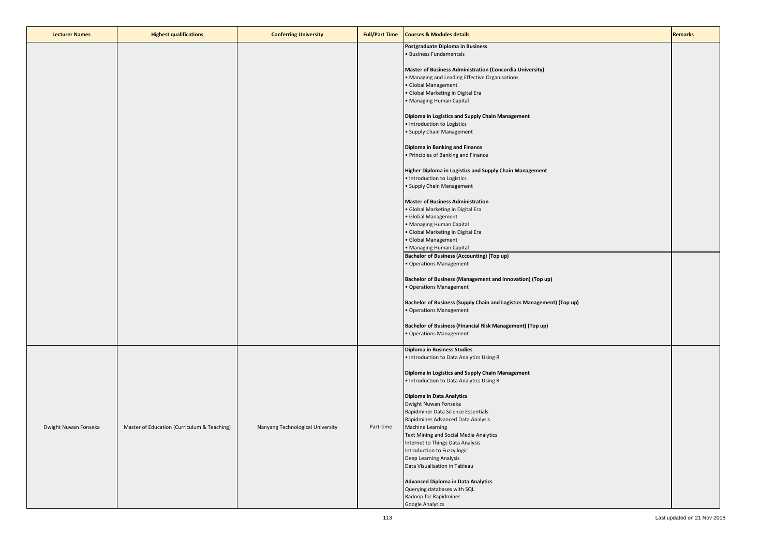| <b>Lecturer Names</b> | <b>Highest qualifications</b>               | <b>Conferring University</b>     | <b>Full/Part Time</b> | <b>Courses &amp; Modules details</b>                                                             | <b>Remarks</b> |
|-----------------------|---------------------------------------------|----------------------------------|-----------------------|--------------------------------------------------------------------------------------------------|----------------|
|                       |                                             |                                  |                       | Postgraduate Diploma in Business                                                                 |                |
|                       |                                             |                                  |                       | · Business Fundamentals                                                                          |                |
|                       |                                             |                                  |                       | Master of Business Administration (Concordia University)                                         |                |
|                       |                                             |                                  |                       | Managing and Leading Effective Organisations<br>· Global Management                              |                |
|                       |                                             |                                  |                       | · Global Marketing in Digital Era                                                                |                |
|                       |                                             |                                  |                       | · Managing Human Capital                                                                         |                |
|                       |                                             |                                  |                       | Diploma in Logistics and Supply Chain Management                                                 |                |
|                       |                                             |                                  |                       | · Introduction to Logistics                                                                      |                |
|                       |                                             |                                  |                       | · Supply Chain Management                                                                        |                |
|                       |                                             |                                  |                       | Diploma in Banking and Finance                                                                   |                |
|                       |                                             |                                  |                       | · Principles of Banking and Finance                                                              |                |
|                       |                                             |                                  |                       | Higher Diploma in Logistics and Supply Chain Management                                          |                |
|                       |                                             |                                  |                       | · Introduction to Logistics                                                                      |                |
|                       |                                             |                                  |                       | · Supply Chain Management                                                                        |                |
|                       |                                             |                                  |                       | <b>Master of Business Administration</b>                                                         |                |
|                       |                                             |                                  |                       | · Global Marketing in Digital Era                                                                |                |
|                       |                                             |                                  |                       | · Global Management<br>· Managing Human Capital                                                  |                |
|                       |                                             |                                  |                       | Global Marketing in Digital Era                                                                  |                |
|                       |                                             |                                  |                       | Global Management                                                                                |                |
|                       |                                             |                                  |                       | · Managing Human Capital<br><b>Bachelor of Business (Accounting) (Top up)</b>                    |                |
|                       |                                             |                                  |                       | Operations Management                                                                            |                |
|                       |                                             |                                  |                       |                                                                                                  |                |
|                       |                                             |                                  |                       | Bachelor of Business (Management and Innovation) (Top up)<br>· Operations Management             |                |
|                       |                                             |                                  |                       |                                                                                                  |                |
|                       |                                             |                                  |                       | Bachelor of Business (Supply Chain and Logistics Management) (Top up)<br>· Operations Management |                |
|                       |                                             |                                  |                       |                                                                                                  |                |
|                       |                                             |                                  |                       | Bachelor of Business (Financial Risk Management) (Top up)<br>· Operations Management             |                |
|                       |                                             |                                  |                       |                                                                                                  |                |
|                       |                                             |                                  |                       | <b>Diploma in Business Studies</b>                                                               |                |
|                       |                                             |                                  |                       | · Introduction to Data Analytics Using R                                                         |                |
|                       |                                             |                                  |                       | Diploma in Logistics and Supply Chain Management                                                 |                |
|                       |                                             |                                  |                       | . Introduction to Data Analytics Using R                                                         |                |
|                       |                                             |                                  |                       | Diploma in Data Analytics                                                                        |                |
|                       |                                             |                                  |                       | Dwight Nuwan Fonseka                                                                             |                |
|                       |                                             |                                  |                       | Rapidminer Data Science Essentials<br>Rapidminer Advanced Data Analysis                          |                |
| Dwight Nuwan Fonseka  | Master of Education (Curriculum & Teaching) | Nanyang Technological University | Part-time             | Machine Learning                                                                                 |                |
|                       |                                             |                                  |                       | Text Mining and Social Media Analytics                                                           |                |
|                       |                                             |                                  |                       | Internet to Things Data Analysis<br>Introduction to Fuzzy logic                                  |                |
|                       |                                             |                                  |                       | Deep Learning Analysis                                                                           |                |
|                       |                                             |                                  |                       | Data Visualisation in Tableau                                                                    |                |
|                       |                                             |                                  |                       | <b>Advanced Diploma in Data Analytics</b>                                                        |                |
|                       |                                             |                                  |                       | Querying databases with SQL                                                                      |                |
|                       |                                             |                                  |                       | Radoop for Rapidminer                                                                            |                |
|                       |                                             |                                  |                       | Google Analytics                                                                                 |                |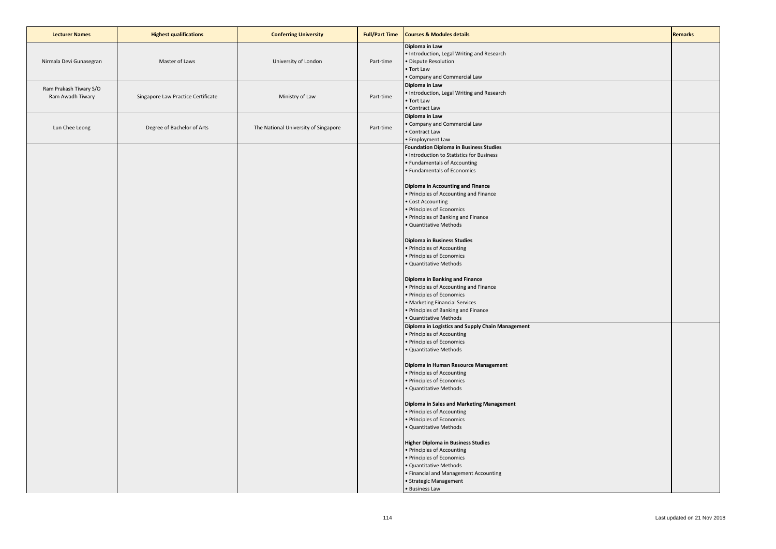| <b>Lecturer Names</b>                      | <b>Highest qualifications</b>      | <b>Conferring University</b>         | <b>Full/Part Time</b> | <b>Courses &amp; Modules details</b>                                                                                                                                                                                                                                                                                                                                                                                                                                                                                                                                                                                                                                                                                                                                                                                                                                                                                                                                                                                                                                                                                                                                                                                                                                                                                      | <b>Remarks</b> |
|--------------------------------------------|------------------------------------|--------------------------------------|-----------------------|---------------------------------------------------------------------------------------------------------------------------------------------------------------------------------------------------------------------------------------------------------------------------------------------------------------------------------------------------------------------------------------------------------------------------------------------------------------------------------------------------------------------------------------------------------------------------------------------------------------------------------------------------------------------------------------------------------------------------------------------------------------------------------------------------------------------------------------------------------------------------------------------------------------------------------------------------------------------------------------------------------------------------------------------------------------------------------------------------------------------------------------------------------------------------------------------------------------------------------------------------------------------------------------------------------------------------|----------------|
| Nirmala Devi Gunasegran                    | Master of Laws                     | University of London                 | Part-time             | Diploma in Law<br>Introduction, Legal Writing and Research<br>Dispute Resolution<br>• Tort Law<br>Company and Commercial Law                                                                                                                                                                                                                                                                                                                                                                                                                                                                                                                                                                                                                                                                                                                                                                                                                                                                                                                                                                                                                                                                                                                                                                                              |                |
| Ram Prakash Tiwary S/O<br>Ram Awadh Tiwary | Singapore Law Practice Certificate | Ministry of Law                      | Part-time             | Diploma in Law<br>· Introduction, Legal Writing and Research<br>• Tort Law<br>Contract Law                                                                                                                                                                                                                                                                                                                                                                                                                                                                                                                                                                                                                                                                                                                                                                                                                                                                                                                                                                                                                                                                                                                                                                                                                                |                |
| Lun Chee Leong                             | Degree of Bachelor of Arts         | The National University of Singapore | Part-time             | Diploma in Law<br>Company and Commercial Law<br>Contract Law<br>· Employment Law                                                                                                                                                                                                                                                                                                                                                                                                                                                                                                                                                                                                                                                                                                                                                                                                                                                                                                                                                                                                                                                                                                                                                                                                                                          |                |
|                                            |                                    |                                      |                       | <b>Foundation Diploma in Business Studies</b><br>· Introduction to Statistics for Business<br>· Fundamentals of Accounting<br>· Fundamentals of Economics<br><b>Diploma in Accounting and Finance</b><br>· Principles of Accounting and Finance<br>Cost Accounting<br>· Principles of Economics<br>Principles of Banking and Finance<br>Quantitative Methods<br><b>Diploma in Business Studies</b><br>· Principles of Accounting<br>· Principles of Economics<br>Quantitative Methods<br>Diploma in Banking and Finance<br>· Principles of Accounting and Finance<br>· Principles of Economics<br><b>Marketing Financial Services</b><br>· Principles of Banking and Finance<br>· Quantitative Methods<br>Diploma in Logistics and Supply Chain Management<br>· Principles of Accounting<br>· Principles of Economics<br>Quantitative Methods<br>Diploma in Human Resource Management<br>· Principles of Accounting<br>· Principles of Economics<br>Quantitative Methods<br>Diploma in Sales and Marketing Management<br>· Principles of Accounting<br>· Principles of Economics<br>Quantitative Methods<br><b>Higher Diploma in Business Studies</b><br>· Principles of Accounting<br>Principles of Economics<br>Quantitative Methods<br>Financial and Management Accounting<br>· Strategic Management<br>• Business Law |                |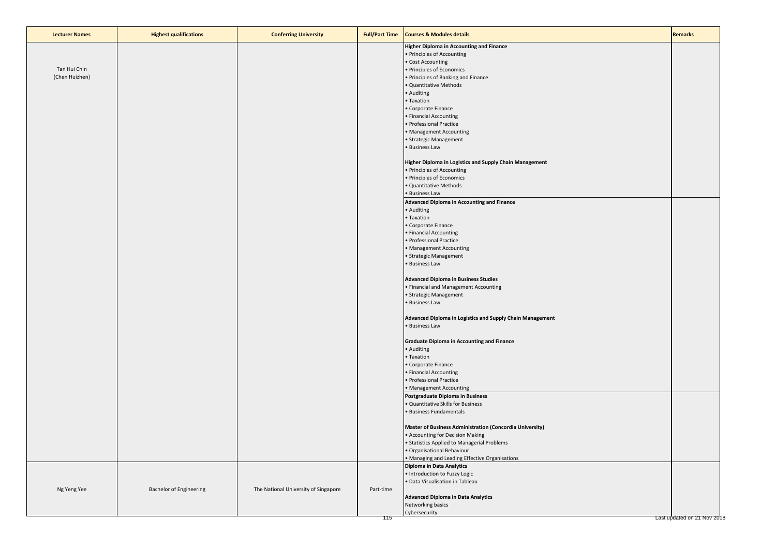| <b>Lecturer Names</b> | <b>Highest qualifications</b>  | <b>Conferring University</b>         | <b>Full/Part Time</b> | <b>Courses &amp; Modules details</b>                                                 | <b>Remarks</b>              |
|-----------------------|--------------------------------|--------------------------------------|-----------------------|--------------------------------------------------------------------------------------|-----------------------------|
|                       |                                |                                      |                       | <b>Higher Diploma in Accounting and Finance</b>                                      |                             |
|                       |                                |                                      |                       | • Principles of Accounting                                                           |                             |
| Tan Hui Chin          |                                |                                      |                       | • Cost Accounting                                                                    |                             |
| (Chen Huizhen)        |                                |                                      |                       | • Principles of Economics<br>• Principles of Banking and Finance                     |                             |
|                       |                                |                                      |                       | · Quantitative Methods                                                               |                             |
|                       |                                |                                      |                       | • Auditing                                                                           |                             |
|                       |                                |                                      |                       | • Taxation                                                                           |                             |
|                       |                                |                                      |                       | • Corporate Finance                                                                  |                             |
|                       |                                |                                      |                       | • Financial Accounting                                                               |                             |
|                       |                                |                                      |                       | • Professional Practice<br>• Management Accounting                                   |                             |
|                       |                                |                                      |                       | • Strategic Management                                                               |                             |
|                       |                                |                                      |                       | • Business Law                                                                       |                             |
|                       |                                |                                      |                       |                                                                                      |                             |
|                       |                                |                                      |                       | Higher Diploma in Logistics and Supply Chain Management                              |                             |
|                       |                                |                                      |                       | • Principles of Accounting                                                           |                             |
|                       |                                |                                      |                       | • Principles of Economics<br>• Quantitative Methods                                  |                             |
|                       |                                |                                      |                       | • Business Law                                                                       |                             |
|                       |                                |                                      |                       | <b>Advanced Diploma in Accounting and Finance</b>                                    |                             |
|                       |                                |                                      |                       | • Auditing                                                                           |                             |
|                       |                                |                                      |                       | • Taxation                                                                           |                             |
|                       |                                |                                      |                       | • Corporate Finance                                                                  |                             |
|                       |                                |                                      |                       | • Financial Accounting                                                               |                             |
|                       |                                |                                      |                       | • Professional Practice<br>• Management Accounting                                   |                             |
|                       |                                |                                      |                       | • Strategic Management                                                               |                             |
|                       |                                |                                      |                       | · Business Law                                                                       |                             |
|                       |                                |                                      |                       |                                                                                      |                             |
|                       |                                |                                      |                       | <b>Advanced Diploma in Business Studies</b><br>• Financial and Management Accounting |                             |
|                       |                                |                                      |                       | • Strategic Management                                                               |                             |
|                       |                                |                                      |                       | • Business Law                                                                       |                             |
|                       |                                |                                      |                       |                                                                                      |                             |
|                       |                                |                                      |                       | Advanced Diploma in Logistics and Supply Chain Management<br>• Business Law          |                             |
|                       |                                |                                      |                       |                                                                                      |                             |
|                       |                                |                                      |                       | <b>Graduate Diploma in Accounting and Finance</b>                                    |                             |
|                       |                                |                                      |                       | • Auditing                                                                           |                             |
|                       |                                |                                      |                       | • Taxation                                                                           |                             |
|                       |                                |                                      |                       | • Corporate Finance<br>• Financial Accounting                                        |                             |
|                       |                                |                                      |                       | · Professional Practice                                                              |                             |
|                       |                                |                                      |                       | • Management Accounting                                                              |                             |
|                       |                                |                                      |                       | Postgraduate Diploma in Business                                                     |                             |
|                       |                                |                                      |                       | . Quantitative Skills for Business                                                   |                             |
|                       |                                |                                      |                       | · Business Fundamentals                                                              |                             |
|                       |                                |                                      |                       | Master of Business Administration (Concordia University)                             |                             |
|                       |                                |                                      |                       | • Accounting for Decision Making                                                     |                             |
|                       |                                |                                      |                       | • Statistics Applied to Managerial Problems                                          |                             |
|                       |                                |                                      |                       | · Organisational Behaviour                                                           |                             |
|                       |                                |                                      |                       | • Managing and Leading Effective Organisations                                       |                             |
|                       |                                |                                      |                       | Diploma in Data Analytics<br>· Introduction to Fuzzy Logic                           |                             |
|                       |                                |                                      |                       | · Data Visualisation in Tableau                                                      |                             |
| Ng Yeng Yee           | <b>Bachelor of Engineering</b> | The National University of Singapore | Part-time             |                                                                                      |                             |
|                       |                                |                                      |                       | <b>Advanced Diploma in Data Analytics</b>                                            |                             |
|                       |                                |                                      |                       | Networking basics                                                                    |                             |
|                       |                                |                                      | 115                   | Cybersecurity                                                                        | Last updated on 21 Nov 2018 |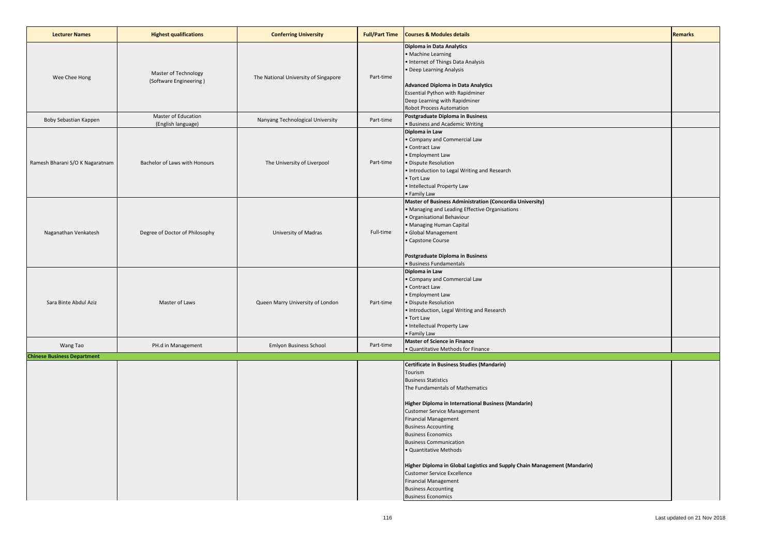| <b>Lecturer Names</b>              | <b>Highest qualifications</b>                  | <b>Conferring University</b>         | <b>Full/Part Time</b> | <b>Courses &amp; Modules details</b>                                                                                                                                                                                                                                                                                                                                                                                                                                                                                                                                                | <b>Remarks</b> |
|------------------------------------|------------------------------------------------|--------------------------------------|-----------------------|-------------------------------------------------------------------------------------------------------------------------------------------------------------------------------------------------------------------------------------------------------------------------------------------------------------------------------------------------------------------------------------------------------------------------------------------------------------------------------------------------------------------------------------------------------------------------------------|----------------|
| Wee Chee Hong                      | Master of Technology<br>(Software Engineering) | The National University of Singapore | Part-time             | Diploma in Data Analytics<br>· Machine Learning<br>· Internet of Things Data Analysis<br>Deep Learning Analysis<br><b>Advanced Diploma in Data Analytics</b><br><b>Essential Python with Rapidminer</b><br>Deep Learning with Rapidminer<br>Robot Process Automation                                                                                                                                                                                                                                                                                                                |                |
| Boby Sebastian Kappen              | Master of Education<br>(English language)      | Nanyang Technological University     | Part-time             | Postgraduate Diploma in Business<br><b>Business and Academic Writing</b>                                                                                                                                                                                                                                                                                                                                                                                                                                                                                                            |                |
| Ramesh Bharani S/O K Nagaratnam    | Bachelor of Laws with Honours                  | The University of Liverpool          | Part-time             | Diploma in Law<br>Company and Commercial Law<br>Contract Law<br><b>Employment Law</b><br>Dispute Resolution<br>Introduction to Legal Writing and Research<br>Tort Law<br>Intellectual Property Law<br>Family Law                                                                                                                                                                                                                                                                                                                                                                    |                |
| Naganathan Venkatesh               | Degree of Doctor of Philosophy                 | University of Madras                 | Full-time             | Master of Business Administration (Concordia University)<br>Managing and Leading Effective Organisations<br>Organisational Behaviour<br>Managing Human Capital<br>Global Management<br>Capstone Course<br>Postgraduate Diploma in Business<br><b>Business Fundamentals</b>                                                                                                                                                                                                                                                                                                          |                |
| Sara Binte Abdul Aziz              | Master of Laws                                 | Queen Marry University of London     | Part-time             | Diploma in Law<br>Company and Commercial Law<br>Contract Law<br><b>Employment Law</b><br>Dispute Resolution<br>· Introduction, Legal Writing and Research<br>• Tort Law<br>· Intellectual Property Law<br>Family Law                                                                                                                                                                                                                                                                                                                                                                |                |
| Wang Tao                           | PH.d in Management                             | <b>Emlyon Business School</b>        | Part-time             | <b>Master of Science in Finance</b><br>Quantitative Methods for Finance                                                                                                                                                                                                                                                                                                                                                                                                                                                                                                             |                |
| <b>Chinese Business Department</b> |                                                |                                      |                       | Certificate in Business Studies (Mandarin)<br>Tourism<br><b>Business Statistics</b><br>The Fundamentals of Mathematics<br>Higher Diploma in International Business (Mandarin)<br><b>Customer Service Management</b><br><b>Financial Management</b><br><b>Business Accounting</b><br><b>Business Economics</b><br><b>Business Communication</b><br>Quantitative Methods<br>Higher Diploma in Global Logistics and Supply Chain Management (Mandarin)<br><b>Customer Service Excellence</b><br><b>Financial Management</b><br><b>Business Accounting</b><br><b>Business Economics</b> |                |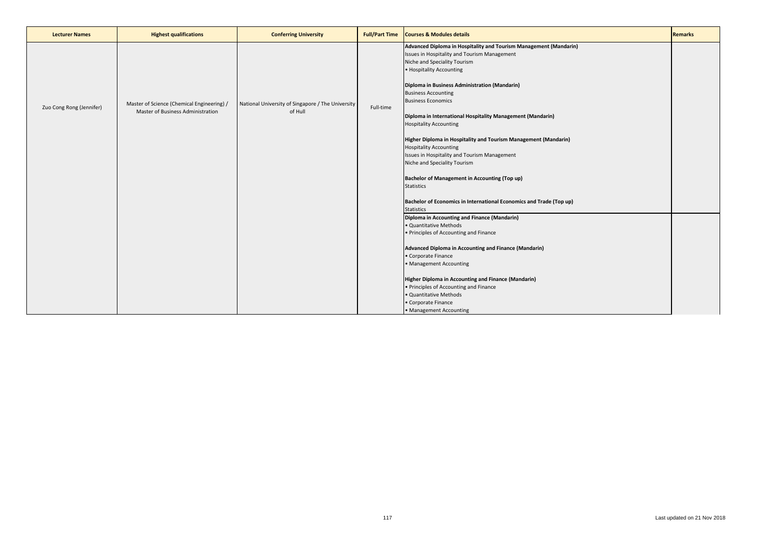| <b>Lecturer Names</b>    | <b>Highest qualifications</b>                                                                                                                   | <b>Conferring University</b> | <b>Full/Part Time</b>                                                                                                                                                            | <b>Courses &amp; Modules details</b>                                                                                                                                                                                           | <b>Remarks</b> |
|--------------------------|-------------------------------------------------------------------------------------------------------------------------------------------------|------------------------------|----------------------------------------------------------------------------------------------------------------------------------------------------------------------------------|--------------------------------------------------------------------------------------------------------------------------------------------------------------------------------------------------------------------------------|----------------|
|                          |                                                                                                                                                 |                              |                                                                                                                                                                                  | Advanced Diploma in Hospitality and Tourism Management (Mandarin)<br>Issues in Hospitality and Tourism Management<br>Niche and Speciality Tourism<br>• Hospitality Accounting<br>Diploma in Business Administration (Mandarin) |                |
| Zuo Cong Rong (Jennifer) | National University of Singapore / The University<br>Master of Science (Chemical Engineering) /<br>Master of Business Administration<br>of Hull |                              | Full-time                                                                                                                                                                        | <b>Business Accounting</b><br><b>Business Economics</b><br>Diploma in International Hospitality Management (Mandarin)<br><b>Hospitality Accounting</b>                                                                         |                |
|                          |                                                                                                                                                 |                              | Higher Diploma in Hospitality and Tourism Management (Mandarin)<br><b>Hospitality Accounting</b><br>Issues in Hospitality and Tourism Management<br>Niche and Speciality Tourism |                                                                                                                                                                                                                                |                |
|                          |                                                                                                                                                 |                              |                                                                                                                                                                                  | <b>Bachelor of Management in Accounting (Top up)</b><br><b>Statistics</b>                                                                                                                                                      |                |
|                          |                                                                                                                                                 |                              |                                                                                                                                                                                  | Bachelor of Economics in International Economics and Trade (Top up)<br><b>Statistics</b>                                                                                                                                       |                |
|                          |                                                                                                                                                 |                              |                                                                                                                                                                                  | Diploma in Accounting and Finance (Mandarin)<br>· Quantitative Methods<br>• Principles of Accounting and Finance                                                                                                               |                |
|                          |                                                                                                                                                 |                              |                                                                                                                                                                                  | Advanced Diploma in Accounting and Finance (Mandarin)<br>• Corporate Finance<br>• Management Accounting                                                                                                                        |                |
|                          |                                                                                                                                                 |                              |                                                                                                                                                                                  | Higher Diploma in Accounting and Finance (Mandarin)<br>• Principles of Accounting and Finance                                                                                                                                  |                |
|                          |                                                                                                                                                 |                              |                                                                                                                                                                                  | · Quantitative Methods<br>• Corporate Finance<br>• Management Accounting                                                                                                                                                       |                |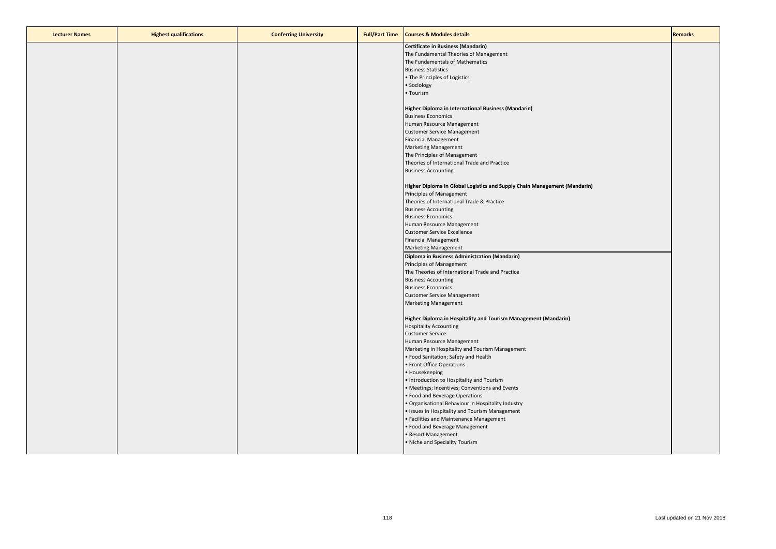| <b>Lecturer Names</b> | <b>Highest qualifications</b> | <b>Conferring University</b> | <b>Full/Part Time</b> | <b>Courses &amp; Modules details</b>                                      | <b>Remarks</b> |
|-----------------------|-------------------------------|------------------------------|-----------------------|---------------------------------------------------------------------------|----------------|
|                       |                               |                              |                       | <b>Certificate in Business (Mandarin)</b>                                 |                |
|                       |                               |                              |                       | The Fundamental Theories of Management                                    |                |
|                       |                               |                              |                       | The Fundamentals of Mathematics                                           |                |
|                       |                               |                              |                       | <b>Business Statistics</b>                                                |                |
|                       |                               |                              |                       | • The Principles of Logistics                                             |                |
|                       |                               |                              |                       | · Sociology                                                               |                |
|                       |                               |                              |                       | · Tourism                                                                 |                |
|                       |                               |                              |                       |                                                                           |                |
|                       |                               |                              |                       | Higher Diploma in International Business (Mandarin)                       |                |
|                       |                               |                              |                       | <b>Business Economics</b>                                                 |                |
|                       |                               |                              |                       | Human Resource Management                                                 |                |
|                       |                               |                              |                       | <b>Customer Service Management</b>                                        |                |
|                       |                               |                              |                       | <b>Financial Management</b>                                               |                |
|                       |                               |                              |                       |                                                                           |                |
|                       |                               |                              |                       | <b>Marketing Management</b><br>The Principles of Management               |                |
|                       |                               |                              |                       |                                                                           |                |
|                       |                               |                              |                       | Theories of International Trade and Practice                              |                |
|                       |                               |                              |                       | <b>Business Accounting</b>                                                |                |
|                       |                               |                              |                       |                                                                           |                |
|                       |                               |                              |                       | Higher Diploma in Global Logistics and Supply Chain Management (Mandarin) |                |
|                       |                               |                              |                       | Principles of Management                                                  |                |
|                       |                               |                              |                       | Theories of International Trade & Practice                                |                |
|                       |                               |                              |                       | <b>Business Accounting</b>                                                |                |
|                       |                               |                              |                       | <b>Business Economics</b>                                                 |                |
|                       |                               |                              |                       | Human Resource Management                                                 |                |
|                       |                               |                              |                       | <b>Customer Service Excellence</b>                                        |                |
|                       |                               |                              |                       | <b>Financial Management</b>                                               |                |
|                       |                               |                              |                       | <b>Marketing Management</b>                                               |                |
|                       |                               |                              |                       | Diploma in Business Administration (Mandarin)                             |                |
|                       |                               |                              |                       | Principles of Management                                                  |                |
|                       |                               |                              |                       | The Theories of International Trade and Practice                          |                |
|                       |                               |                              |                       | <b>Business Accounting</b>                                                |                |
|                       |                               |                              |                       | <b>Business Economics</b>                                                 |                |
|                       |                               |                              |                       | <b>Customer Service Management</b>                                        |                |
|                       |                               |                              |                       | <b>Marketing Management</b>                                               |                |
|                       |                               |                              |                       |                                                                           |                |
|                       |                               |                              |                       | Higher Diploma in Hospitality and Tourism Management (Mandarin)           |                |
|                       |                               |                              |                       | <b>Hospitality Accounting</b>                                             |                |
|                       |                               |                              |                       | <b>Customer Service</b>                                                   |                |
|                       |                               |                              |                       | Human Resource Management                                                 |                |
|                       |                               |                              |                       | Marketing in Hospitality and Tourism Management                           |                |
|                       |                               |                              |                       | Food Sanitation; Safety and Health                                        |                |
|                       |                               |                              |                       | · Front Office Operations                                                 |                |
|                       |                               |                              |                       | Housekeeping                                                              |                |
|                       |                               |                              |                       | Introduction to Hospitality and Tourism                                   |                |
|                       |                               |                              |                       | Meetings; Incentives; Conventions and Events                              |                |
|                       |                               |                              |                       | Food and Beverage Operations                                              |                |
|                       |                               |                              |                       | Organisational Behaviour in Hospitality Industry                          |                |
|                       |                               |                              |                       | Issues in Hospitality and Tourism Management                              |                |
|                       |                               |                              |                       | Facilities and Maintenance Management                                     |                |
|                       |                               |                              |                       |                                                                           |                |
|                       |                               |                              |                       | Food and Beverage Management                                              |                |
|                       |                               |                              |                       | Resort Management                                                         |                |
|                       |                               |                              |                       | Niche and Speciality Tourism                                              |                |
|                       |                               |                              |                       |                                                                           |                |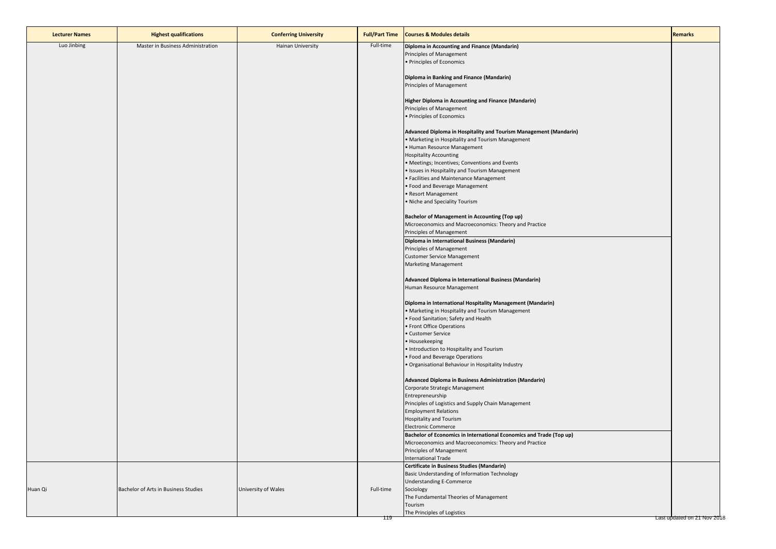| <b>Lecturer Names</b> | <b>Highest qualifications</b>        | <b>Conferring University</b> | <b>Full/Part Time</b> | <b>Courses &amp; Modules details</b>                                                                                                                                                                                                                                                                                                                                                                                                                                                                                                                                           | <b>Remarks</b>              |
|-----------------------|--------------------------------------|------------------------------|-----------------------|--------------------------------------------------------------------------------------------------------------------------------------------------------------------------------------------------------------------------------------------------------------------------------------------------------------------------------------------------------------------------------------------------------------------------------------------------------------------------------------------------------------------------------------------------------------------------------|-----------------------------|
| Luo Jinbing           | Master in Business Administration    | Hainan University            | Full-time             | Diploma in Accounting and Finance (Mandarin)<br>Principles of Management<br>· Principles of Economics                                                                                                                                                                                                                                                                                                                                                                                                                                                                          |                             |
|                       |                                      |                              |                       | Diploma in Banking and Finance (Mandarin)<br>Principles of Management                                                                                                                                                                                                                                                                                                                                                                                                                                                                                                          |                             |
|                       |                                      |                              |                       | Higher Diploma in Accounting and Finance (Mandarin)<br>Principles of Management<br>· Principles of Economics                                                                                                                                                                                                                                                                                                                                                                                                                                                                   |                             |
|                       |                                      |                              |                       | Advanced Diploma in Hospitality and Tourism Management (Mandarin)<br>. Marketing in Hospitality and Tourism Management<br>· Human Resource Management<br><b>Hospitality Accounting</b><br>• Meetings; Incentives; Conventions and Events<br>· Issues in Hospitality and Tourism Management<br>• Facilities and Maintenance Management<br>· Food and Beverage Management<br>• Resort Management<br>• Niche and Speciality Tourism<br><b>Bachelor of Management in Accounting (Top up)</b><br>Microeconomics and Macroeconomics: Theory and Practice<br>Principles of Management |                             |
|                       |                                      |                              |                       | Diploma in International Business (Mandarin)<br>Principles of Management<br><b>Customer Service Management</b><br><b>Marketing Management</b>                                                                                                                                                                                                                                                                                                                                                                                                                                  |                             |
|                       |                                      |                              |                       | Advanced Diploma in International Business (Mandarin)<br>Human Resource Management                                                                                                                                                                                                                                                                                                                                                                                                                                                                                             |                             |
|                       |                                      |                              |                       | Diploma in International Hospitality Management (Mandarin)<br>• Marketing in Hospitality and Tourism Management<br>• Food Sanitation; Safety and Health<br>• Front Office Operations<br>• Customer Service<br>• Housekeeping<br>· Introduction to Hospitality and Tourism<br>• Food and Beverage Operations<br>· Organisational Behaviour in Hospitality Industry                                                                                                                                                                                                              |                             |
|                       |                                      |                              |                       | Advanced Diploma in Business Administration (Mandarin)<br>Corporate Strategic Management<br>Entrepreneurship<br>Principles of Logistics and Supply Chain Management<br><b>Employment Relations</b><br>Hospitality and Tourism<br><b>Electronic Commerce</b>                                                                                                                                                                                                                                                                                                                    |                             |
|                       |                                      |                              |                       | Bachelor of Economics in International Economics and Trade (Top up)<br>Microeconomics and Macroeconomics: Theory and Practice<br>Principles of Management<br><b>International Trade</b>                                                                                                                                                                                                                                                                                                                                                                                        |                             |
| Huan Qi               | Bachelor of Arts in Business Studies | University of Wales          | Full-time<br>119      | Certificate in Business Studies (Mandarin)<br>Basic Understanding of Information Technology<br><b>Understanding E-Commerce</b><br>Sociology<br>The Fundamental Theories of Management<br>Tourism<br>The Principles of Logistics                                                                                                                                                                                                                                                                                                                                                | Last updated on 21 Nov 2018 |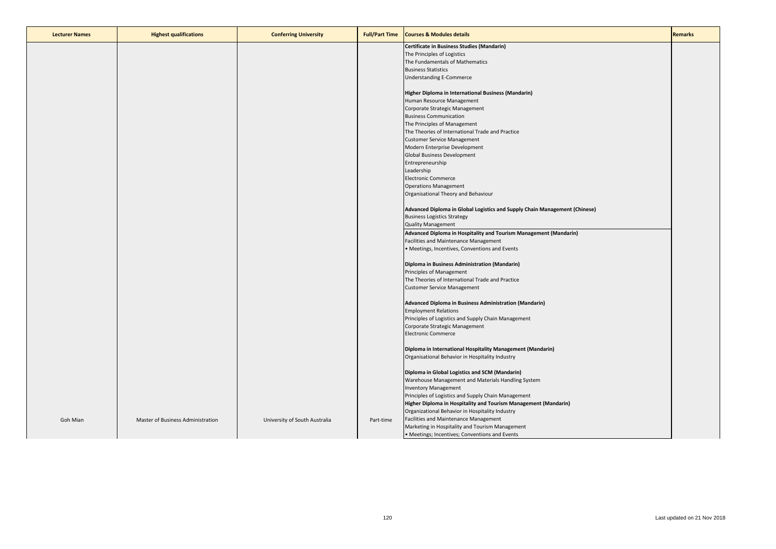| <b>Lecturer Names</b> | <b>Highest qualifications</b>     | <b>Conferring University</b>  | <b>Full/Part Time</b> | <b>Courses &amp; Modules details</b>                                       | <b>Remarks</b> |
|-----------------------|-----------------------------------|-------------------------------|-----------------------|----------------------------------------------------------------------------|----------------|
|                       |                                   |                               |                       | Certificate in Business Studies (Mandarin)                                 |                |
|                       |                                   |                               |                       | The Principles of Logistics                                                |                |
|                       |                                   |                               |                       | The Fundamentals of Mathematics                                            |                |
|                       |                                   |                               |                       | <b>Business Statistics</b>                                                 |                |
|                       |                                   |                               |                       | <b>Understanding E-Commerce</b>                                            |                |
|                       |                                   |                               |                       |                                                                            |                |
|                       |                                   |                               |                       | Higher Diploma in International Business (Mandarin)                        |                |
|                       |                                   |                               |                       | Human Resource Management                                                  |                |
|                       |                                   |                               |                       | Corporate Strategic Management                                             |                |
|                       |                                   |                               |                       | <b>Business Communication</b>                                              |                |
|                       |                                   |                               |                       | The Principles of Management                                               |                |
|                       |                                   |                               |                       | The Theories of International Trade and Practice                           |                |
|                       |                                   |                               |                       | <b>Customer Service Management</b>                                         |                |
|                       |                                   |                               |                       | Modern Enterprise Development                                              |                |
|                       |                                   |                               |                       | Global Business Development                                                |                |
|                       |                                   |                               |                       | Entrepreneurship                                                           |                |
|                       |                                   |                               |                       | Leadership                                                                 |                |
|                       |                                   |                               |                       | <b>Electronic Commerce</b>                                                 |                |
|                       |                                   |                               |                       | <b>Operations Management</b>                                               |                |
|                       |                                   |                               |                       | Organisational Theory and Behaviour                                        |                |
|                       |                                   |                               |                       |                                                                            |                |
|                       |                                   |                               |                       | Advanced Diploma in Global Logistics and Supply Chain Management (Chinese) |                |
|                       |                                   |                               |                       | <b>Business Logistics Strategy</b>                                         |                |
|                       |                                   |                               |                       | <b>Quality Management</b>                                                  |                |
|                       |                                   |                               |                       | Advanced Diploma in Hospitality and Tourism Management (Mandarin)          |                |
|                       |                                   |                               |                       | Facilities and Maintenance Management                                      |                |
|                       |                                   |                               |                       | • Meetings, Incentives, Conventions and Events                             |                |
|                       |                                   |                               |                       | Diploma in Business Administration (Mandarin)                              |                |
|                       |                                   |                               |                       | Principles of Management                                                   |                |
|                       |                                   |                               |                       | The Theories of International Trade and Practice                           |                |
|                       |                                   |                               |                       | <b>Customer Service Management</b>                                         |                |
|                       |                                   |                               |                       | Advanced Diploma in Business Administration (Mandarin)                     |                |
|                       |                                   |                               |                       |                                                                            |                |
|                       |                                   |                               |                       | <b>Employment Relations</b>                                                |                |
|                       |                                   |                               |                       | Principles of Logistics and Supply Chain Management                        |                |
|                       |                                   |                               |                       | Corporate Strategic Management                                             |                |
|                       |                                   |                               |                       | <b>Electronic Commerce</b>                                                 |                |
|                       |                                   |                               |                       | Diploma in International Hospitality Management (Mandarin)                 |                |
|                       |                                   |                               |                       | Organisational Behavior in Hospitality Industry                            |                |
|                       |                                   |                               |                       | Diploma in Global Logistics and SCM (Mandarin)                             |                |
|                       |                                   |                               |                       | Warehouse Management and Materials Handling System                         |                |
|                       |                                   |                               |                       |                                                                            |                |
|                       |                                   |                               |                       | <b>Inventory Management</b>                                                |                |
|                       |                                   |                               |                       | Principles of Logistics and Supply Chain Management                        |                |
|                       |                                   |                               |                       | Higher Diploma in Hospitality and Tourism Management (Mandarin)            |                |
|                       |                                   |                               |                       | Organizational Behavior in Hospitality Industry                            |                |
| Goh Mian              | Master of Business Administration | University of South Australia | Part-time             | Facilities and Maintenance Management                                      |                |
|                       |                                   |                               |                       | Marketing in Hospitality and Tourism Management                            |                |
|                       |                                   |                               |                       | • Meetings; Incentives; Conventions and Events                             |                |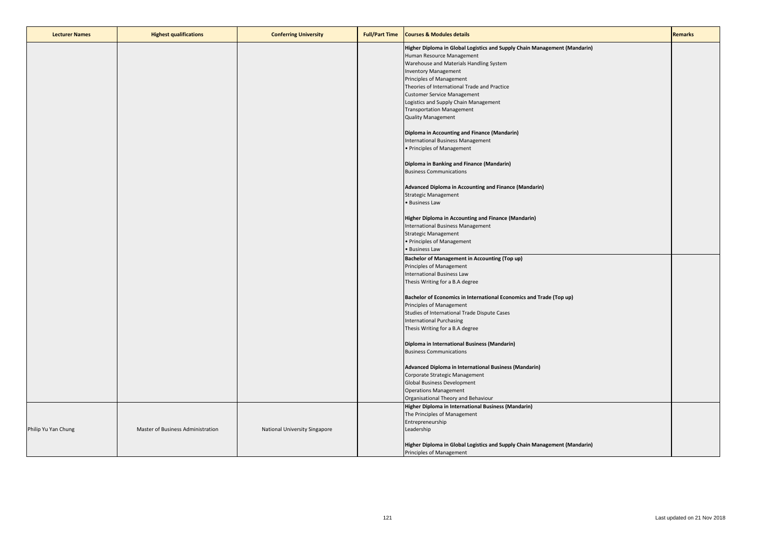| <b>Lecturer Names</b> | <b>Highest qualifications</b>     | <b>Conferring University</b>  | <b>Full/Part Time</b> | <b>Courses &amp; Modules details</b>                                           | <b>Remarks</b> |
|-----------------------|-----------------------------------|-------------------------------|-----------------------|--------------------------------------------------------------------------------|----------------|
|                       |                                   |                               |                       | Higher Diploma in Global Logistics and Supply Chain Management (Mandarin)      |                |
|                       |                                   |                               |                       | Human Resource Management                                                      |                |
|                       |                                   |                               |                       | Warehouse and Materials Handling System                                        |                |
|                       |                                   |                               |                       | <b>Inventory Management</b><br>Principles of Management                        |                |
|                       |                                   |                               |                       | Theories of International Trade and Practice                                   |                |
|                       |                                   |                               |                       | <b>Customer Service Management</b>                                             |                |
|                       |                                   |                               |                       | Logistics and Supply Chain Management                                          |                |
|                       |                                   |                               |                       | <b>Transportation Management</b>                                               |                |
|                       |                                   |                               |                       | <b>Quality Management</b>                                                      |                |
|                       |                                   |                               |                       | Diploma in Accounting and Finance (Mandarin)                                   |                |
|                       |                                   |                               |                       | International Business Management                                              |                |
|                       |                                   |                               |                       | • Principles of Management                                                     |                |
|                       |                                   |                               |                       | Diploma in Banking and Finance (Mandarin)                                      |                |
|                       |                                   |                               |                       | <b>Business Communications</b>                                                 |                |
|                       |                                   |                               |                       | Advanced Diploma in Accounting and Finance (Mandarin)                          |                |
|                       |                                   |                               |                       | <b>Strategic Management</b>                                                    |                |
|                       |                                   |                               |                       | • Business Law                                                                 |                |
|                       |                                   |                               |                       | Higher Diploma in Accounting and Finance (Mandarin)                            |                |
|                       |                                   |                               |                       | International Business Management                                              |                |
|                       |                                   |                               |                       | <b>Strategic Management</b>                                                    |                |
|                       |                                   |                               |                       | • Principles of Management                                                     |                |
|                       |                                   |                               |                       | • Business Law                                                                 |                |
|                       |                                   |                               |                       | Bachelor of Management in Accounting (Top up)                                  |                |
|                       |                                   |                               |                       | Principles of Management<br>International Business Law                         |                |
|                       |                                   |                               |                       | Thesis Writing for a B.A degree                                                |                |
|                       |                                   |                               |                       |                                                                                |                |
|                       |                                   |                               |                       | Bachelor of Economics in International Economics and Trade (Top up)            |                |
|                       |                                   |                               |                       | Principles of Management                                                       |                |
|                       |                                   |                               |                       | Studies of International Trade Dispute Cases<br>International Purchasing       |                |
|                       |                                   |                               |                       | Thesis Writing for a B.A degree                                                |                |
|                       |                                   |                               |                       |                                                                                |                |
|                       |                                   |                               |                       | Diploma in International Business (Mandarin)<br><b>Business Communications</b> |                |
|                       |                                   |                               |                       |                                                                                |                |
|                       |                                   |                               |                       | Advanced Diploma in International Business (Mandarin)                          |                |
|                       |                                   |                               |                       | Corporate Strategic Management                                                 |                |
|                       |                                   |                               |                       | <b>Global Business Development</b>                                             |                |
|                       |                                   |                               |                       | <b>Operations Management</b><br>Organisational Theory and Behaviour            |                |
|                       |                                   |                               |                       | Higher Diploma in International Business (Mandarin)                            |                |
|                       |                                   |                               |                       | The Principles of Management                                                   |                |
|                       |                                   |                               |                       | Entrepreneurship                                                               |                |
| Philip Yu Yan Chung   | Master of Business Administration | National University Singapore |                       | Leadership                                                                     |                |
|                       |                                   |                               |                       | Higher Diploma in Global Logistics and Supply Chain Management (Mandarin)      |                |
|                       |                                   |                               |                       | Principles of Management                                                       |                |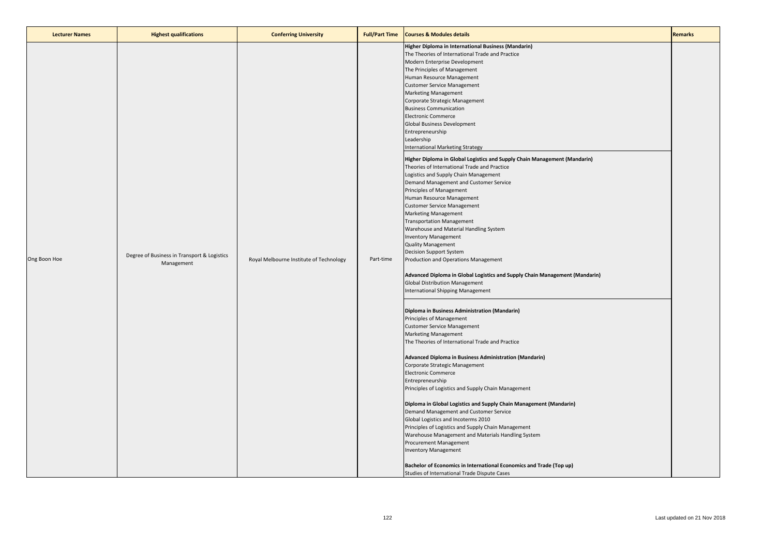| <b>Lecturer Names</b> | <b>Highest qualifications</b>                             | <b>Conferring University</b>            | <b>Full/Part Time</b> | <b>Courses &amp; Modules details</b>                                                                                                                                                                                                                                                                                                                                                                                                                                                                                                                                                                                                                                                                                                                                                                                                                                                                                                                                                                                                                                                                                                                                                                                                                                                                                                                                                                                                                                                                                                                                                                                                                                                                                                                                                                                                                                                                                                                                                                                                                                           | <b>Remarks</b> |
|-----------------------|-----------------------------------------------------------|-----------------------------------------|-----------------------|--------------------------------------------------------------------------------------------------------------------------------------------------------------------------------------------------------------------------------------------------------------------------------------------------------------------------------------------------------------------------------------------------------------------------------------------------------------------------------------------------------------------------------------------------------------------------------------------------------------------------------------------------------------------------------------------------------------------------------------------------------------------------------------------------------------------------------------------------------------------------------------------------------------------------------------------------------------------------------------------------------------------------------------------------------------------------------------------------------------------------------------------------------------------------------------------------------------------------------------------------------------------------------------------------------------------------------------------------------------------------------------------------------------------------------------------------------------------------------------------------------------------------------------------------------------------------------------------------------------------------------------------------------------------------------------------------------------------------------------------------------------------------------------------------------------------------------------------------------------------------------------------------------------------------------------------------------------------------------------------------------------------------------------------------------------------------------|----------------|
| Ong Boon Hoe          | Degree of Business in Transport & Logistics<br>Management | Royal Melbourne Institute of Technology | Part-time             | Higher Diploma in International Business (Mandarin)<br>The Theories of International Trade and Practice<br>Modern Enterprise Development<br>The Principles of Management<br>Human Resource Management<br><b>Customer Service Management</b><br><b>Marketing Management</b><br>Corporate Strategic Management<br><b>Business Communication</b><br><b>Electronic Commerce</b><br>Global Business Development<br>Entrepreneurship<br>Leadership<br>International Marketing Strategy<br>Higher Diploma in Global Logistics and Supply Chain Management (Mandarin)<br>Theories of International Trade and Practice<br>Logistics and Supply Chain Management<br>Demand Management and Customer Service<br>Principles of Management<br>Human Resource Management<br><b>Customer Service Management</b><br><b>Marketing Management</b><br><b>Transportation Management</b><br>Warehouse and Material Handling System<br><b>Inventory Management</b><br><b>Quality Management</b><br><b>Decision Support System</b><br>Production and Operations Management<br>Advanced Diploma in Global Logistics and Supply Chain Management (Mandarin)<br><b>Global Distribution Management</b><br>International Shipping Management<br>Diploma in Business Administration (Mandarin)<br>Principles of Management<br><b>Customer Service Management</b><br><b>Marketing Management</b><br>The Theories of International Trade and Practice<br>Advanced Diploma in Business Administration (Mandarin)<br>Corporate Strategic Management<br><b>Electronic Commerce</b><br>Entrepreneurship<br>Principles of Logistics and Supply Chain Management<br>Diploma in Global Logistics and Supply Chain Management (Mandarin)<br>Demand Management and Customer Service<br>Global Logistics and Incoterms 2010<br>Principles of Logistics and Supply Chain Management<br>Warehouse Management and Materials Handling System<br>Procurement Management<br><b>Inventory Management</b><br>Bachelor of Economics in International Economics and Trade (Top up)<br>Studies of International Trade Dispute Cases |                |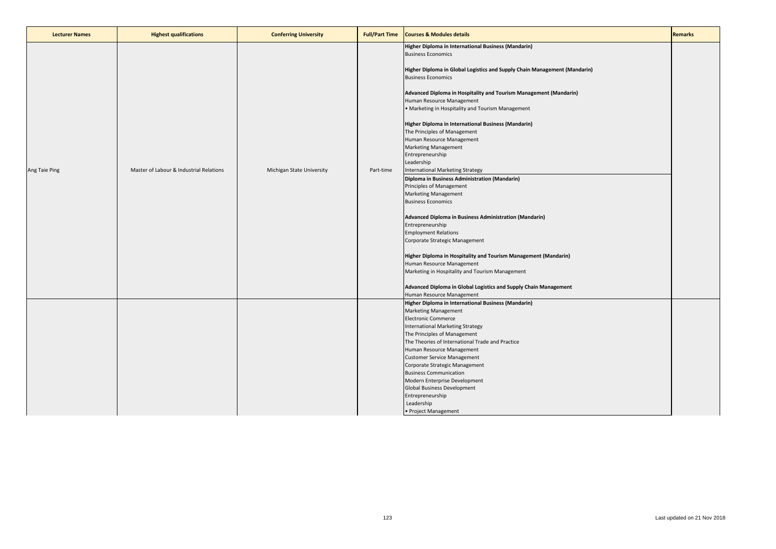| <b>Lecturer Names</b> | <b>Highest qualifications</b>           | <b>Conferring University</b> | <b>Full/Part Time</b> | <b>Courses &amp; Modules details</b>                                                                                                                                                                                                                                                                                                                                                                                                                                                                            | <b>Remarks</b> |
|-----------------------|-----------------------------------------|------------------------------|-----------------------|-----------------------------------------------------------------------------------------------------------------------------------------------------------------------------------------------------------------------------------------------------------------------------------------------------------------------------------------------------------------------------------------------------------------------------------------------------------------------------------------------------------------|----------------|
|                       |                                         |                              |                       | Higher Diploma in International Business (Mandarin)<br><b>Business Economics</b><br>Higher Diploma in Global Logistics and Supply Chain Management (Mandarin)<br><b>Business Economics</b><br>Advanced Diploma in Hospitality and Tourism Management (Mandarin)<br>Human Resource Management<br>. Marketing in Hospitality and Tourism Management<br>Higher Diploma in International Business (Mandarin)                                                                                                        |                |
| Ang Taie Ping         | Master of Labour & Industrial Relations | Michigan State University    | Part-time             | The Principles of Management<br>Human Resource Management<br><b>Marketing Management</b><br>Entrepreneurship<br>Leadership<br>International Marketing Strategy<br>Diploma in Business Administration (Mandarin)<br>Principles of Management<br><b>Marketing Management</b><br><b>Business Economics</b>                                                                                                                                                                                                         |                |
|                       |                                         |                              |                       | Advanced Diploma in Business Administration (Mandarin)<br>Entrepreneurship<br><b>Employment Relations</b><br>Corporate Strategic Management<br>Higher Diploma in Hospitality and Tourism Management (Mandarin)<br>Human Resource Management<br>Marketing in Hospitality and Tourism Management<br>Advanced Diploma in Global Logistics and Supply Chain Management<br>Human Resource Management                                                                                                                 |                |
|                       |                                         |                              |                       | Higher Diploma in International Business (Mandarin)<br><b>Marketing Management</b><br><b>Electronic Commerce</b><br>International Marketing Strategy<br>The Principles of Management<br>The Theories of International Trade and Practice<br>Human Resource Management<br><b>Customer Service Management</b><br>Corporate Strategic Management<br><b>Business Communication</b><br>Modern Enterprise Development<br><b>Global Business Development</b><br>Entrepreneurship<br>Leadership<br>• Project Management |                |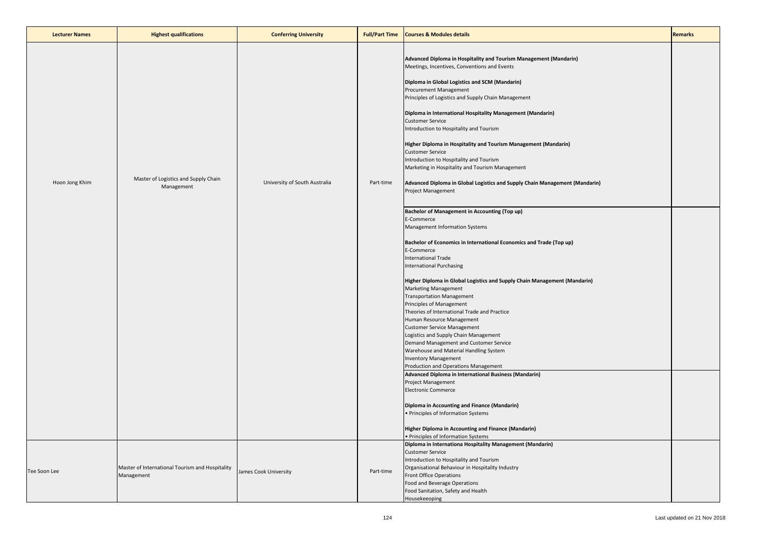| <b>Lecturer Names</b> | <b>Highest qualifications</b>                                 | <b>Conferring University</b>  | <b>Full/Part Time</b> | <b>Courses &amp; Modules details</b>                                                                                                                                                                                                                                                                                                                                                                                                                                                                                                                                                                                                                                                                                                                                                                                                                                                                                                                                                                                                                                                                                                                                                                                                                                                                                                                                                                                                                                                                                                                                                                                                                           | <b>Remarks</b> |
|-----------------------|---------------------------------------------------------------|-------------------------------|-----------------------|----------------------------------------------------------------------------------------------------------------------------------------------------------------------------------------------------------------------------------------------------------------------------------------------------------------------------------------------------------------------------------------------------------------------------------------------------------------------------------------------------------------------------------------------------------------------------------------------------------------------------------------------------------------------------------------------------------------------------------------------------------------------------------------------------------------------------------------------------------------------------------------------------------------------------------------------------------------------------------------------------------------------------------------------------------------------------------------------------------------------------------------------------------------------------------------------------------------------------------------------------------------------------------------------------------------------------------------------------------------------------------------------------------------------------------------------------------------------------------------------------------------------------------------------------------------------------------------------------------------------------------------------------------------|----------------|
| Hoon Jong Khim        | Master of Logistics and Supply Chain<br>Management            | University of South Australia | Part-time             | Advanced Diploma in Hospitality and Tourism Management (Mandarin)<br>Meetings, Incentives, Conventions and Events<br>Diploma in Global Logistics and SCM (Mandarin)<br>Procurement Management<br>Principles of Logistics and Supply Chain Management<br>Diploma in International Hospitality Management (Mandarin)<br><b>Customer Service</b><br>Introduction to Hospitality and Tourism<br>Higher Diploma in Hospitality and Tourism Management (Mandarin)<br><b>Customer Service</b><br>Introduction to Hospitality and Tourism<br>Marketing in Hospitality and Tourism Management<br>Advanced Diploma in Global Logistics and Supply Chain Management (Mandarin)<br><b>Project Management</b><br><b>Bachelor of Management in Accounting (Top up)</b><br>E-Commerce<br>Management Information Systems<br>Bachelor of Economics in International Economics and Trade (Top up)<br>E-Commerce<br>International Trade<br><b>International Purchasing</b><br>Higher Diploma in Global Logistics and Supply Chain Management (Mandarin)<br><b>Marketing Management</b><br><b>Transportation Management</b><br>Principles of Management<br>Theories of International Trade and Practice<br>Human Resource Management<br><b>Customer Service Management</b><br>Logistics and Supply Chain Management<br>Demand Management and Customer Service<br>Warehouse and Material Handling System<br><b>Inventory Management</b><br>Production and Operations Management<br>Advanced Diploma in International Business (Mandarin)<br>Project Management<br><b>Electronic Commerce</b><br>Diploma in Accounting and Finance (Mandarin)<br>• Principles of Information Systems |                |
|                       |                                                               |                               |                       | Higher Diploma in Accounting and Finance (Mandarin)<br>• Principles of Information Systems                                                                                                                                                                                                                                                                                                                                                                                                                                                                                                                                                                                                                                                                                                                                                                                                                                                                                                                                                                                                                                                                                                                                                                                                                                                                                                                                                                                                                                                                                                                                                                     |                |
| Tee Soon Lee          | Master of International Tourism and Hospitality<br>Management | James Cook University         | Part-time             | Diploma in Internationa Hospitality Management (Mandarin)<br><b>Customer Service</b><br>Introduction to Hospitality and Tourism<br>Organisational Behaviour in Hospitality Industry<br><b>Front Office Operations</b><br>Food and Beverage Operations<br>Food Sanitation, Safety and Health<br>Housekeeoping                                                                                                                                                                                                                                                                                                                                                                                                                                                                                                                                                                                                                                                                                                                                                                                                                                                                                                                                                                                                                                                                                                                                                                                                                                                                                                                                                   |                |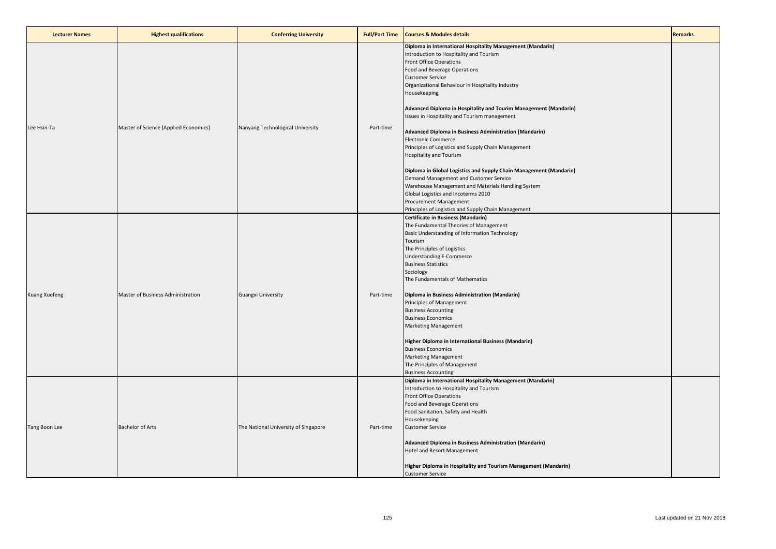| <b>Lecturer Names</b> | <b>Highest qualifications</b>         | <b>Conferring University</b>         | <b>Full/Part Time</b> | <b>Courses &amp; Modules details</b>                                                                                                                                                                                                                                                                                                                                                                                                                                                                                                                                                                                                                                                                                                                                                                                                                                      | <b>Remarks</b> |
|-----------------------|---------------------------------------|--------------------------------------|-----------------------|---------------------------------------------------------------------------------------------------------------------------------------------------------------------------------------------------------------------------------------------------------------------------------------------------------------------------------------------------------------------------------------------------------------------------------------------------------------------------------------------------------------------------------------------------------------------------------------------------------------------------------------------------------------------------------------------------------------------------------------------------------------------------------------------------------------------------------------------------------------------------|----------------|
| Lee Hsin-Ta           | Master of Science (Applied Economics) | Nanyang Technological University     | Part-time             | Diploma in International Hospitality Management (Mandarin)<br>Introduction to Hospitality and Tourism<br><b>Front Office Operations</b><br>Food and Beverage Operations<br><b>Customer Service</b><br>Organizational Behaviour in Hospitality Industry<br>Housekeeping<br>Advanced Diploma in Hospitality and Tourim Management (Mandarin)<br>Issues in Hospitality and Tourism management<br>Advanced Diploma in Business Administration (Mandarin)<br><b>Electronic Commerce</b><br>Principles of Logistics and Supply Chain Management<br><b>Hospitality and Tourism</b><br>Diploma in Global Logistics and Supply Chain Management (Mandarin)<br>Demand Management and Customer Service<br>Warehouse Management and Materials Handling System<br>Global Logistics and Incoterms 2010<br>Procurement Management<br>Principles of Logistics and Supply Chain Management |                |
| Kuang Xuefeng         | Master of Business Administration     | <b>Guangxi University</b>            | Part-time             | Certificate in Business (Mandarin)<br>The Fundamental Theories of Management<br>Basic Understanding of Information Technology<br>Tourism<br>The Principles of Logistics<br><b>Understanding E-Commerce</b><br><b>Business Statistics</b><br>Sociology<br>The Fundamentals of Mathematics<br>Diploma in Business Administration (Mandarin)<br>Principles of Management<br><b>Business Accounting</b><br><b>Business Economics</b><br><b>Marketing Management</b><br>Higher Diploma in International Business (Mandarin)<br><b>Business Economics</b><br><b>Marketing Management</b><br>The Principles of Management<br><b>Business Accounting</b>                                                                                                                                                                                                                          |                |
| Tang Boon Lee         | <b>Bachelor of Arts</b>               | The National University of Singapore | Part-time             | Diploma in International Hospitality Management (Mandarin)<br>Introduction to Hospitality and Tourism<br><b>Front Office Operations</b><br>Food and Beverage Operations<br>Food Sanitation, Safety and Health<br>Housekeeping<br><b>Customer Service</b><br>Advanced Diploma in Business Administration (Mandarin)<br>Hotel and Resort Management<br>Higher Diploma in Hospitality and Tourism Management (Mandarin)<br><b>Customer Service</b>                                                                                                                                                                                                                                                                                                                                                                                                                           |                |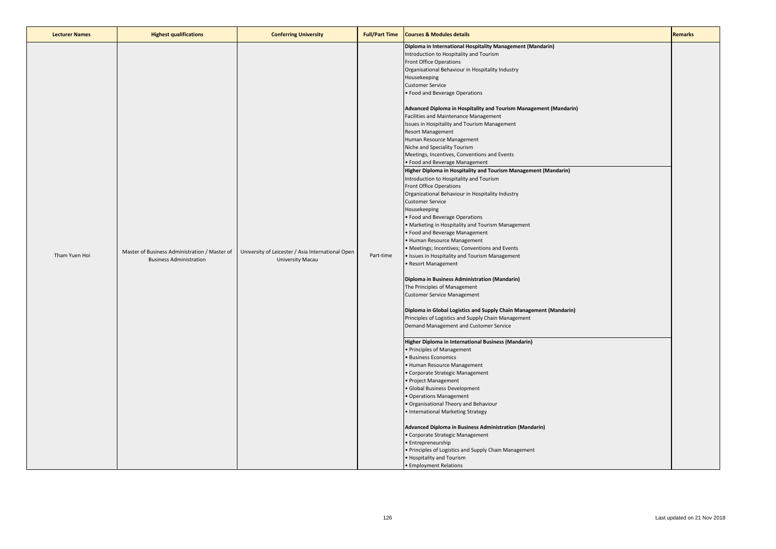| <b>Lecturer Names</b> | <b>Highest qualifications</b>                                                   | <b>Conferring University</b>                                          | <b>Full/Part Time</b> | <b>Courses &amp; Modules details</b>                                                                                                                                                                                                                                                                                                                                                                                                                                                                                                                                                                                                                                                                                                                                                                                                                                                                                                                                                                                                                                                                                                                                                                                                                                                                                                                                                                                                                                                                                                                                                                                                                                                                                                                                                                                                                                                                                                                                                                                                     | <b>Remarks</b> |
|-----------------------|---------------------------------------------------------------------------------|-----------------------------------------------------------------------|-----------------------|------------------------------------------------------------------------------------------------------------------------------------------------------------------------------------------------------------------------------------------------------------------------------------------------------------------------------------------------------------------------------------------------------------------------------------------------------------------------------------------------------------------------------------------------------------------------------------------------------------------------------------------------------------------------------------------------------------------------------------------------------------------------------------------------------------------------------------------------------------------------------------------------------------------------------------------------------------------------------------------------------------------------------------------------------------------------------------------------------------------------------------------------------------------------------------------------------------------------------------------------------------------------------------------------------------------------------------------------------------------------------------------------------------------------------------------------------------------------------------------------------------------------------------------------------------------------------------------------------------------------------------------------------------------------------------------------------------------------------------------------------------------------------------------------------------------------------------------------------------------------------------------------------------------------------------------------------------------------------------------------------------------------------------------|----------------|
| Tham Yuen Hoi         | Master of Business Administration / Master of<br><b>Business Administration</b> | University of Leicester / Asia International Open<br>University Macau | Part-time             | Diploma in International Hospitality Management (Mandarin)<br>Introduction to Hospitality and Tourism<br><b>Front Office Operations</b><br>Organisational Behaviour in Hospitality Industry<br>Housekeeping<br><b>Customer Service</b><br>• Food and Beverage Operations<br>Advanced Diploma in Hospitality and Tourism Management (Mandarin)<br>Facilities and Maintenance Management<br>Issues in Hospitality and Tourism Management<br><b>Resort Management</b><br>Human Resource Management<br>Niche and Speciality Tourism<br>Meetings, Incentives, Conventions and Events<br>• Food and Beverage Management<br>Higher Diploma in Hospitality and Tourism Management (Mandarin)<br>Introduction to Hospitality and Tourism<br><b>Front Office Operations</b><br>Organizational Behaviour in Hospitality Industry<br><b>Customer Service</b><br>Housekeeping<br>• Food and Beverage Operations<br>• Marketing in Hospitality and Tourism Management<br>• Food and Beverage Management<br>· Human Resource Management<br>• Meetings; Incentives; Conventions and Events<br>• Issues in Hospitality and Tourism Management<br>• Resort Management<br>Diploma in Business Administration (Mandarin)<br>The Principles of Management<br><b>Customer Service Management</b><br>Diploma in Global Logistics and Supply Chain Management (Mandarin)<br>Principles of Logistics and Supply Chain Management<br>Demand Management and Customer Service<br>Higher Diploma in International Business (Mandarin)<br>• Principles of Management<br>• Business Economics<br>· Human Resource Management<br>• Corporate Strategic Management<br>· Project Management<br>· Global Business Development<br>· Operations Management<br>· Organisational Theory and Behaviour<br>· International Marketing Strategy<br>Advanced Diploma in Business Administration (Mandarin)<br>· Corporate Strategic Management<br>· Entrepreneurship<br>• Principles of Logistics and Supply Chain Management<br>• Hospitality and Tourism<br>• Employment Relations |                |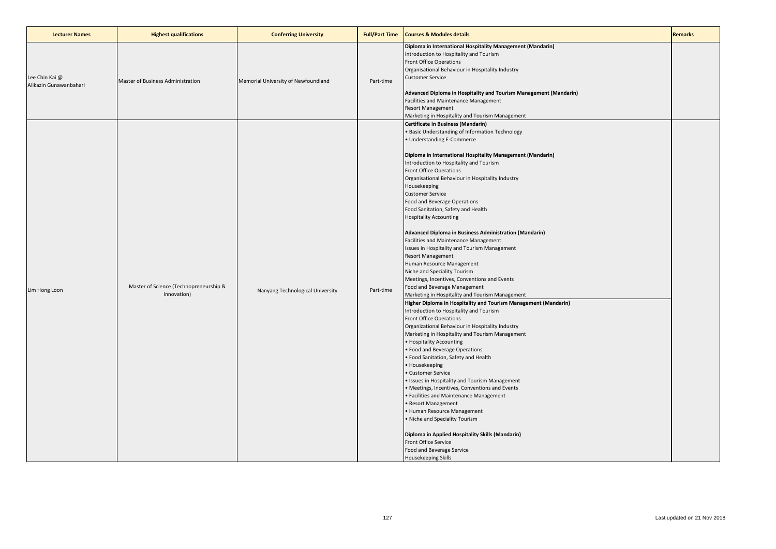| <b>Lecturer Names</b>                    | <b>Highest qualifications</b>                         | <b>Conferring University</b>        | <b>Full/Part Time</b> | <b>Courses &amp; Modules details</b>                                                                                                                                                                                                                                                                                                                                                                                                                                                                                                                                                                                                                                                                                                                                                                                                                                                                                                                                                                                                                                                                                                                                                                                                                                                                                                                                                                                                                                                                                                                                                                                   | <b>Remarks</b> |
|------------------------------------------|-------------------------------------------------------|-------------------------------------|-----------------------|------------------------------------------------------------------------------------------------------------------------------------------------------------------------------------------------------------------------------------------------------------------------------------------------------------------------------------------------------------------------------------------------------------------------------------------------------------------------------------------------------------------------------------------------------------------------------------------------------------------------------------------------------------------------------------------------------------------------------------------------------------------------------------------------------------------------------------------------------------------------------------------------------------------------------------------------------------------------------------------------------------------------------------------------------------------------------------------------------------------------------------------------------------------------------------------------------------------------------------------------------------------------------------------------------------------------------------------------------------------------------------------------------------------------------------------------------------------------------------------------------------------------------------------------------------------------------------------------------------------------|----------------|
| Lee Chin Kai @<br>Alikazin Gunawanbahari | Master of Business Administration                     | Memorial University of Newfoundland | Part-time             | Diploma in International Hospitality Management (Mandarin)<br>Introduction to Hospitality and Tourism<br>Front Office Operations<br>Organisational Behaviour in Hospitality Industry<br><b>Customer Service</b><br>Advanced Diploma in Hospitality and Tourism Management (Mandarin)<br>Facilities and Maintenance Management<br>Resort Management<br>Marketing in Hospitality and Tourism Management                                                                                                                                                                                                                                                                                                                                                                                                                                                                                                                                                                                                                                                                                                                                                                                                                                                                                                                                                                                                                                                                                                                                                                                                                  |                |
| Lim Hong Loon                            | Master of Science (Technopreneurship &<br>Innovation) | Nanyang Technological University    | Part-time             | Certificate in Business (Mandarin)<br>· Basic Understanding of Information Technology<br>· Understanding E-Commerce<br>Diploma in International Hospitality Management (Mandarin)<br>Introduction to Hospitality and Tourism<br><b>Front Office Operations</b><br>Organisational Behaviour in Hospitality Industry<br>Housekeeping<br><b>Customer Service</b><br>Food and Beverage Operations<br>Food Sanitation, Safety and Health<br><b>Hospitality Accounting</b><br>Advanced Diploma in Business Administration (Mandarin)<br>Facilities and Maintenance Management<br>Issues in Hospitality and Tourism Management<br><b>Resort Management</b><br>Human Resource Management<br>Niche and Speciality Tourism<br>Meetings, Incentives, Conventions and Events<br>Food and Beverage Management<br>Marketing in Hospitality and Tourism Management<br>Higher Diploma in Hospitality and Tourism Management (Mandarin)<br>Introduction to Hospitality and Tourism<br>Front Office Operations<br>Organizational Behaviour in Hospitality Industry<br>Marketing in Hospitality and Tourism Management<br>• Hospitality Accounting<br>· Food and Beverage Operations<br>· Food Sanitation, Safety and Health<br>• Housekeeping<br>· Customer Service<br>· Issues in Hospitality and Tourism Management<br>· Meetings, Incentives, Conventions and Events<br>· Facilities and Maintenance Management<br>Resort Management<br>· Human Resource Management<br>. Niche and Speciality Tourism<br>Diploma in Applied Hospitality Skills (Mandarin)<br>Front Office Service<br>Food and Beverage Service<br>Housekeeping Skills |                |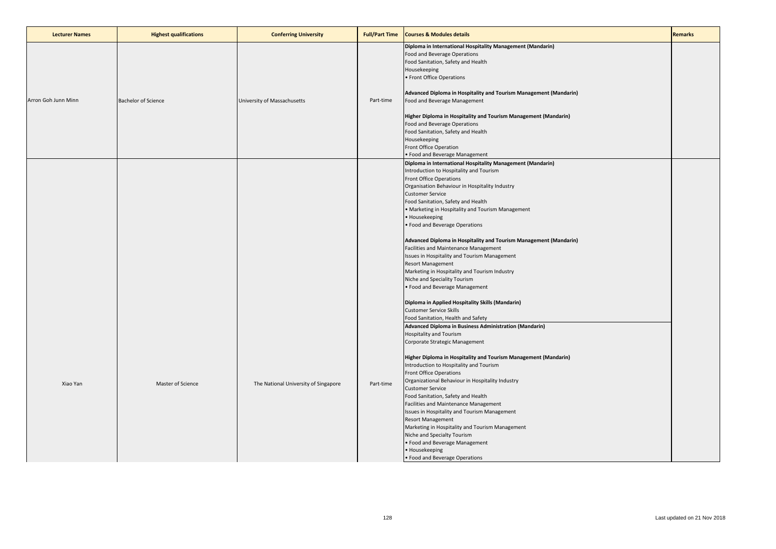| <b>Lecturer Names</b> | <b>Highest qualifications</b> | <b>Conferring University</b>         | <b>Full/Part Time</b> | <b>Courses &amp; Modules details</b>                                                                                                                                                                                                                                                                                                                                                                                                                                                                                                                                                                                                                                                                                                                                                                                     | <b>Remarks</b> |
|-----------------------|-------------------------------|--------------------------------------|-----------------------|--------------------------------------------------------------------------------------------------------------------------------------------------------------------------------------------------------------------------------------------------------------------------------------------------------------------------------------------------------------------------------------------------------------------------------------------------------------------------------------------------------------------------------------------------------------------------------------------------------------------------------------------------------------------------------------------------------------------------------------------------------------------------------------------------------------------------|----------------|
| Arron Goh Junn Minn   | <b>Bachelor of Science</b>    | University of Massachusetts          | Part-time             | Diploma in International Hospitality Management (Mandarin)<br>Food and Beverage Operations<br>Food Sanitation, Safety and Health<br>Housekeeping<br>• Front Office Operations<br>Advanced Diploma in Hospitality and Tourism Management (Mandarin)<br>Food and Beverage Management<br>Higher Diploma in Hospitality and Tourism Management (Mandarin)<br>Food and Beverage Operations<br>Food Sanitation, Safety and Health<br>Housekeeping<br>Front Office Operation<br>• Food and Beverage Management                                                                                                                                                                                                                                                                                                                  |                |
|                       |                               |                                      |                       | Diploma in International Hospitality Management (Mandarin)<br>Introduction to Hospitality and Tourism<br>Front Office Operations<br>Organisation Behaviour in Hospitality Industry<br><b>Customer Service</b><br>Food Sanitation, Safety and Health<br>• Marketing in Hospitality and Tourism Management<br>• Housekeeping<br>• Food and Beverage Operations<br>Advanced Diploma in Hospitality and Tourism Management (Mandarin)<br>Facilities and Maintenance Management<br>Issues in Hospitality and Tourism Management<br><b>Resort Management</b><br>Marketing in Hospitality and Tourism Industry<br>Niche and Speciality Tourism<br>• Food and Beverage Management                                                                                                                                                |                |
| Xiao Yan              | Master of Science             | The National University of Singapore | Part-time             | Diploma in Applied Hospitality Skills (Mandarin)<br><b>Customer Service Skills</b><br>Food Sanitation, Health and Safety<br>Advanced Diploma in Business Administration (Mandarin)<br><b>Hospitality and Tourism</b><br>Corporate Strategic Management<br>Higher Diploma in Hospitality and Tourism Management (Mandarin)<br>Introduction to Hospitality and Tourism<br><b>Front Office Operations</b><br>Organizational Behaviour in Hospitality Industry<br><b>Customer Service</b><br>Food Sanitation, Safety and Health<br>Facilities and Maintenance Management<br>Issues in Hospitality and Tourism Management<br><b>Resort Management</b><br>Marketing in Hospitality and Tourism Management<br>Niche and Specialty Tourism<br>• Food and Beverage Management<br>• Housekeeping<br>• Food and Beverage Operations |                |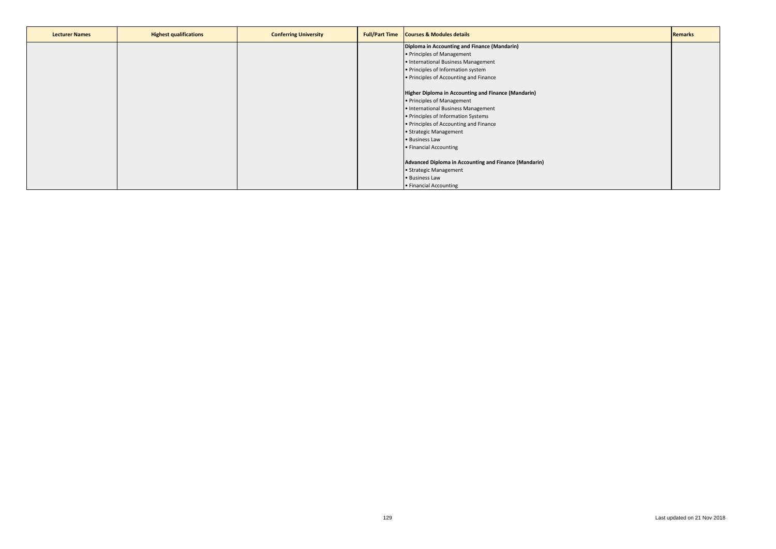| <b>Lecturer Names</b> | <b>Highest qualifications</b> | <b>Conferring University</b> | <b>Full/Part Time</b> | <b>Courses &amp; Modules details</b>                  | <b>Remarks</b> |
|-----------------------|-------------------------------|------------------------------|-----------------------|-------------------------------------------------------|----------------|
|                       |                               |                              |                       | Diploma in Accounting and Finance (Mandarin)          |                |
|                       |                               |                              |                       | • Principles of Management                            |                |
|                       |                               |                              |                       | • International Business Management                   |                |
|                       |                               |                              |                       | . Principles of Information system                    |                |
|                       |                               |                              |                       | . Principles of Accounting and Finance                |                |
|                       |                               |                              |                       |                                                       |                |
|                       |                               |                              |                       | Higher Diploma in Accounting and Finance (Mandarin)   |                |
|                       |                               |                              |                       | • Principles of Management                            |                |
|                       |                               |                              |                       | • International Business Management                   |                |
|                       |                               |                              |                       | . Principles of Information Systems                   |                |
|                       |                               |                              |                       | . Principles of Accounting and Finance                |                |
|                       |                               |                              |                       | • Strategic Management                                |                |
|                       |                               |                              |                       | • Business Law                                        |                |
|                       |                               |                              |                       | • Financial Accounting                                |                |
|                       |                               |                              |                       |                                                       |                |
|                       |                               |                              |                       | Advanced Diploma in Accounting and Finance (Mandarin) |                |
|                       |                               |                              |                       | • Strategic Management                                |                |
|                       |                               |                              |                       | • Business Law                                        |                |
|                       |                               |                              |                       | • Financial Accounting                                |                |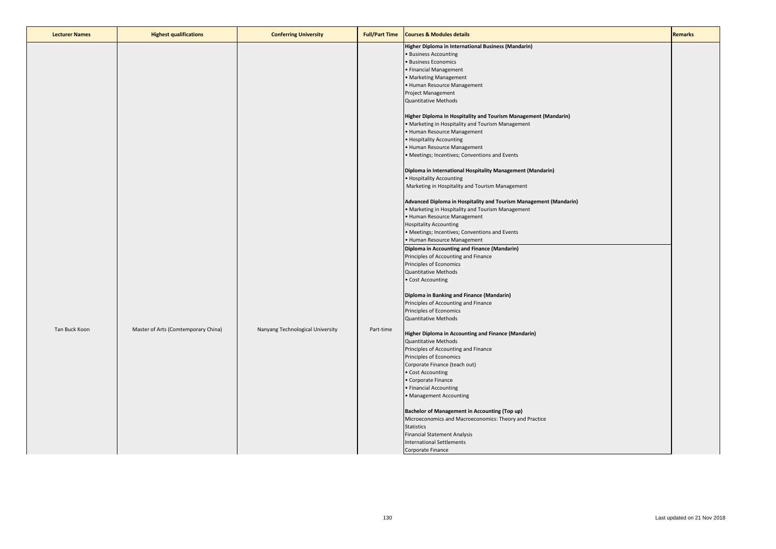| <b>Lecturer Names</b> | <b>Highest qualifications</b>       | <b>Conferring University</b>     | <b>Full/Part Time</b> | <b>Courses &amp; Modules details</b>                              | <b>Remarks</b> |
|-----------------------|-------------------------------------|----------------------------------|-----------------------|-------------------------------------------------------------------|----------------|
|                       |                                     |                                  |                       | Higher Diploma in International Business (Mandarin)               |                |
|                       |                                     |                                  |                       | • Business Accounting                                             |                |
|                       |                                     |                                  |                       | · Business Economics                                              |                |
|                       |                                     |                                  |                       | • Financial Management                                            |                |
|                       |                                     |                                  |                       | • Marketing Management                                            |                |
|                       |                                     |                                  |                       |                                                                   |                |
|                       |                                     |                                  |                       | • Human Resource Management                                       |                |
|                       |                                     |                                  |                       | Project Management                                                |                |
|                       |                                     |                                  |                       | Quantitative Methods                                              |                |
|                       |                                     |                                  |                       | Higher Diploma in Hospitality and Tourism Management (Mandarin)   |                |
|                       |                                     |                                  |                       | • Marketing in Hospitality and Tourism Management                 |                |
|                       |                                     |                                  |                       | • Human Resource Management                                       |                |
|                       |                                     |                                  |                       | • Hospitality Accounting                                          |                |
|                       |                                     |                                  |                       |                                                                   |                |
|                       |                                     |                                  |                       | • Human Resource Management                                       |                |
|                       |                                     |                                  |                       | • Meetings; Incentives; Conventions and Events                    |                |
|                       |                                     |                                  |                       | Diploma in International Hospitality Management (Mandarin)        |                |
|                       |                                     |                                  |                       | • Hospitality Accounting                                          |                |
|                       |                                     |                                  |                       | Marketing in Hospitality and Tourism Management                   |                |
|                       |                                     |                                  |                       | Advanced Diploma in Hospitality and Tourism Management (Mandarin) |                |
|                       |                                     |                                  |                       | • Marketing in Hospitality and Tourism Management                 |                |
|                       |                                     |                                  |                       | • Human Resource Management                                       |                |
|                       |                                     |                                  |                       | <b>Hospitality Accounting</b>                                     |                |
|                       |                                     |                                  |                       | • Meetings; Incentives; Conventions and Events                    |                |
|                       |                                     |                                  |                       | • Human Resource Management                                       |                |
|                       |                                     |                                  |                       | Diploma in Accounting and Finance (Mandarin)                      |                |
|                       |                                     |                                  |                       |                                                                   |                |
|                       |                                     |                                  |                       | Principles of Accounting and Finance                              |                |
|                       |                                     |                                  |                       | Principles of Economics                                           |                |
|                       |                                     |                                  |                       | <b>Quantitative Methods</b>                                       |                |
|                       |                                     |                                  |                       | • Cost Accounting                                                 |                |
|                       |                                     |                                  |                       | Diploma in Banking and Finance (Mandarin)                         |                |
|                       |                                     |                                  |                       | Principles of Accounting and Finance                              |                |
|                       |                                     |                                  |                       | Principles of Economics                                           |                |
|                       |                                     |                                  |                       | Quantitative Methods                                              |                |
| Tan Buck Koon         | Master of Arts (Comtemporary China) | Nanyang Technological University | Part-time             |                                                                   |                |
|                       |                                     |                                  |                       | Higher Diploma in Accounting and Finance (Mandarin)               |                |
|                       |                                     |                                  |                       | Quantitative Methods                                              |                |
|                       |                                     |                                  |                       | Principles of Accounting and Finance                              |                |
|                       |                                     |                                  |                       | Principles of Economics                                           |                |
|                       |                                     |                                  |                       | Corporate Finance (teach out)                                     |                |
|                       |                                     |                                  |                       | • Cost Accounting                                                 |                |
|                       |                                     |                                  |                       | • Corporate Finance                                               |                |
|                       |                                     |                                  |                       | • Financial Accounting                                            |                |
|                       |                                     |                                  |                       | • Management Accounting                                           |                |
|                       |                                     |                                  |                       | <b>Bachelor of Management in Accounting (Top up)</b>              |                |
|                       |                                     |                                  |                       | Microeconomics and Macroeconomics: Theory and Practice            |                |
|                       |                                     |                                  |                       | <b>Statistics</b>                                                 |                |
|                       |                                     |                                  |                       | <b>Financial Statement Analysis</b>                               |                |
|                       |                                     |                                  |                       | International Settlements                                         |                |
|                       |                                     |                                  |                       | Corporate Finance                                                 |                |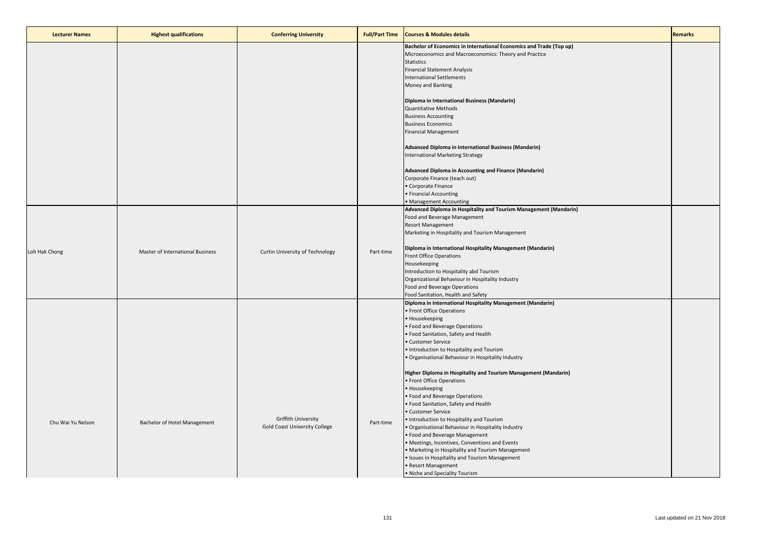| <b>Lecturer Names</b> | <b>Highest qualifications</b>    | <b>Conferring University</b>    | <b>Full/Part Time</b> | <b>Courses &amp; Modules details</b>                                                    | <b>Remarks</b> |
|-----------------------|----------------------------------|---------------------------------|-----------------------|-----------------------------------------------------------------------------------------|----------------|
|                       |                                  |                                 |                       | Bachelor of Economics in International Economics and Trade (Top up)                     |                |
|                       |                                  |                                 |                       | Microeconomics and Macroeconomics: Theory and Practice<br><b>Statistics</b>             |                |
|                       |                                  |                                 |                       | <b>Financial Statement Analysis</b>                                                     |                |
|                       |                                  |                                 |                       | <b>International Settlements</b>                                                        |                |
|                       |                                  |                                 |                       | Money and Banking                                                                       |                |
|                       |                                  |                                 |                       |                                                                                         |                |
|                       |                                  |                                 |                       | Diploma in International Business (Mandarin)<br>Quantitative Methods                    |                |
|                       |                                  |                                 |                       | <b>Business Accounting</b>                                                              |                |
|                       |                                  |                                 |                       | <b>Business Economics</b>                                                               |                |
|                       |                                  |                                 |                       | <b>Financial Management</b>                                                             |                |
|                       |                                  |                                 |                       | Advanced Diploma in International Business (Mandarin)                                   |                |
|                       |                                  |                                 |                       | International Marketing Strategy                                                        |                |
|                       |                                  |                                 |                       | Advanced Diploma in Accounting and Finance (Mandarin)                                   |                |
|                       |                                  |                                 |                       | Corporate Finance (teach out)                                                           |                |
|                       |                                  |                                 |                       | Corporate Finance                                                                       |                |
|                       |                                  |                                 |                       | • Financial Accounting                                                                  |                |
|                       |                                  |                                 |                       | Management Accounting                                                                   |                |
|                       |                                  |                                 |                       | Advanced Diploma in Hospitality and Tourism Management (Mandarin)                       |                |
|                       |                                  |                                 |                       | Food and Beverage Management<br><b>Resort Management</b>                                |                |
|                       |                                  |                                 |                       | Marketing in Hospitality and Tourism Management                                         |                |
|                       |                                  |                                 |                       |                                                                                         |                |
| Loh Hak Chong         | Master of International Business | Curtin University of Technology | Part-time             | Diploma in International Hospitality Management (Mandarin)                              |                |
|                       |                                  |                                 |                       | <b>Front Office Operations</b><br>Housekeeping                                          |                |
|                       |                                  |                                 |                       | Introduction to Hospitality abd Tourism                                                 |                |
|                       |                                  |                                 |                       | Organizational Behaviour in Hospitality Industry                                        |                |
|                       |                                  |                                 |                       | Food and Beverage Operations                                                            |                |
|                       |                                  |                                 |                       | Food Sanitation, Health and Safety                                                      |                |
|                       |                                  |                                 |                       | Diploma in International Hospitality Management (Mandarin)<br>• Front Office Operations |                |
|                       |                                  |                                 |                       | • Housekeeping                                                                          |                |
|                       |                                  |                                 |                       | · Food and Beverage Operations                                                          |                |
|                       |                                  |                                 |                       | · Food Sanitation, Safety and Health                                                    |                |
|                       |                                  |                                 |                       | Customer Service                                                                        |                |
|                       |                                  |                                 |                       | . Introduction to Hospitality and Tourism                                               |                |
|                       |                                  |                                 |                       | Organisational Behaviour in Hospitality Industry                                        |                |
|                       |                                  |                                 |                       | Higher Diploma in Hospitality and Tourism Management (Mandarin)                         |                |
|                       |                                  |                                 |                       | • Front Office Operations                                                               |                |
|                       |                                  |                                 |                       | • Housekeeping                                                                          |                |
|                       |                                  |                                 |                       | · Food and Beverage Operations                                                          |                |
|                       |                                  |                                 |                       | • Food Sanitation, Safety and Health<br>· Customer Service                              |                |
|                       |                                  | Griffith University             |                       | Introduction to Hospitality and Tourism                                                 |                |
| Chu Wai Yu Nelson     | Bachelor of Hotel Management     | Gold Coast University College   | Part-time             | Organisational Behaviour in Hospitality Industry                                        |                |
|                       |                                  |                                 |                       | Food and Beverage Management                                                            |                |
|                       |                                  |                                 |                       | Meetings, Incentives, Conventions and Events                                            |                |
|                       |                                  |                                 |                       | Marketing in Hospitality and Tourism Management                                         |                |
|                       |                                  |                                 |                       | Issues in Hospitality and Tourism Management<br>Resort Management                       |                |
|                       |                                  |                                 |                       | • Niche and Speciality Tourism                                                          |                |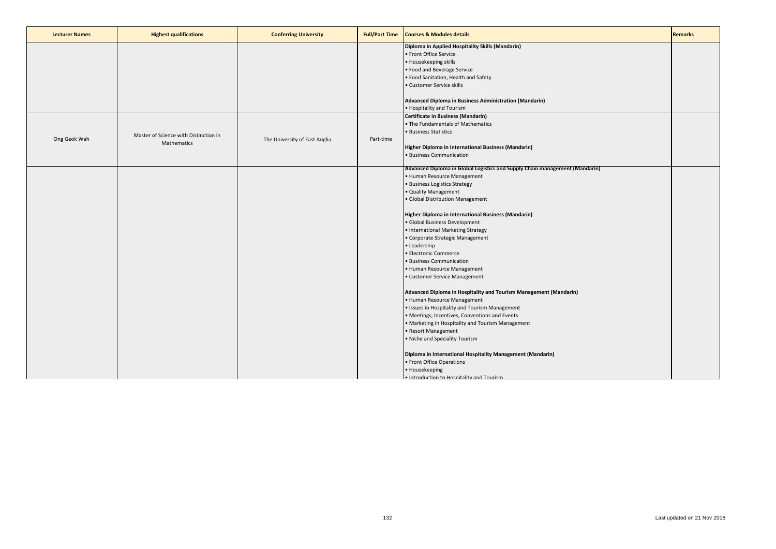| <b>Lecturer Names</b> | <b>Highest qualifications</b>         | <b>Conferring University</b>  | <b>Full/Part Time</b> | <b>Courses &amp; Modules details</b>                                        | <b>Remarks</b> |
|-----------------------|---------------------------------------|-------------------------------|-----------------------|-----------------------------------------------------------------------------|----------------|
|                       |                                       |                               |                       | Diploma in Applied Hospitality Skills (Mandarin)                            |                |
|                       |                                       |                               |                       | • Front Office Service                                                      |                |
|                       |                                       |                               |                       | · Housekeeping skills                                                       |                |
|                       |                                       |                               |                       | • Food and Beverage Service                                                 |                |
|                       |                                       |                               |                       | . Food Sanitation, Health and Safety                                        |                |
|                       |                                       |                               |                       | • Customer Service skills                                                   |                |
|                       |                                       |                               |                       | Advanced Diploma in Business Administration (Mandarin)                      |                |
|                       |                                       |                               |                       | • Hospitality and Tourism                                                   |                |
|                       |                                       |                               |                       | Certificate in Business (Mandarin)                                          |                |
|                       |                                       |                               |                       | • The Fundamentals of Mathematics                                           |                |
|                       |                                       |                               |                       | • Business Statistics                                                       |                |
| Ong Geok Wah          | Master of Science with Distinction in | The University of East Anglia | Part-time             |                                                                             |                |
|                       | Mathematics                           |                               |                       | Higher Diploma in International Business (Mandarin)                         |                |
|                       |                                       |                               |                       | · Business Communication                                                    |                |
|                       |                                       |                               |                       |                                                                             |                |
|                       |                                       |                               |                       | Advanced Diploma in Global Logistics and Supply Chain management (Mandarin) |                |
|                       |                                       |                               |                       | • Human Resource Management                                                 |                |
|                       |                                       |                               |                       | · Business Logistics Strategy                                               |                |
|                       |                                       |                               |                       | · Quality Management                                                        |                |
|                       |                                       |                               |                       | · Global Distribution Management                                            |                |
|                       |                                       |                               |                       |                                                                             |                |
|                       |                                       |                               |                       | Higher Diploma in International Business (Mandarin)                         |                |
|                       |                                       |                               |                       | · Global Business Development                                               |                |
|                       |                                       |                               |                       | • International Marketing Strategy                                          |                |
|                       |                                       |                               |                       | • Corporate Strategic Management                                            |                |
|                       |                                       |                               |                       | • Leadership                                                                |                |
|                       |                                       |                               |                       | • Electronic Commerce                                                       |                |
|                       |                                       |                               |                       | · Business Communication                                                    |                |
|                       |                                       |                               |                       | • Human Resource Management                                                 |                |
|                       |                                       |                               |                       | • Customer Service Management                                               |                |
|                       |                                       |                               |                       | Advanced Diploma in Hospitality and Tourism Management (Mandarin)           |                |
|                       |                                       |                               |                       | • Human Resource Management                                                 |                |
|                       |                                       |                               |                       | • Issues in Hospitality and Tourism Management                              |                |
|                       |                                       |                               |                       | • Meetings, Incentives, Conventions and Events                              |                |
|                       |                                       |                               |                       | • Marketing in Hospitality and Tourism Management                           |                |
|                       |                                       |                               |                       | • Resort Management                                                         |                |
|                       |                                       |                               |                       | . Niche and Speciality Tourism                                              |                |
|                       |                                       |                               |                       |                                                                             |                |
|                       |                                       |                               |                       | Diploma in International Hospitality Management (Mandarin)                  |                |
|                       |                                       |                               |                       | • Front Office Operations                                                   |                |
|                       |                                       |                               |                       | • Housekeeping                                                              |                |
|                       |                                       |                               |                       | . Introduction to Hosnitality and Tourism                                   |                |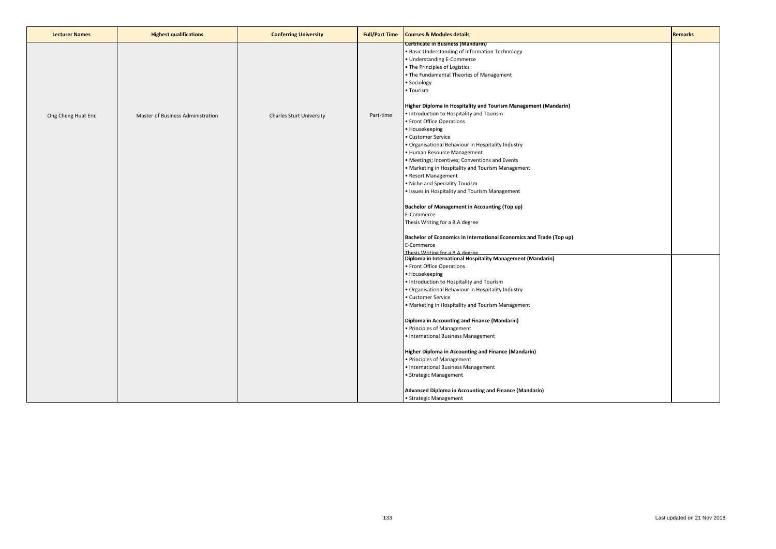| <b>Lecturer Names</b> | <b>Highest qualifications</b>     | <b>Conferring University</b> | <b>Full/Part Time</b> | <b>Courses &amp; Modules details</b>                                                                                                                                                                                                                                                                                                                                                                                                                                                                                                      | <b>Remarks</b> |
|-----------------------|-----------------------------------|------------------------------|-----------------------|-------------------------------------------------------------------------------------------------------------------------------------------------------------------------------------------------------------------------------------------------------------------------------------------------------------------------------------------------------------------------------------------------------------------------------------------------------------------------------------------------------------------------------------------|----------------|
|                       |                                   |                              |                       | <b>Certificate in Business (Mandarin)</b><br>· Basic Understanding of Information Technology<br>· Understanding E-Commerce<br>. The Principles of Logistics<br>. The Fundamental Theories of Management<br>· Sociology<br>• Tourism                                                                                                                                                                                                                                                                                                       |                |
| Ong Cheng Huat Eric   | Master of Business Administration | Charles Sturt University     | Part-time             | Higher Diploma in Hospitality and Tourism Management (Mandarin)<br>. Introduction to Hospitality and Tourism<br>• Front Office Operations<br>• Housekeeping<br>· Customer Service<br>· Organisational Behaviour in Hospitality Industry<br>• Human Resource Management<br>· Meetings; Incentives; Conventions and Events<br>• Marketing in Hospitality and Tourism Management<br>· Resort Management<br>. Niche and Speciality Tourism<br>• Issues in Hospitality and Tourism Management<br>Bachelor of Management in Accounting (Top up) |                |
|                       |                                   |                              |                       | E-Commerce<br>Thesis Writing for a B.A degree<br>Bachelor of Economics in International Economics and Trade (Top up)<br>E-Commerce                                                                                                                                                                                                                                                                                                                                                                                                        |                |
|                       |                                   |                              |                       | Thesis Writing for a R A degree<br>Diploma in International Hospitality Management (Mandarin)<br>• Front Office Operations<br>• Housekeeping<br>. Introduction to Hospitality and Tourism<br>· Organisational Behaviour in Hospitality Industry<br>· Customer Service<br>• Marketing in Hospitality and Tourism Management                                                                                                                                                                                                                |                |
|                       |                                   |                              |                       | Diploma in Accounting and Finance (Mandarin)<br>· Principles of Management<br>· International Business Management                                                                                                                                                                                                                                                                                                                                                                                                                         |                |
|                       |                                   |                              |                       | Higher Diploma in Accounting and Finance (Mandarin)<br>· Principles of Management<br>• International Business Management<br>· Strategic Management                                                                                                                                                                                                                                                                                                                                                                                        |                |
|                       |                                   |                              |                       | Advanced Diploma in Accounting and Finance (Mandarin)<br>· Strategic Management                                                                                                                                                                                                                                                                                                                                                                                                                                                           |                |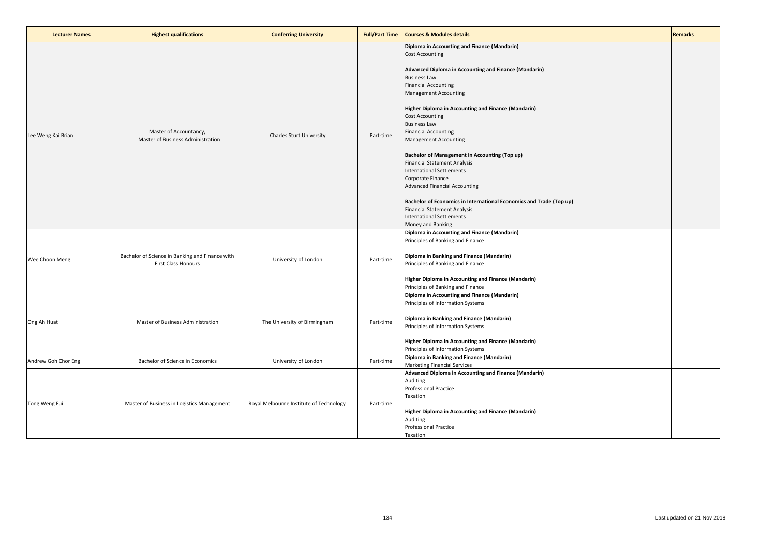| <b>Lecturer Names</b> | <b>Highest qualifications</b>                                                 | <b>Conferring University</b>            | <b>Full/Part Time</b> | <b>Courses &amp; Modules details</b>                                                                                                                                                                                                                                                                                                                                                                                                                                                                                                                                                                                                                                                                                                                                | <b>Remarks</b> |
|-----------------------|-------------------------------------------------------------------------------|-----------------------------------------|-----------------------|---------------------------------------------------------------------------------------------------------------------------------------------------------------------------------------------------------------------------------------------------------------------------------------------------------------------------------------------------------------------------------------------------------------------------------------------------------------------------------------------------------------------------------------------------------------------------------------------------------------------------------------------------------------------------------------------------------------------------------------------------------------------|----------------|
| Lee Weng Kai Brian    | Master of Accountancy,<br>Master of Business Administration                   | <b>Charles Sturt University</b>         | Part-time             | Diploma in Accounting and Finance (Mandarin)<br><b>Cost Accounting</b><br>Advanced Diploma in Accounting and Finance (Mandarin)<br><b>Business Law</b><br><b>Financial Accounting</b><br><b>Management Accounting</b><br><b>Higher Diploma in Accounting and Finance (Mandarin)</b><br><b>Cost Accounting</b><br><b>Business Law</b><br><b>Financial Accounting</b><br>Management Accounting<br><b>Bachelor of Management in Accounting (Top up)</b><br><b>Financial Statement Analysis</b><br><b>International Settlements</b><br>Corporate Finance<br><b>Advanced Financial Accounting</b><br>Bachelor of Economics in International Economics and Trade (Top up)<br><b>Financial Statement Analysis</b><br><b>International Settlements</b><br>Money and Banking |                |
| Wee Choon Meng        | Bachelor of Science in Banking and Finance with<br><b>First Class Honours</b> | University of London                    | Part-time             | Diploma in Accounting and Finance (Mandarin)<br>Principles of Banking and Finance<br>Diploma in Banking and Finance (Mandarin)<br>Principles of Banking and Finance<br>Higher Diploma in Accounting and Finance (Mandarin)<br>Principles of Banking and Finance                                                                                                                                                                                                                                                                                                                                                                                                                                                                                                     |                |
| Ong Ah Huat           | Master of Business Administration                                             | The University of Birmingham            | Part-time             | Diploma in Accounting and Finance (Mandarin)<br>Principles of Information Systems<br>Diploma in Banking and Finance (Mandarin)<br>Principles of Information Systems<br>Higher Diploma in Accounting and Finance (Mandarin)<br>Principles of Information Systems                                                                                                                                                                                                                                                                                                                                                                                                                                                                                                     |                |
| Andrew Goh Chor Eng   | Bachelor of Science in Economics                                              | University of London                    | Part-time             | Diploma in Banking and Finance (Mandarin)<br><b>Marketing Financial Services</b>                                                                                                                                                                                                                                                                                                                                                                                                                                                                                                                                                                                                                                                                                    |                |
| Tong Weng Fui         | Master of Business in Logistics Management                                    | Royal Melbourne Institute of Technology | Part-time             | Advanced Diploma in Accounting and Finance (Mandarin)<br>Auditing<br><b>Professional Practice</b><br>Taxation<br>Higher Diploma in Accounting and Finance (Mandarin)<br>Auditing<br>Professional Practice<br>Taxation                                                                                                                                                                                                                                                                                                                                                                                                                                                                                                                                               |                |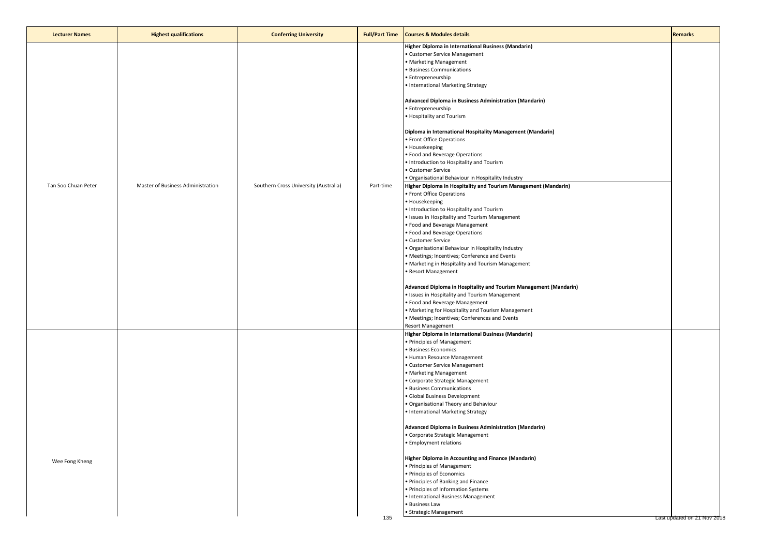| <b>Lecturer Names</b> | <b>Highest qualifications</b>     | <b>Conferring University</b>          | <b>Full/Part Time</b> | <b>Courses &amp; Modules details</b>                                                                                                                                                                                                                                                                                                                                                                                                                                                                                                                                                                                                                                                                                                                                                                                                                                                                                                                                                                                                                                                                                                                                                                                                                                                                                                                                                  | <b>Remarks</b>              |
|-----------------------|-----------------------------------|---------------------------------------|-----------------------|---------------------------------------------------------------------------------------------------------------------------------------------------------------------------------------------------------------------------------------------------------------------------------------------------------------------------------------------------------------------------------------------------------------------------------------------------------------------------------------------------------------------------------------------------------------------------------------------------------------------------------------------------------------------------------------------------------------------------------------------------------------------------------------------------------------------------------------------------------------------------------------------------------------------------------------------------------------------------------------------------------------------------------------------------------------------------------------------------------------------------------------------------------------------------------------------------------------------------------------------------------------------------------------------------------------------------------------------------------------------------------------|-----------------------------|
| Tan Soo Chuan Peter   | Master of Business Administration | Southern Cross University (Australia) | Part-time             | Higher Diploma in International Business (Mandarin)<br>· Customer Service Management<br>• Marketing Management<br><b>Business Communications</b><br>· Entrepreneurship<br>• International Marketing Strategy<br>Advanced Diploma in Business Administration (Mandarin)<br>· Entrepreneurship<br>• Hospitality and Tourism<br>Diploma in International Hospitality Management (Mandarin)<br>· Front Office Operations<br>• Housekeeping<br>• Food and Beverage Operations<br>. Introduction to Hospitality and Tourism<br>• Customer Service<br>• Organisational Behaviour in Hospitality Industry<br>Higher Diploma in Hospitality and Tourism Management (Mandarin)<br>• Front Office Operations<br>• Housekeeping<br>• Introduction to Hospitality and Tourism<br>· Issues in Hospitality and Tourism Management<br>· Food and Beverage Management<br>• Food and Beverage Operations<br>• Customer Service<br>· Organisational Behaviour in Hospitality Industry<br>· Meetings; Incentives; Conference and Events<br>• Marketing in Hospitality and Tourism Management<br>· Resort Management<br>Advanced Diploma in Hospitality and Tourism Management (Mandarin)<br>· Issues in Hospitality and Tourism Management<br>• Food and Beverage Management<br>• Marketing for Hospitality and Tourism Management<br>· Meetings; Incentives; Conferences and Events<br>Resort Management |                             |
| Wee Fong Kheng        |                                   |                                       | 135                   | Higher Diploma in International Business (Mandarin)<br>· Principles of Management<br>· Business Economics<br>· Human Resource Management<br>· Customer Service Management<br>• Marketing Management<br>· Corporate Strategic Management<br><b>Business Communications</b><br>· Global Business Development<br>· Organisational Theory and Behaviour<br>• International Marketing Strategy<br>Advanced Diploma in Business Administration (Mandarin)<br>• Corporate Strategic Management<br>• Employment relations<br>Higher Diploma in Accounting and Finance (Mandarin)<br>· Principles of Management<br>· Principles of Economics<br>· Principles of Banking and Finance<br>• Principles of Information Systems<br>· International Business Management<br>· Business Law<br>· Strategic Management                                                                                                                                                                                                                                                                                                                                                                                                                                                                                                                                                                                  | Last updated on 21 Nov 2018 |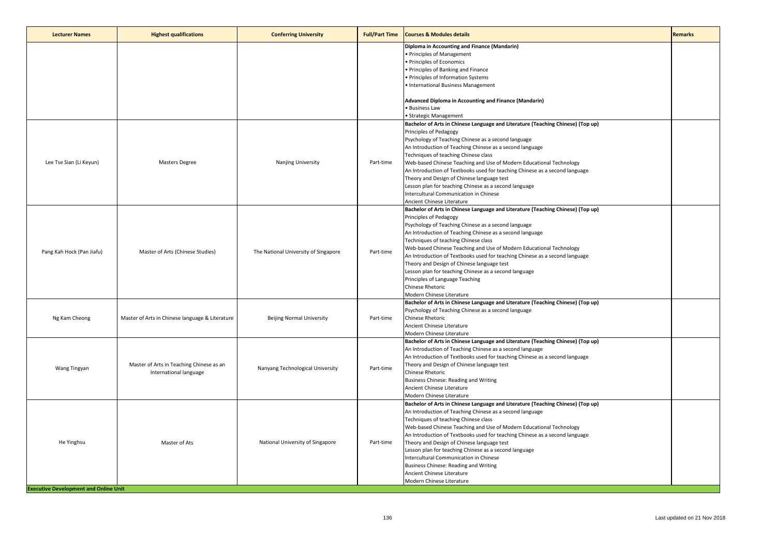| <b>Lecturer Names</b>                                      | <b>Highest qualifications</b>                                      | <b>Conferring University</b>         | <b>Full/Part Time</b> | <b>Courses &amp; Modules details</b>                                                                                                                                                                                                                                                                                                                                                                                                                                                                                                                                                                                  | <b>Remarks</b> |
|------------------------------------------------------------|--------------------------------------------------------------------|--------------------------------------|-----------------------|-----------------------------------------------------------------------------------------------------------------------------------------------------------------------------------------------------------------------------------------------------------------------------------------------------------------------------------------------------------------------------------------------------------------------------------------------------------------------------------------------------------------------------------------------------------------------------------------------------------------------|----------------|
|                                                            |                                                                    |                                      |                       | Diploma in Accounting and Finance (Mandarin)<br>· Principles of Management<br>· Principles of Economics<br>Principles of Banking and Finance<br>· Principles of Information Systems<br>International Business Management                                                                                                                                                                                                                                                                                                                                                                                              |                |
|                                                            |                                                                    |                                      |                       | Advanced Diploma in Accounting and Finance (Mandarin)<br>· Business Law<br>Strategic Management                                                                                                                                                                                                                                                                                                                                                                                                                                                                                                                       |                |
| Lee Tse Sian (Li Keyun)                                    | <b>Masters Degree</b>                                              | Nanjing University                   | Part-time             | Bachelor of Arts in Chinese Language and Literature (Teaching Chinese) (Top up)<br>Principles of Pedagogy<br>Psychology of Teaching Chinese as a second language<br>An Introduction of Teaching Chinese as a second language<br>Techniques of teaching Chinese class<br>Web-based Chinese Teaching and Use of Modern Educational Technology<br>An Introduction of Textbooks used for teaching Chinese as a second language<br>Theory and Design of Chinese language test<br>Lesson plan for teaching Chinese as a second language<br>Intercultural Communication in Chinese<br>Ancient Chinese Literature             |                |
| Pang Kah Hock (Pan Jiafu)                                  | Master of Arts (Chinese Studies)                                   | The National University of Singapore | Part-time             | Bachelor of Arts in Chinese Language and Literature (Teaching Chinese) (Top up)<br>Principles of Pedagogy<br>Psychology of Teaching Chinese as a second language<br>An Introduction of Teaching Chinese as a second language<br>Techniques of teaching Chinese class<br>Web-based Chinese Teaching and Use of Modern Educational Technology<br>An Introduction of Textbooks used for teaching Chinese as a second language<br>Theory and Design of Chinese language test<br>Lesson plan for teaching Chinese as a second language<br>Principles of Language Teaching<br>Chinese Rhetoric<br>Modern Chinese Literature |                |
| Ng Kam Cheong                                              | Master of Arts in Chinese language & Literature                    | <b>Beijing Normal University</b>     | Part-time             | Bachelor of Arts in Chinese Language and Literature (Teaching Chinese) (Top up)<br>Psychology of Teaching Chinese as a second language<br>Chinese Rhetoric<br>Ancient Chinese Literature<br>Modern Chinese Literature                                                                                                                                                                                                                                                                                                                                                                                                 |                |
| Wang Tingyan                                               | Master of Arts in Teaching Chinese as an<br>International language | Nanyang Technological University     | Part-time             | Bachelor of Arts in Chinese Language and Literature (Teaching Chinese) (Top up)<br>An Introduction of Teaching Chinese as a second language<br>An Introduction of Textbooks used for teaching Chinese as a second language<br>Theory and Design of Chinese language test<br>Chinese Rhetoric<br>Business Chinese: Reading and Writing<br>Ancient Chinese Literature<br>Modern Chinese Literature                                                                                                                                                                                                                      |                |
| He Yinghsu<br><b>Executive Development and Online Unit</b> | Master of Ats                                                      | National University of Singapore     | Part-time             | Bachelor of Arts in Chinese Language and Literature (Teaching Chinese) (Top up)<br>An Introduction of Teaching Chinese as a second language<br>Techniques of teaching Chinese class<br>Web-based Chinese Teaching and Use of Modern Educational Technology<br>An Introduction of Textbooks used for teaching Chinese as a second language<br>Theory and Design of Chinese language test<br>Lesson plan for teaching Chinese as a second language<br>Intercultural Communication in Chinese<br>Business Chinese: Reading and Writing<br>Ancient Chinese Literature<br>Modern Chinese Literature                        |                |